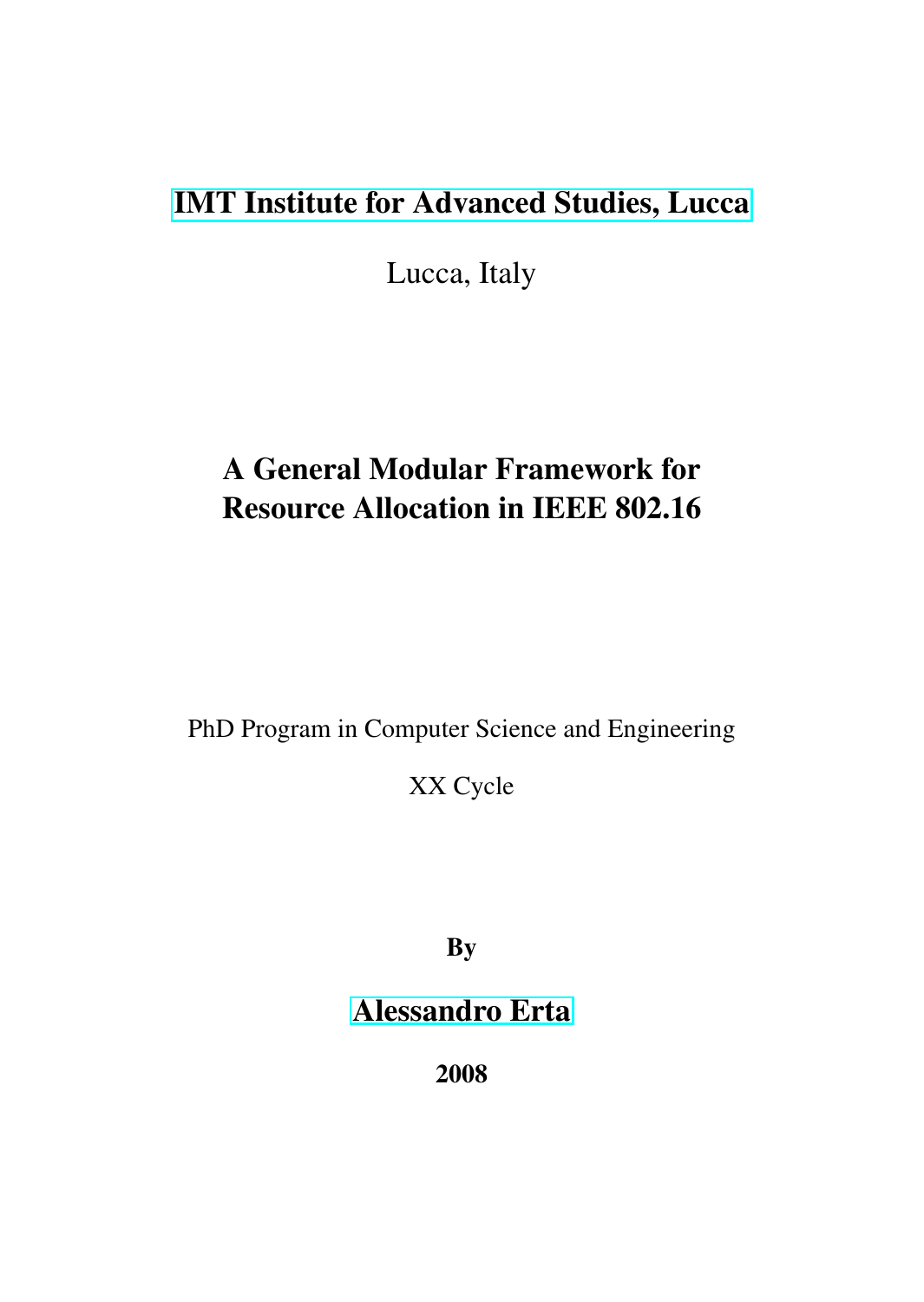### <span id="page-0-0"></span>[IMT Institute for Advanced Studies, Lucca](http://www.imtlucca.it)

Lucca, Italy

## A General Modular Framework for Resource Allocation in IEEE 802.16

PhD Program in Computer Science and Engineering

XX Cycle

By

## [Alessandro Erta](mailto:a.erta@imtlucca.it)

2008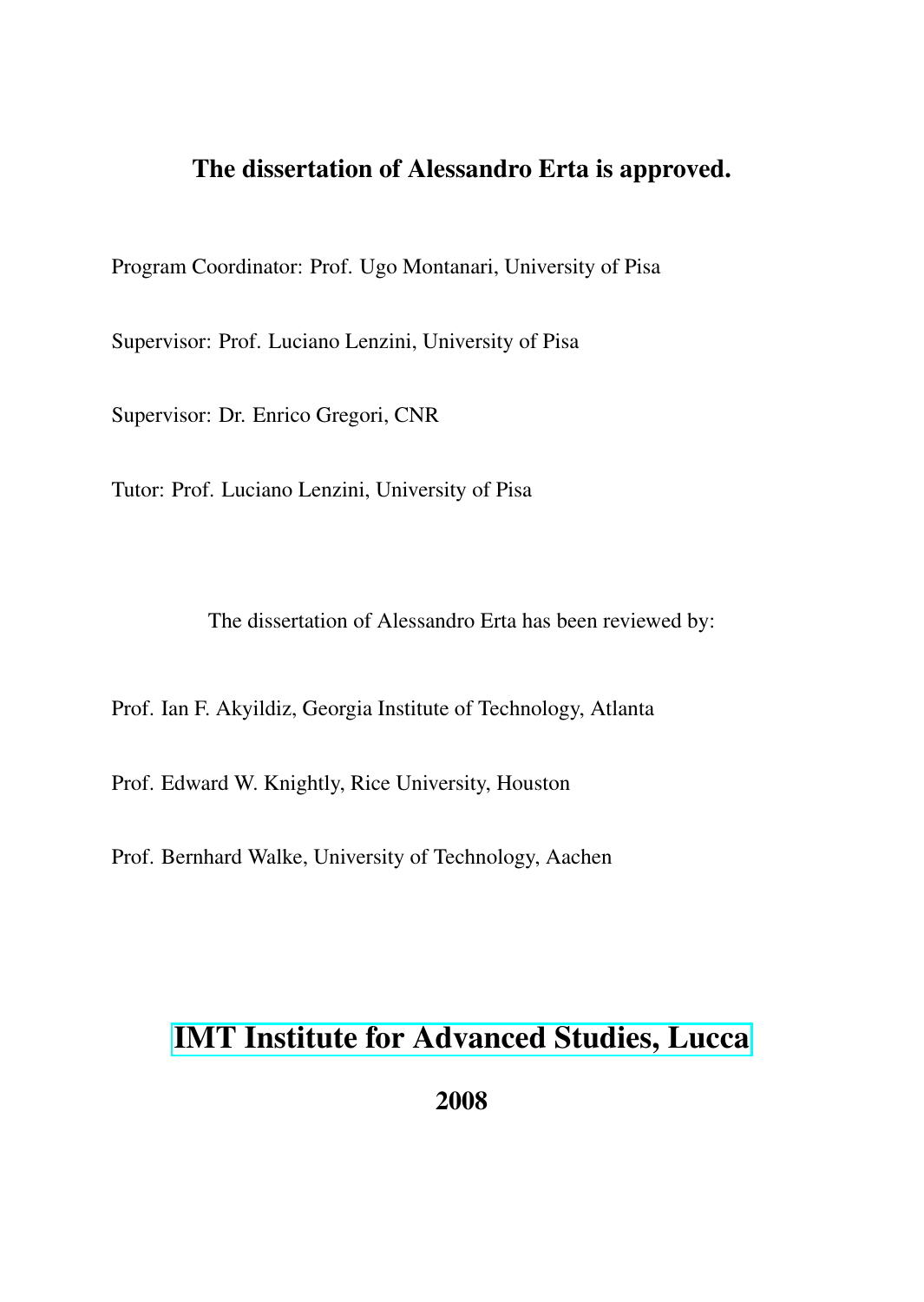#### The dissertation of Alessandro Erta is approved.

Program Coordinator: Prof. Ugo Montanari, University of Pisa

Supervisor: Prof. Luciano Lenzini, University of Pisa

Supervisor: Dr. Enrico Gregori, CNR

Tutor: Prof. Luciano Lenzini, University of Pisa

The dissertation of Alessandro Erta has been reviewed by:

Prof. Ian F. Akyildiz, Georgia Institute of Technology, Atlanta

Prof. Edward W. Knightly, Rice University, Houston

Prof. Bernhard Walke, University of Technology, Aachen

#### [IMT Institute for Advanced Studies, Lucca](http://www.imtlucca.it)

2008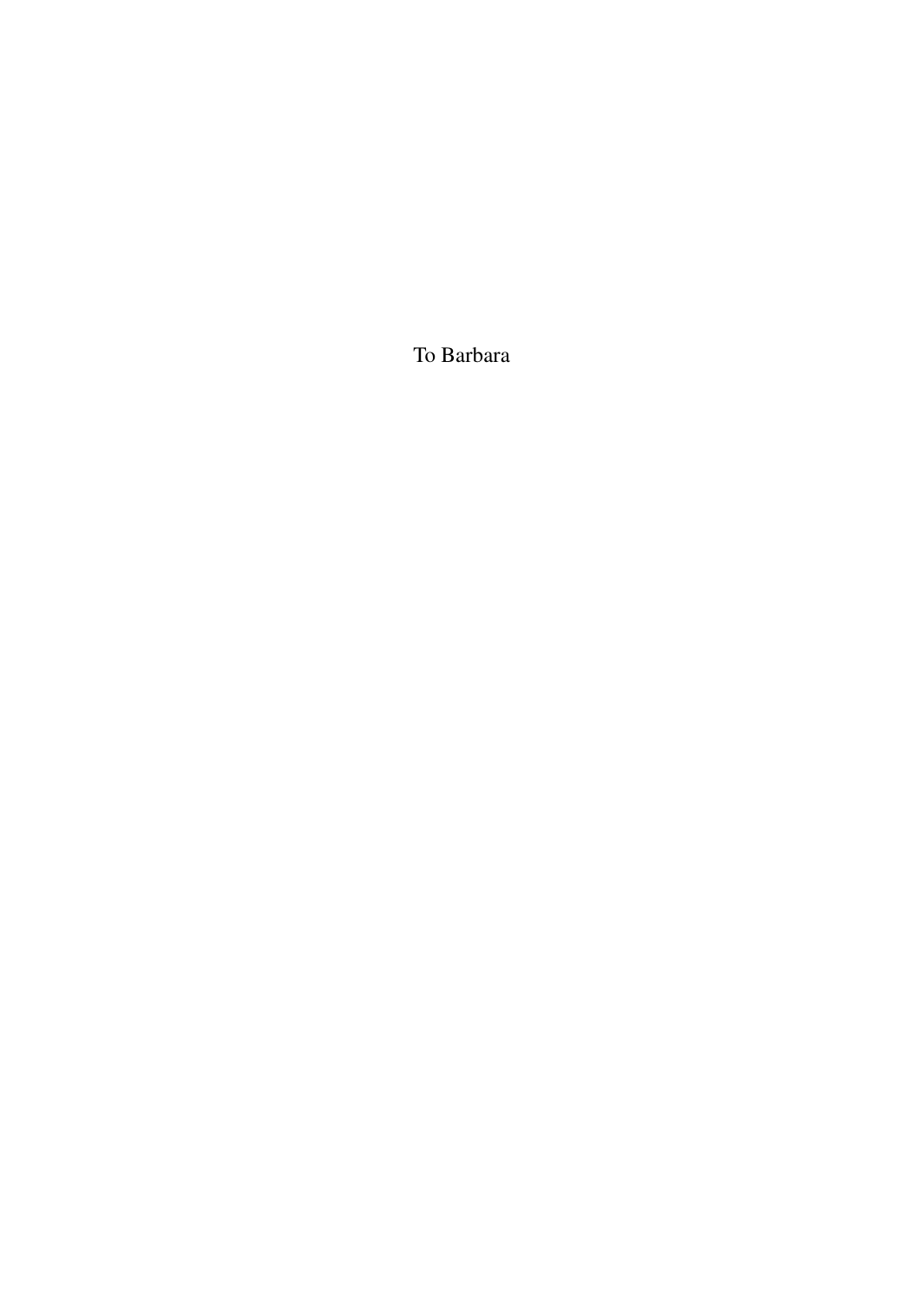To Barbara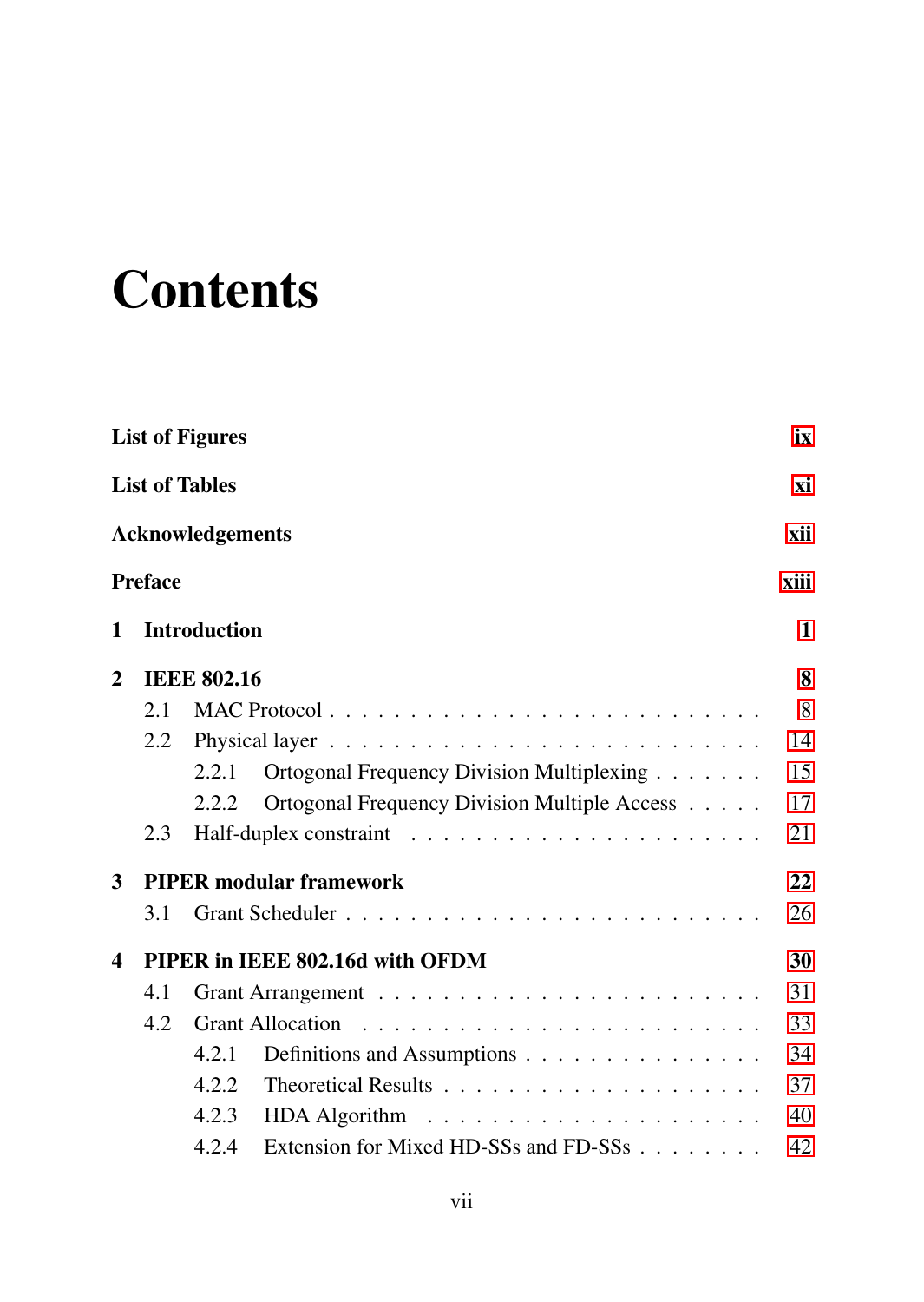## **Contents**

|              |                | <b>List of Figures</b>                                | ix   |
|--------------|----------------|-------------------------------------------------------|------|
|              |                | <b>List of Tables</b>                                 | хi   |
|              |                | <b>Acknowledgements</b>                               | xii  |
|              | <b>Preface</b> |                                                       | xiii |
| 1            |                | <b>Introduction</b>                                   | 1    |
| $\mathbf{2}$ |                | <b>IEEE 802.16</b>                                    | 8    |
|              | 2.1            |                                                       | 8    |
|              | 2.2            |                                                       | 14   |
|              |                | Ortogonal Frequency Division Multiplexing<br>2.2.1    | 15   |
|              |                | Ortogonal Frequency Division Multiple Access<br>2.2.2 | 17   |
|              | 2.3            |                                                       | 21   |
| 3            |                | <b>PIPER</b> modular framework                        | 22   |
|              | 3.1            |                                                       | 26   |
| 4            |                | PIPER in IEEE 802.16d with OFDM                       | 30   |
|              | 4.1            |                                                       | 31   |
|              | 4.2.           |                                                       | 33   |
|              |                | Definitions and Assumptions<br>4.2.1                  | 34   |
|              |                | 4.2.2                                                 | 37   |
|              |                | 4.2.3                                                 | 40   |
|              |                | Extension for Mixed HD-SSs and FD-SSs<br>4.2.4        | 42   |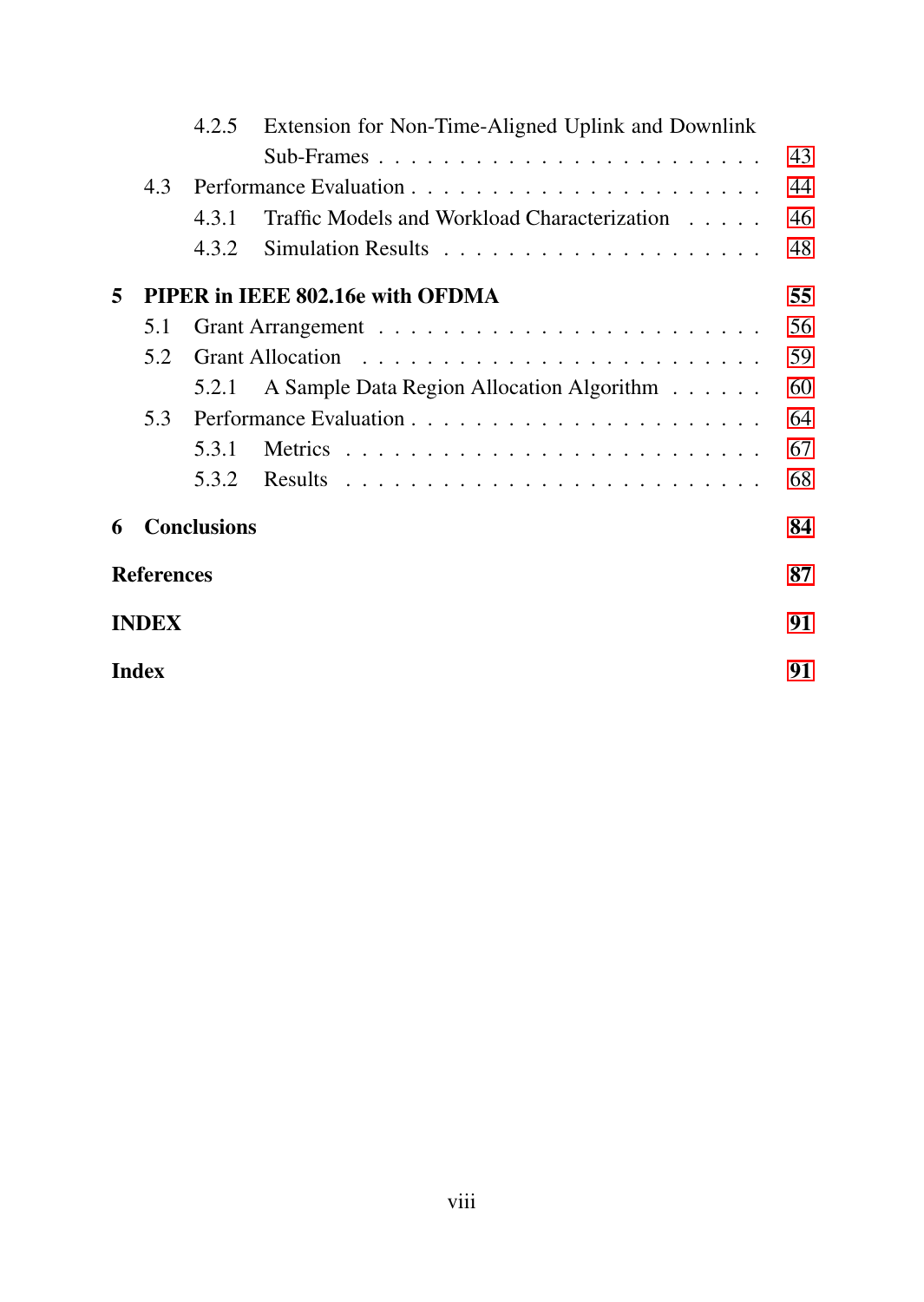|   |                    | 4.2.5              | Extension for Non-Time-Aligned Uplink and Downlink |    |  |
|---|--------------------|--------------------|----------------------------------------------------|----|--|
|   |                    |                    | Sub-Frames                                         | 43 |  |
|   | 4.3                |                    |                                                    | 44 |  |
|   |                    | 4.3.1              | Traffic Models and Workload Characterization       | 46 |  |
|   |                    | 4.3.2              |                                                    | 48 |  |
| 5 |                    |                    | PIPER in IEEE 802.16e with OFDMA                   | 55 |  |
|   | 5.1                |                    |                                                    | 56 |  |
|   | 5.2                |                    |                                                    | 59 |  |
|   |                    | 5.2.1              | A Sample Data Region Allocation Algorithm          | 60 |  |
|   | 5.3                |                    |                                                    | 64 |  |
|   |                    | 5.3.1              |                                                    | 67 |  |
|   |                    | 5.3.2              |                                                    | 68 |  |
| 6 |                    | <b>Conclusions</b> |                                                    | 84 |  |
|   | <b>References</b>  |                    |                                                    | 87 |  |
|   | <b>INDEX</b>       |                    |                                                    |    |  |
|   | <b>Index</b><br>91 |                    |                                                    |    |  |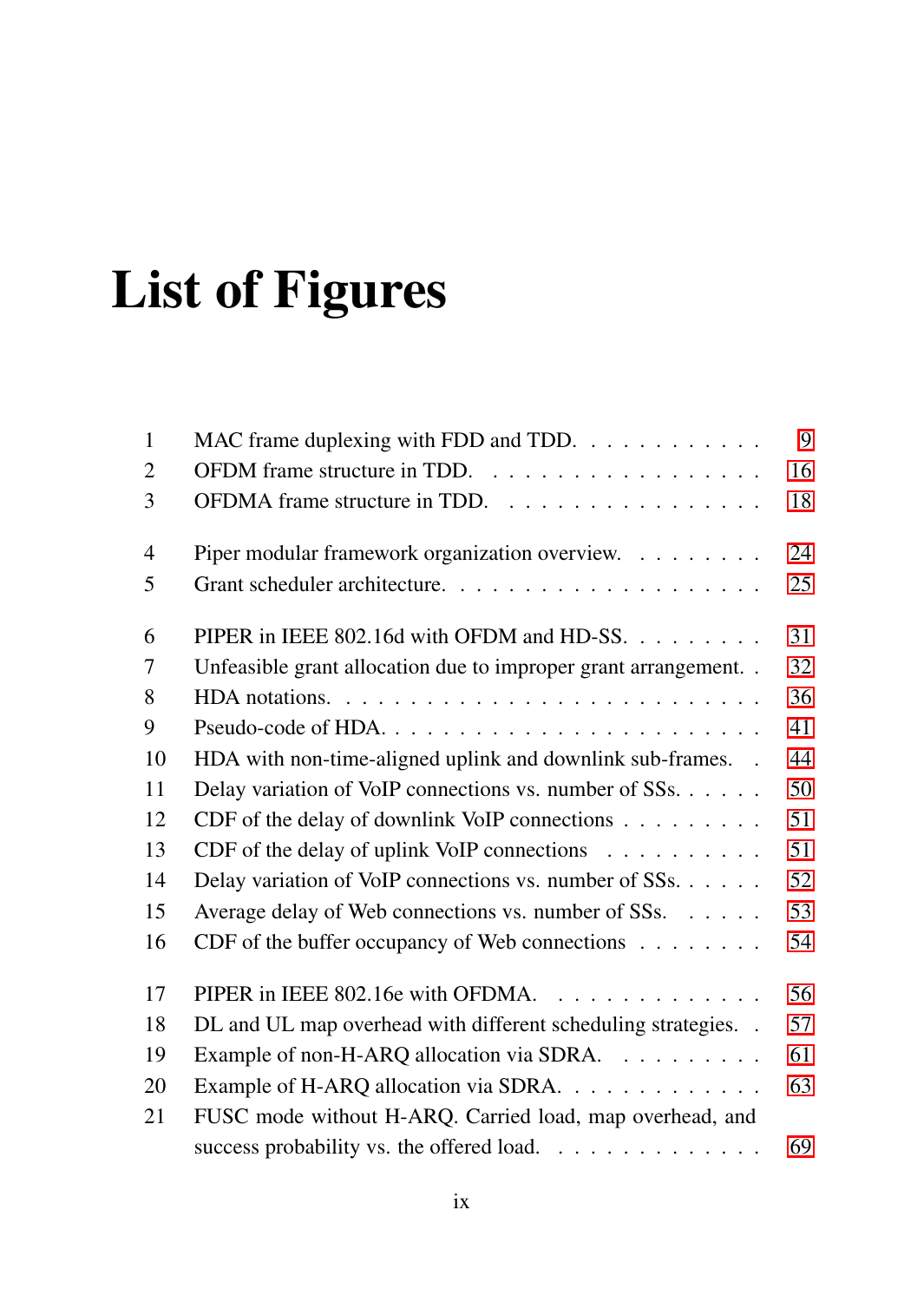# List of Figures

<span id="page-8-0"></span>

| 1              | MAC frame duplexing with FDD and TDD. $\ldots$                       | 9  |
|----------------|----------------------------------------------------------------------|----|
| $\overline{2}$ |                                                                      | 16 |
| 3              | OFDMA frame structure in TDD.                                        | 18 |
| 4              | Piper modular framework organization overview.                       | 24 |
| 5              |                                                                      | 25 |
| 6              | PIPER in IEEE 802.16d with OFDM and HD-SS.                           | 31 |
| 7              | Unfeasible grant allocation due to improper grant arrangement. .     | 32 |
| 8              |                                                                      | 36 |
| 9              |                                                                      | 41 |
| 10             | HDA with non-time-aligned uplink and downlink sub-frames. .          | 44 |
| 11             | Delay variation of VoIP connections vs. number of SSs.               | 50 |
| 12             | CDF of the delay of downlink VoIP connections $\ldots \ldots \ldots$ | 51 |
| 13             | CDF of the delay of uplink VoIP connections $\ldots \ldots \ldots$   | 51 |
| 14             | Delay variation of VoIP connections vs. number of SSs.               | 52 |
| 15             | Average delay of Web connections vs. number of SSs.                  | 53 |
| 16             | CDF of the buffer occupancy of Web connections $\ldots \ldots$       | 54 |
| 17             | PIPER in IEEE 802.16e with OFDMA.                                    | 56 |
| 18             | DL and UL map overhead with different scheduling strategies. .       | 57 |
| 19             | Example of non-H-ARQ allocation via SDRA.                            | 61 |
| 20             | Example of H-ARQ allocation via SDRA.                                | 63 |
| 21             | FUSC mode without H-ARQ. Carried load, map overhead, and             |    |
|                | success probability vs. the offered load.                            | 69 |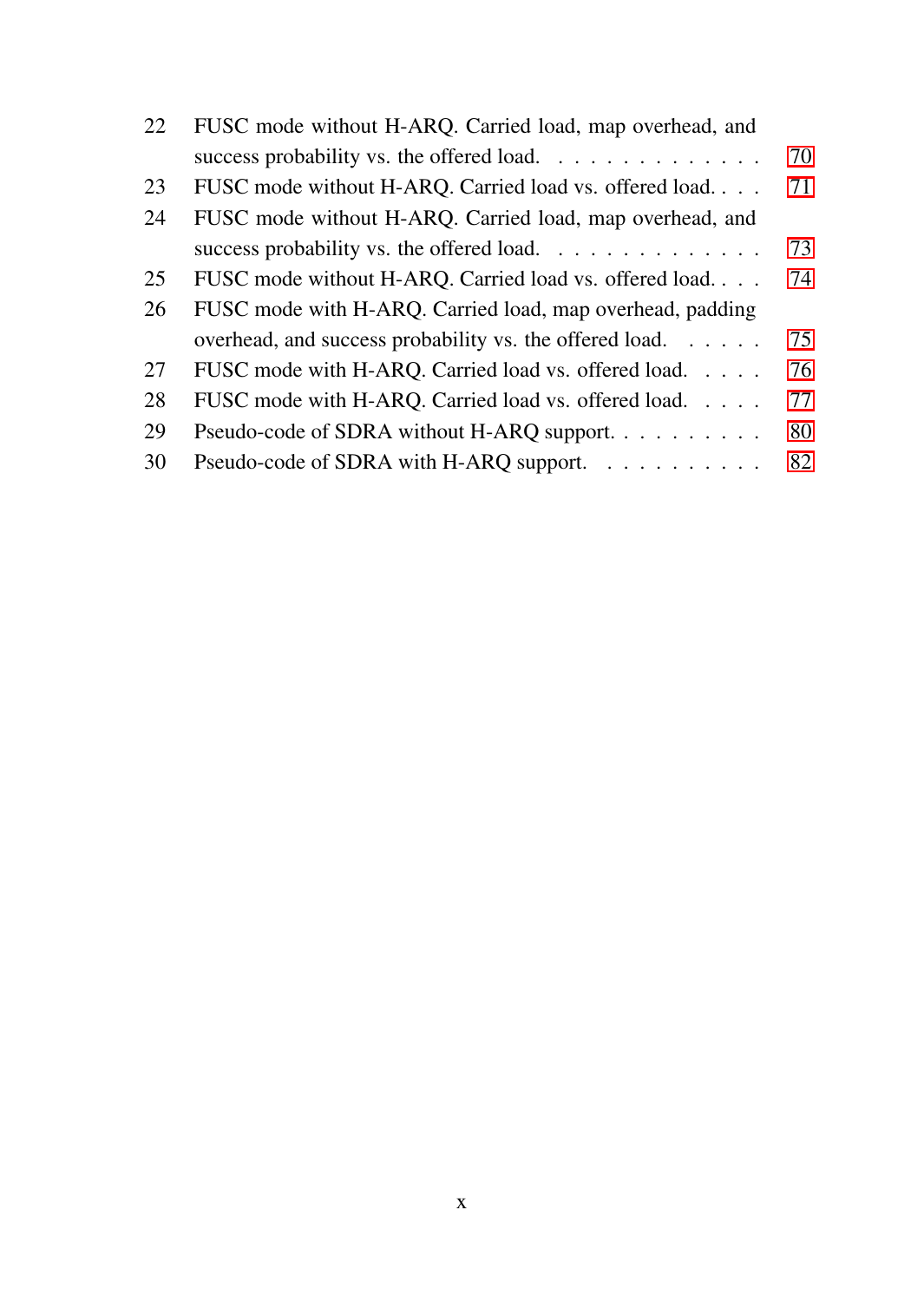| 22 | FUSC mode without H-ARQ. Carried load, map overhead, and  |    |
|----|-----------------------------------------------------------|----|
|    |                                                           | 70 |
| 23 | FUSC mode without H-ARO. Carried load vs. offered load    | 71 |
| 24 | FUSC mode without H-ARO. Carried load, map overhead, and  |    |
|    | success probability vs. the offered load.                 | 73 |
| 25 | FUSC mode without H-ARQ. Carried load vs. offered load    | 74 |
| 26 | FUSC mode with H-ARQ. Carried load, map overhead, padding |    |
|    | overhead, and success probability vs. the offered load    | 75 |
| 27 | FUSC mode with H-ARQ. Carried load vs. offered load.      | 76 |
| 28 | FUSC mode with H-ARO. Carried load vs. offered load.      | 77 |
| 29 | Pseudo-code of SDRA without H-ARQ support.                | 80 |
| 30 | Pseudo-code of SDRA with H-ARQ support.                   | 82 |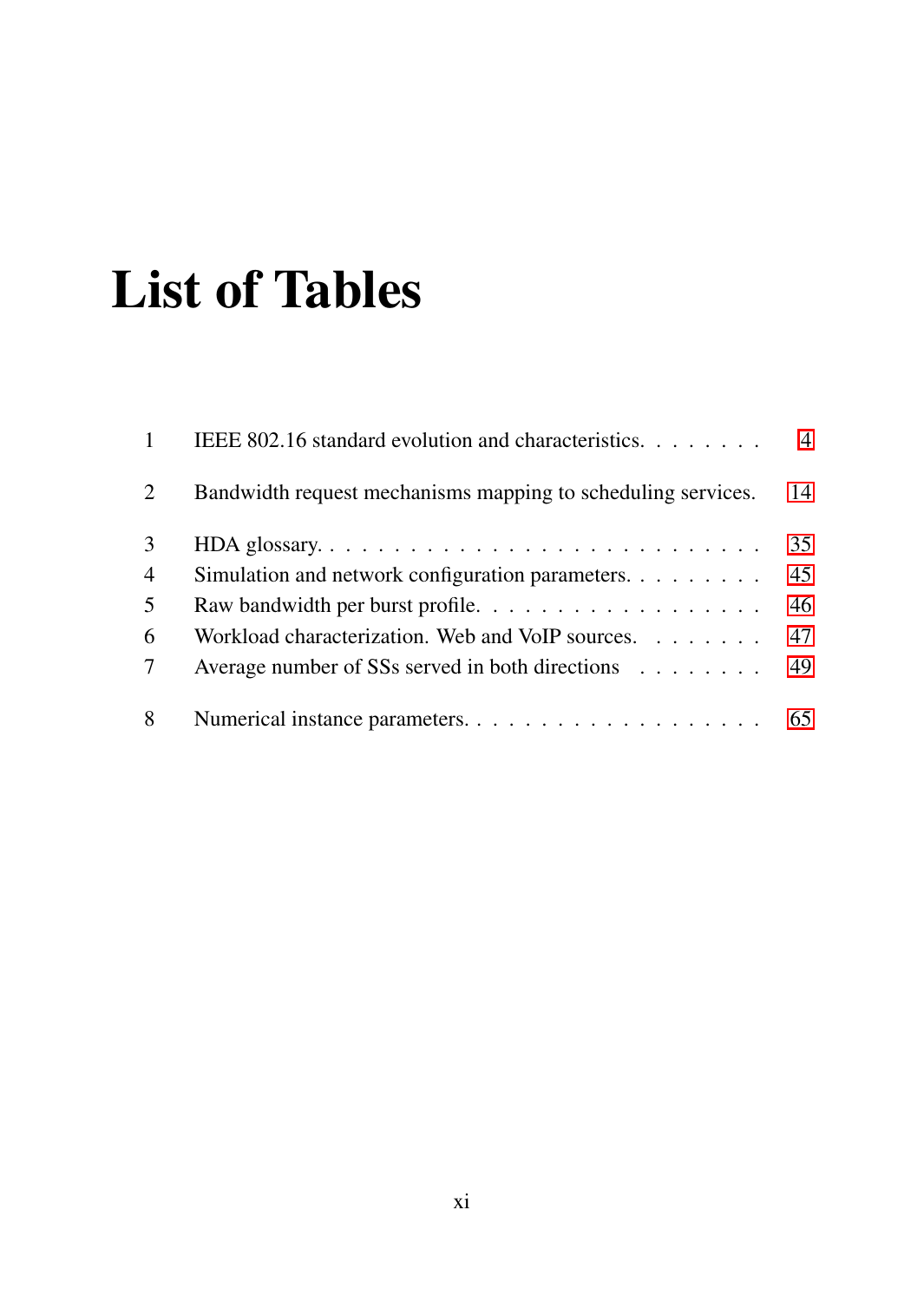# List of Tables

<span id="page-10-0"></span>

|                | IEEE 802.16 standard evolution and characteristics.          | $\overline{4}$ |
|----------------|--------------------------------------------------------------|----------------|
| 2              | Bandwidth request mechanisms mapping to scheduling services. | 14             |
| 3              |                                                              | 35             |
| $\overline{4}$ | Simulation and network configuration parameters.             | 45             |
| 5              |                                                              | 46             |
| 6              | Workload characterization. Web and VoIP sources.             | 47             |
| 7              | Average number of SSs served in both directions              | 49             |
| 8              |                                                              |                |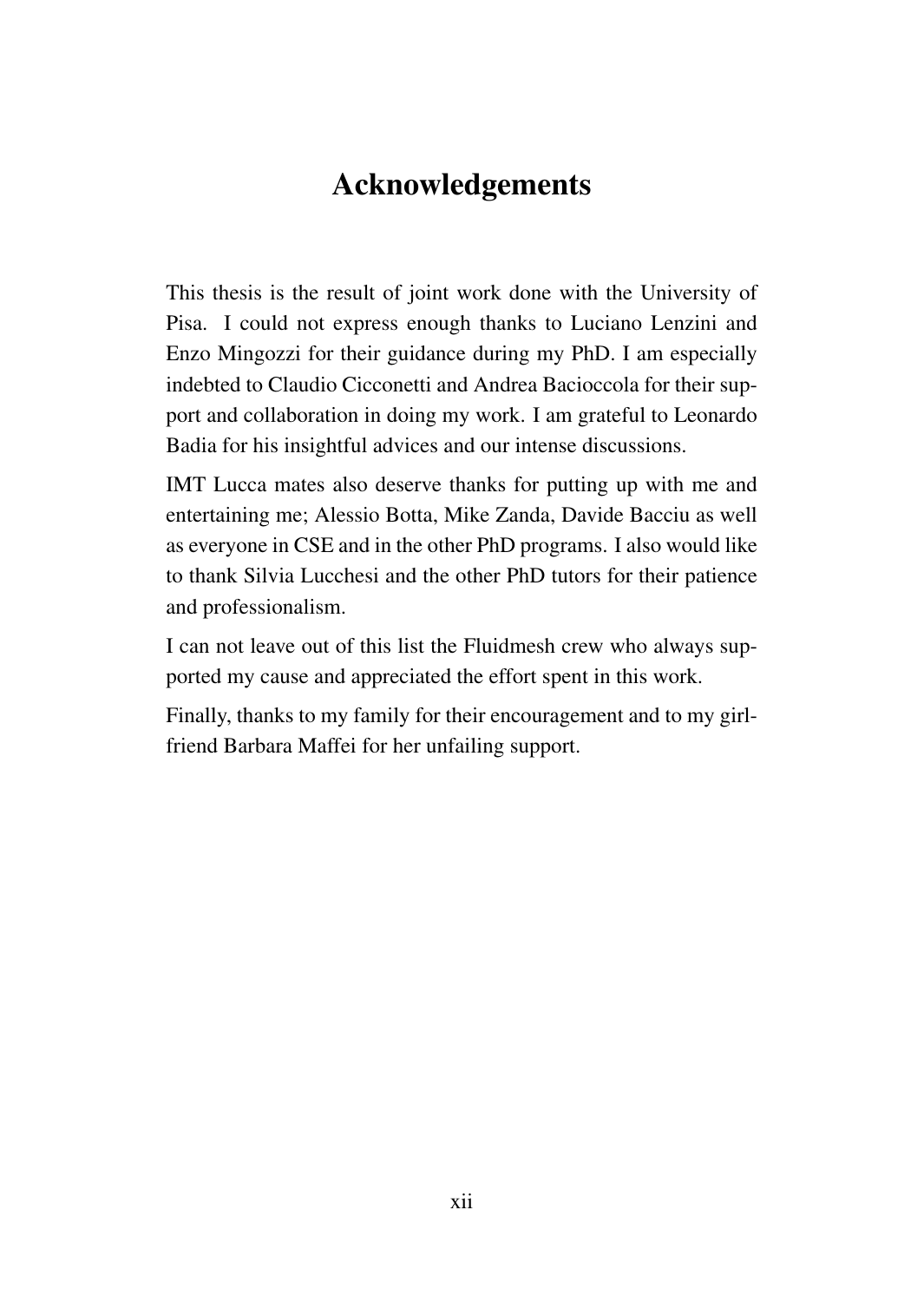### Acknowledgements

This thesis is the result of joint work done with the University of Pisa. I could not express enough thanks to Luciano Lenzini and Enzo Mingozzi for their guidance during my PhD. I am especially indebted to Claudio Cicconetti and Andrea Bacioccola for their support and collaboration in doing my work. I am grateful to Leonardo Badia for his insightful advices and our intense discussions.

IMT Lucca mates also deserve thanks for putting up with me and entertaining me; Alessio Botta, Mike Zanda, Davide Bacciu as well as everyone in CSE and in the other PhD programs. I also would like to thank Silvia Lucchesi and the other PhD tutors for their patience and professionalism.

I can not leave out of this list the Fluidmesh crew who always supported my cause and appreciated the effort spent in this work.

Finally, thanks to my family for their encouragement and to my girlfriend Barbara Maffei for her unfailing support.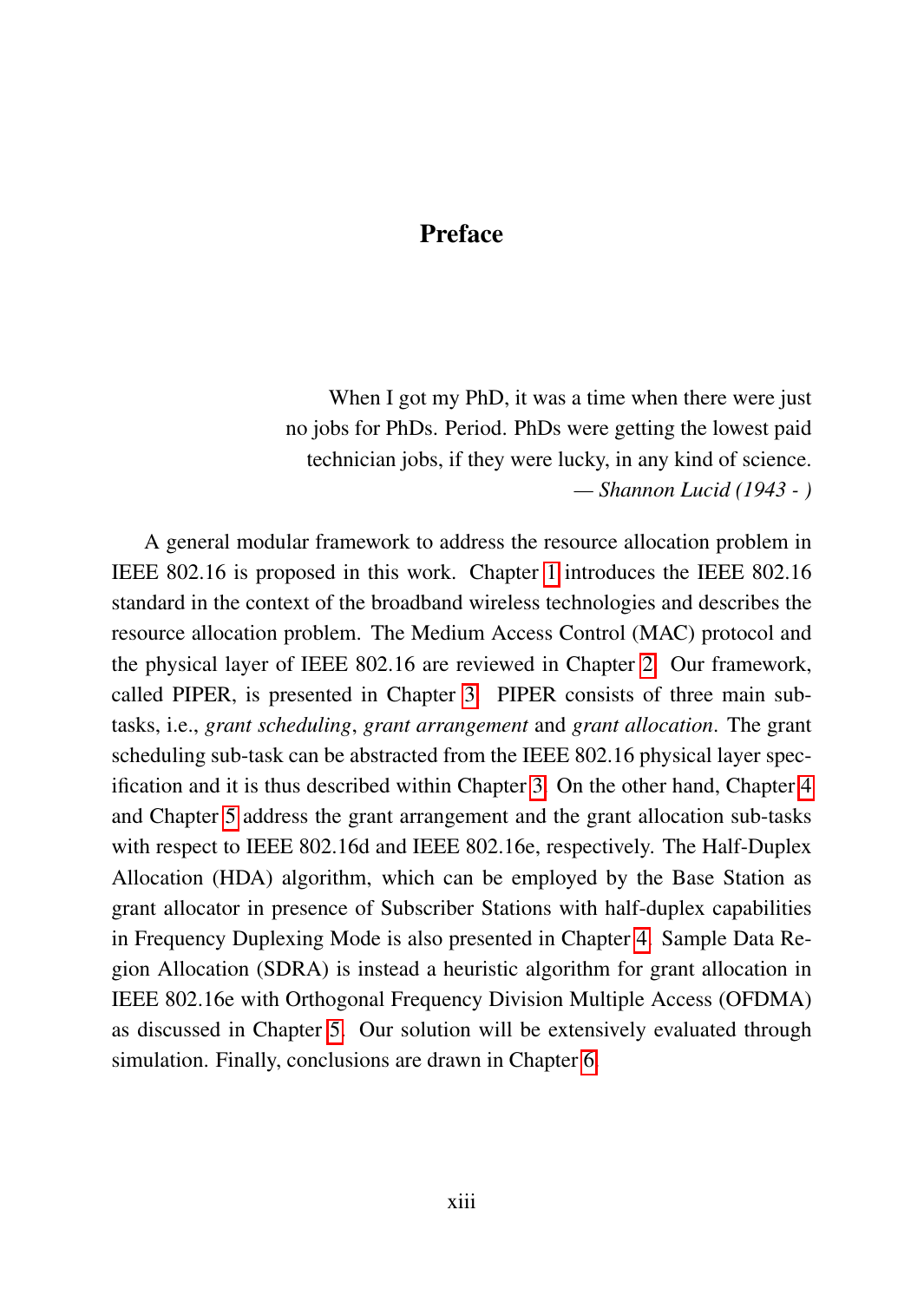#### Preface

When I got my PhD, it was a time when there were just no jobs for PhDs. Period. PhDs were getting the lowest paid technician jobs, if they were lucky, in any kind of science. *— Shannon Lucid (1943 - )*

A general modular framework to address the resource allocation problem in IEEE 802.16 is proposed in this work. Chapter [1](#page-14-0) introduces the IEEE 802.16 standard in the context of the broadband wireless technologies and describes the resource allocation problem. The Medium Access Control (MAC) protocol and the physical layer of IEEE 802.16 are reviewed in Chapter [2.](#page-21-0) Our framework, called PIPER, is presented in Chapter [3.](#page-35-0) PIPER consists of three main subtasks, i.e., *grant scheduling*, *grant arrangement* and *grant allocation*. The grant scheduling sub-task can be abstracted from the IEEE 802.16 physical layer specification and it is thus described within Chapter [3.](#page-35-0) On the other hand, Chapter [4](#page-43-0) and Chapter [5](#page-68-0) address the grant arrangement and the grant allocation sub-tasks with respect to IEEE 802.16d and IEEE 802.16e, respectively. The Half-Duplex Allocation (HDA) algorithm, which can be employed by the Base Station as grant allocator in presence of Subscriber Stations with half-duplex capabilities in Frequency Duplexing Mode is also presented in Chapter [4.](#page-43-0) Sample Data Region Allocation (SDRA) is instead a heuristic algorithm for grant allocation in IEEE 802.16e with Orthogonal Frequency Division Multiple Access (OFDMA) as discussed in Chapter [5.](#page-68-0) Our solution will be extensively evaluated through simulation. Finally, conclusions are drawn in Chapter [6.](#page-97-0)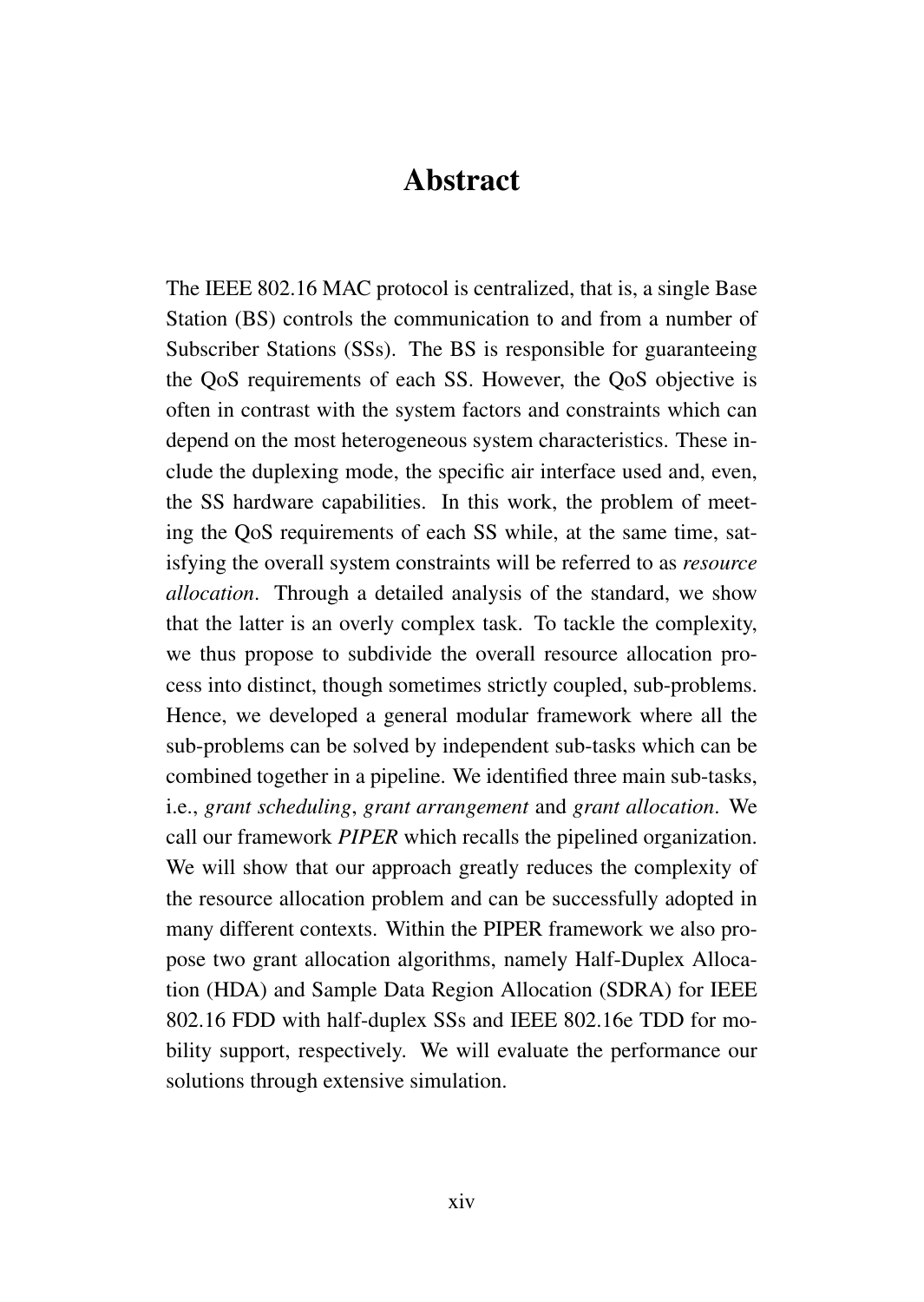#### Abstract

The IEEE 802.16 MAC protocol is centralized, that is, a single Base Station (BS) controls the communication to and from a number of Subscriber Stations (SSs). The BS is responsible for guaranteeing the QoS requirements of each SS. However, the QoS objective is often in contrast with the system factors and constraints which can depend on the most heterogeneous system characteristics. These include the duplexing mode, the specific air interface used and, even, the SS hardware capabilities. In this work, the problem of meeting the QoS requirements of each SS while, at the same time, satisfying the overall system constraints will be referred to as *resource allocation*. Through a detailed analysis of the standard, we show that the latter is an overly complex task. To tackle the complexity, we thus propose to subdivide the overall resource allocation process into distinct, though sometimes strictly coupled, sub-problems. Hence, we developed a general modular framework where all the sub-problems can be solved by independent sub-tasks which can be combined together in a pipeline. We identified three main sub-tasks, i.e., *grant scheduling*, *grant arrangement* and *grant allocation*. We call our framework *PIPER* which recalls the pipelined organization. We will show that our approach greatly reduces the complexity of the resource allocation problem and can be successfully adopted in many different contexts. Within the PIPER framework we also propose two grant allocation algorithms, namely Half-Duplex Allocation (HDA) and Sample Data Region Allocation (SDRA) for IEEE 802.16 FDD with half-duplex SSs and IEEE 802.16e TDD for mobility support, respectively. We will evaluate the performance our solutions through extensive simulation.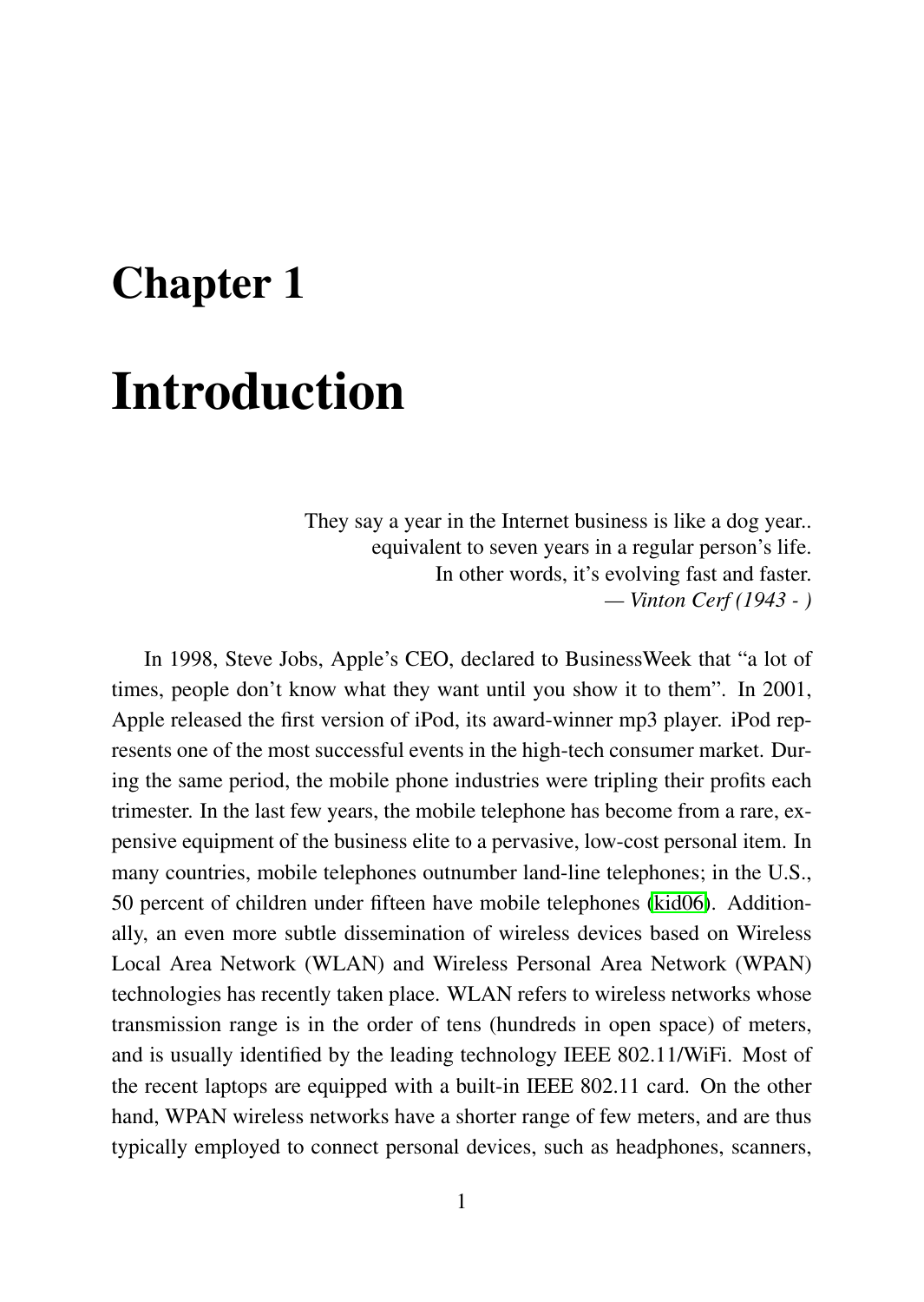# <span id="page-14-0"></span>Chapter 1 Introduction

They say a year in the Internet business is like a dog year.. equivalent to seven years in a regular person's life. In other words, it's evolving fast and faster. *— Vinton Cerf (1943 - )*

In 1998, Steve Jobs, Apple's CEO, declared to BusinessWeek that "a lot of times, people don't know what they want until you show it to them". In 2001, Apple released the first version of iPod, its award-winner mp3 player. iPod represents one of the most successful events in the high-tech consumer market. During the same period, the mobile phone industries were tripling their profits each trimester. In the last few years, the mobile telephone has become from a rare, expensive equipment of the business elite to a pervasive, low-cost personal item. In many countries, mobile telephones outnumber land-line telephones; in the U.S., 50 percent of children under fifteen have mobile telephones [\(kid06\)](#page-102-0). Additionally, an even more subtle dissemination of wireless devices based on Wireless Local Area Network (WLAN) and Wireless Personal Area Network (WPAN) technologies has recently taken place. WLAN refers to wireless networks whose transmission range is in the order of tens (hundreds in open space) of meters, and is usually identified by the leading technology IEEE 802.11/WiFi. Most of the recent laptops are equipped with a built-in IEEE 802.11 card. On the other hand, WPAN wireless networks have a shorter range of few meters, and are thus typically employed to connect personal devices, such as headphones, scanners,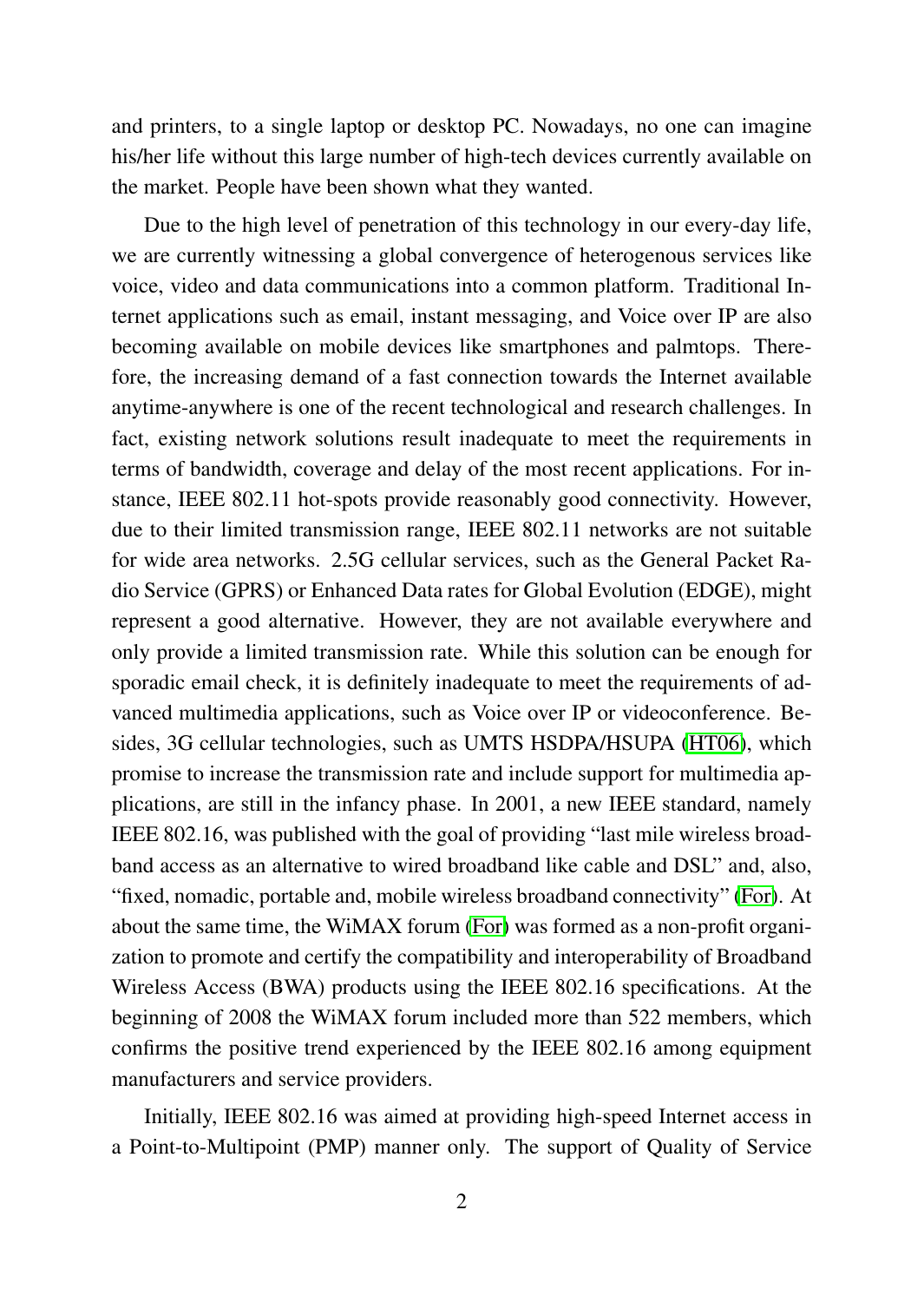and printers, to a single laptop or desktop PC. Nowadays, no one can imagine his/her life without this large number of high-tech devices currently available on the market. People have been shown what they wanted.

Due to the high level of penetration of this technology in our every-day life, we are currently witnessing a global convergence of heterogenous services like voice, video and data communications into a common platform. Traditional Internet applications such as email, instant messaging, and Voice over IP are also becoming available on mobile devices like smartphones and palmtops. Therefore, the increasing demand of a fast connection towards the Internet available anytime-anywhere is one of the recent technological and research challenges. In fact, existing network solutions result inadequate to meet the requirements in terms of bandwidth, coverage and delay of the most recent applications. For instance, IEEE 802.11 hot-spots provide reasonably good connectivity. However, due to their limited transmission range, IEEE 802.11 networks are not suitable for wide area networks. 2.5G cellular services, such as the General Packet Radio Service (GPRS) or Enhanced Data rates for Global Evolution (EDGE), might represent a good alternative. However, they are not available everywhere and only provide a limited transmission rate. While this solution can be enough for sporadic email check, it is definitely inadequate to meet the requirements of advanced multimedia applications, such as Voice over IP or videoconference. Besides, 3G cellular technologies, such as UMTS HSDPA/HSUPA [\(HT06\)](#page-102-1), which promise to increase the transmission rate and include support for multimedia applications, are still in the infancy phase. In 2001, a new IEEE standard, namely IEEE 802.16, was published with the goal of providing "last mile wireless broadband access as an alternative to wired broadband like cable and DSL" and, also, "fixed, nomadic, portable and, mobile wireless broadband connectivity" [\(For\)](#page-101-0). At about the same time, the WiMAX forum [\(For\)](#page-101-0) was formed as a non-profit organization to promote and certify the compatibility and interoperability of Broadband Wireless Access (BWA) products using the IEEE 802.16 specifications. At the beginning of 2008 the WiMAX forum included more than 522 members, which confirms the positive trend experienced by the IEEE 802.16 among equipment manufacturers and service providers.

Initially, IEEE 802.16 was aimed at providing high-speed Internet access in a Point-to-Multipoint (PMP) manner only. The support of Quality of Service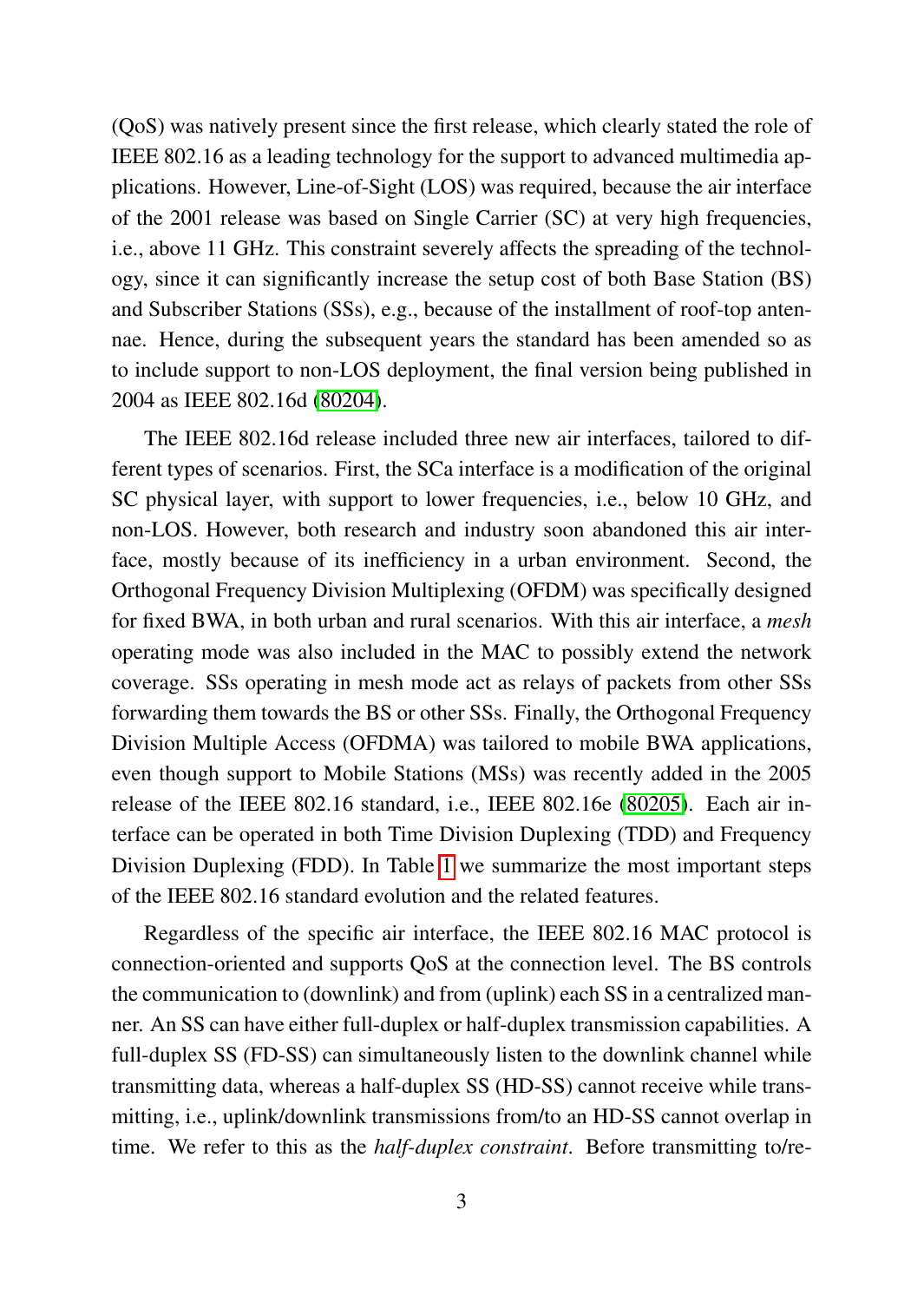(QoS) was natively present since the first release, which clearly stated the role of IEEE 802.16 as a leading technology for the support to advanced multimedia applications. However, Line-of-Sight (LOS) was required, because the air interface of the 2001 release was based on Single Carrier (SC) at very high frequencies, i.e., above 11 GHz. This constraint severely affects the spreading of the technology, since it can significantly increase the setup cost of both Base Station (BS) and Subscriber Stations (SSs), e.g., because of the installment of roof-top antennae. Hence, during the subsequent years the standard has been amended so as to include support to non-LOS deployment, the final version being published in 2004 as IEEE 802.16d [\(80204\)](#page-100-1).

The IEEE 802.16d release included three new air interfaces, tailored to different types of scenarios. First, the SCa interface is a modification of the original SC physical layer, with support to lower frequencies, i.e., below 10 GHz, and non-LOS. However, both research and industry soon abandoned this air interface, mostly because of its inefficiency in a urban environment. Second, the Orthogonal Frequency Division Multiplexing (OFDM) was specifically designed for fixed BWA, in both urban and rural scenarios. With this air interface, a *mesh* operating mode was also included in the MAC to possibly extend the network coverage. SSs operating in mesh mode act as relays of packets from other SSs forwarding them towards the BS or other SSs. Finally, the Orthogonal Frequency Division Multiple Access (OFDMA) was tailored to mobile BWA applications, even though support to Mobile Stations (MSs) was recently added in the 2005 release of the IEEE 802.16 standard, i.e., IEEE 802.16e [\(80205\)](#page-100-2). Each air interface can be operated in both Time Division Duplexing (TDD) and Frequency Division Duplexing (FDD). In Table [1](#page-17-0) we summarize the most important steps of the IEEE 802.16 standard evolution and the related features.

Regardless of the specific air interface, the IEEE 802.16 MAC protocol is connection-oriented and supports QoS at the connection level. The BS controls the communication to (downlink) and from (uplink) each SS in a centralized manner. An SS can have either full-duplex or half-duplex transmission capabilities. A full-duplex SS (FD-SS) can simultaneously listen to the downlink channel while transmitting data, whereas a half-duplex SS (HD-SS) cannot receive while transmitting, i.e., uplink/downlink transmissions from/to an HD-SS cannot overlap in time. We refer to this as the *half-duplex constraint*. Before transmitting to/re-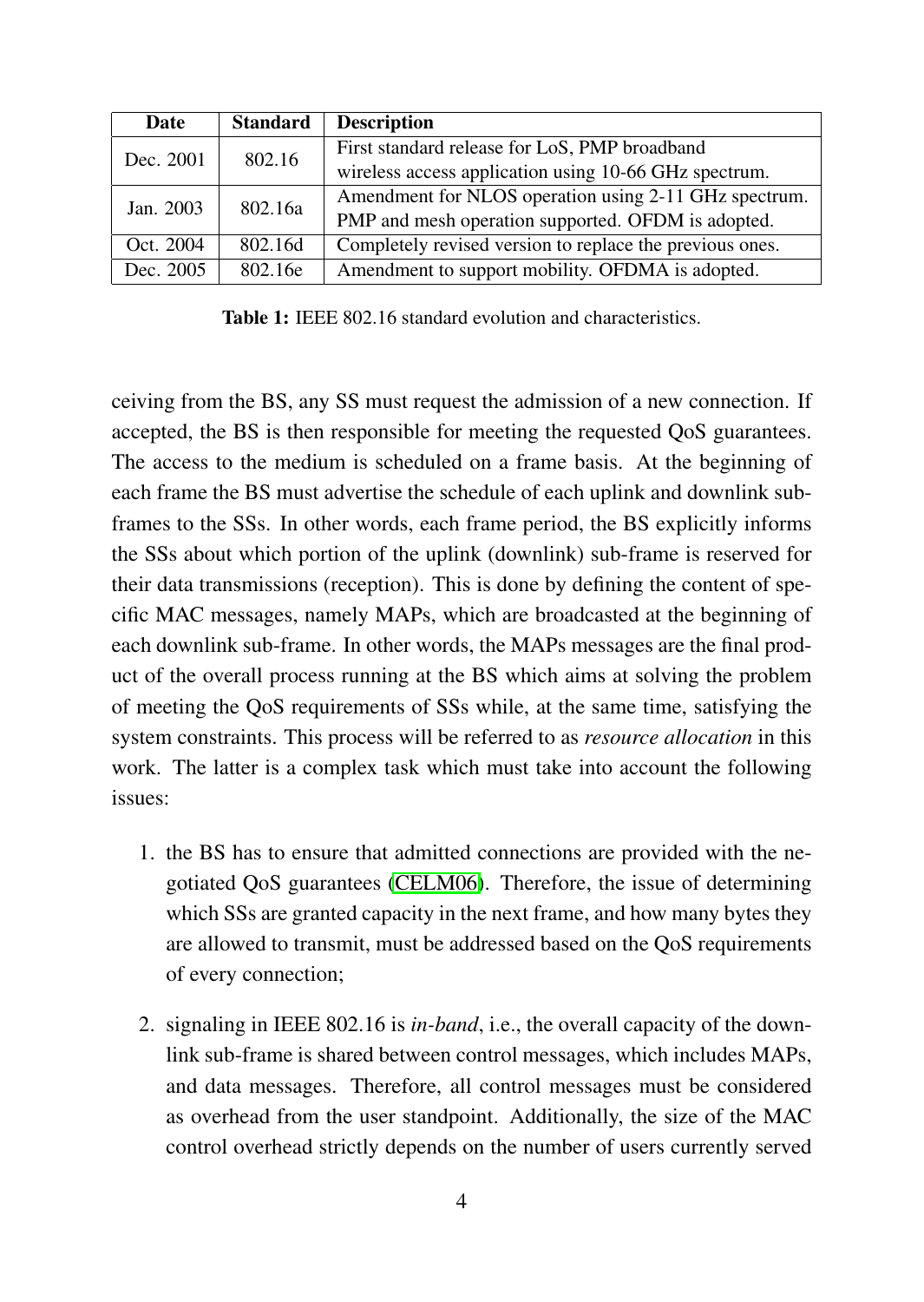| Date      | <b>Standard</b> | <b>Description</b>                                       |
|-----------|-----------------|----------------------------------------------------------|
| Dec. 2001 | 802.16          | First standard release for LoS, PMP broadband            |
|           |                 | wireless access application using 10-66 GHz spectrum.    |
| Jan. 2003 | 802.16a         | Amendment for NLOS operation using 2-11 GHz spectrum.    |
|           |                 | PMP and mesh operation supported. OFDM is adopted.       |
| Oct. 2004 | 802.16d         | Completely revised version to replace the previous ones. |
| Dec. 2005 | 802.16e         | Amendment to support mobility. OFDMA is adopted.         |

<span id="page-17-0"></span>Table 1: IEEE 802.16 standard evolution and characteristics.

ceiving from the BS, any SS must request the admission of a new connection. If accepted, the BS is then responsible for meeting the requested QoS guarantees. The access to the medium is scheduled on a frame basis. At the beginning of each frame the BS must advertise the schedule of each uplink and downlink subframes to the SSs. In other words, each frame period, the BS explicitly informs the SSs about which portion of the uplink (downlink) sub-frame is reserved for their data transmissions (reception). This is done by defining the content of specific MAC messages, namely MAPs, which are broadcasted at the beginning of each downlink sub-frame. In other words, the MAPs messages are the final product of the overall process running at the BS which aims at solving the problem of meeting the QoS requirements of SSs while, at the same time, satisfying the system constraints. This process will be referred to as *resource allocation* in this work. The latter is a complex task which must take into account the following issues:

- 1. the BS has to ensure that admitted connections are provided with the negotiated QoS guarantees [\(CELM06\)](#page-101-1). Therefore, the issue of determining which SSs are granted capacity in the next frame, and how many bytes they are allowed to transmit, must be addressed based on the QoS requirements of every connection;
- 2. signaling in IEEE 802.16 is *in-band*, i.e., the overall capacity of the downlink sub-frame is shared between control messages, which includes MAPs, and data messages. Therefore, all control messages must be considered as overhead from the user standpoint. Additionally, the size of the MAC control overhead strictly depends on the number of users currently served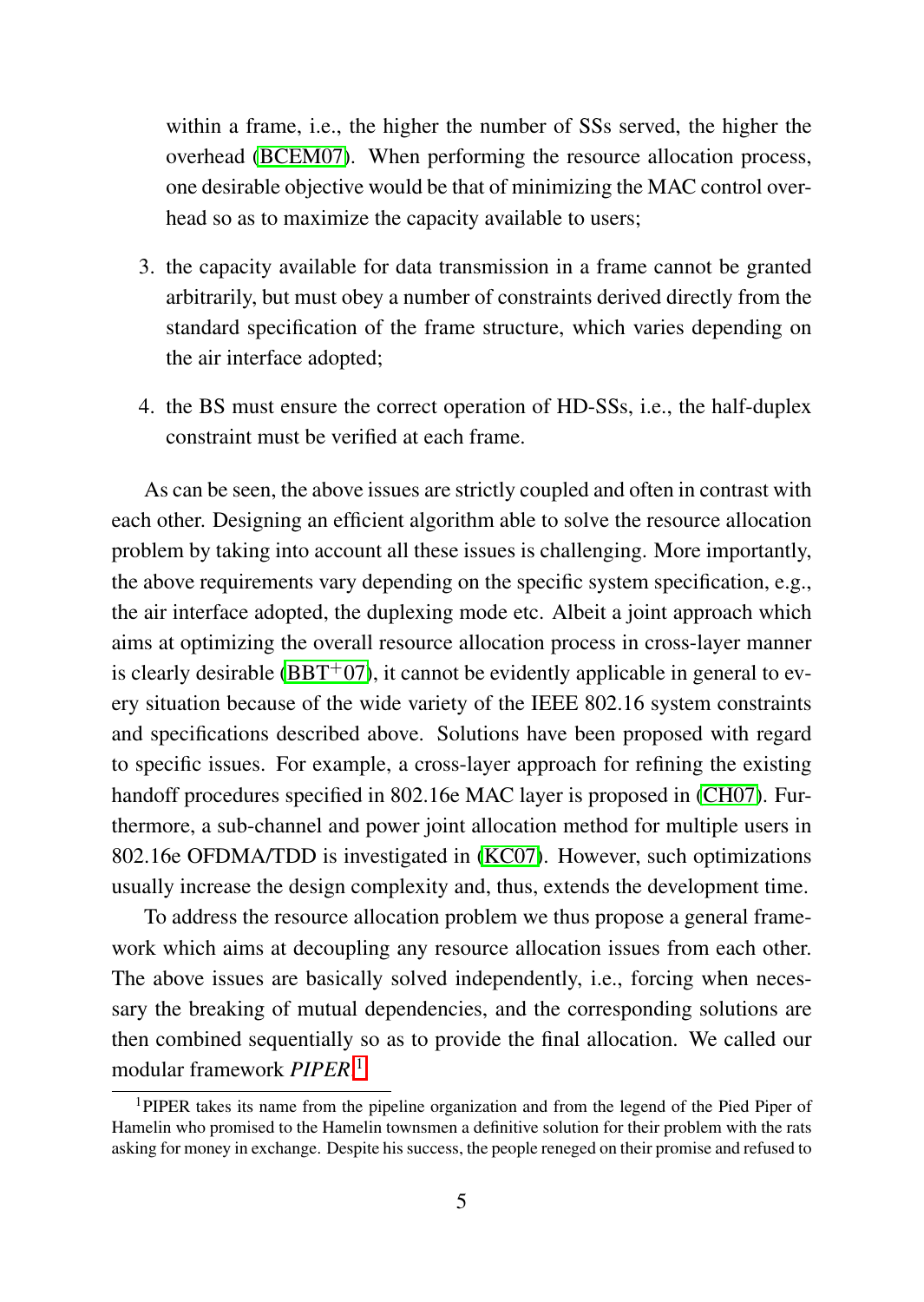within a frame, i.e., the higher the number of SSs served, the higher the overhead [\(BCEM07\)](#page-100-3). When performing the resource allocation process, one desirable objective would be that of minimizing the MAC control overhead so as to maximize the capacity available to users;

- 3. the capacity available for data transmission in a frame cannot be granted arbitrarily, but must obey a number of constraints derived directly from the standard specification of the frame structure, which varies depending on the air interface adopted;
- 4. the BS must ensure the correct operation of HD-SSs, i.e., the half-duplex constraint must be verified at each frame.

As can be seen, the above issues are strictly coupled and often in contrast with each other. Designing an efficient algorithm able to solve the resource allocation problem by taking into account all these issues is challenging. More importantly, the above requirements vary depending on the specific system specification, e.g., the air interface adopted, the duplexing mode etc. Albeit a joint approach which aims at optimizing the overall resource allocation process in cross-layer manner is clearly desirable ( $BBT^+07$ ), it cannot be evidently applicable in general to every situation because of the wide variety of the IEEE 802.16 system constraints and specifications described above. Solutions have been proposed with regard to specific issues. For example, a cross-layer approach for refining the existing handoff procedures specified in 802.16e MAC layer is proposed in [\(CH07\)](#page-101-2). Furthermore, a sub-channel and power joint allocation method for multiple users in 802.16e OFDMA/TDD is investigated in [\(KC07\)](#page-102-2). However, such optimizations usually increase the design complexity and, thus, extends the development time.

To address the resource allocation problem we thus propose a general framework which aims at decoupling any resource allocation issues from each other. The above issues are basically solved independently, i.e., forcing when necessary the breaking of mutual dependencies, and the corresponding solutions are then combined sequentially so as to provide the final allocation. We called our modular framework *PIPER*. [1](#page-0-0)

<sup>&</sup>lt;sup>1</sup>PIPER takes its name from the pipeline organization and from the legend of the Pied Piper of Hamelin who promised to the Hamelin townsmen a definitive solution for their problem with the rats asking for money in exchange. Despite his success, the people reneged on their promise and refused to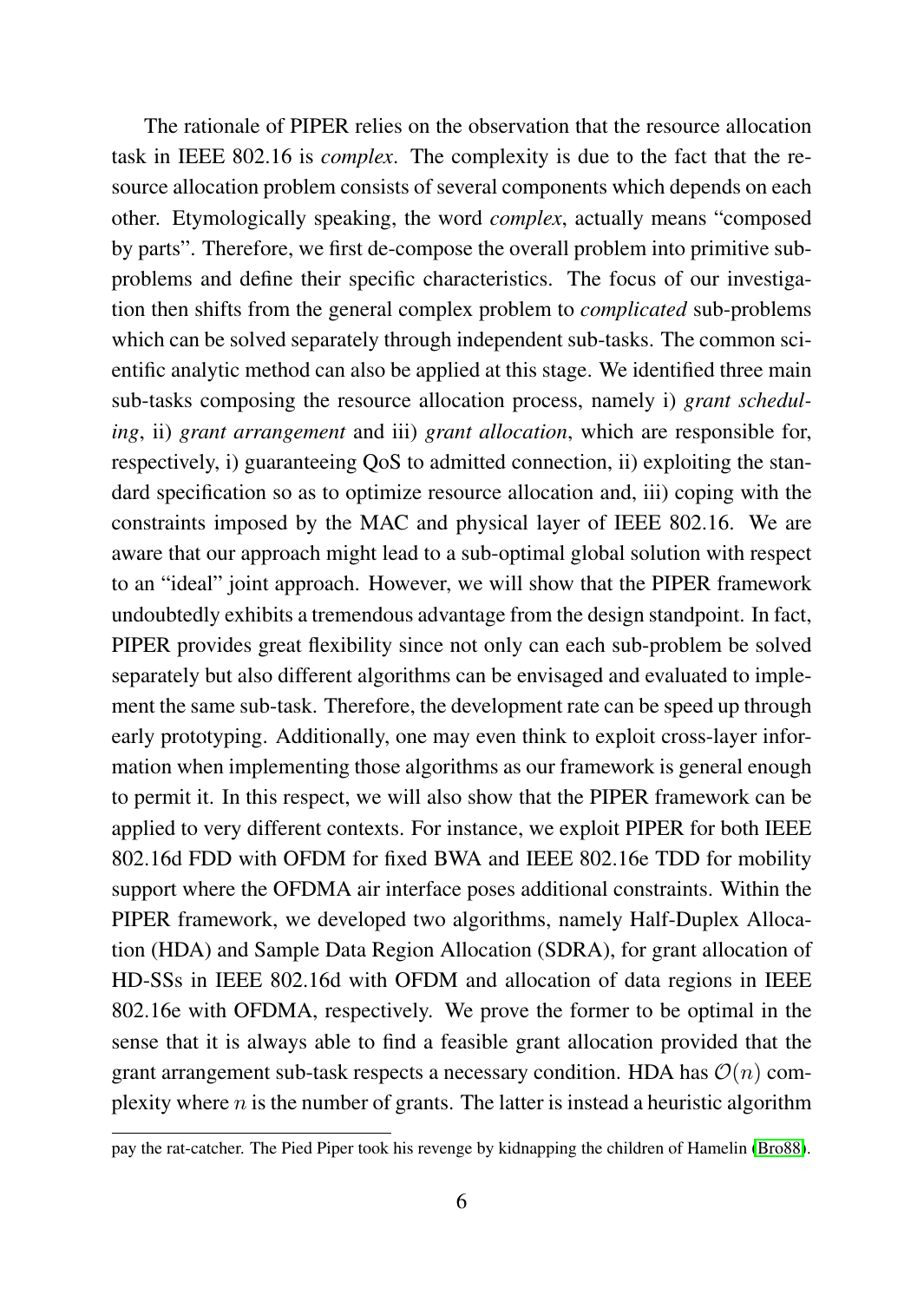The rationale of PIPER relies on the observation that the resource allocation task in IEEE 802.16 is *complex*. The complexity is due to the fact that the resource allocation problem consists of several components which depends on each other. Etymologically speaking, the word *complex*, actually means "composed by parts". Therefore, we first de-compose the overall problem into primitive subproblems and define their specific characteristics. The focus of our investigation then shifts from the general complex problem to *complicated* sub-problems which can be solved separately through independent sub-tasks. The common scientific analytic method can also be applied at this stage. We identified three main sub-tasks composing the resource allocation process, namely i) *grant scheduling*, ii) *grant arrangement* and iii) *grant allocation*, which are responsible for, respectively, i) guaranteeing QoS to admitted connection, ii) exploiting the standard specification so as to optimize resource allocation and, iii) coping with the constraints imposed by the MAC and physical layer of IEEE 802.16. We are aware that our approach might lead to a sub-optimal global solution with respect to an "ideal" joint approach. However, we will show that the PIPER framework undoubtedly exhibits a tremendous advantage from the design standpoint. In fact, PIPER provides great flexibility since not only can each sub-problem be solved separately but also different algorithms can be envisaged and evaluated to implement the same sub-task. Therefore, the development rate can be speed up through early prototyping. Additionally, one may even think to exploit cross-layer information when implementing those algorithms as our framework is general enough to permit it. In this respect, we will also show that the PIPER framework can be applied to very different contexts. For instance, we exploit PIPER for both IEEE 802.16d FDD with OFDM for fixed BWA and IEEE 802.16e TDD for mobility support where the OFDMA air interface poses additional constraints. Within the PIPER framework, we developed two algorithms, namely Half-Duplex Allocation (HDA) and Sample Data Region Allocation (SDRA), for grant allocation of HD-SSs in IEEE 802.16d with OFDM and allocation of data regions in IEEE 802.16e with OFDMA, respectively. We prove the former to be optimal in the sense that it is always able to find a feasible grant allocation provided that the grant arrangement sub-task respects a necessary condition. HDA has  $\mathcal{O}(n)$  complexity where  $n$  is the number of grants. The latter is instead a heuristic algorithm

pay the rat-catcher. The Pied Piper took his revenge by kidnapping the children of Hamelin [\(Bro88\)](#page-100-5).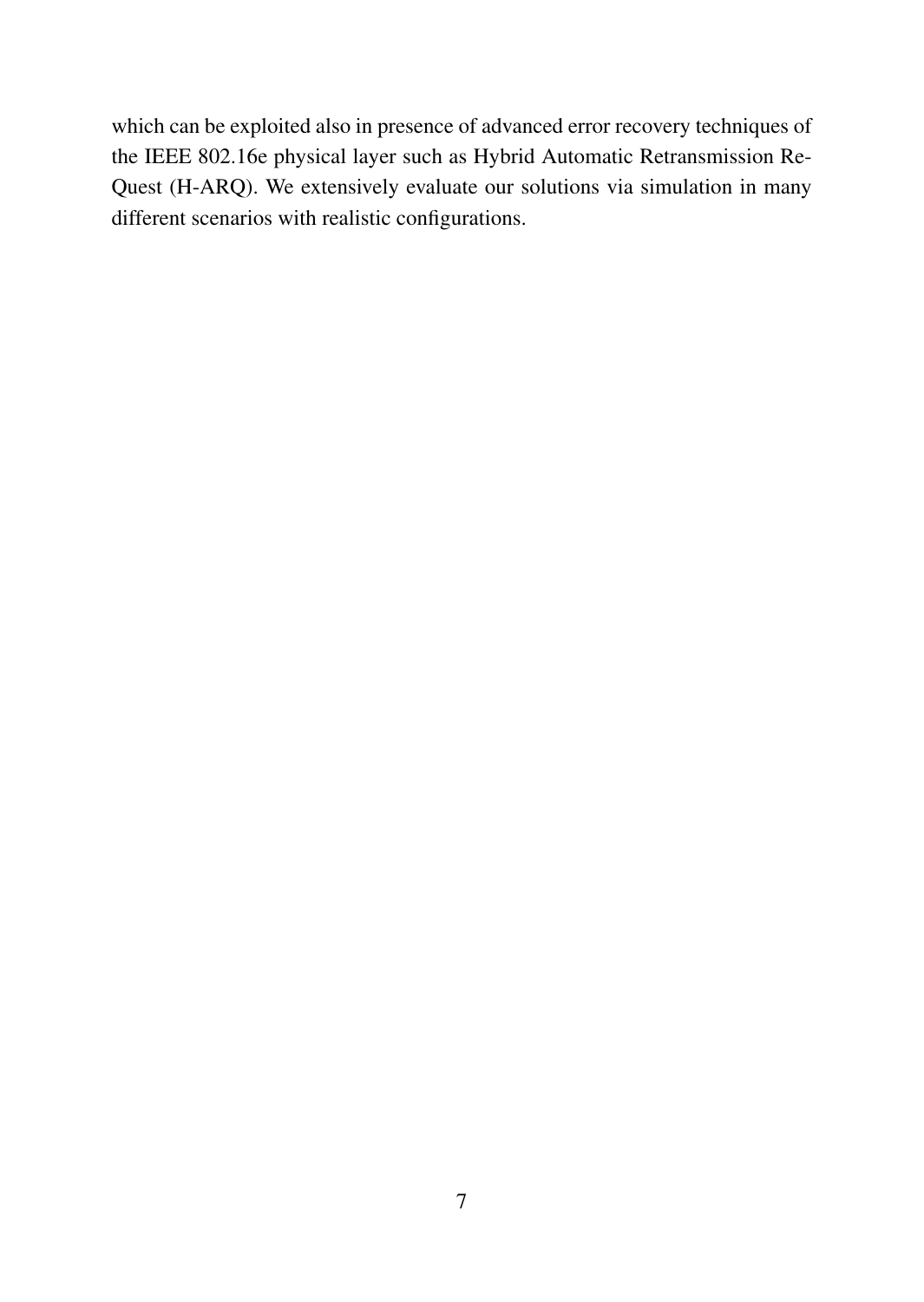which can be exploited also in presence of advanced error recovery techniques of the IEEE 802.16e physical layer such as Hybrid Automatic Retransmission Re-Quest (H-ARQ). We extensively evaluate our solutions via simulation in many different scenarios with realistic configurations.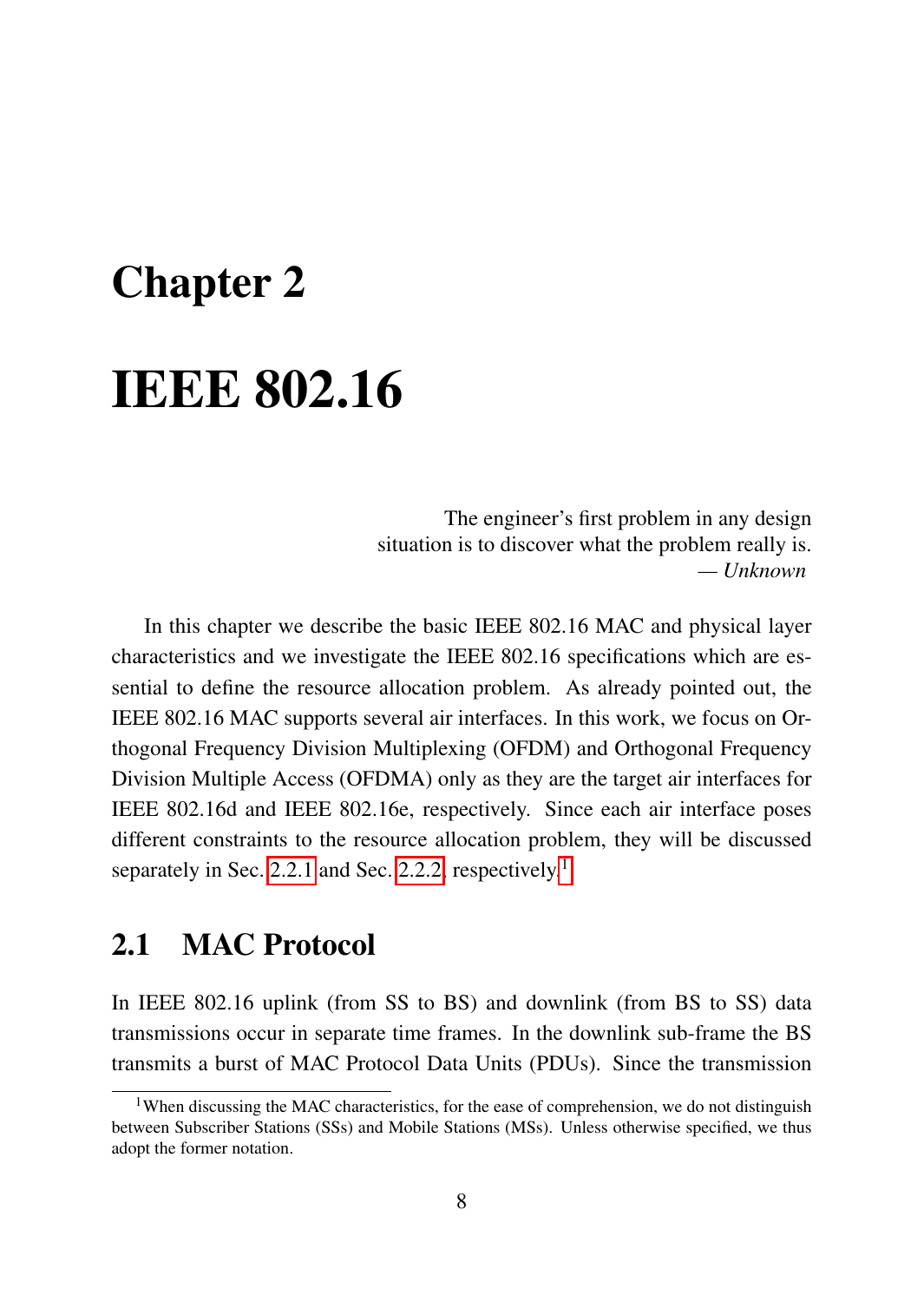# <span id="page-21-0"></span>Chapter 2 IEEE 802.16

The engineer's first problem in any design situation is to discover what the problem really is. *— Unknown*

In this chapter we describe the basic IEEE 802.16 MAC and physical layer characteristics and we investigate the IEEE 802.16 specifications which are essential to define the resource allocation problem. As already pointed out, the IEEE 802.16 MAC supports several air interfaces. In this work, we focus on Orthogonal Frequency Division Multiplexing (OFDM) and Orthogonal Frequency Division Multiple Access (OFDMA) only as they are the target air interfaces for IEEE 802.16d and IEEE 802.16e, respectively. Since each air interface poses different constraints to the resource allocation problem, they will be discussed separately in Sec. [2.2.1](#page-28-0) and Sec. [2.2.2,](#page-30-0) respectively.<sup>[1](#page-0-0)</sup>

#### <span id="page-21-1"></span>2.1 MAC Protocol

In IEEE 802.16 uplink (from SS to BS) and downlink (from BS to SS) data transmissions occur in separate time frames. In the downlink sub-frame the BS transmits a burst of MAC Protocol Data Units (PDUs). Since the transmission

<sup>&</sup>lt;sup>1</sup>When discussing the MAC characteristics, for the ease of comprehension, we do not distinguish between Subscriber Stations (SSs) and Mobile Stations (MSs). Unless otherwise specified, we thus adopt the former notation.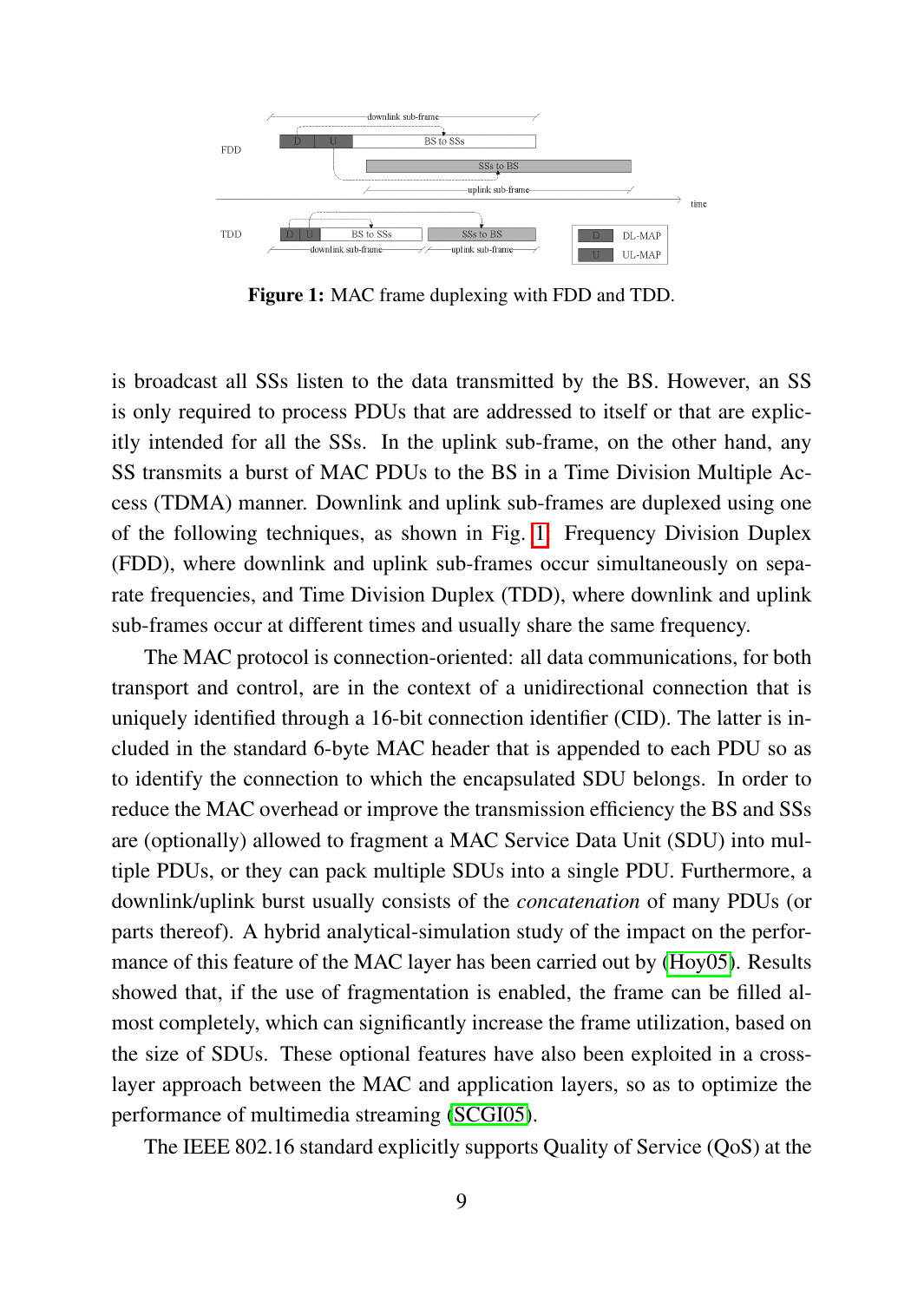

<span id="page-22-0"></span>Figure 1: MAC frame duplexing with FDD and TDD.

is broadcast all SSs listen to the data transmitted by the BS. However, an SS is only required to process PDUs that are addressed to itself or that are explicitly intended for all the SSs. In the uplink sub-frame, on the other hand, any SS transmits a burst of MAC PDUs to the BS in a Time Division Multiple Access (TDMA) manner. Downlink and uplink sub-frames are duplexed using one of the following techniques, as shown in Fig. [1:](#page-22-0) Frequency Division Duplex (FDD), where downlink and uplink sub-frames occur simultaneously on separate frequencies, and Time Division Duplex (TDD), where downlink and uplink sub-frames occur at different times and usually share the same frequency.

The MAC protocol is connection-oriented: all data communications, for both transport and control, are in the context of a unidirectional connection that is uniquely identified through a 16-bit connection identifier (CID). The latter is included in the standard 6-byte MAC header that is appended to each PDU so as to identify the connection to which the encapsulated SDU belongs. In order to reduce the MAC overhead or improve the transmission efficiency the BS and SSs are (optionally) allowed to fragment a MAC Service Data Unit (SDU) into multiple PDUs, or they can pack multiple SDUs into a single PDU. Furthermore, a downlink/uplink burst usually consists of the *concatenation* of many PDUs (or parts thereof). A hybrid analytical-simulation study of the impact on the performance of this feature of the MAC layer has been carried out by [\(Hoy05\)](#page-102-3). Results showed that, if the use of fragmentation is enabled, the frame can be filled almost completely, which can significantly increase the frame utilization, based on the size of SDUs. These optional features have also been exploited in a crosslayer approach between the MAC and application layers, so as to optimize the performance of multimedia streaming [\(SCGI05\)](#page-103-0).

The IEEE 802.16 standard explicitly supports Quality of Service (QoS) at the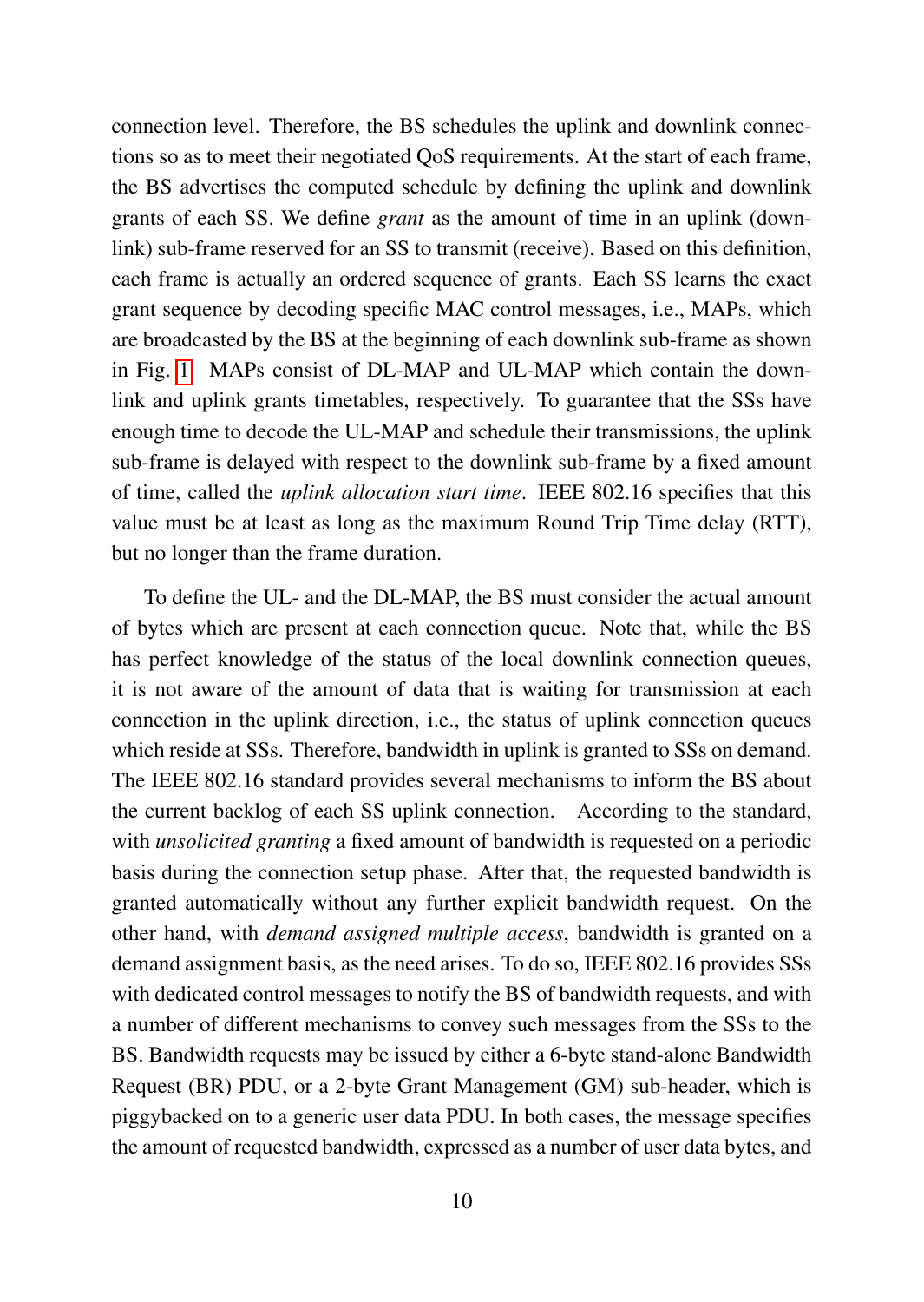connection level. Therefore, the BS schedules the uplink and downlink connections so as to meet their negotiated QoS requirements. At the start of each frame, the BS advertises the computed schedule by defining the uplink and downlink grants of each SS. We define *grant* as the amount of time in an uplink (downlink) sub-frame reserved for an SS to transmit (receive). Based on this definition, each frame is actually an ordered sequence of grants. Each SS learns the exact grant sequence by decoding specific MAC control messages, i.e., MAPs, which are broadcasted by the BS at the beginning of each downlink sub-frame as shown in Fig. [1.](#page-22-0) MAPs consist of DL-MAP and UL-MAP which contain the downlink and uplink grants timetables, respectively. To guarantee that the SSs have enough time to decode the UL-MAP and schedule their transmissions, the uplink sub-frame is delayed with respect to the downlink sub-frame by a fixed amount of time, called the *uplink allocation start time*. IEEE 802.16 specifies that this value must be at least as long as the maximum Round Trip Time delay (RTT), but no longer than the frame duration.

To define the UL- and the DL-MAP, the BS must consider the actual amount of bytes which are present at each connection queue. Note that, while the BS has perfect knowledge of the status of the local downlink connection queues, it is not aware of the amount of data that is waiting for transmission at each connection in the uplink direction, i.e., the status of uplink connection queues which reside at SSs. Therefore, bandwidth in uplink is granted to SSs on demand. The IEEE 802.16 standard provides several mechanisms to inform the BS about the current backlog of each SS uplink connection. According to the standard, with *unsolicited granting* a fixed amount of bandwidth is requested on a periodic basis during the connection setup phase. After that, the requested bandwidth is granted automatically without any further explicit bandwidth request. On the other hand, with *demand assigned multiple access*, bandwidth is granted on a demand assignment basis, as the need arises. To do so, IEEE 802.16 provides SSs with dedicated control messages to notify the BS of bandwidth requests, and with a number of different mechanisms to convey such messages from the SSs to the BS. Bandwidth requests may be issued by either a 6-byte stand-alone Bandwidth Request (BR) PDU, or a 2-byte Grant Management (GM) sub-header, which is piggybacked on to a generic user data PDU. In both cases, the message specifies the amount of requested bandwidth, expressed as a number of user data bytes, and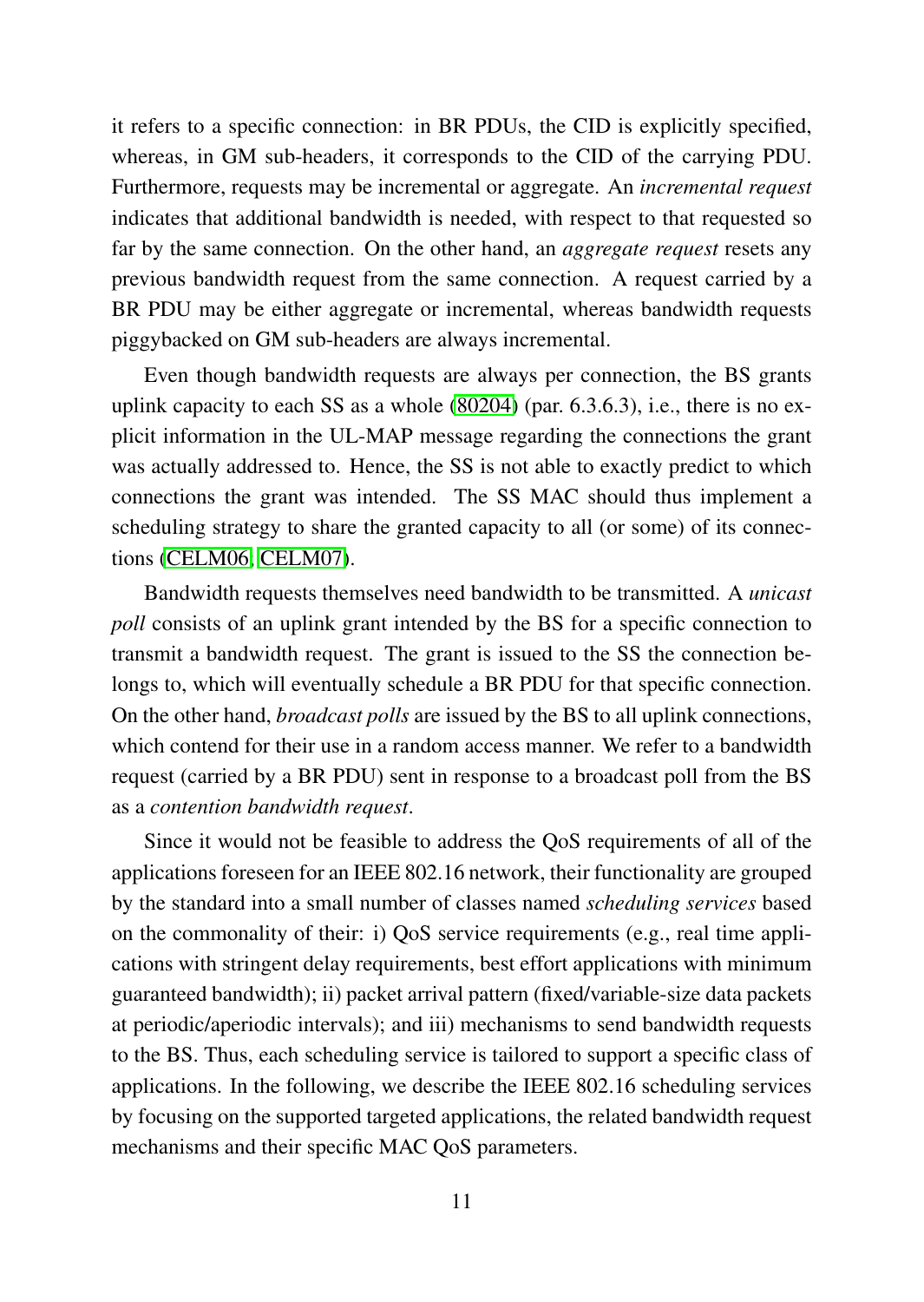it refers to a specific connection: in BR PDUs, the CID is explicitly specified, whereas, in GM sub-headers, it corresponds to the CID of the carrying PDU. Furthermore, requests may be incremental or aggregate. An *incremental request* indicates that additional bandwidth is needed, with respect to that requested so far by the same connection. On the other hand, an *aggregate request* resets any previous bandwidth request from the same connection. A request carried by a BR PDU may be either aggregate or incremental, whereas bandwidth requests piggybacked on GM sub-headers are always incremental.

Even though bandwidth requests are always per connection, the BS grants uplink capacity to each SS as a whole [\(80204\)](#page-100-1) (par. 6.3.6.3), i.e., there is no explicit information in the UL-MAP message regarding the connections the grant was actually addressed to. Hence, the SS is not able to exactly predict to which connections the grant was intended. The SS MAC should thus implement a scheduling strategy to share the granted capacity to all (or some) of its connections [\(CELM06;](#page-101-1) [CELM07\)](#page-101-3).

Bandwidth requests themselves need bandwidth to be transmitted. A *unicast poll* consists of an uplink grant intended by the BS for a specific connection to transmit a bandwidth request. The grant is issued to the SS the connection belongs to, which will eventually schedule a BR PDU for that specific connection. On the other hand, *broadcast polls* are issued by the BS to all uplink connections, which contend for their use in a random access manner. We refer to a bandwidth request (carried by a BR PDU) sent in response to a broadcast poll from the BS as a *contention bandwidth request*.

Since it would not be feasible to address the QoS requirements of all of the applications foreseen for an IEEE 802.16 network, their functionality are grouped by the standard into a small number of classes named *scheduling services* based on the commonality of their: i) QoS service requirements (e.g., real time applications with stringent delay requirements, best effort applications with minimum guaranteed bandwidth); ii) packet arrival pattern (fixed/variable-size data packets at periodic/aperiodic intervals); and iii) mechanisms to send bandwidth requests to the BS. Thus, each scheduling service is tailored to support a specific class of applications. In the following, we describe the IEEE 802.16 scheduling services by focusing on the supported targeted applications, the related bandwidth request mechanisms and their specific MAC QoS parameters.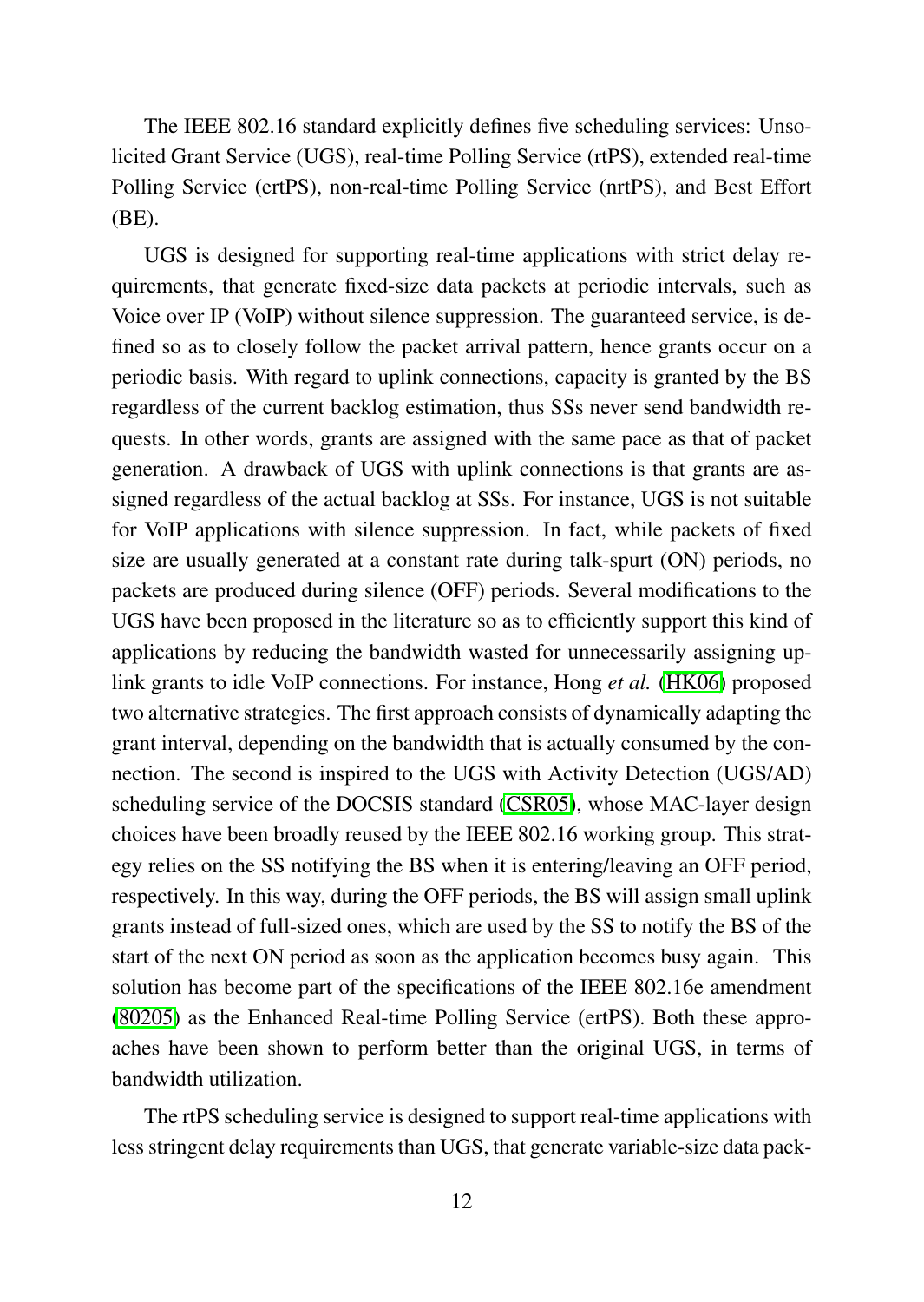The IEEE 802.16 standard explicitly defines five scheduling services: Unsolicited Grant Service (UGS), real-time Polling Service (rtPS), extended real-time Polling Service (ertPS), non-real-time Polling Service (nrtPS), and Best Effort (BE).

UGS is designed for supporting real-time applications with strict delay requirements, that generate fixed-size data packets at periodic intervals, such as Voice over IP (VoIP) without silence suppression. The guaranteed service, is defined so as to closely follow the packet arrival pattern, hence grants occur on a periodic basis. With regard to uplink connections, capacity is granted by the BS regardless of the current backlog estimation, thus SSs never send bandwidth requests. In other words, grants are assigned with the same pace as that of packet generation. A drawback of UGS with uplink connections is that grants are assigned regardless of the actual backlog at SSs. For instance, UGS is not suitable for VoIP applications with silence suppression. In fact, while packets of fixed size are usually generated at a constant rate during talk-spurt (ON) periods, no packets are produced during silence (OFF) periods. Several modifications to the UGS have been proposed in the literature so as to efficiently support this kind of applications by reducing the bandwidth wasted for unnecessarily assigning uplink grants to idle VoIP connections. For instance, Hong *et al.* [\(HK06\)](#page-102-4) proposed two alternative strategies. The first approach consists of dynamically adapting the grant interval, depending on the bandwidth that is actually consumed by the connection. The second is inspired to the UGS with Activity Detection (UGS/AD) scheduling service of the DOCSIS standard [\(CSR05\)](#page-101-4), whose MAC-layer design choices have been broadly reused by the IEEE 802.16 working group. This strategy relies on the SS notifying the BS when it is entering/leaving an OFF period, respectively. In this way, during the OFF periods, the BS will assign small uplink grants instead of full-sized ones, which are used by the SS to notify the BS of the start of the next ON period as soon as the application becomes busy again. This solution has become part of the specifications of the IEEE 802.16e amendment [\(80205\)](#page-100-2) as the Enhanced Real-time Polling Service (ertPS). Both these approaches have been shown to perform better than the original UGS, in terms of bandwidth utilization.

The rtPS scheduling service is designed to support real-time applications with less stringent delay requirements than UGS, that generate variable-size data pack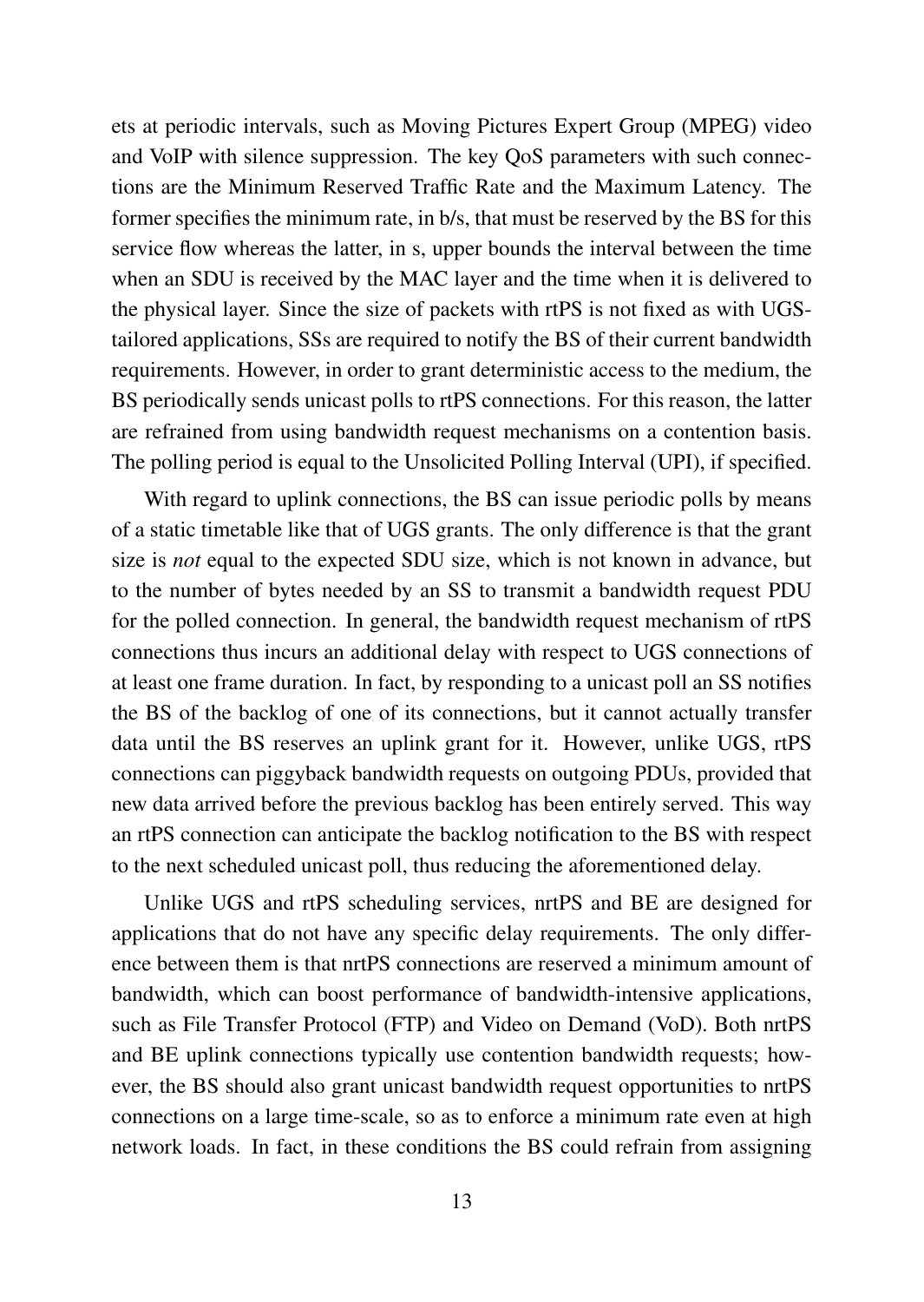ets at periodic intervals, such as Moving Pictures Expert Group (MPEG) video and VoIP with silence suppression. The key QoS parameters with such connections are the Minimum Reserved Traffic Rate and the Maximum Latency. The former specifies the minimum rate, in b/s, that must be reserved by the BS for this service flow whereas the latter, in s, upper bounds the interval between the time when an SDU is received by the MAC layer and the time when it is delivered to the physical layer. Since the size of packets with rtPS is not fixed as with UGStailored applications, SSs are required to notify the BS of their current bandwidth requirements. However, in order to grant deterministic access to the medium, the BS periodically sends unicast polls to rtPS connections. For this reason, the latter are refrained from using bandwidth request mechanisms on a contention basis. The polling period is equal to the Unsolicited Polling Interval (UPI), if specified.

With regard to uplink connections, the BS can issue periodic polls by means of a static timetable like that of UGS grants. The only difference is that the grant size is *not* equal to the expected SDU size, which is not known in advance, but to the number of bytes needed by an SS to transmit a bandwidth request PDU for the polled connection. In general, the bandwidth request mechanism of rtPS connections thus incurs an additional delay with respect to UGS connections of at least one frame duration. In fact, by responding to a unicast poll an SS notifies the BS of the backlog of one of its connections, but it cannot actually transfer data until the BS reserves an uplink grant for it. However, unlike UGS, rtPS connections can piggyback bandwidth requests on outgoing PDUs, provided that new data arrived before the previous backlog has been entirely served. This way an rtPS connection can anticipate the backlog notification to the BS with respect to the next scheduled unicast poll, thus reducing the aforementioned delay.

Unlike UGS and rtPS scheduling services, nrtPS and BE are designed for applications that do not have any specific delay requirements. The only difference between them is that nrtPS connections are reserved a minimum amount of bandwidth, which can boost performance of bandwidth-intensive applications, such as File Transfer Protocol (FTP) and Video on Demand (VoD). Both nrtPS and BE uplink connections typically use contention bandwidth requests; however, the BS should also grant unicast bandwidth request opportunities to nrtPS connections on a large time-scale, so as to enforce a minimum rate even at high network loads. In fact, in these conditions the BS could refrain from assigning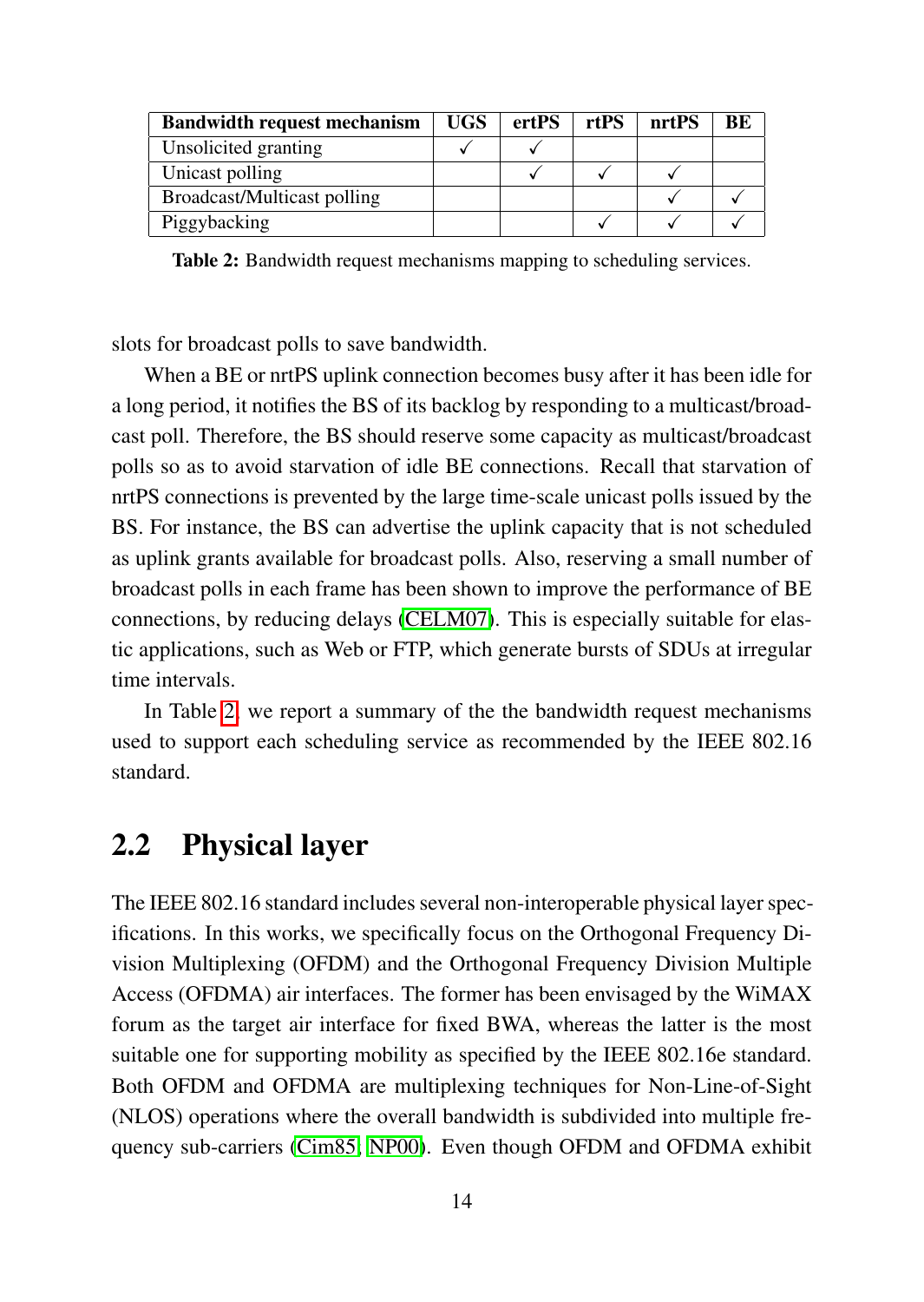| <b>Bandwidth request mechanism</b> | UGS. | ertPS | rtPS | nrtPS |  |
|------------------------------------|------|-------|------|-------|--|
| Unsolicited granting               |      |       |      |       |  |
| Unicast polling                    |      |       |      |       |  |
| Broadcast/Multicast polling        |      |       |      |       |  |
| Piggybacking                       |      |       |      |       |  |

<span id="page-27-1"></span>Table 2: Bandwidth request mechanisms mapping to scheduling services.

slots for broadcast polls to save bandwidth.

When a BE or nrtPS uplink connection becomes busy after it has been idle for a long period, it notifies the BS of its backlog by responding to a multicast/broadcast poll. Therefore, the BS should reserve some capacity as multicast/broadcast polls so as to avoid starvation of idle BE connections. Recall that starvation of nrtPS connections is prevented by the large time-scale unicast polls issued by the BS. For instance, the BS can advertise the uplink capacity that is not scheduled as uplink grants available for broadcast polls. Also, reserving a small number of broadcast polls in each frame has been shown to improve the performance of BE connections, by reducing delays [\(CELM07\)](#page-101-3). This is especially suitable for elastic applications, such as Web or FTP, which generate bursts of SDUs at irregular time intervals.

In Table [2,](#page-27-1) we report a summary of the the bandwidth request mechanisms used to support each scheduling service as recommended by the IEEE 802.16 standard.

### <span id="page-27-0"></span>2.2 Physical layer

The IEEE 802.16 standard includes several non-interoperable physical layer specifications. In this works, we specifically focus on the Orthogonal Frequency Division Multiplexing (OFDM) and the Orthogonal Frequency Division Multiple Access (OFDMA) air interfaces. The former has been envisaged by the WiMAX forum as the target air interface for fixed BWA, whereas the latter is the most suitable one for supporting mobility as specified by the IEEE 802.16e standard. Both OFDM and OFDMA are multiplexing techniques for Non-Line-of-Sight (NLOS) operations where the overall bandwidth is subdivided into multiple frequency sub-carriers [\(Cim85;](#page-101-5) [NP00\)](#page-103-1). Even though OFDM and OFDMA exhibit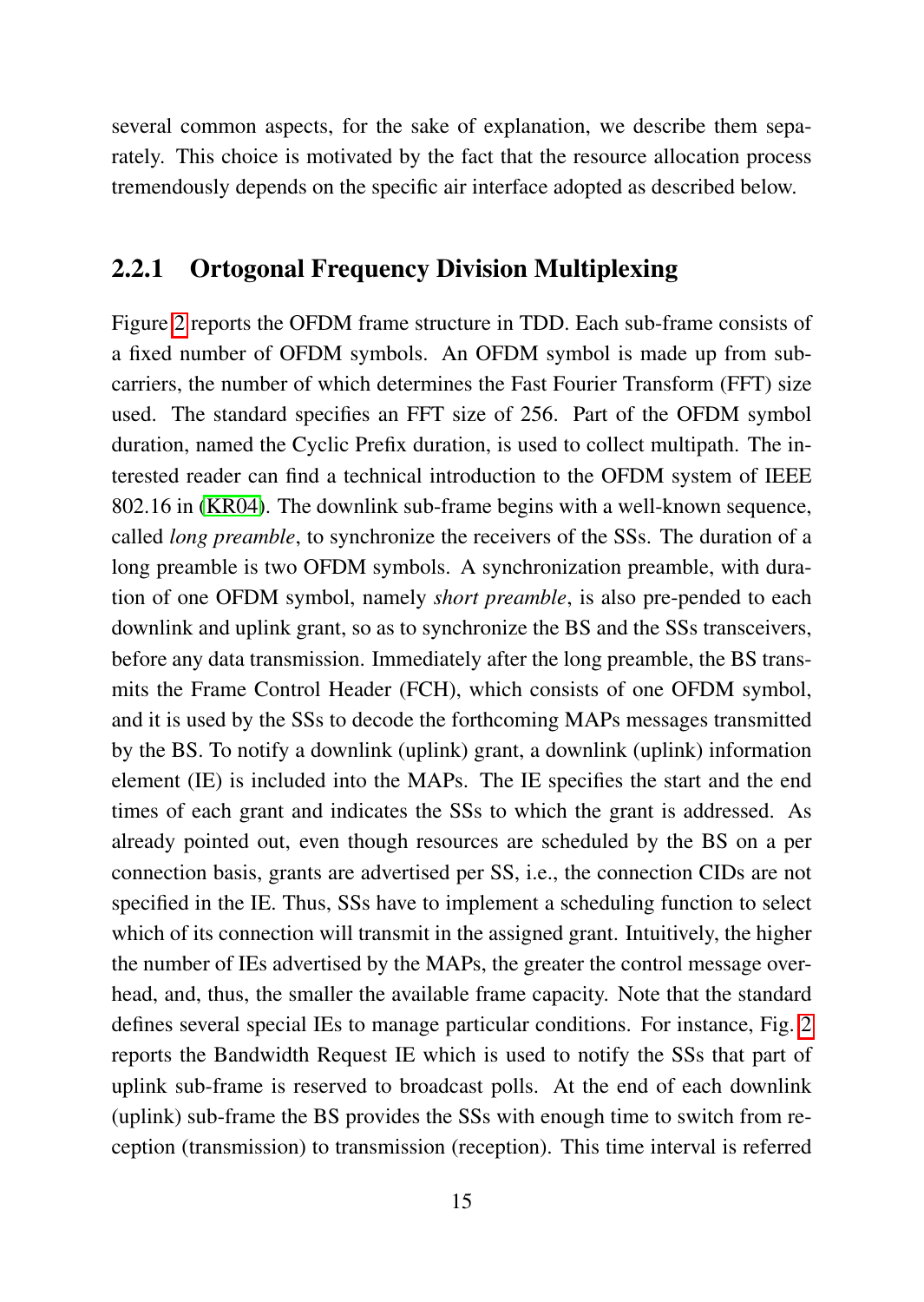several common aspects, for the sake of explanation, we describe them separately. This choice is motivated by the fact that the resource allocation process tremendously depends on the specific air interface adopted as described below.

#### <span id="page-28-0"></span>2.2.1 Ortogonal Frequency Division Multiplexing

Figure [2](#page-29-0) reports the OFDM frame structure in TDD. Each sub-frame consists of a fixed number of OFDM symbols. An OFDM symbol is made up from subcarriers, the number of which determines the Fast Fourier Transform (FFT) size used. The standard specifies an FFT size of 256. Part of the OFDM symbol duration, named the Cyclic Prefix duration, is used to collect multipath. The interested reader can find a technical introduction to the OFDM system of IEEE 802.16 in [\(KR04\)](#page-102-5). The downlink sub-frame begins with a well-known sequence, called *long preamble*, to synchronize the receivers of the SSs. The duration of a long preamble is two OFDM symbols. A synchronization preamble, with duration of one OFDM symbol, namely *short preamble*, is also pre-pended to each downlink and uplink grant, so as to synchronize the BS and the SSs transceivers, before any data transmission. Immediately after the long preamble, the BS transmits the Frame Control Header (FCH), which consists of one OFDM symbol, and it is used by the SSs to decode the forthcoming MAPs messages transmitted by the BS. To notify a downlink (uplink) grant, a downlink (uplink) information element (IE) is included into the MAPs. The IE specifies the start and the end times of each grant and indicates the SSs to which the grant is addressed. As already pointed out, even though resources are scheduled by the BS on a per connection basis, grants are advertised per SS, i.e., the connection CIDs are not specified in the IE. Thus, SSs have to implement a scheduling function to select which of its connection will transmit in the assigned grant. Intuitively, the higher the number of IEs advertised by the MAPs, the greater the control message overhead, and, thus, the smaller the available frame capacity. Note that the standard defines several special IEs to manage particular conditions. For instance, Fig. [2](#page-29-0) reports the Bandwidth Request IE which is used to notify the SSs that part of uplink sub-frame is reserved to broadcast polls. At the end of each downlink (uplink) sub-frame the BS provides the SSs with enough time to switch from reception (transmission) to transmission (reception). This time interval is referred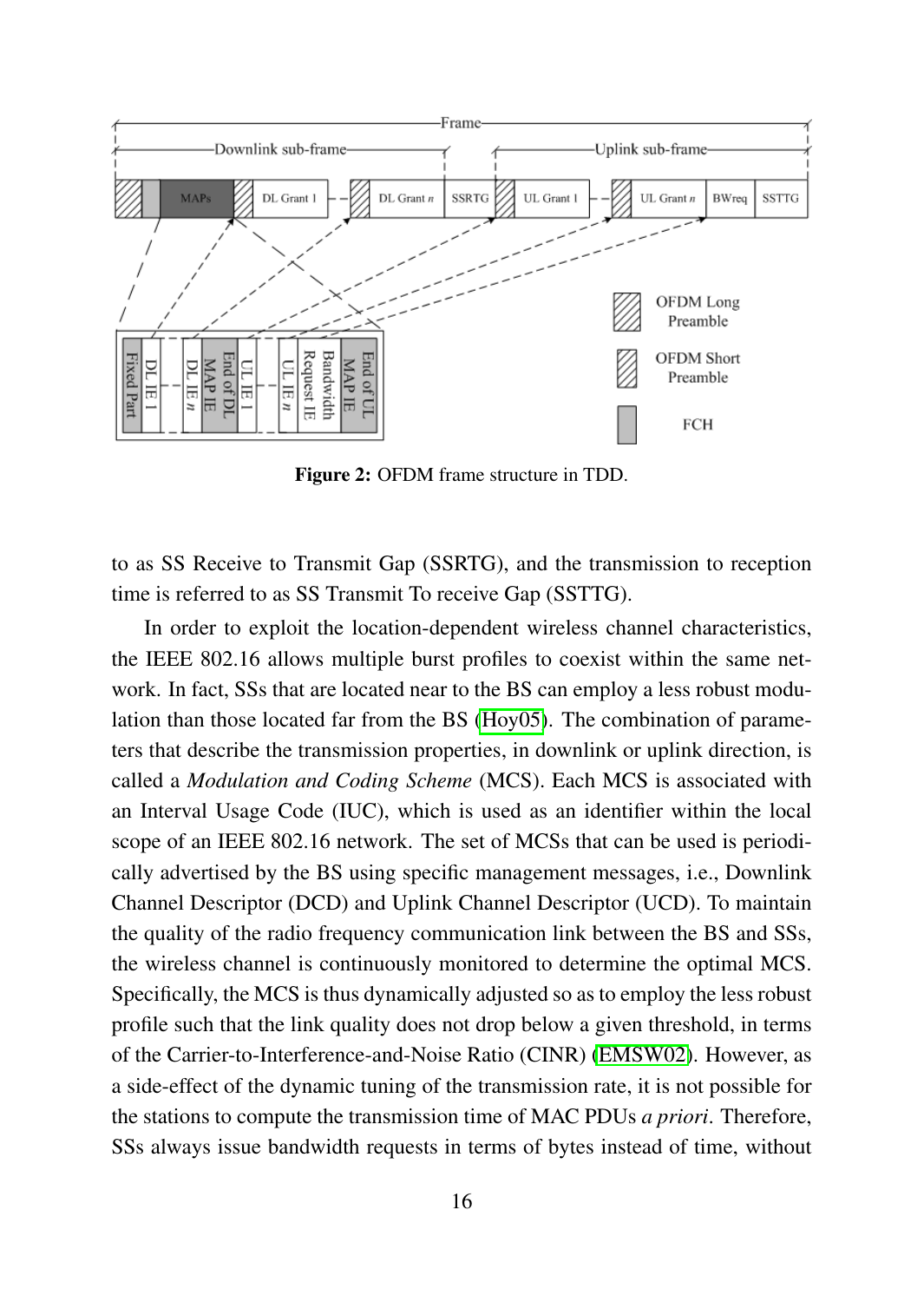

<span id="page-29-0"></span>Figure 2: OFDM frame structure in TDD.

to as SS Receive to Transmit Gap (SSRTG), and the transmission to reception time is referred to as SS Transmit To receive Gap (SSTTG).

In order to exploit the location-dependent wireless channel characteristics, the IEEE 802.16 allows multiple burst profiles to coexist within the same network. In fact, SSs that are located near to the BS can employ a less robust modulation than those located far from the BS [\(Hoy05\)](#page-102-3). The combination of parameters that describe the transmission properties, in downlink or uplink direction, is called a *Modulation and Coding Scheme* (MCS). Each MCS is associated with an Interval Usage Code (IUC), which is used as an identifier within the local scope of an IEEE 802.16 network. The set of MCSs that can be used is periodically advertised by the BS using specific management messages, i.e., Downlink Channel Descriptor (DCD) and Uplink Channel Descriptor (UCD). To maintain the quality of the radio frequency communication link between the BS and SSs, the wireless channel is continuously monitored to determine the optimal MCS. Specifically, the MCS is thus dynamically adjusted so as to employ the less robust profile such that the link quality does not drop below a given threshold, in terms of the Carrier-to-Interference-and-Noise Ratio (CINR) [\(EMSW02\)](#page-101-6). However, as a side-effect of the dynamic tuning of the transmission rate, it is not possible for the stations to compute the transmission time of MAC PDUs *a priori*. Therefore, SSs always issue bandwidth requests in terms of bytes instead of time, without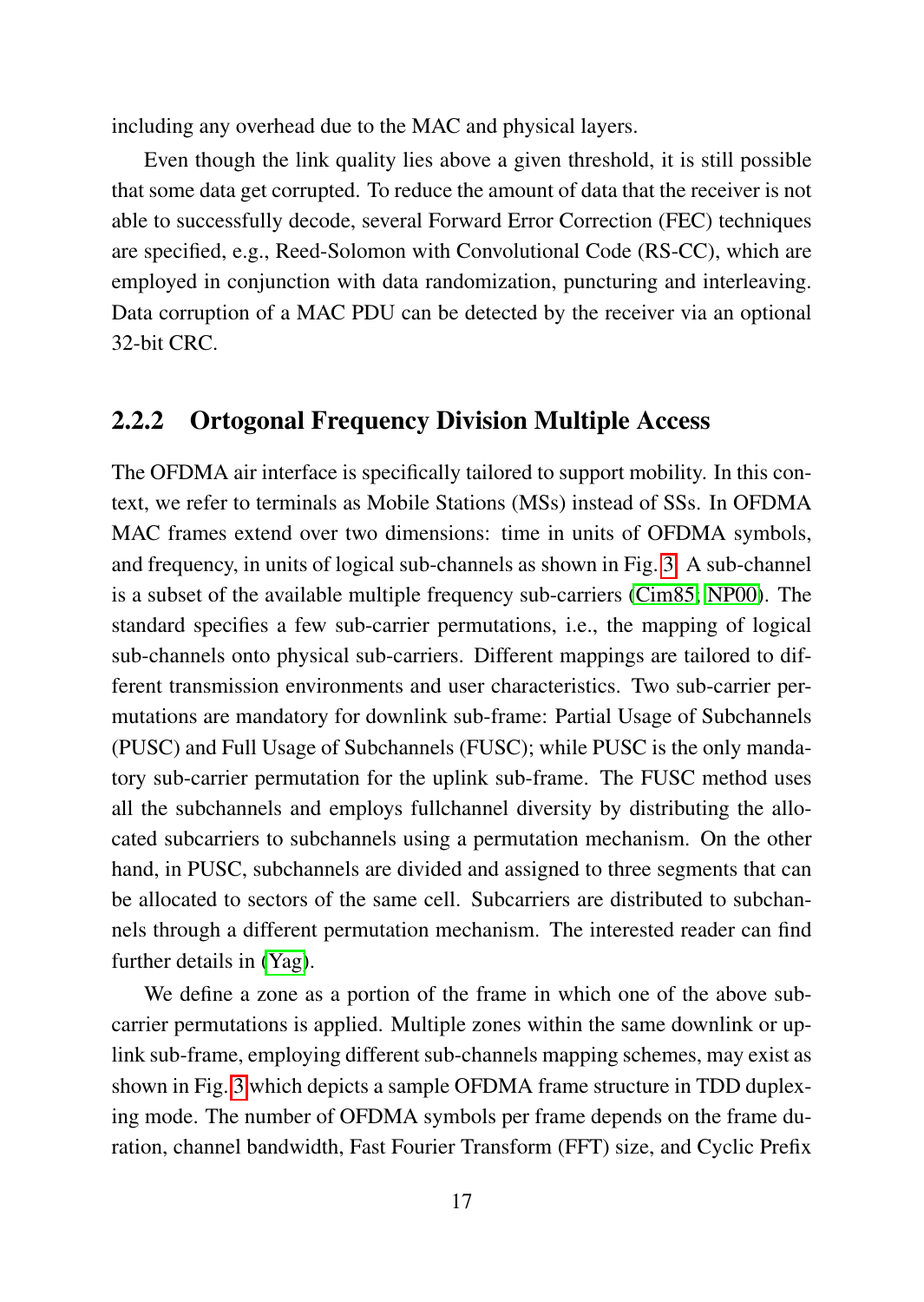including any overhead due to the MAC and physical layers.

Even though the link quality lies above a given threshold, it is still possible that some data get corrupted. To reduce the amount of data that the receiver is not able to successfully decode, several Forward Error Correction (FEC) techniques are specified, e.g., Reed-Solomon with Convolutional Code (RS-CC), which are employed in conjunction with data randomization, puncturing and interleaving. Data corruption of a MAC PDU can be detected by the receiver via an optional 32-bit CRC.

#### <span id="page-30-0"></span>2.2.2 Ortogonal Frequency Division Multiple Access

The OFDMA air interface is specifically tailored to support mobility. In this context, we refer to terminals as Mobile Stations (MSs) instead of SSs. In OFDMA MAC frames extend over two dimensions: time in units of OFDMA symbols, and frequency, in units of logical sub-channels as shown in Fig. [3.](#page-31-0) A sub-channel is a subset of the available multiple frequency sub-carriers [\(Cim85;](#page-101-5) [NP00\)](#page-103-1). The standard specifies a few sub-carrier permutations, i.e., the mapping of logical sub-channels onto physical sub-carriers. Different mappings are tailored to different transmission environments and user characteristics. Two sub-carrier permutations are mandatory for downlink sub-frame: Partial Usage of Subchannels (PUSC) and Full Usage of Subchannels (FUSC); while PUSC is the only mandatory sub-carrier permutation for the uplink sub-frame. The FUSC method uses all the subchannels and employs fullchannel diversity by distributing the allocated subcarriers to subchannels using a permutation mechanism. On the other hand, in PUSC, subchannels are divided and assigned to three segments that can be allocated to sectors of the same cell. Subcarriers are distributed to subchannels through a different permutation mechanism. The interested reader can find further details in [\(Yag\)](#page-103-2).

We define a zone as a portion of the frame in which one of the above subcarrier permutations is applied. Multiple zones within the same downlink or uplink sub-frame, employing different sub-channels mapping schemes, may exist as shown in Fig. [3](#page-31-0) which depicts a sample OFDMA frame structure in TDD duplexing mode. The number of OFDMA symbols per frame depends on the frame duration, channel bandwidth, Fast Fourier Transform (FFT) size, and Cyclic Prefix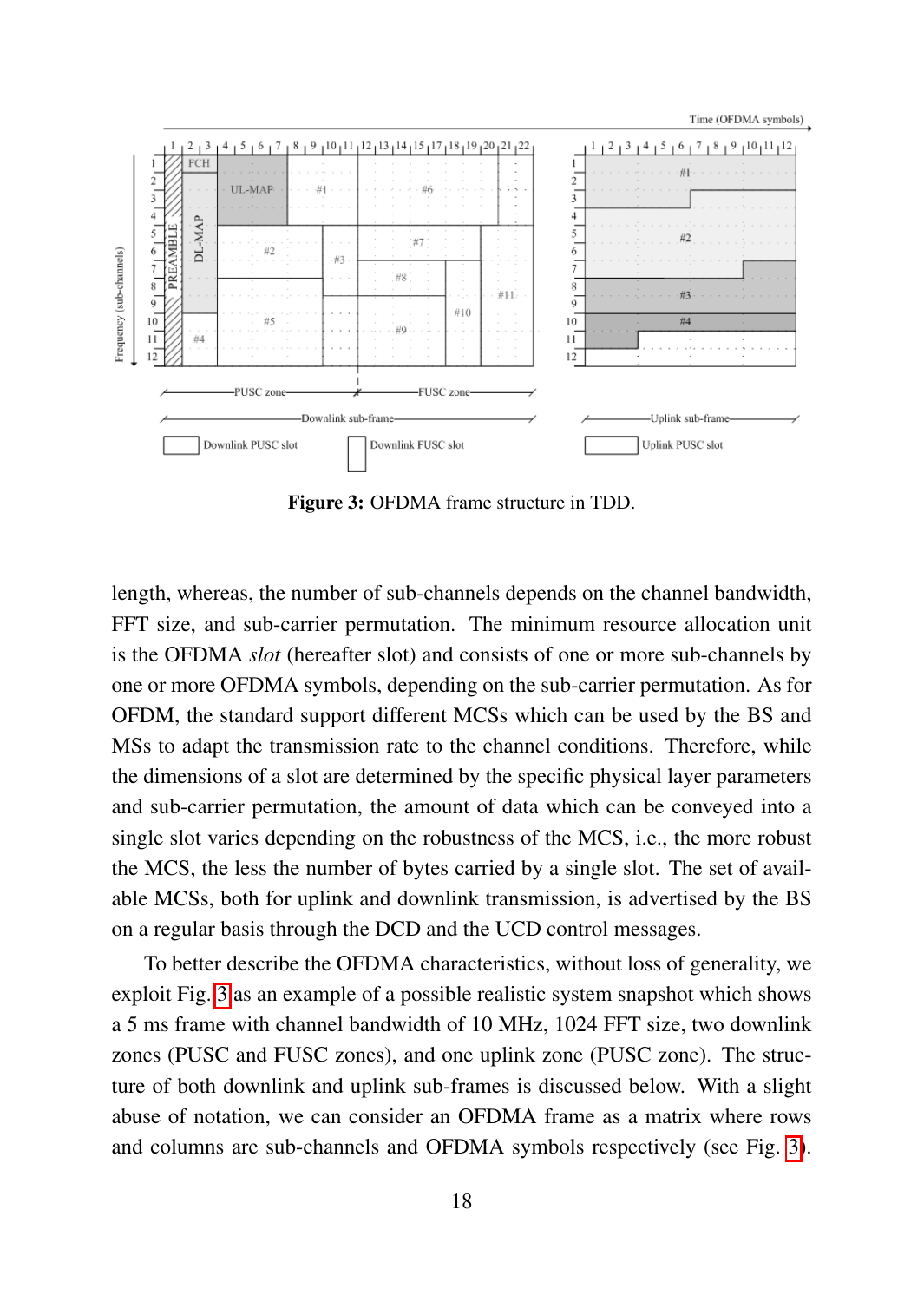



<span id="page-31-0"></span>Figure 3: OFDMA frame structure in TDD.

length, whereas, the number of sub-channels depends on the channel bandwidth, FFT size, and sub-carrier permutation. The minimum resource allocation unit is the OFDMA *slot* (hereafter slot) and consists of one or more sub-channels by one or more OFDMA symbols, depending on the sub-carrier permutation. As for OFDM, the standard support different MCSs which can be used by the BS and MSs to adapt the transmission rate to the channel conditions. Therefore, while the dimensions of a slot are determined by the specific physical layer parameters and sub-carrier permutation, the amount of data which can be conveyed into a single slot varies depending on the robustness of the MCS, i.e., the more robust the MCS, the less the number of bytes carried by a single slot. The set of available MCSs, both for uplink and downlink transmission, is advertised by the BS on a regular basis through the DCD and the UCD control messages.

To better describe the OFDMA characteristics, without loss of generality, we exploit Fig. [3](#page-31-0) as an example of a possible realistic system snapshot which shows a 5 ms frame with channel bandwidth of 10 MHz, 1024 FFT size, two downlink zones (PUSC and FUSC zones), and one uplink zone (PUSC zone). The structure of both downlink and uplink sub-frames is discussed below. With a slight abuse of notation, we can consider an OFDMA frame as a matrix where rows and columns are sub-channels and OFDMA symbols respectively (see Fig. [3\)](#page-31-0).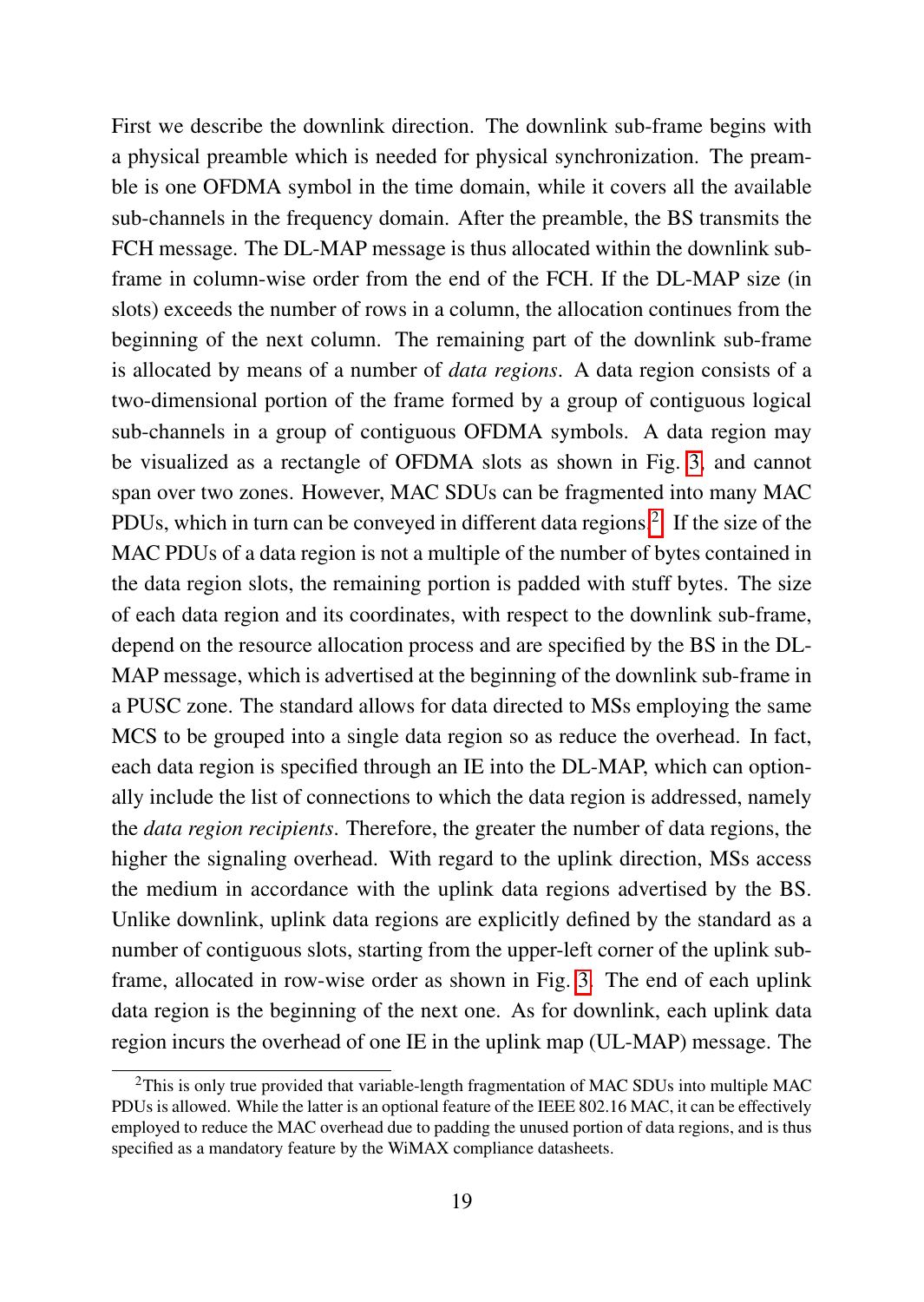First we describe the downlink direction. The downlink sub-frame begins with a physical preamble which is needed for physical synchronization. The preamble is one OFDMA symbol in the time domain, while it covers all the available sub-channels in the frequency domain. After the preamble, the BS transmits the FCH message. The DL-MAP message is thus allocated within the downlink subframe in column-wise order from the end of the FCH. If the DL-MAP size (in slots) exceeds the number of rows in a column, the allocation continues from the beginning of the next column. The remaining part of the downlink sub-frame is allocated by means of a number of *data regions*. A data region consists of a two-dimensional portion of the frame formed by a group of contiguous logical sub-channels in a group of contiguous OFDMA symbols. A data region may be visualized as a rectangle of OFDMA slots as shown in Fig. [3,](#page-31-0) and cannot span over two zones. However, MAC SDUs can be fragmented into many MAC PDUs, which in turn can be conveyed in different data regions.<sup>[2](#page-0-0)</sup> If the size of the MAC PDUs of a data region is not a multiple of the number of bytes contained in the data region slots, the remaining portion is padded with stuff bytes. The size of each data region and its coordinates, with respect to the downlink sub-frame, depend on the resource allocation process and are specified by the BS in the DL-MAP message, which is advertised at the beginning of the downlink sub-frame in a PUSC zone. The standard allows for data directed to MSs employing the same MCS to be grouped into a single data region so as reduce the overhead. In fact, each data region is specified through an IE into the DL-MAP, which can optionally include the list of connections to which the data region is addressed, namely the *data region recipients*. Therefore, the greater the number of data regions, the higher the signaling overhead. With regard to the uplink direction, MSs access the medium in accordance with the uplink data regions advertised by the BS. Unlike downlink, uplink data regions are explicitly defined by the standard as a number of contiguous slots, starting from the upper-left corner of the uplink subframe, allocated in row-wise order as shown in Fig. [3.](#page-31-0) The end of each uplink data region is the beginning of the next one. As for downlink, each uplink data region incurs the overhead of one IE in the uplink map (UL-MAP) message. The

 $2$ This is only true provided that variable-length fragmentation of MAC SDUs into multiple MAC PDUs is allowed. While the latter is an optional feature of the IEEE 802.16 MAC, it can be effectively employed to reduce the MAC overhead due to padding the unused portion of data regions, and is thus specified as a mandatory feature by the WiMAX compliance datasheets.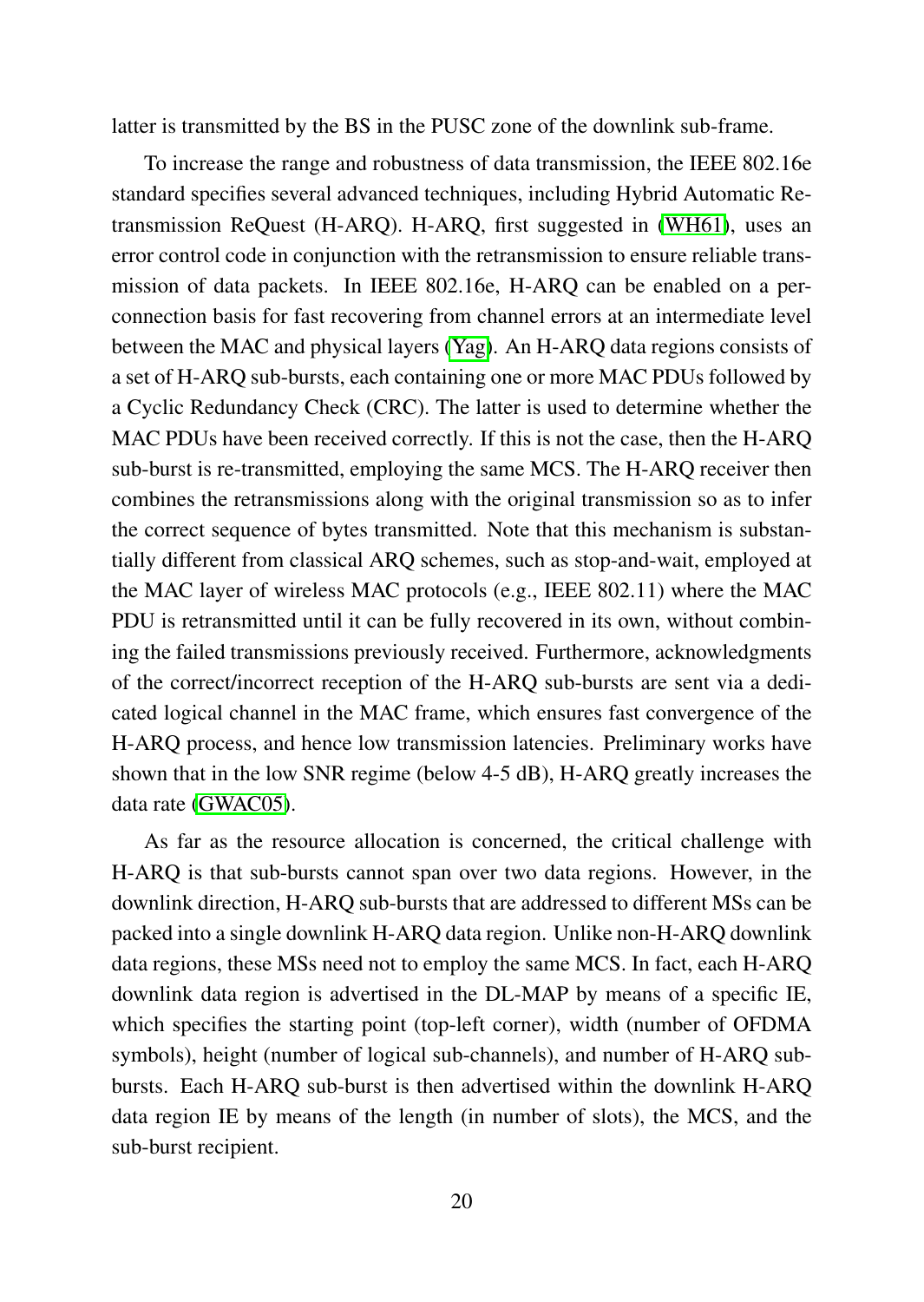latter is transmitted by the BS in the PUSC zone of the downlink sub-frame.

To increase the range and robustness of data transmission, the IEEE 802.16e standard specifies several advanced techniques, including Hybrid Automatic Retransmission ReQuest (H-ARQ). H-ARQ, first suggested in [\(WH61\)](#page-103-3), uses an error control code in conjunction with the retransmission to ensure reliable transmission of data packets. In IEEE 802.16e, H-ARQ can be enabled on a perconnection basis for fast recovering from channel errors at an intermediate level between the MAC and physical layers [\(Yag\)](#page-103-2). An H-ARQ data regions consists of a set of H-ARQ sub-bursts, each containing one or more MAC PDUs followed by a Cyclic Redundancy Check (CRC). The latter is used to determine whether the MAC PDUs have been received correctly. If this is not the case, then the H-ARQ sub-burst is re-transmitted, employing the same MCS. The H-ARQ receiver then combines the retransmissions along with the original transmission so as to infer the correct sequence of bytes transmitted. Note that this mechanism is substantially different from classical ARQ schemes, such as stop-and-wait, employed at the MAC layer of wireless MAC protocols (e.g., IEEE 802.11) where the MAC PDU is retransmitted until it can be fully recovered in its own, without combining the failed transmissions previously received. Furthermore, acknowledgments of the correct/incorrect reception of the H-ARQ sub-bursts are sent via a dedicated logical channel in the MAC frame, which ensures fast convergence of the H-ARQ process, and hence low transmission latencies. Preliminary works have shown that in the low SNR regime (below 4-5 dB), H-ARQ greatly increases the data rate [\(GWAC05\)](#page-102-6).

As far as the resource allocation is concerned, the critical challenge with H-ARQ is that sub-bursts cannot span over two data regions. However, in the downlink direction, H-ARQ sub-bursts that are addressed to different MSs can be packed into a single downlink H-ARQ data region. Unlike non-H-ARQ downlink data regions, these MSs need not to employ the same MCS. In fact, each H-ARQ downlink data region is advertised in the DL-MAP by means of a specific IE, which specifies the starting point (top-left corner), width (number of OFDMA symbols), height (number of logical sub-channels), and number of H-ARQ subbursts. Each H-ARQ sub-burst is then advertised within the downlink H-ARQ data region IE by means of the length (in number of slots), the MCS, and the sub-burst recipient.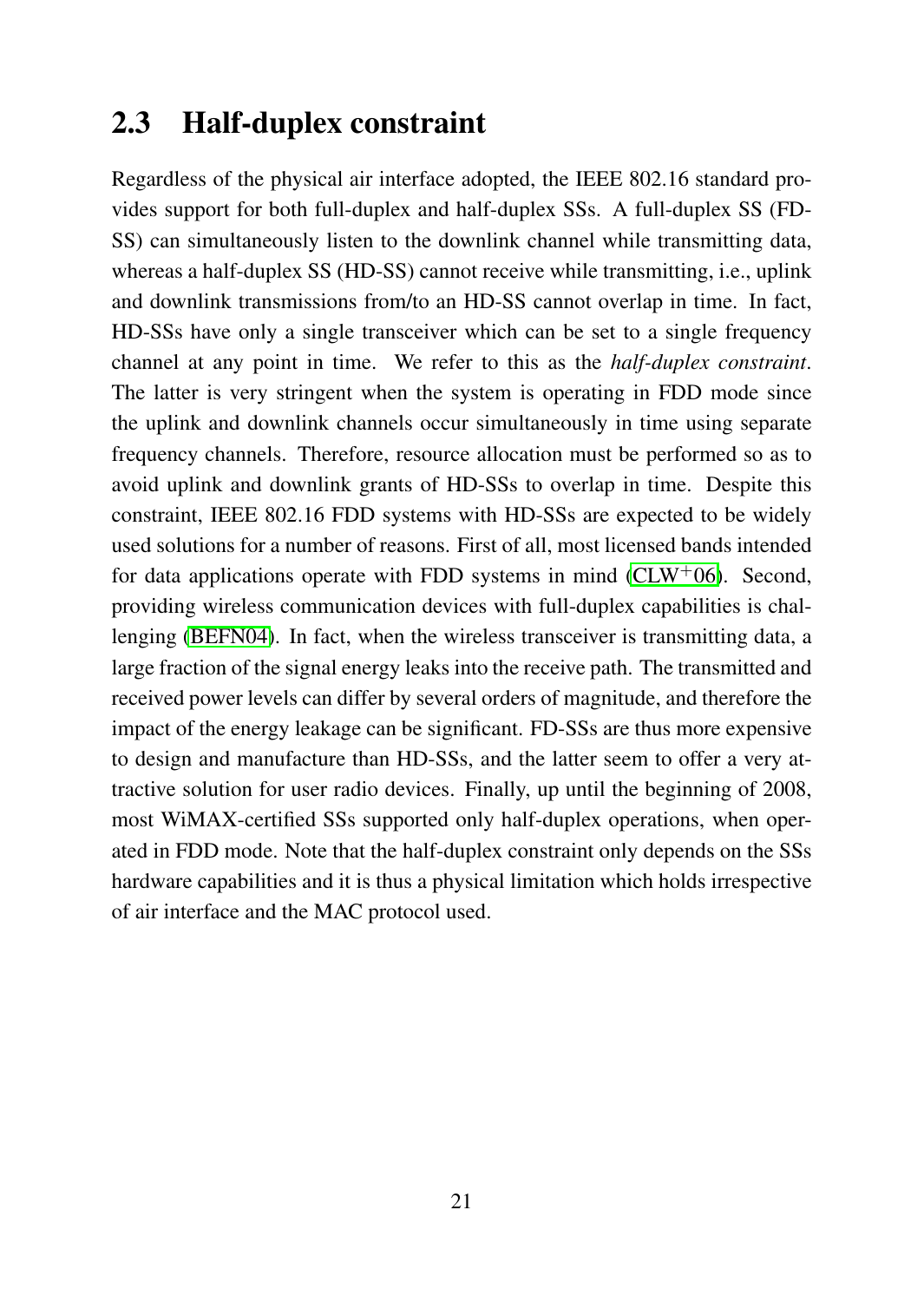#### <span id="page-34-0"></span>2.3 Half-duplex constraint

Regardless of the physical air interface adopted, the IEEE 802.16 standard provides support for both full-duplex and half-duplex SSs. A full-duplex SS (FD-SS) can simultaneously listen to the downlink channel while transmitting data, whereas a half-duplex SS (HD-SS) cannot receive while transmitting, i.e., uplink and downlink transmissions from/to an HD-SS cannot overlap in time. In fact, HD-SSs have only a single transceiver which can be set to a single frequency channel at any point in time. We refer to this as the *half-duplex constraint*. The latter is very stringent when the system is operating in FDD mode since the uplink and downlink channels occur simultaneously in time using separate frequency channels. Therefore, resource allocation must be performed so as to avoid uplink and downlink grants of HD-SSs to overlap in time. Despite this constraint, IEEE 802.16 FDD systems with HD-SSs are expected to be widely used solutions for a number of reasons. First of all, most licensed bands intended for data applications operate with FDD systems in mind  $(CLW<sup>+</sup>06)$  $(CLW<sup>+</sup>06)$ . Second, providing wireless communication devices with full-duplex capabilities is challenging [\(BEFN04\)](#page-100-6). In fact, when the wireless transceiver is transmitting data, a large fraction of the signal energy leaks into the receive path. The transmitted and received power levels can differ by several orders of magnitude, and therefore the impact of the energy leakage can be significant. FD-SSs are thus more expensive to design and manufacture than HD-SSs, and the latter seem to offer a very attractive solution for user radio devices. Finally, up until the beginning of 2008, most WiMAX-certified SSs supported only half-duplex operations, when operated in FDD mode. Note that the half-duplex constraint only depends on the SSs hardware capabilities and it is thus a physical limitation which holds irrespective of air interface and the MAC protocol used.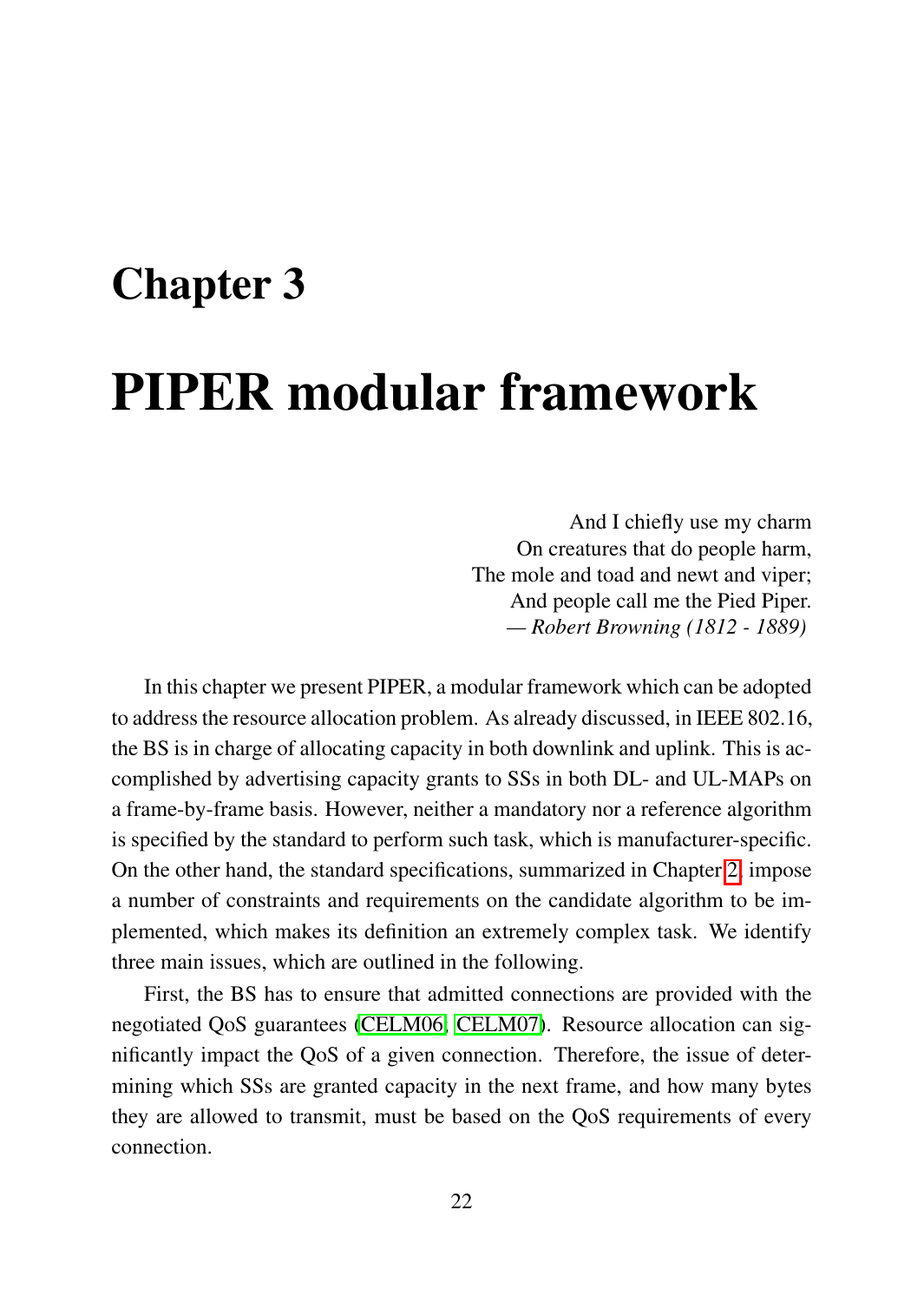# <span id="page-35-0"></span>Chapter 3 PIPER modular framework

And I chiefly use my charm On creatures that do people harm, The mole and toad and newt and viper; And people call me the Pied Piper. *— Robert Browning (1812 - 1889)*

In this chapter we present PIPER, a modular framework which can be adopted to address the resource allocation problem. As already discussed, in IEEE 802.16, the BS is in charge of allocating capacity in both downlink and uplink. This is accomplished by advertising capacity grants to SSs in both DL- and UL-MAPs on a frame-by-frame basis. However, neither a mandatory nor a reference algorithm is specified by the standard to perform such task, which is manufacturer-specific. On the other hand, the standard specifications, summarized in Chapter [2,](#page-21-0) impose a number of constraints and requirements on the candidate algorithm to be implemented, which makes its definition an extremely complex task. We identify three main issues, which are outlined in the following.

First, the BS has to ensure that admitted connections are provided with the negotiated QoS guarantees [\(CELM06;](#page-101-1) [CELM07\)](#page-101-3). Resource allocation can significantly impact the QoS of a given connection. Therefore, the issue of determining which SSs are granted capacity in the next frame, and how many bytes they are allowed to transmit, must be based on the QoS requirements of every connection.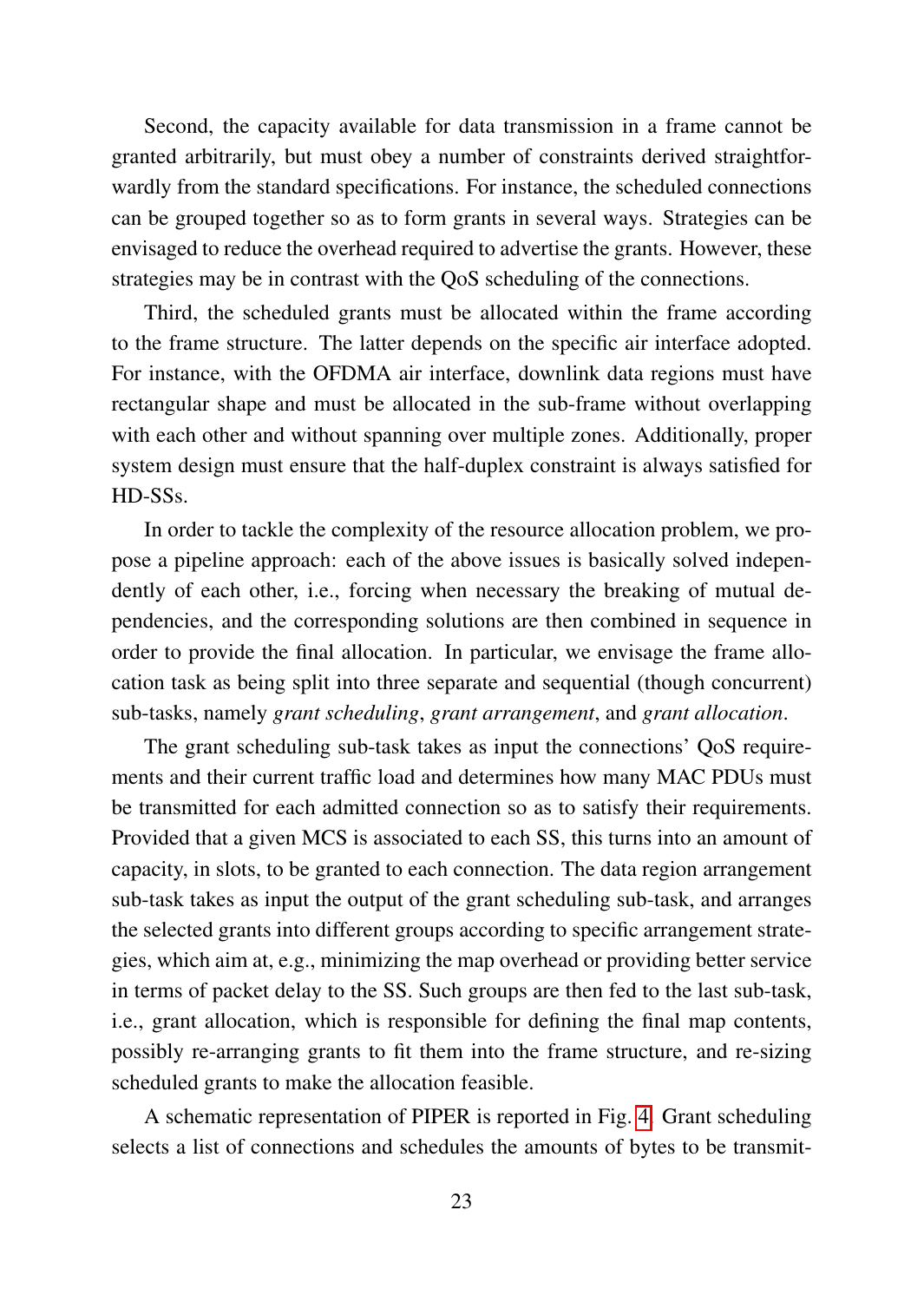Second, the capacity available for data transmission in a frame cannot be granted arbitrarily, but must obey a number of constraints derived straightforwardly from the standard specifications. For instance, the scheduled connections can be grouped together so as to form grants in several ways. Strategies can be envisaged to reduce the overhead required to advertise the grants. However, these strategies may be in contrast with the QoS scheduling of the connections.

Third, the scheduled grants must be allocated within the frame according to the frame structure. The latter depends on the specific air interface adopted. For instance, with the OFDMA air interface, downlink data regions must have rectangular shape and must be allocated in the sub-frame without overlapping with each other and without spanning over multiple zones. Additionally, proper system design must ensure that the half-duplex constraint is always satisfied for HD-SSs.

In order to tackle the complexity of the resource allocation problem, we propose a pipeline approach: each of the above issues is basically solved independently of each other, i.e., forcing when necessary the breaking of mutual dependencies, and the corresponding solutions are then combined in sequence in order to provide the final allocation. In particular, we envisage the frame allocation task as being split into three separate and sequential (though concurrent) sub-tasks, namely *grant scheduling*, *grant arrangement*, and *grant allocation*.

The grant scheduling sub-task takes as input the connections' QoS requirements and their current traffic load and determines how many MAC PDUs must be transmitted for each admitted connection so as to satisfy their requirements. Provided that a given MCS is associated to each SS, this turns into an amount of capacity, in slots, to be granted to each connection. The data region arrangement sub-task takes as input the output of the grant scheduling sub-task, and arranges the selected grants into different groups according to specific arrangement strategies, which aim at, e.g., minimizing the map overhead or providing better service in terms of packet delay to the SS. Such groups are then fed to the last sub-task, i.e., grant allocation, which is responsible for defining the final map contents, possibly re-arranging grants to fit them into the frame structure, and re-sizing scheduled grants to make the allocation feasible.

A schematic representation of PIPER is reported in Fig. [4.](#page-37-0) Grant scheduling selects a list of connections and schedules the amounts of bytes to be transmit-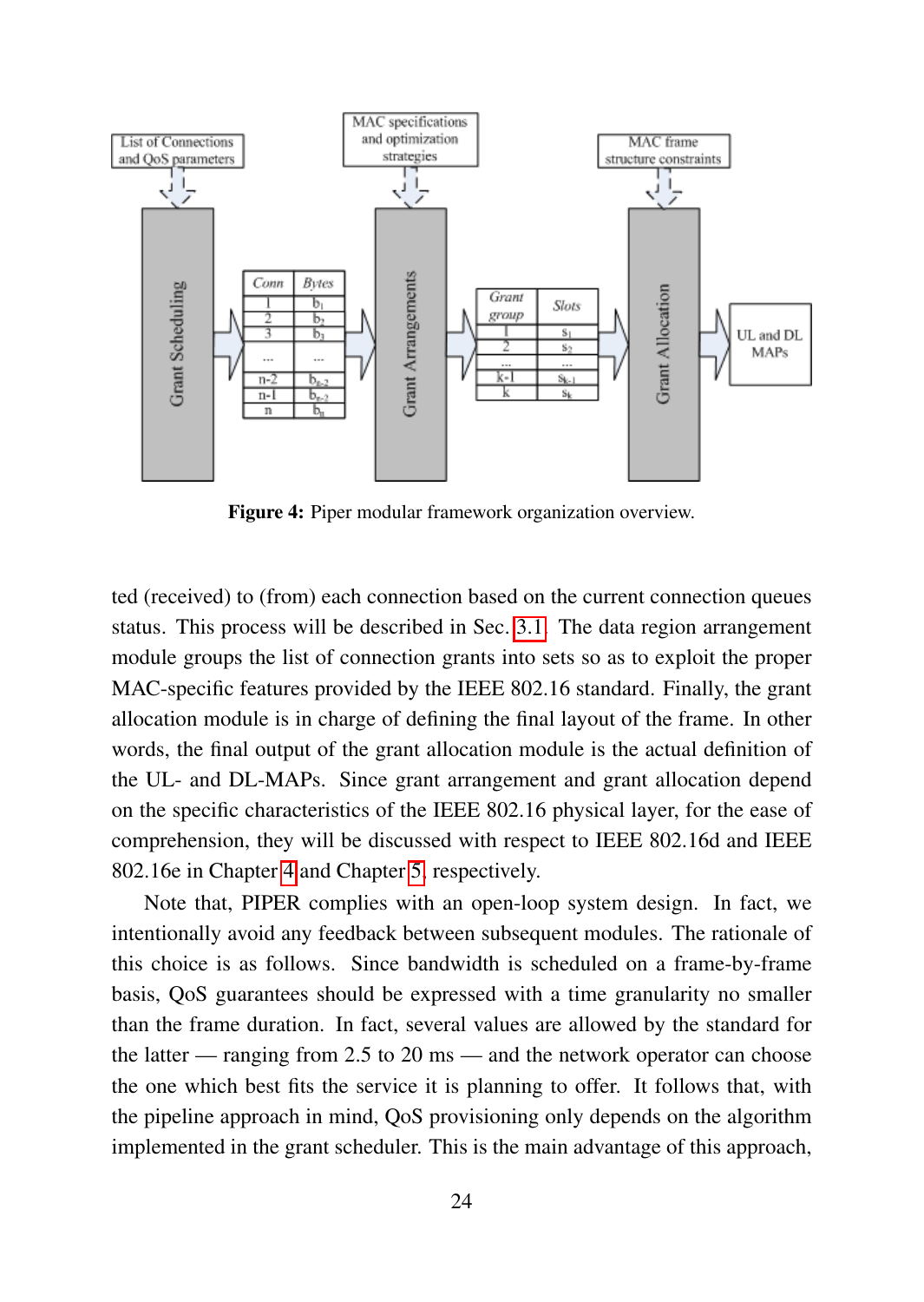

<span id="page-37-0"></span>Figure 4: Piper modular framework organization overview.

ted (received) to (from) each connection based on the current connection queues status. This process will be described in Sec. [3.1.](#page-39-0) The data region arrangement module groups the list of connection grants into sets so as to exploit the proper MAC-specific features provided by the IEEE 802.16 standard. Finally, the grant allocation module is in charge of defining the final layout of the frame. In other words, the final output of the grant allocation module is the actual definition of the UL- and DL-MAPs. Since grant arrangement and grant allocation depend on the specific characteristics of the IEEE 802.16 physical layer, for the ease of comprehension, they will be discussed with respect to IEEE 802.16d and IEEE 802.16e in Chapter [4](#page-43-0) and Chapter [5,](#page-68-0) respectively.

Note that, PIPER complies with an open-loop system design. In fact, we intentionally avoid any feedback between subsequent modules. The rationale of this choice is as follows. Since bandwidth is scheduled on a frame-by-frame basis, QoS guarantees should be expressed with a time granularity no smaller than the frame duration. In fact, several values are allowed by the standard for the latter — ranging from 2.5 to 20 ms — and the network operator can choose the one which best fits the service it is planning to offer. It follows that, with the pipeline approach in mind, QoS provisioning only depends on the algorithm implemented in the grant scheduler. This is the main advantage of this approach,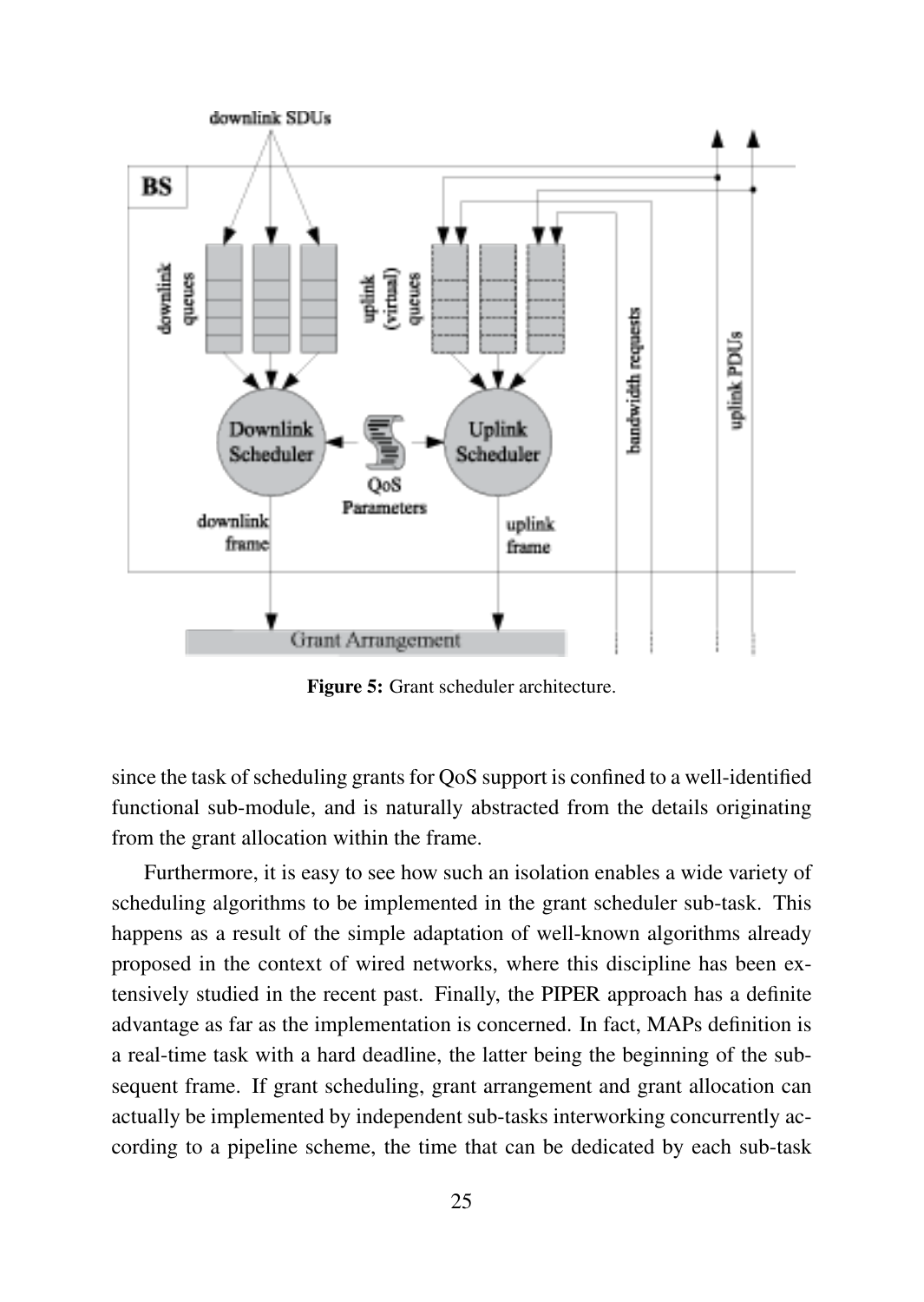

<span id="page-38-0"></span>Figure 5: Grant scheduler architecture.

since the task of scheduling grants for QoS support is confined to a well-identified functional sub-module, and is naturally abstracted from the details originating from the grant allocation within the frame.

Furthermore, it is easy to see how such an isolation enables a wide variety of scheduling algorithms to be implemented in the grant scheduler sub-task. This happens as a result of the simple adaptation of well-known algorithms already proposed in the context of wired networks, where this discipline has been extensively studied in the recent past. Finally, the PIPER approach has a definite advantage as far as the implementation is concerned. In fact, MAPs definition is a real-time task with a hard deadline, the latter being the beginning of the subsequent frame. If grant scheduling, grant arrangement and grant allocation can actually be implemented by independent sub-tasks interworking concurrently according to a pipeline scheme, the time that can be dedicated by each sub-task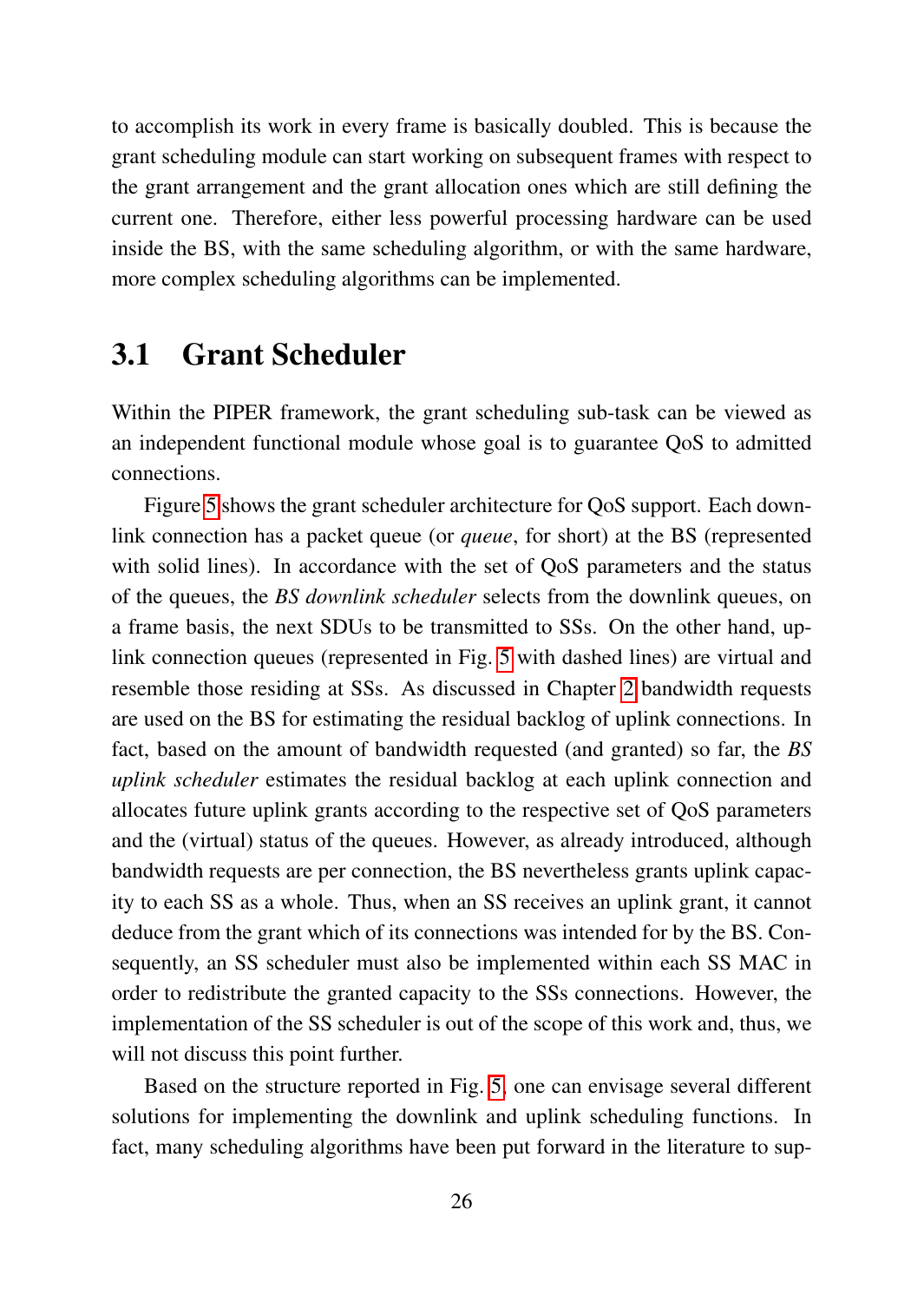to accomplish its work in every frame is basically doubled. This is because the grant scheduling module can start working on subsequent frames with respect to the grant arrangement and the grant allocation ones which are still defining the current one. Therefore, either less powerful processing hardware can be used inside the BS, with the same scheduling algorithm, or with the same hardware, more complex scheduling algorithms can be implemented.

### <span id="page-39-0"></span>3.1 Grant Scheduler

Within the PIPER framework, the grant scheduling sub-task can be viewed as an independent functional module whose goal is to guarantee QoS to admitted connections.

Figure [5](#page-38-0) shows the grant scheduler architecture for QoS support. Each downlink connection has a packet queue (or *queue*, for short) at the BS (represented with solid lines). In accordance with the set of QoS parameters and the status of the queues, the *BS downlink scheduler* selects from the downlink queues, on a frame basis, the next SDUs to be transmitted to SSs. On the other hand, uplink connection queues (represented in Fig. [5](#page-38-0) with dashed lines) are virtual and resemble those residing at SSs. As discussed in Chapter [2](#page-21-0) bandwidth requests are used on the BS for estimating the residual backlog of uplink connections. In fact, based on the amount of bandwidth requested (and granted) so far, the *BS uplink scheduler* estimates the residual backlog at each uplink connection and allocates future uplink grants according to the respective set of QoS parameters and the (virtual) status of the queues. However, as already introduced, although bandwidth requests are per connection, the BS nevertheless grants uplink capacity to each SS as a whole. Thus, when an SS receives an uplink grant, it cannot deduce from the grant which of its connections was intended for by the BS. Consequently, an SS scheduler must also be implemented within each SS MAC in order to redistribute the granted capacity to the SSs connections. However, the implementation of the SS scheduler is out of the scope of this work and, thus, we will not discuss this point further.

Based on the structure reported in Fig. [5,](#page-38-0) one can envisage several different solutions for implementing the downlink and uplink scheduling functions. In fact, many scheduling algorithms have been put forward in the literature to sup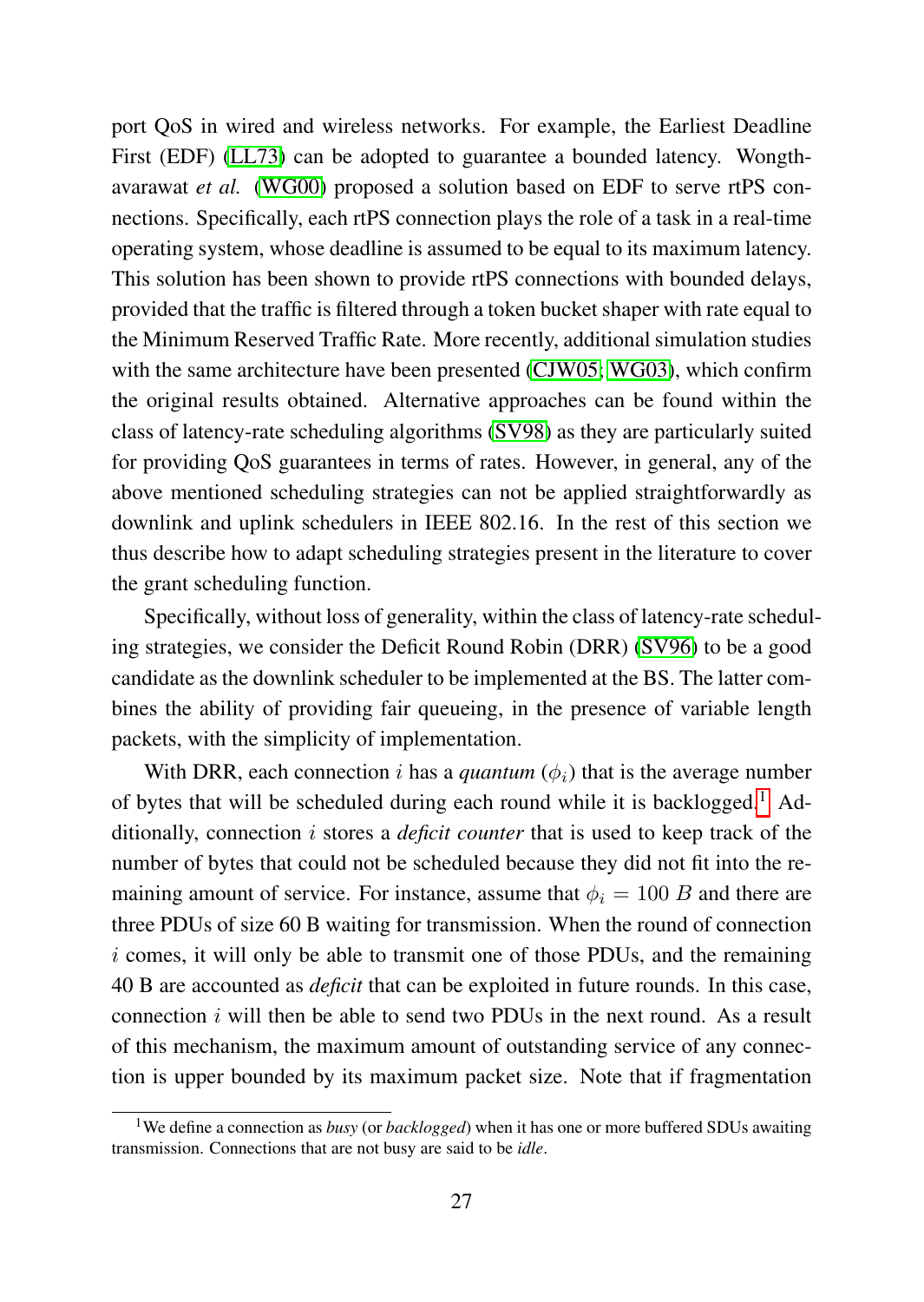port QoS in wired and wireless networks. For example, the Earliest Deadline First (EDF) [\(LL73\)](#page-102-0) can be adopted to guarantee a bounded latency. Wongthavarawat *et al.* [\(WG00\)](#page-103-0) proposed a solution based on EDF to serve rtPS connections. Specifically, each rtPS connection plays the role of a task in a real-time operating system, whose deadline is assumed to be equal to its maximum latency. This solution has been shown to provide rtPS connections with bounded delays, provided that the traffic is filtered through a token bucket shaper with rate equal to the Minimum Reserved Traffic Rate. More recently, additional simulation studies with the same architecture have been presented [\(CJW05;](#page-101-0) [WG03\)](#page-103-1), which confirm the original results obtained. Alternative approaches can be found within the class of latency-rate scheduling algorithms [\(SV98\)](#page-103-2) as they are particularly suited for providing QoS guarantees in terms of rates. However, in general, any of the above mentioned scheduling strategies can not be applied straightforwardly as downlink and uplink schedulers in IEEE 802.16. In the rest of this section we thus describe how to adapt scheduling strategies present in the literature to cover the grant scheduling function.

Specifically, without loss of generality, within the class of latency-rate scheduling strategies, we consider the Deficit Round Robin (DRR) [\(SV96\)](#page-103-3) to be a good candidate as the downlink scheduler to be implemented at the BS. The latter combines the ability of providing fair queueing, in the presence of variable length packets, with the simplicity of implementation.

With DRR, each connection i has a *quantum*  $(\phi_i)$  that is the average number of bytes that will be scheduled during each round while it is backlogged.<sup>[1](#page-0-0)</sup> Additionally, connection i stores a *deficit counter* that is used to keep track of the number of bytes that could not be scheduled because they did not fit into the remaining amount of service. For instance, assume that  $\phi_i = 100 B$  and there are three PDUs of size 60 B waiting for transmission. When the round of connection  $i$  comes, it will only be able to transmit one of those PDUs, and the remaining 40 B are accounted as *deficit* that can be exploited in future rounds. In this case, connection  $i$  will then be able to send two PDUs in the next round. As a result of this mechanism, the maximum amount of outstanding service of any connection is upper bounded by its maximum packet size. Note that if fragmentation

<sup>1</sup>We define a connection as *busy* (or *backlogged*) when it has one or more buffered SDUs awaiting transmission. Connections that are not busy are said to be *idle*.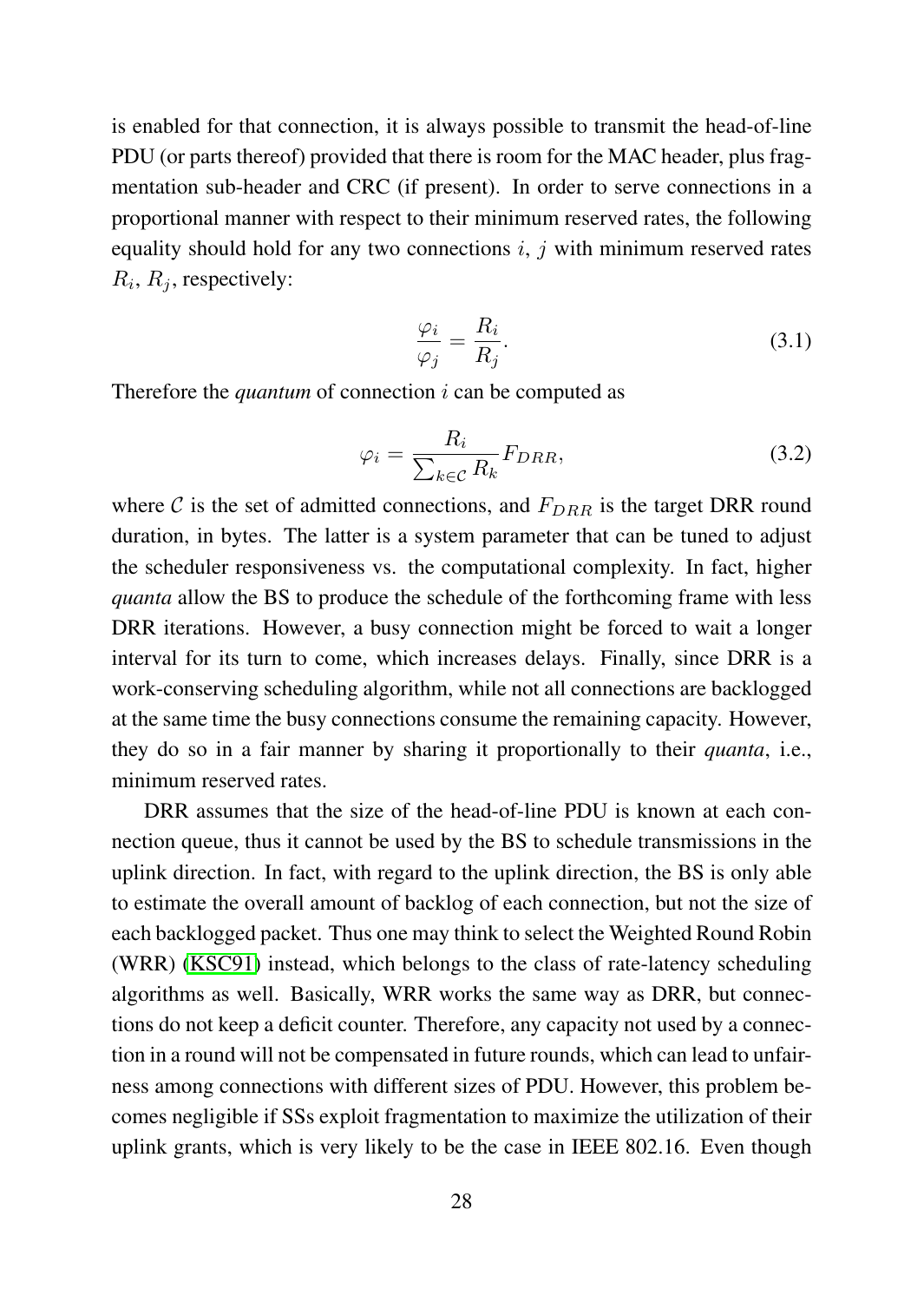is enabled for that connection, it is always possible to transmit the head-of-line PDU (or parts thereof) provided that there is room for the MAC header, plus fragmentation sub-header and CRC (if present). In order to serve connections in a proportional manner with respect to their minimum reserved rates, the following equality should hold for any two connections  $i, j$  with minimum reserved rates  $R_i, R_j$ , respectively:

$$
\frac{\varphi_i}{\varphi_j} = \frac{R_i}{R_j}.\tag{3.1}
$$

Therefore the *quantum* of connection  $i$  can be computed as

$$
\varphi_i = \frac{R_i}{\sum_{k \in \mathcal{C}} R_k} F_{DRR},\tag{3.2}
$$

where C is the set of admitted connections, and  $F_{DRR}$  is the target DRR round duration, in bytes. The latter is a system parameter that can be tuned to adjust the scheduler responsiveness vs. the computational complexity. In fact, higher *quanta* allow the BS to produce the schedule of the forthcoming frame with less DRR iterations. However, a busy connection might be forced to wait a longer interval for its turn to come, which increases delays. Finally, since DRR is a work-conserving scheduling algorithm, while not all connections are backlogged at the same time the busy connections consume the remaining capacity. However, they do so in a fair manner by sharing it proportionally to their *quanta*, i.e., minimum reserved rates.

DRR assumes that the size of the head-of-line PDU is known at each connection queue, thus it cannot be used by the BS to schedule transmissions in the uplink direction. In fact, with regard to the uplink direction, the BS is only able to estimate the overall amount of backlog of each connection, but not the size of each backlogged packet. Thus one may think to select the Weighted Round Robin (WRR) [\(KSC91\)](#page-102-1) instead, which belongs to the class of rate-latency scheduling algorithms as well. Basically, WRR works the same way as DRR, but connections do not keep a deficit counter. Therefore, any capacity not used by a connection in a round will not be compensated in future rounds, which can lead to unfairness among connections with different sizes of PDU. However, this problem becomes negligible if SSs exploit fragmentation to maximize the utilization of their uplink grants, which is very likely to be the case in IEEE 802.16. Even though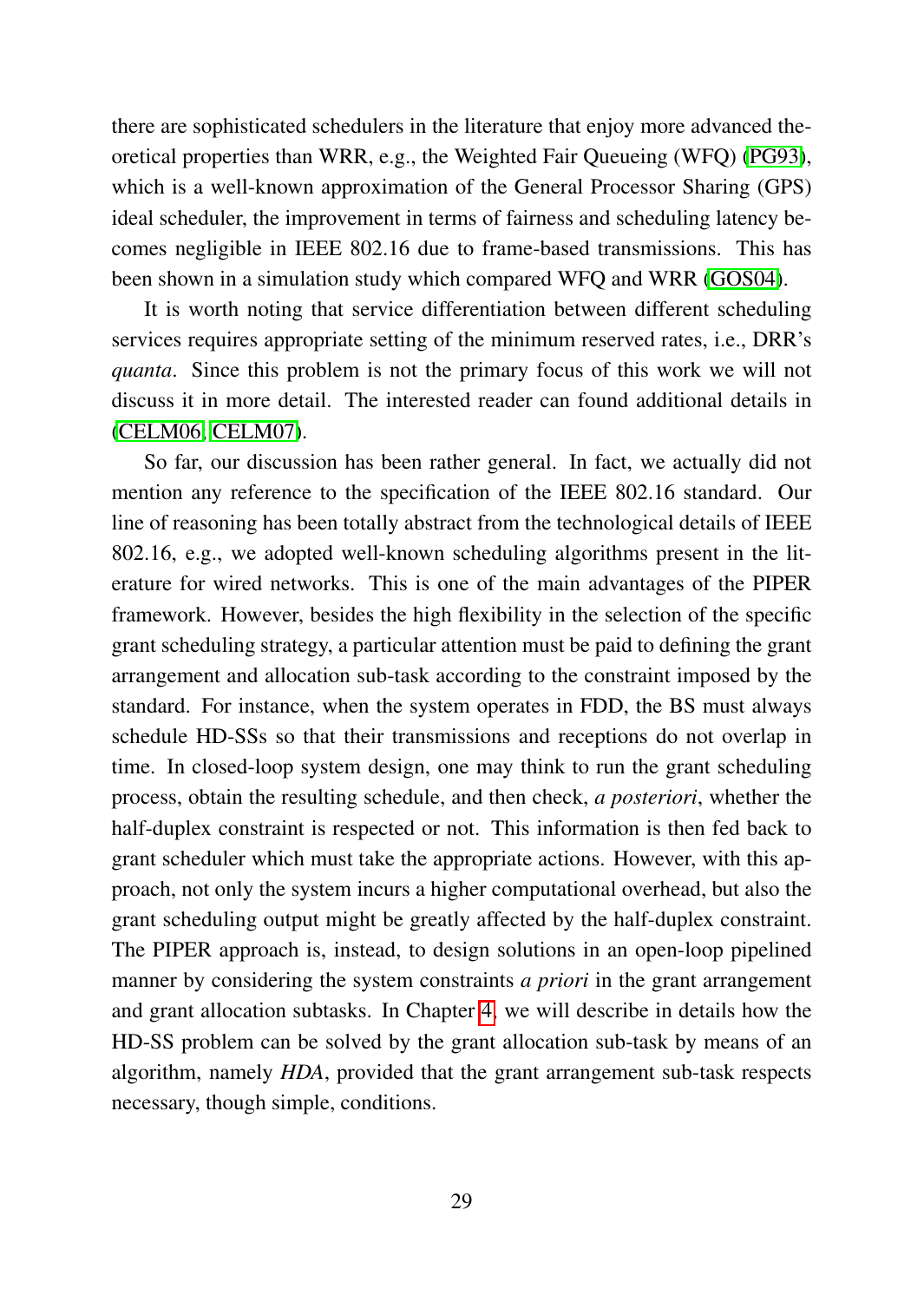there are sophisticated schedulers in the literature that enjoy more advanced theoretical properties than WRR, e.g., the Weighted Fair Queueing (WFQ) [\(PG93\)](#page-103-4), which is a well-known approximation of the General Processor Sharing (GPS) ideal scheduler, the improvement in terms of fairness and scheduling latency becomes negligible in IEEE 802.16 due to frame-based transmissions. This has been shown in a simulation study which compared WFQ and WRR [\(GOS04\)](#page-102-2).

It is worth noting that service differentiation between different scheduling services requires appropriate setting of the minimum reserved rates, i.e., DRR's *quanta*. Since this problem is not the primary focus of this work we will not discuss it in more detail. The interested reader can found additional details in [\(CELM06;](#page-101-1) [CELM07\)](#page-101-2).

So far, our discussion has been rather general. In fact, we actually did not mention any reference to the specification of the IEEE 802.16 standard. Our line of reasoning has been totally abstract from the technological details of IEEE 802.16, e.g., we adopted well-known scheduling algorithms present in the literature for wired networks. This is one of the main advantages of the PIPER framework. However, besides the high flexibility in the selection of the specific grant scheduling strategy, a particular attention must be paid to defining the grant arrangement and allocation sub-task according to the constraint imposed by the standard. For instance, when the system operates in FDD, the BS must always schedule HD-SSs so that their transmissions and receptions do not overlap in time. In closed-loop system design, one may think to run the grant scheduling process, obtain the resulting schedule, and then check, *a posteriori*, whether the half-duplex constraint is respected or not. This information is then fed back to grant scheduler which must take the appropriate actions. However, with this approach, not only the system incurs a higher computational overhead, but also the grant scheduling output might be greatly affected by the half-duplex constraint. The PIPER approach is, instead, to design solutions in an open-loop pipelined manner by considering the system constraints *a priori* in the grant arrangement and grant allocation subtasks. In Chapter [4,](#page-43-0) we will describe in details how the HD-SS problem can be solved by the grant allocation sub-task by means of an algorithm, namely *HDA*, provided that the grant arrangement sub-task respects necessary, though simple, conditions.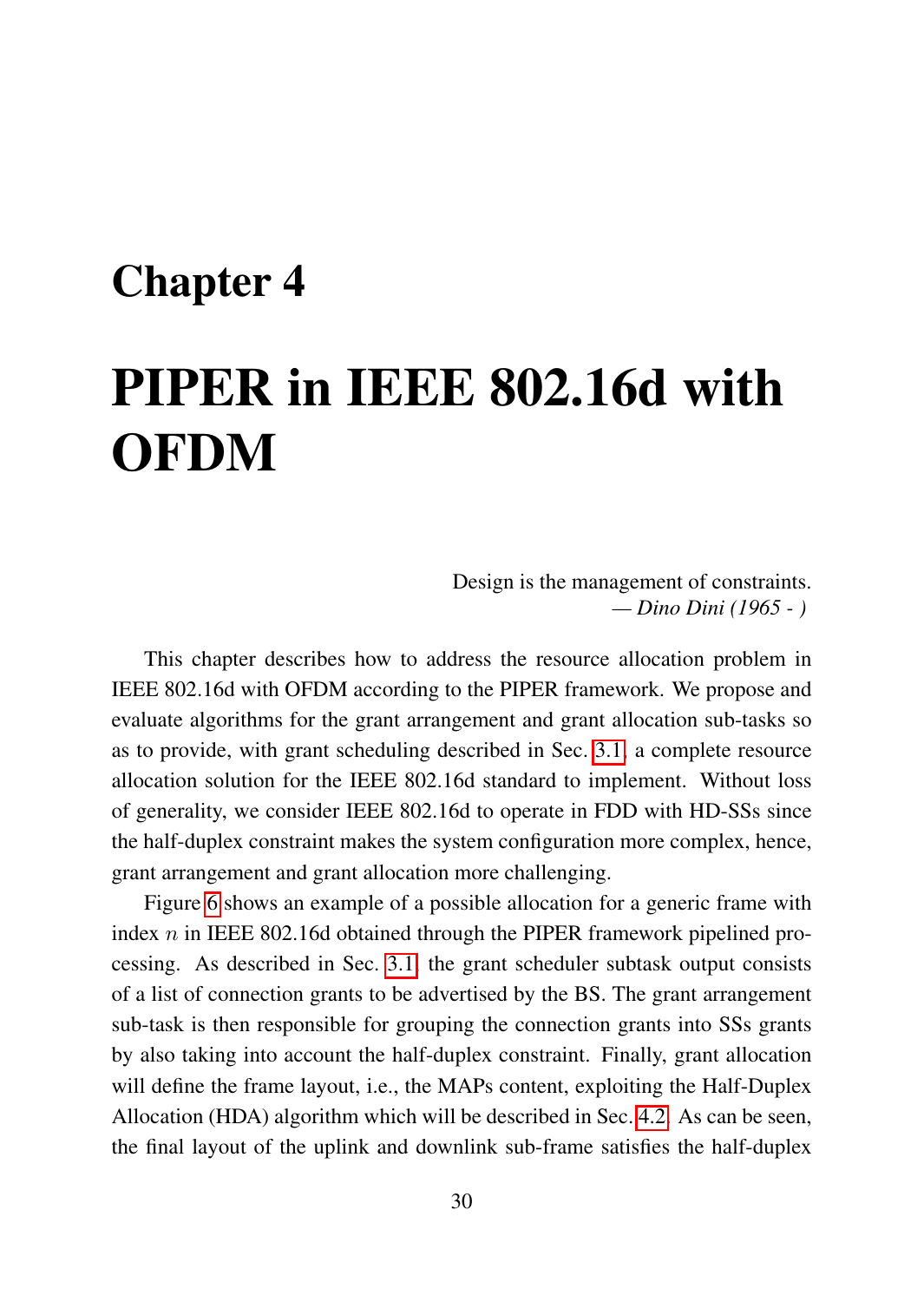# <span id="page-43-0"></span>Chapter 4 PIPER in IEEE 802.16d with **OFDM**

Design is the management of constraints. *— Dino Dini (1965 - )*

This chapter describes how to address the resource allocation problem in IEEE 802.16d with OFDM according to the PIPER framework. We propose and evaluate algorithms for the grant arrangement and grant allocation sub-tasks so as to provide, with grant scheduling described in Sec. [3.1,](#page-39-0) a complete resource allocation solution for the IEEE 802.16d standard to implement. Without loss of generality, we consider IEEE 802.16d to operate in FDD with HD-SSs since the half-duplex constraint makes the system configuration more complex, hence, grant arrangement and grant allocation more challenging.

Figure [6](#page-44-0) shows an example of a possible allocation for a generic frame with index n in IEEE 802.16d obtained through the PIPER framework pipelined processing. As described in Sec. [3.1,](#page-39-0) the grant scheduler subtask output consists of a list of connection grants to be advertised by the BS. The grant arrangement sub-task is then responsible for grouping the connection grants into SSs grants by also taking into account the half-duplex constraint. Finally, grant allocation will define the frame layout, i.e., the MAPs content, exploiting the Half-Duplex Allocation (HDA) algorithm which will be described in Sec. [4.2.](#page-46-0) As can be seen, the final layout of the uplink and downlink sub-frame satisfies the half-duplex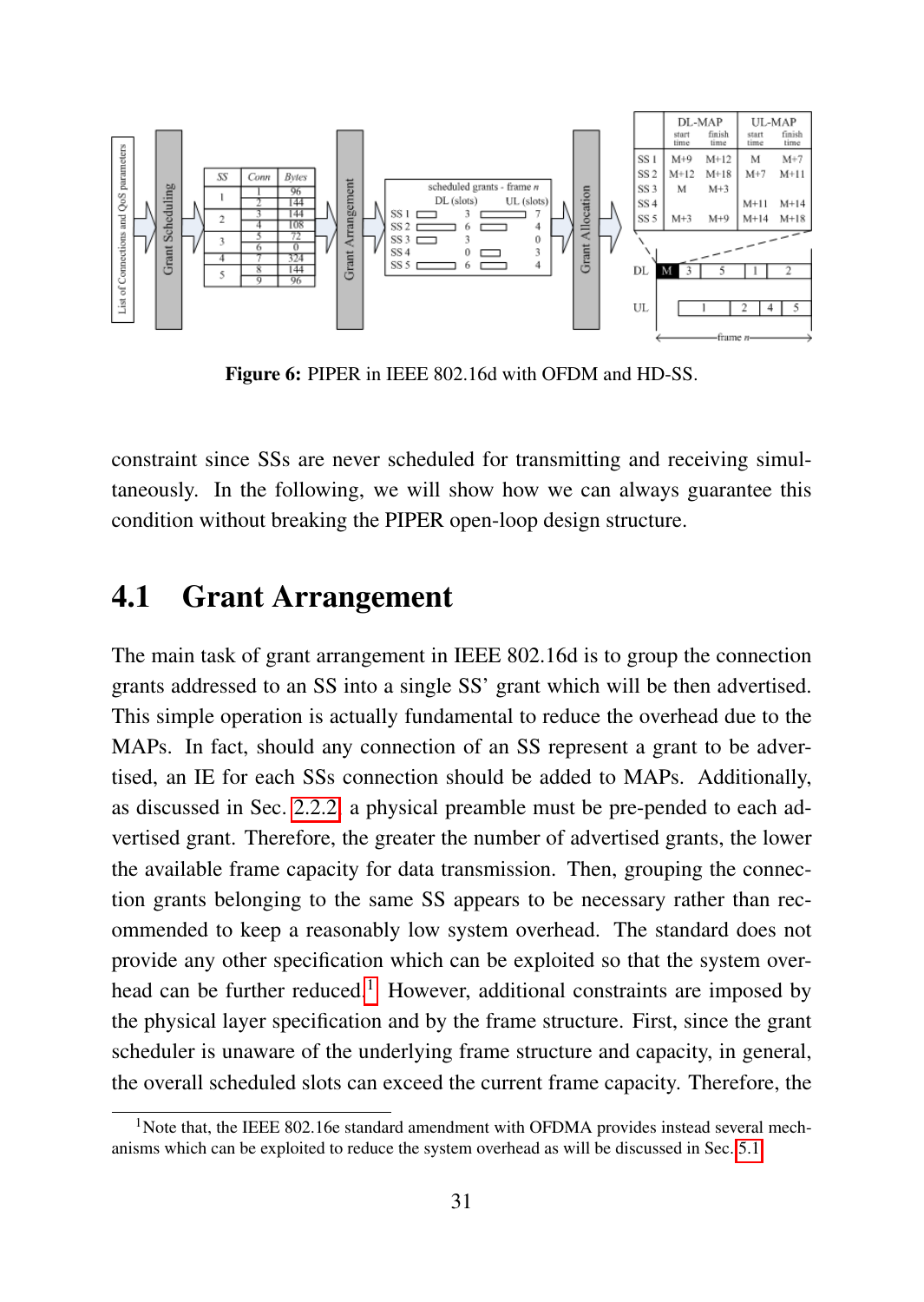

<span id="page-44-0"></span>Figure 6: PIPER in IEEE 802.16d with OFDM and HD-SS.

constraint since SSs are never scheduled for transmitting and receiving simultaneously. In the following, we will show how we can always guarantee this condition without breaking the PIPER open-loop design structure.

# 4.1 Grant Arrangement

The main task of grant arrangement in IEEE 802.16d is to group the connection grants addressed to an SS into a single SS' grant which will be then advertised. This simple operation is actually fundamental to reduce the overhead due to the MAPs. In fact, should any connection of an SS represent a grant to be advertised, an IE for each SSs connection should be added to MAPs. Additionally, as discussed in Sec. [2.2.2,](#page-30-0) a physical preamble must be pre-pended to each advertised grant. Therefore, the greater the number of advertised grants, the lower the available frame capacity for data transmission. Then, grouping the connection grants belonging to the same SS appears to be necessary rather than recommended to keep a reasonably low system overhead. The standard does not provide any other specification which can be exploited so that the system over-head can be further reduced.<sup>[1](#page-0-0)</sup> However, additional constraints are imposed by the physical layer specification and by the frame structure. First, since the grant scheduler is unaware of the underlying frame structure and capacity, in general, the overall scheduled slots can exceed the current frame capacity. Therefore, the

<sup>&</sup>lt;sup>1</sup>Note that, the IEEE 802.16e standard amendment with OFDMA provides instead several mechanisms which can be exploited to reduce the system overhead as will be discussed in Sec. [5.1.](#page-69-0)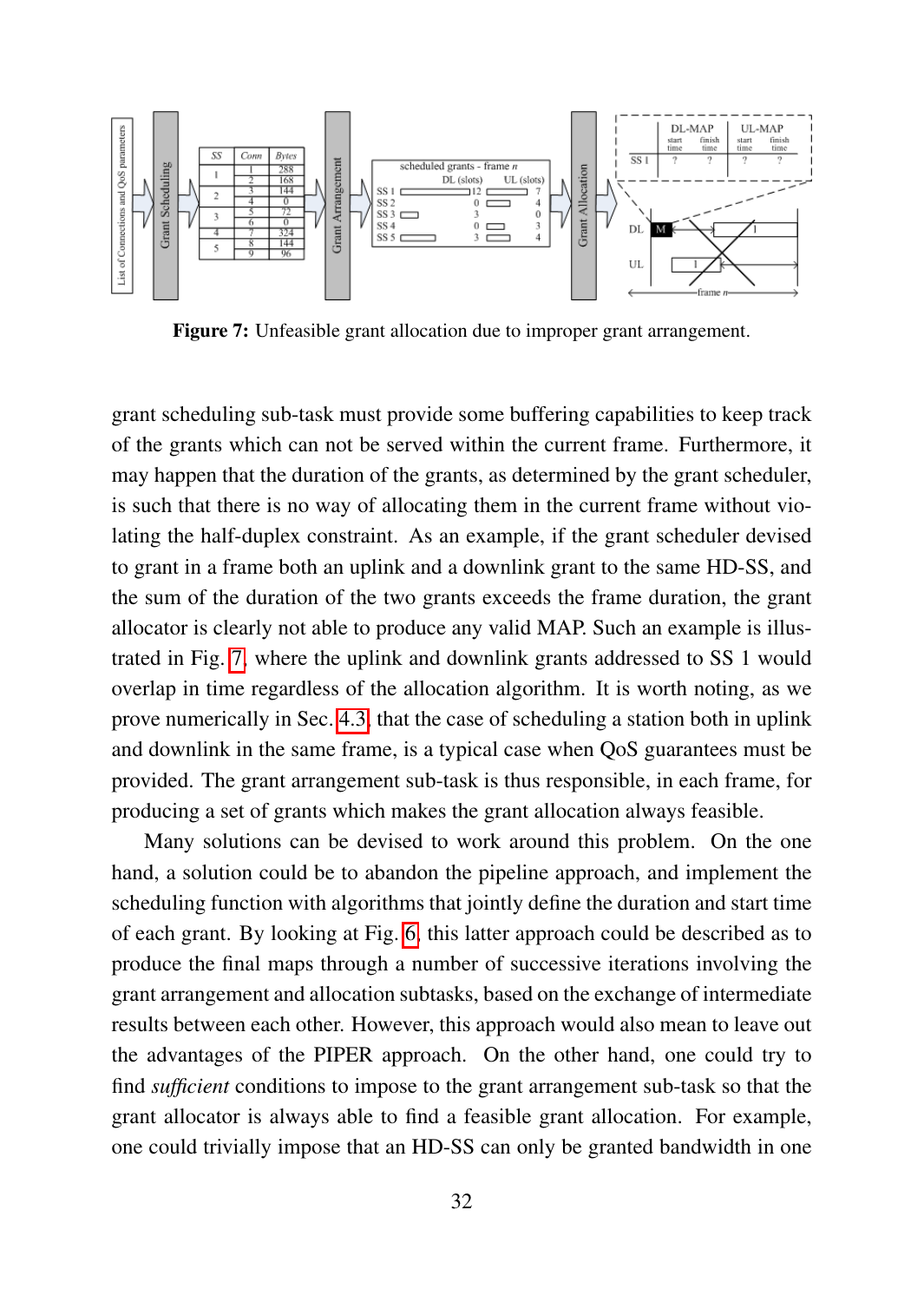

<span id="page-45-0"></span>Figure 7: Unfeasible grant allocation due to improper grant arrangement.

grant scheduling sub-task must provide some buffering capabilities to keep track of the grants which can not be served within the current frame. Furthermore, it may happen that the duration of the grants, as determined by the grant scheduler, is such that there is no way of allocating them in the current frame without violating the half-duplex constraint. As an example, if the grant scheduler devised to grant in a frame both an uplink and a downlink grant to the same HD-SS, and the sum of the duration of the two grants exceeds the frame duration, the grant allocator is clearly not able to produce any valid MAP. Such an example is illustrated in Fig. [7,](#page-45-0) where the uplink and downlink grants addressed to SS 1 would overlap in time regardless of the allocation algorithm. It is worth noting, as we prove numerically in Sec. [4.3,](#page-57-0) that the case of scheduling a station both in uplink and downlink in the same frame, is a typical case when QoS guarantees must be provided. The grant arrangement sub-task is thus responsible, in each frame, for producing a set of grants which makes the grant allocation always feasible.

Many solutions can be devised to work around this problem. On the one hand, a solution could be to abandon the pipeline approach, and implement the scheduling function with algorithms that jointly define the duration and start time of each grant. By looking at Fig. [6,](#page-44-0) this latter approach could be described as to produce the final maps through a number of successive iterations involving the grant arrangement and allocation subtasks, based on the exchange of intermediate results between each other. However, this approach would also mean to leave out the advantages of the PIPER approach. On the other hand, one could try to find *sufficient* conditions to impose to the grant arrangement sub-task so that the grant allocator is always able to find a feasible grant allocation. For example, one could trivially impose that an HD-SS can only be granted bandwidth in one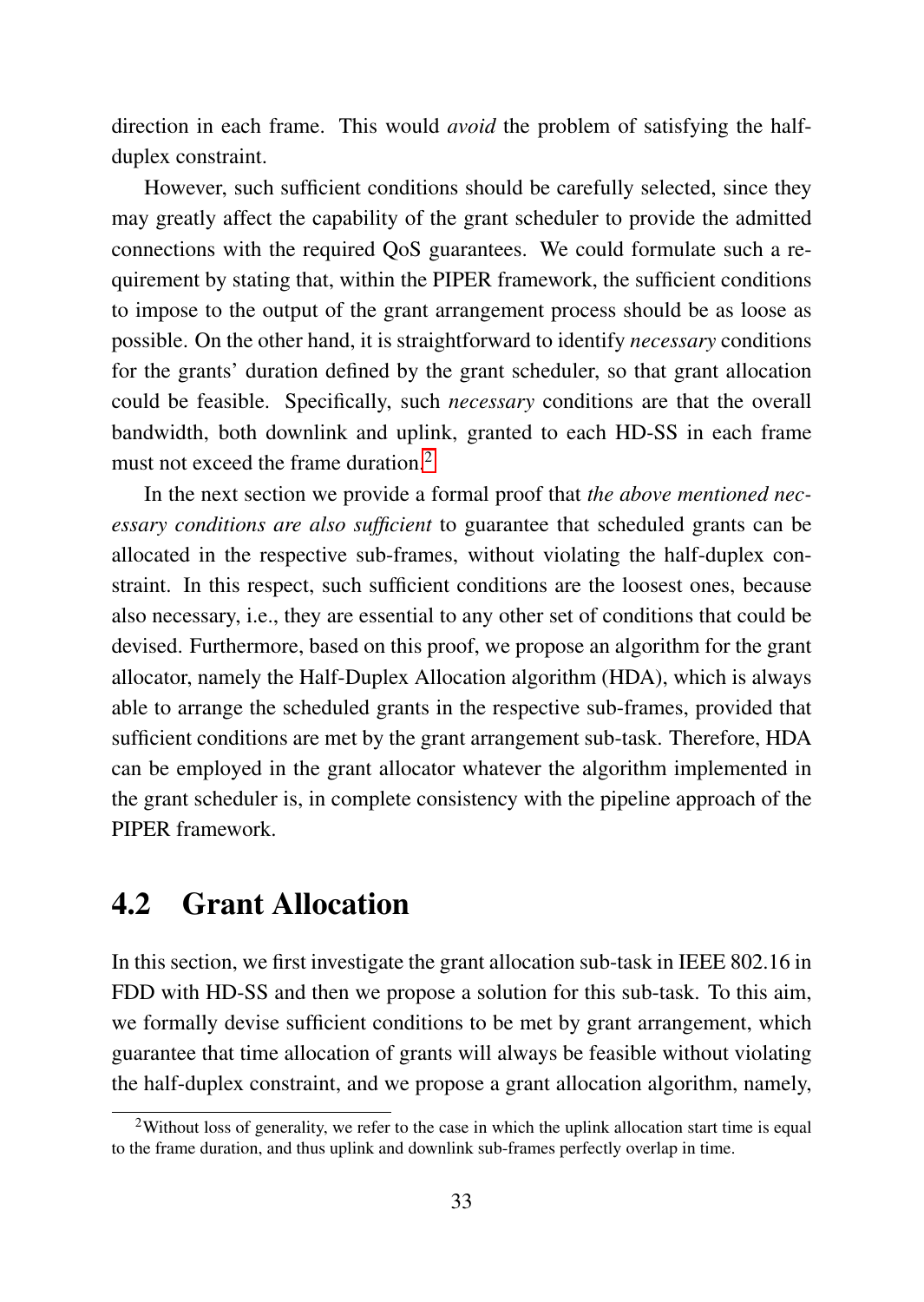direction in each frame. This would *avoid* the problem of satisfying the halfduplex constraint.

However, such sufficient conditions should be carefully selected, since they may greatly affect the capability of the grant scheduler to provide the admitted connections with the required QoS guarantees. We could formulate such a requirement by stating that, within the PIPER framework, the sufficient conditions to impose to the output of the grant arrangement process should be as loose as possible. On the other hand, it is straightforward to identify *necessary* conditions for the grants' duration defined by the grant scheduler, so that grant allocation could be feasible. Specifically, such *necessary* conditions are that the overall bandwidth, both downlink and uplink, granted to each HD-SS in each frame must not exceed the frame duration.[2](#page-0-0)

In the next section we provide a formal proof that *the above mentioned necessary conditions are also sufficient* to guarantee that scheduled grants can be allocated in the respective sub-frames, without violating the half-duplex constraint. In this respect, such sufficient conditions are the loosest ones, because also necessary, i.e., they are essential to any other set of conditions that could be devised. Furthermore, based on this proof, we propose an algorithm for the grant allocator, namely the Half-Duplex Allocation algorithm (HDA), which is always able to arrange the scheduled grants in the respective sub-frames, provided that sufficient conditions are met by the grant arrangement sub-task. Therefore, HDA can be employed in the grant allocator whatever the algorithm implemented in the grant scheduler is, in complete consistency with the pipeline approach of the PIPER framework.

# <span id="page-46-0"></span>4.2 Grant Allocation

In this section, we first investigate the grant allocation sub-task in IEEE 802.16 in FDD with HD-SS and then we propose a solution for this sub-task. To this aim, we formally devise sufficient conditions to be met by grant arrangement, which guarantee that time allocation of grants will always be feasible without violating the half-duplex constraint, and we propose a grant allocation algorithm, namely,

<sup>2</sup>Without loss of generality, we refer to the case in which the uplink allocation start time is equal to the frame duration, and thus uplink and downlink sub-frames perfectly overlap in time.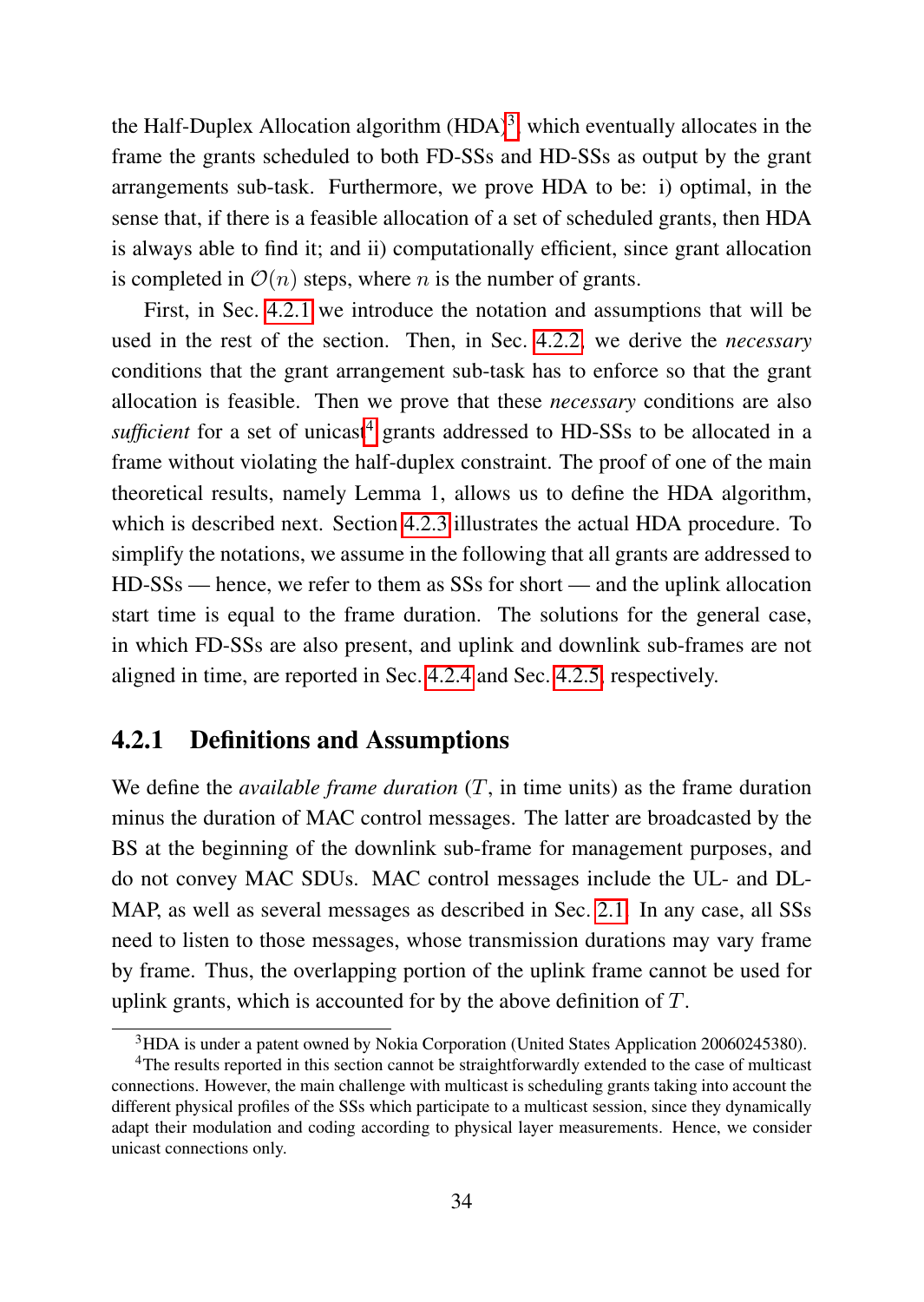the Half-Duplex Allocation algorithm  $(HDA)^3$  $(HDA)^3$ , which eventually allocates in the frame the grants scheduled to both FD-SSs and HD-SSs as output by the grant arrangements sub-task. Furthermore, we prove HDA to be: i) optimal, in the sense that, if there is a feasible allocation of a set of scheduled grants, then HDA is always able to find it; and ii) computationally efficient, since grant allocation is completed in  $\mathcal{O}(n)$  steps, where *n* is the number of grants.

First, in Sec. [4.2.1](#page-47-0) we introduce the notation and assumptions that will be used in the rest of the section. Then, in Sec. [4.2.2,](#page-50-0) we derive the *necessary* conditions that the grant arrangement sub-task has to enforce so that the grant allocation is feasible. Then we prove that these *necessary* conditions are also *sufficient* for a set of unicast<sup>[4](#page-0-0)</sup> grants addressed to HD-SSs to be allocated in a frame without violating the half-duplex constraint. The proof of one of the main theoretical results, namely Lemma 1, allows us to define the HDA algorithm, which is described next. Section [4.2.3](#page-53-0) illustrates the actual HDA procedure. To simplify the notations, we assume in the following that all grants are addressed to HD-SSs — hence, we refer to them as SSs for short — and the uplink allocation start time is equal to the frame duration. The solutions for the general case, in which FD-SSs are also present, and uplink and downlink sub-frames are not aligned in time, are reported in Sec. [4.2.4](#page-55-0) and Sec. [4.2.5,](#page-56-0) respectively.

#### <span id="page-47-0"></span>4.2.1 Definitions and Assumptions

We define the *available frame duration*  $(T, \text{ in time units})$  as the frame duration minus the duration of MAC control messages. The latter are broadcasted by the BS at the beginning of the downlink sub-frame for management purposes, and do not convey MAC SDUs. MAC control messages include the UL- and DL-MAP, as well as several messages as described in Sec. [2.1.](#page-21-1) In any case, all SSs need to listen to those messages, whose transmission durations may vary frame by frame. Thus, the overlapping portion of the uplink frame cannot be used for uplink grants, which is accounted for by the above definition of  $T$ .

<sup>3</sup>HDA is under a patent owned by Nokia Corporation (United States Application 20060245380).

<sup>4</sup>The results reported in this section cannot be straightforwardly extended to the case of multicast connections. However, the main challenge with multicast is scheduling grants taking into account the different physical profiles of the SSs which participate to a multicast session, since they dynamically adapt their modulation and coding according to physical layer measurements. Hence, we consider unicast connections only.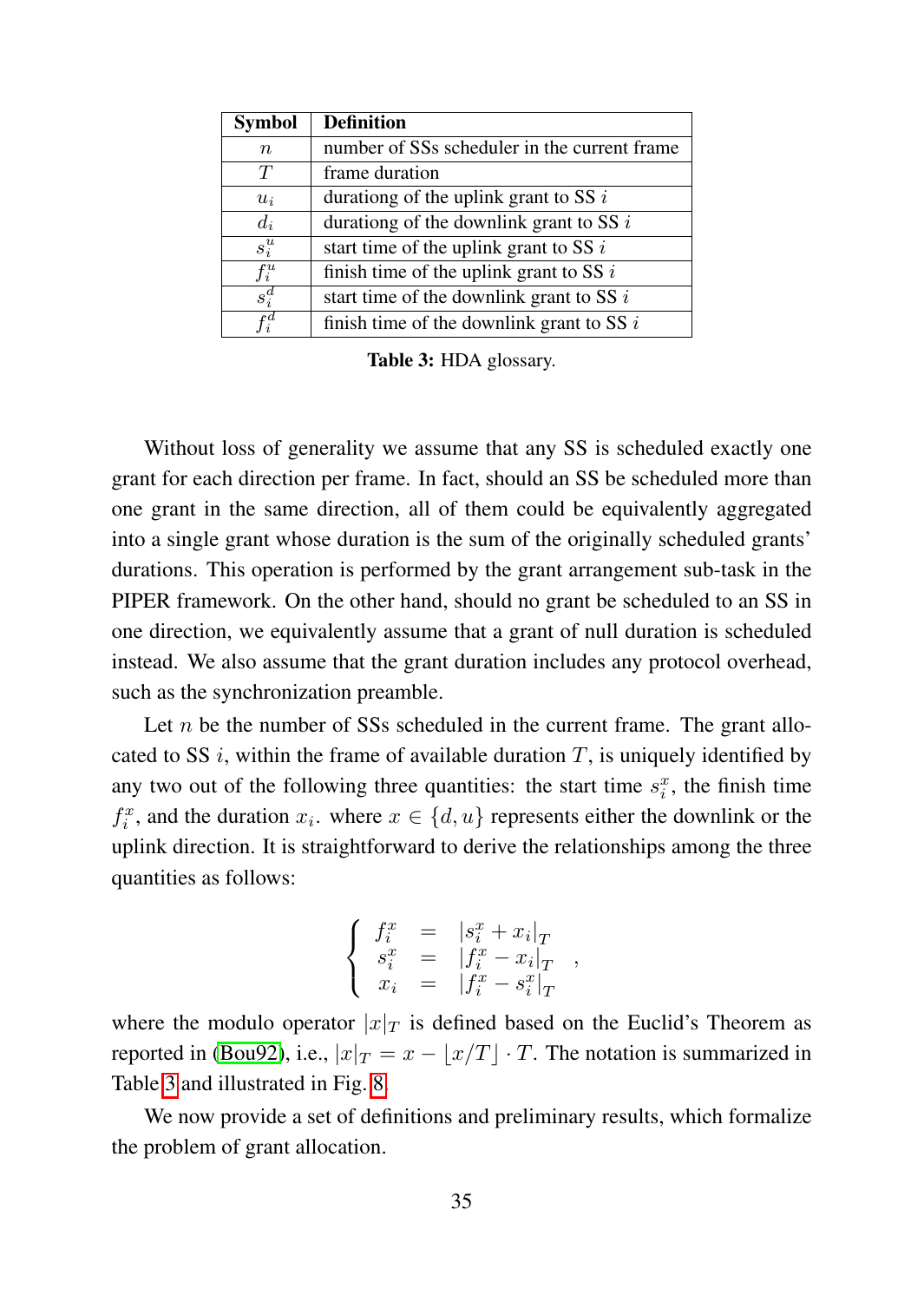| <b>Symbol</b>    | <b>Definition</b>                            |
|------------------|----------------------------------------------|
| $\boldsymbol{n}$ | number of SSs scheduler in the current frame |
| T                | frame duration                               |
| $u_i$            | durationg of the uplink grant to SS $i$      |
| $d_i$            | durationg of the downlink grant to SS $i$    |
| $s_i^u$          | start time of the uplink grant to SS $i$     |
| $f_i^u$          | finish time of the uplink grant to SS $i$    |
| $s_i^d$          | start time of the downlink grant to SS $i$   |
| $f_i^d$          | finish time of the downlink grant to SS $i$  |

<span id="page-48-0"></span>Table 3: HDA glossary.

Without loss of generality we assume that any SS is scheduled exactly one grant for each direction per frame. In fact, should an SS be scheduled more than one grant in the same direction, all of them could be equivalently aggregated into a single grant whose duration is the sum of the originally scheduled grants' durations. This operation is performed by the grant arrangement sub-task in the PIPER framework. On the other hand, should no grant be scheduled to an SS in one direction, we equivalently assume that a grant of null duration is scheduled instead. We also assume that the grant duration includes any protocol overhead, such as the synchronization preamble.

Let  $n$  be the number of SSs scheduled in the current frame. The grant allocated to SS i, within the frame of available duration  $T$ , is uniquely identified by any two out of the following three quantities: the start time  $s_i^x$ , the finish time  $f_i^x$ , and the duration  $x_i$ , where  $x \in \{d, u\}$  represents either the downlink or the uplink direction. It is straightforward to derive the relationships among the three quantities as follows:

$$
\begin{cases}\n f_i^x = |s_i^x + x_i|_T \\
 s_i^x = |f_i^x - x_i|_T \\
 x_i = |f_i^x - s_i^x|_T\n\end{cases}
$$

where the modulo operator  $|x|_T$  is defined based on the Euclid's Theorem as reported in [\(Bou92\)](#page-100-0), i.e.,  $|x|_T = x - |x/T| \cdot T$ . The notation is summarized in Table [3](#page-48-0) and illustrated in Fig. [8.](#page-49-0)

We now provide a set of definitions and preliminary results, which formalize the problem of grant allocation.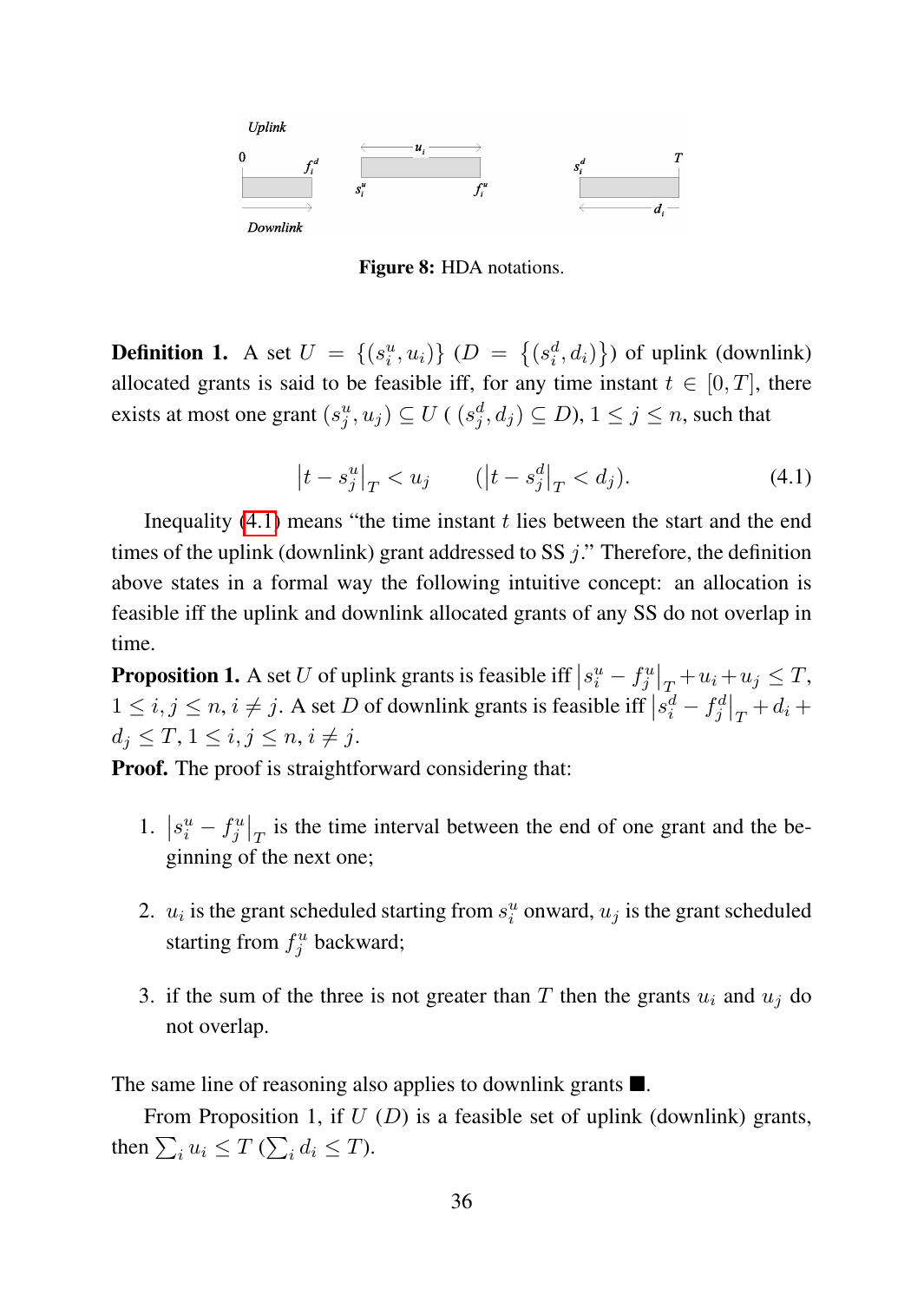

<span id="page-49-0"></span>Figure 8: HDA notations.

**Definition 1.** A set  $U = \{(s_i^u, u_i)\}$  ( $D = \{(s_i^d, d_i)\}$ ) of uplink (downlink) allocated grants is said to be feasible iff, for any time instant  $t \in [0, T]$ , there exists at most one grant  $(s_j^u, u_j) \subseteq U$  (  $(s_j^d, d_j) \subseteq D$ ),  $1 \le j \le n$ , such that

<span id="page-49-1"></span>
$$
\left| t - s_j^u \right|_T < u_j \qquad \left( \left| t - s_j^d \right|_T < d_j \right). \tag{4.1}
$$

Inequality  $(4.1)$  means "the time instant t lies between the start and the end times of the uplink (downlink) grant addressed to SS  $i$ ." Therefore, the definition above states in a formal way the following intuitive concept: an allocation is feasible iff the uplink and downlink allocated grants of any SS do not overlap in time.

**Proposition 1.** A set U of uplink grants is feasible iff  $|s_i^u - f_j^u|_{T_i} + u_i + u_j \leq T$ ,  $1 \le i, j \le n, i \ne j$ . A set D of downlink grants is feasible iff  $|s_i^d - f_j^d|_T + d_i +$  $d_i \leq T, 1 \leq i, j \leq n, i \neq j.$ 

Proof. The proof is straightforward considering that:

- 1.  $|s_i^u f_j^u|_T$  is the time interval between the end of one grant and the beginning of the next one;
- 2.  $u_i$  is the grant scheduled starting from  $s_i^u$  onward,  $u_j$  is the grant scheduled starting from  $f_j^u$  backward;
- 3. if the sum of the three is not greater than T then the grants  $u_i$  and  $u_j$  do not overlap.

The same line of reasoning also applies to downlink grants  $\blacksquare$ .

From Proposition 1, if  $U(D)$  is a feasible set of uplink (downlink) grants, then  $\sum_i u_i \leq T \left( \sum_i d_i \leq T \right)$ .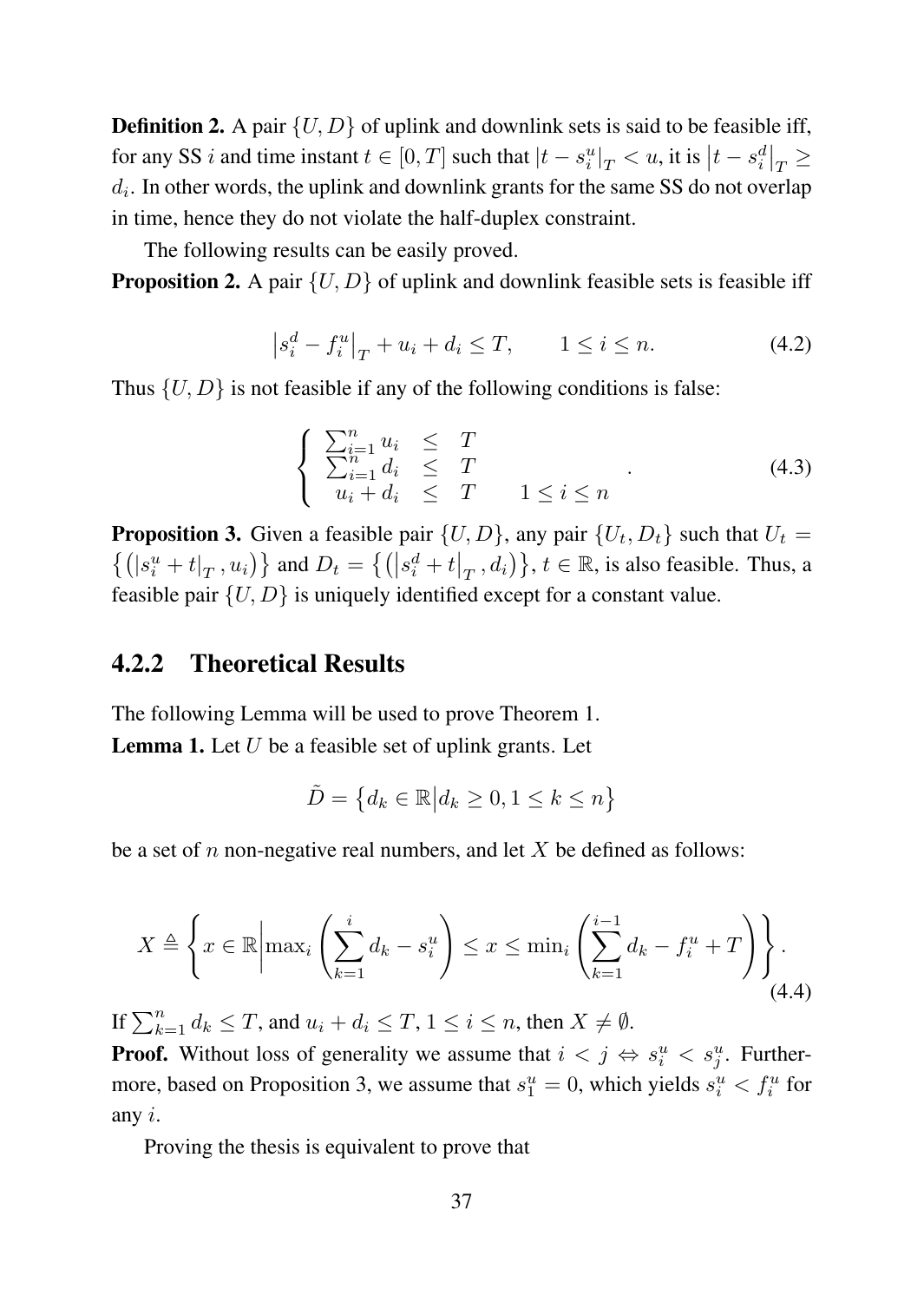**Definition 2.** A pair  $\{U, D\}$  of uplink and downlink sets is said to be feasible iff, for any SS *i* and time instant  $t \in [0, T]$  such that  $|t - s_i^u|_T < u$ , it is  $|t - s_i^d|_T \ge$  $d_i$ . In other words, the uplink and downlink grants for the same SS do not overlap in time, hence they do not violate the half-duplex constraint.

The following results can be easily proved.

**Proposition 2.** A pair  $\{U, D\}$  of uplink and downlink feasible sets is feasible iff

<span id="page-50-2"></span>
$$
\left| s_i^d - f_i^u \right|_T + u_i + d_i \le T, \qquad 1 \le i \le n. \tag{4.2}
$$

Thus  $\{U, D\}$  is not feasible if any of the following conditions is false:

<span id="page-50-3"></span>
$$
\begin{cases}\n\sum_{i=1}^{n} u_i & \leq T \\
\sum_{i=1}^{n} d_i & \leq T \\
u_i + d_i & \leq T\n\end{cases}
$$
\n(4.3)

**Proposition 3.** Given a feasible pair  $\{U, D\}$ , any pair  $\{U_t, D_t\}$  such that  $U_t$  $\{(|s_i^u + t|_T, u_i)\}\$  and  $D_t = \{(|s_i^d + t|_T, d_i)\}\$ ,  $t \in \mathbb{R}$ , is also feasible. Thus, a feasible pair  $\{U, D\}$  is uniquely identified except for a constant value.

#### <span id="page-50-0"></span>4.2.2 Theoretical Results

The following Lemma will be used to prove Theorem 1. **Lemma 1.** Let  $U$  be a feasible set of uplink grants. Let

$$
\tilde{D} = \left\{ d_k \in \mathbb{R} \middle| d_k \ge 0, 1 \le k \le n \right\}
$$

be a set of n non-negative real numbers, and let  $X$  be defined as follows:

<span id="page-50-1"></span>
$$
X \triangleq \left\{ x \in \mathbb{R} \, \middle| \, \max_i \left( \sum_{k=1}^i d_k - s_i^u \right) \le x \le \min_i \left( \sum_{k=1}^{i-1} d_k - f_i^u + T \right) \right\}.
$$
\n(4.4)

If  $\sum_{k=1}^{n} d_k \leq T$ , and  $u_i + d_i \leq T$ ,  $1 \leq i \leq n$ , then  $X \neq \emptyset$ .

**Proof.** Without loss of generality we assume that  $i < j \Leftrightarrow s_i^u < s_j^u$ . Furthermore, based on Proposition 3, we assume that  $s_1^u = 0$ , which yields  $s_i^u < f_i^u$  for any i.

Proving the thesis is equivalent to prove that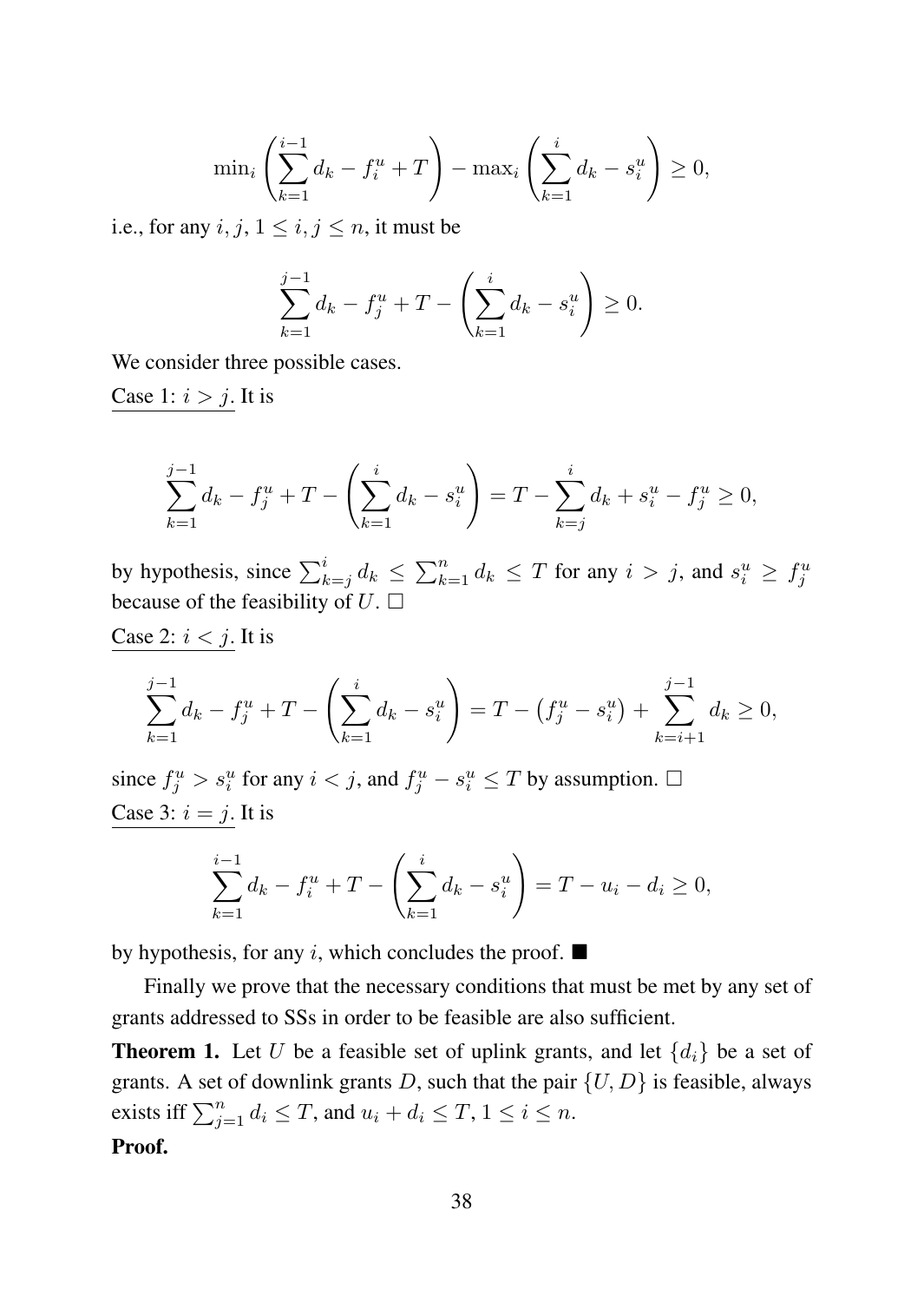$$
\min_{i} \left( \sum_{k=1}^{i-1} d_k - f_i^u + T \right) - \max_{i} \left( \sum_{k=1}^{i} d_k - s_i^u \right) \ge 0,
$$

i.e., for any  $i, j, 1 \leq i, j \leq n$ , it must be

$$
\sum_{k=1}^{j-1} d_k - f_j^u + T - \left(\sum_{k=1}^i d_k - s_i^u\right) \ge 0.
$$

We consider three possible cases.

Case 1:  $i > j$ . It is

$$
\sum_{k=1}^{j-1} d_k - f_j^u + T - \left(\sum_{k=1}^i d_k - s_i^u\right) = T - \sum_{k=j}^i d_k + s_i^u - f_j^u \ge 0,
$$

by hypothesis, since  $\sum_{k=j}^{i} d_k \le \sum_{k=1}^{n} d_k \le T$  for any  $i > j$ , and  $s_i^u \ge f_j^u$ because of the feasibility of  $U$ .  $\square$ 

Case 2:  $i < j$ . It is

$$
\sum_{k=1}^{j-1} d_k - f_j^u + T - \left(\sum_{k=1}^i d_k - s_i^u\right) = T - \left(f_j^u - s_i^u\right) + \sum_{k=i+1}^{j-1} d_k \ge 0,
$$

since  $f_j^u > s_i^u$  for any  $i < j$ , and  $f_j^u - s_i^u \leq T$  by assumption.  $\Box$ Case 3:  $i = j$ . It is

$$
\sum_{k=1}^{i-1} d_k - f_i^u + T - \left(\sum_{k=1}^i d_k - s_i^u\right) = T - u_i - d_i \ge 0,
$$

by hypothesis, for any i, which concludes the proof.  $\blacksquare$ 

Finally we prove that the necessary conditions that must be met by any set of grants addressed to SSs in order to be feasible are also sufficient.

**Theorem 1.** Let U be a feasible set of uplink grants, and let  $\{d_i\}$  be a set of grants. A set of downlink grants D, such that the pair  $\{U, D\}$  is feasible, always exists iff  $\sum_{j=1}^{n} d_i \leq T$ , and  $u_i + d_i \leq T$ ,  $1 \leq i \leq n$ . Proof.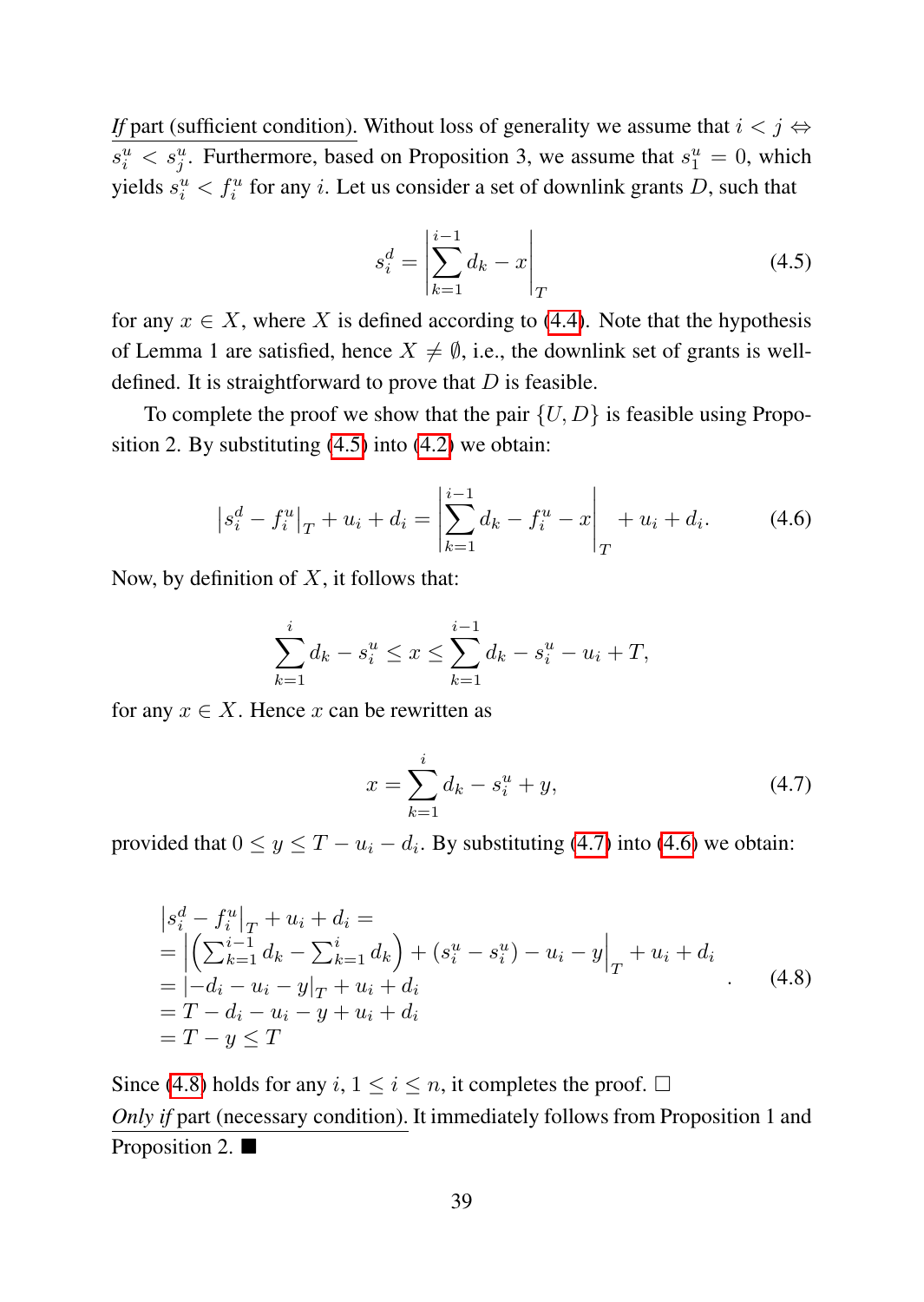*If* part (sufficient condition). Without loss of generality we assume that  $i < j \Leftrightarrow$  $s_i^u < s_j^u$ . Furthermore, based on Proposition 3, we assume that  $s_1^u = 0$ , which yields  $s_i^u < f_i^u$  for any *i*. Let us consider a set of downlink grants *D*, such that

<span id="page-52-0"></span>
$$
s_i^d = \left| \sum_{k=1}^{i-1} d_k - x \right|_T \tag{4.5}
$$

for any  $x \in X$ , where X is defined according to [\(4.4\)](#page-50-1). Note that the hypothesis of Lemma 1 are satisfied, hence  $X \neq \emptyset$ , i.e., the downlink set of grants is welldefined. It is straightforward to prove that  $D$  is feasible.

To complete the proof we show that the pair  $\{U, D\}$  is feasible using Proposition 2. By substituting  $(4.5)$  into  $(4.2)$  we obtain:

<span id="page-52-2"></span>
$$
\left| s_i^d - f_i^u \right|_T + u_i + d_i = \left| \sum_{k=1}^{i-1} d_k - f_i^u - x \right|_T + u_i + d_i.
$$
 (4.6)

Now, by definition of  $X$ , it follows that:

$$
\sum_{k=1}^{i} d_k - s_i^u \le x \le \sum_{k=1}^{i-1} d_k - s_i^u - u_i + T,
$$

for any  $x \in X$ . Hence x can be rewritten as

<span id="page-52-1"></span>
$$
x = \sum_{k=1}^{i} d_k - s_i^u + y,\tag{4.7}
$$

provided that  $0 \le y \le T - u_i - d_i$ . By substituting [\(4.7\)](#page-52-1) into [\(4.6\)](#page-52-2) we obtain:

<span id="page-52-3"></span>
$$
\begin{aligned}\n\left| s_i^d - f_i^u \right|_T + u_i + d_i &= \\
&= \left| \left( \sum_{k=1}^{i-1} d_k - \sum_{k=1}^i d_k \right) + (s_i^u - s_i^u) - u_i - y \right|_T + u_i + d_i \\
&= \left| -d_i - u_i - y \right|_T + u_i + d_i \\
&= T - d_i - u_i - y + u_i + d_i \\
&= T - y \le T\n\end{aligned} \tag{4.8}
$$

Since [\(4.8\)](#page-52-3) holds for any  $i, 1 \le i \le n$ , it completes the proof.  $\Box$ *Only if* part (necessary condition). It immediately follows from Proposition 1 and Proposition 2. ■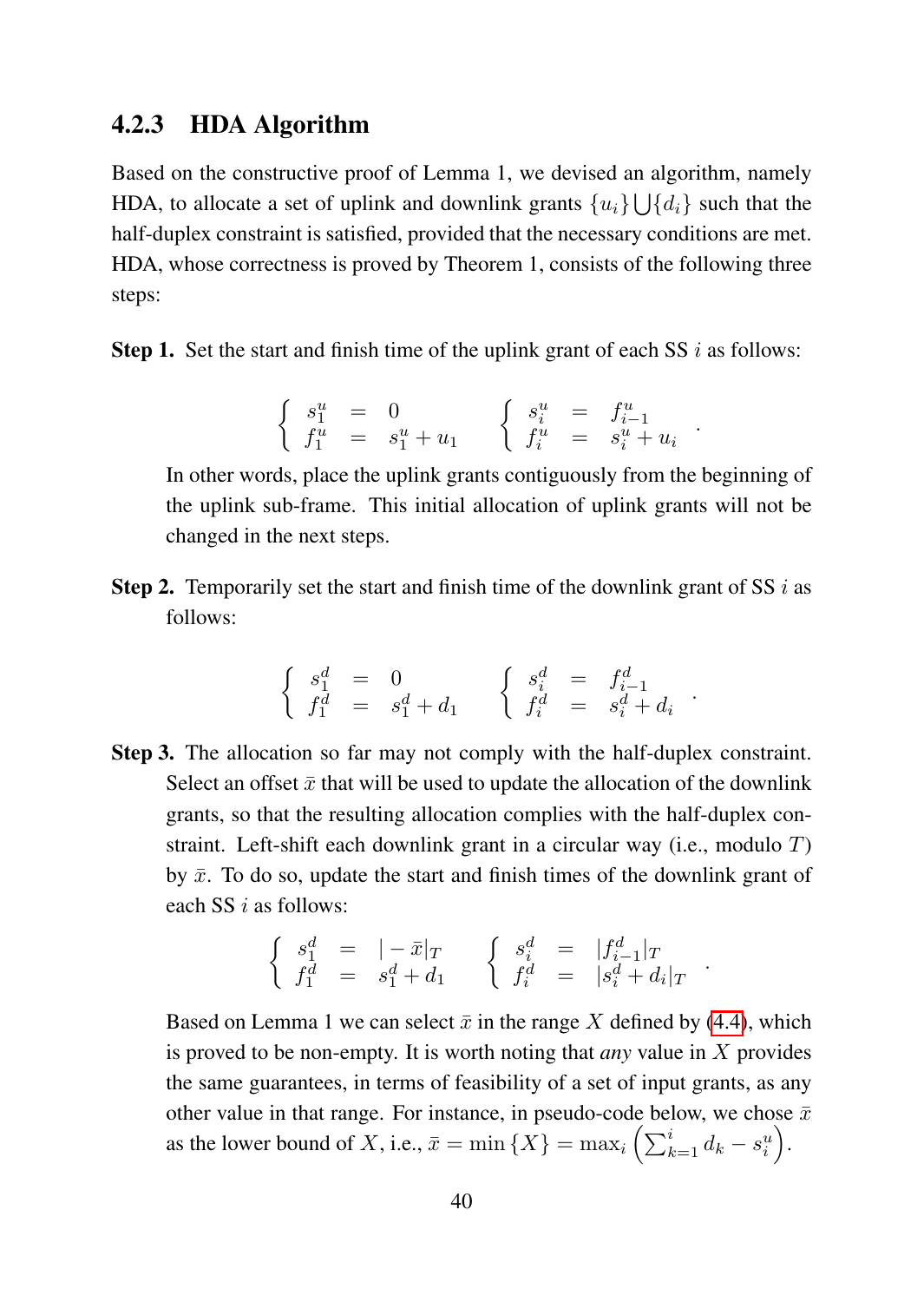#### <span id="page-53-0"></span>4.2.3 HDA Algorithm

Based on the constructive proof of Lemma 1, we devised an algorithm, namely HDA, to allocate a set of uplink and downlink grants  $\{u_i\} \bigcup \{d_i\}$  such that the half-duplex constraint is satisfied, provided that the necessary conditions are met. HDA, whose correctness is proved by Theorem 1, consists of the following three steps:

**Step 1.** Set the start and finish time of the uplink grant of each SS i as follows:

$$
\begin{cases}\n s_1^u = 0 \\
 f_1^u = s_1^u + u_1\n\end{cases}\n\quad\n\begin{cases}\n s_i^u = f_{i-1}^u \\
 f_i^u = s_i^u + u_i\n\end{cases}
$$

.

.

.

In other words, place the uplink grants contiguously from the beginning of the uplink sub-frame. This initial allocation of uplink grants will not be changed in the next steps.

**Step 2.** Temporarily set the start and finish time of the downlink grant of SS  $i$  as follows:

$$
\left\{ \begin{array}{ccl} s_1^d &=& 0 \\ f_1^d &=& s_1^d + d_1 \end{array} \right. \quad \left\{ \begin{array}{ccl} s_i^d &=& f_{i-1}^d \\ f_i^d &=& s_i^d + d_i \end{array} \right.
$$

Step 3. The allocation so far may not comply with the half-duplex constraint. Select an offset  $\bar{x}$  that will be used to update the allocation of the downlink grants, so that the resulting allocation complies with the half-duplex constraint. Left-shift each downlink grant in a circular way (i.e., modulo  $T$ ) by  $\bar{x}$ . To do so, update the start and finish times of the downlink grant of each SS  $i$  as follows:

$$
\left\{ \begin{array}{ccl} s_1^d & = & |-\bar{x}|_T \\ f_1^d & = & s_1^d + d_1 \end{array} \right. \quad \left\{ \begin{array}{ccl} s_i^d & = & |f_{i-1}^d|_T \\ f_i^d & = & |s_i^d + d_i|_T \end{array} \right.
$$

Based on Lemma 1 we can select  $\bar{x}$  in the range X defined by [\(4.4\)](#page-50-1), which is proved to be non-empty. It is worth noting that *any* value in X provides the same guarantees, in terms of feasibility of a set of input grants, as any other value in that range. For instance, in pseudo-code below, we chose  $\bar{x}$ as the lower bound of X, i.e.,  $\bar{x} = \min\{X\} = \max_i \left( \sum_{k=1}^i d_k - s_i^u \right)$ .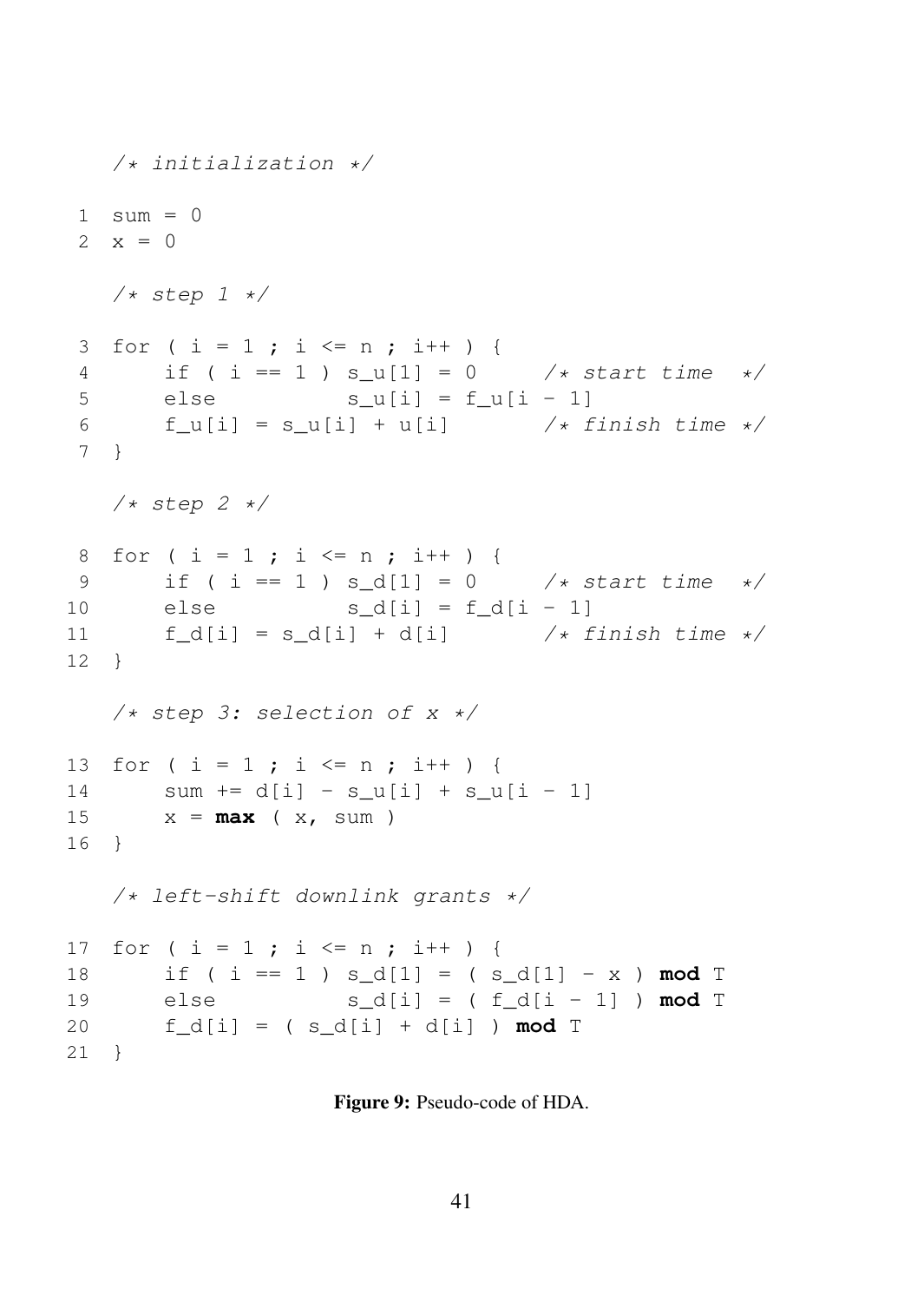```
/* initialization */1 sum = 02 \times = 0/* step 1 */3 for ( i = 1 ; i \le n ; i++) {
4 if ( i == 1 ) s_u[1] = 0 /* start time */5 else s_u[i] = f_u[i - 1]6 f_u[i] = s_u[i] + u[i] /* finish time */
7 }
   /* step 2 */8 for ( i = 1 ; i \le n ; i++) {
9 if ( i == 1 ) s_d[1] = 0 /* start time */10 else s_d[i] = f_d[i - 1]11 f_d[i] = s_d[i] + d[i] /* finish time */
12 }
   /* step 3: selection of x */
13 for ( i = 1 ; i \le n ; i++) {
14 sum += d[i] - s u[i] + s u[i - 1]15 x = max (x, sum)16 }
   /* left-shift downlink grants */17 for ( i = 1 ; i \le n ; i++) {
18 if ( i == 1 ) s_d[1] = ( s_d[1] - x ) mod T
19 else s_d[i] = ( f_d[i - 1] ) mod T
20 f_d[i] = ( s_d[i] + d[i] ) mod T
21 }
```

```
Figure 9: Pseudo-code of HDA.
```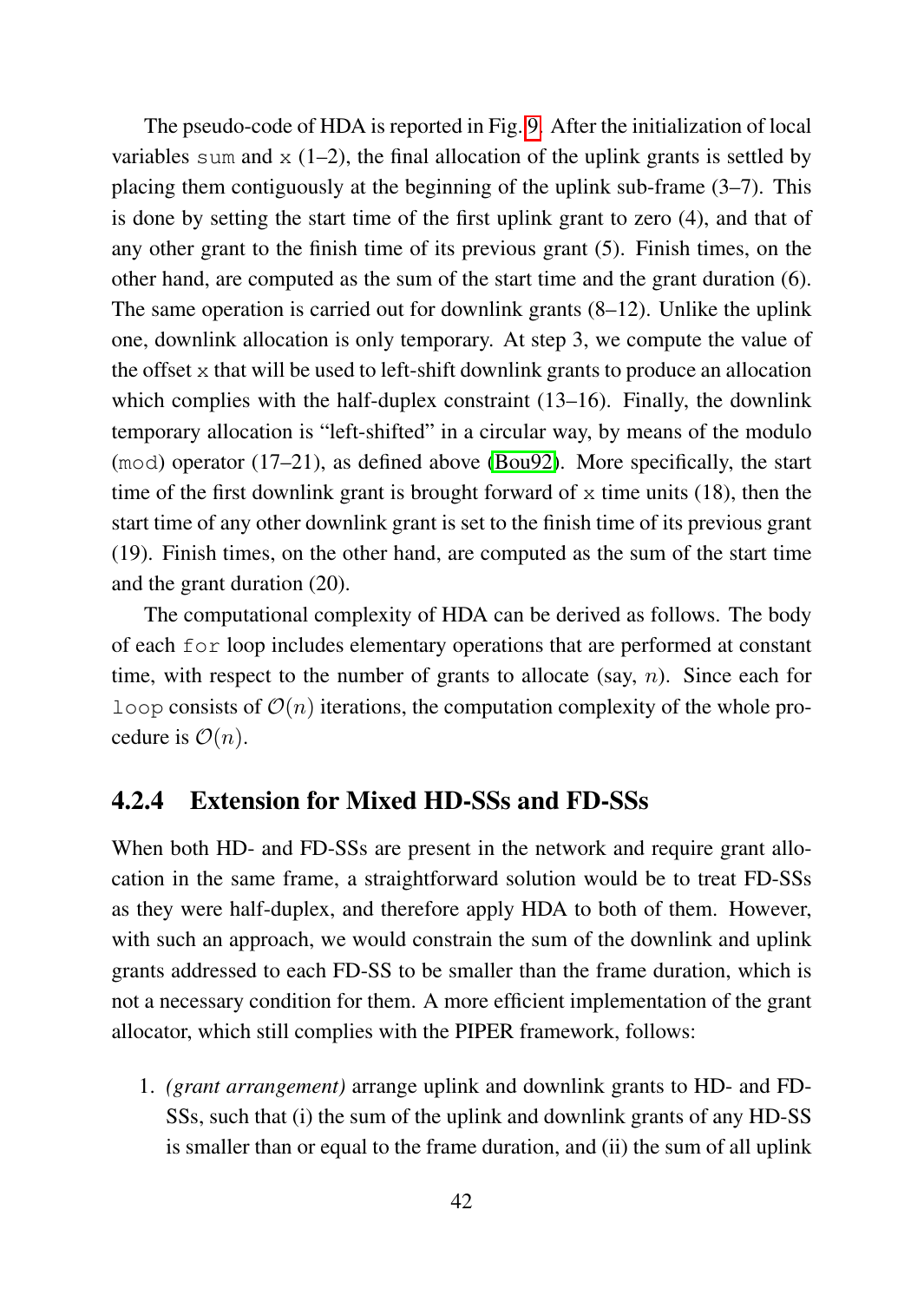The pseudo-code of HDA is reported in Fig. [9.](#page-54-0) After the initialization of local variables sum and  $x$  (1–2), the final allocation of the uplink grants is settled by placing them contiguously at the beginning of the uplink sub-frame (3–7). This is done by setting the start time of the first uplink grant to zero (4), and that of any other grant to the finish time of its previous grant (5). Finish times, on the other hand, are computed as the sum of the start time and the grant duration (6). The same operation is carried out for downlink grants (8–12). Unlike the uplink one, downlink allocation is only temporary. At step 3, we compute the value of the offset x that will be used to left-shift downlink grants to produce an allocation which complies with the half-duplex constraint (13–16). Finally, the downlink temporary allocation is "left-shifted" in a circular way, by means of the modulo (mod) operator (17–21), as defined above [\(Bou92\)](#page-100-0). More specifically, the start time of the first downlink grant is brought forward of  $x$  time units (18), then the start time of any other downlink grant is set to the finish time of its previous grant (19). Finish times, on the other hand, are computed as the sum of the start time and the grant duration (20).

The computational complexity of HDA can be derived as follows. The body of each for loop includes elementary operations that are performed at constant time, with respect to the number of grants to allocate (say,  $n$ ). Since each for loop consists of  $\mathcal{O}(n)$  iterations, the computation complexity of the whole procedure is  $\mathcal{O}(n)$ .

#### <span id="page-55-0"></span>4.2.4 Extension for Mixed HD-SSs and FD-SSs

When both HD- and FD-SSs are present in the network and require grant allocation in the same frame, a straightforward solution would be to treat FD-SSs as they were half-duplex, and therefore apply HDA to both of them. However, with such an approach, we would constrain the sum of the downlink and uplink grants addressed to each FD-SS to be smaller than the frame duration, which is not a necessary condition for them. A more efficient implementation of the grant allocator, which still complies with the PIPER framework, follows:

1. *(grant arrangement)* arrange uplink and downlink grants to HD- and FD-SSs, such that (i) the sum of the uplink and downlink grants of any HD-SS is smaller than or equal to the frame duration, and (ii) the sum of all uplink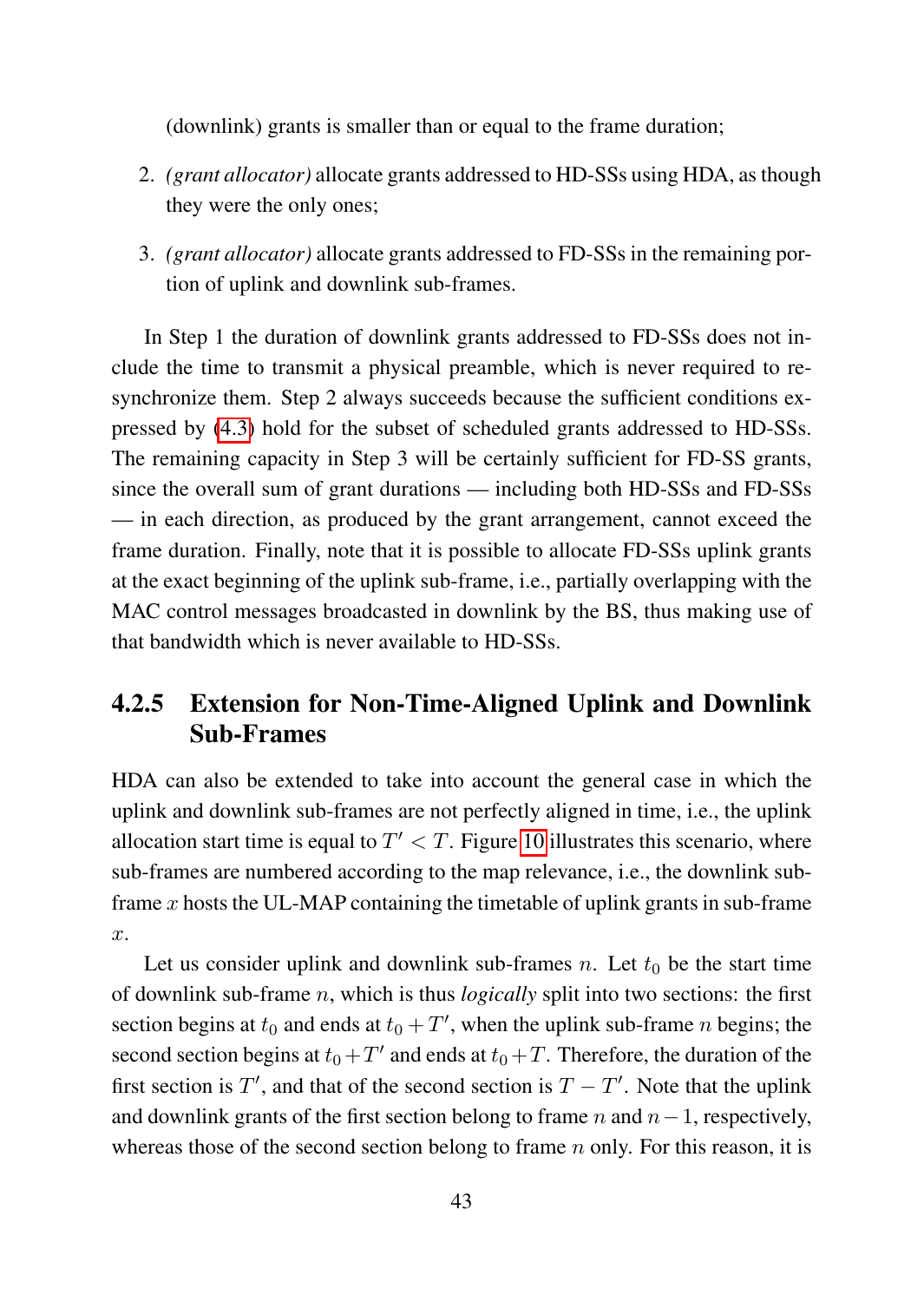(downlink) grants is smaller than or equal to the frame duration;

- 2. *(grant allocator)* allocate grants addressed to HD-SSs using HDA, as though they were the only ones;
- 3. *(grant allocator)* allocate grants addressed to FD-SSs in the remaining portion of uplink and downlink sub-frames.

In Step 1 the duration of downlink grants addressed to FD-SSs does not include the time to transmit a physical preamble, which is never required to resynchronize them. Step 2 always succeeds because the sufficient conditions expressed by [\(4.3\)](#page-50-3) hold for the subset of scheduled grants addressed to HD-SSs. The remaining capacity in Step 3 will be certainly sufficient for FD-SS grants, since the overall sum of grant durations — including both HD-SSs and FD-SSs — in each direction, as produced by the grant arrangement, cannot exceed the frame duration. Finally, note that it is possible to allocate FD-SSs uplink grants at the exact beginning of the uplink sub-frame, i.e., partially overlapping with the MAC control messages broadcasted in downlink by the BS, thus making use of that bandwidth which is never available to HD-SSs.

### <span id="page-56-0"></span>4.2.5 Extension for Non-Time-Aligned Uplink and Downlink Sub-Frames

HDA can also be extended to take into account the general case in which the uplink and downlink sub-frames are not perfectly aligned in time, i.e., the uplink allocation start time is equal to  $T' < T$ . Figure [10](#page-57-1) illustrates this scenario, where sub-frames are numbered according to the map relevance, i.e., the downlink subframe  $x$  hosts the UL-MAP containing the timetable of uplink grants in sub-frame  $\hat{x}$ .

Let us consider uplink and downlink sub-frames n. Let  $t_0$  be the start time of downlink sub-frame n, which is thus *logically* split into two sections: the first section begins at  $t_0$  and ends at  $t_0 + T'$ , when the uplink sub-frame n begins; the second section begins at  $t_0+T'$  and ends at  $t_0+T$ . Therefore, the duration of the first section is  $T'$ , and that of the second section is  $T - T'$ . Note that the uplink and downlink grants of the first section belong to frame n and  $n-1$ , respectively, whereas those of the second section belong to frame  $n$  only. For this reason, it is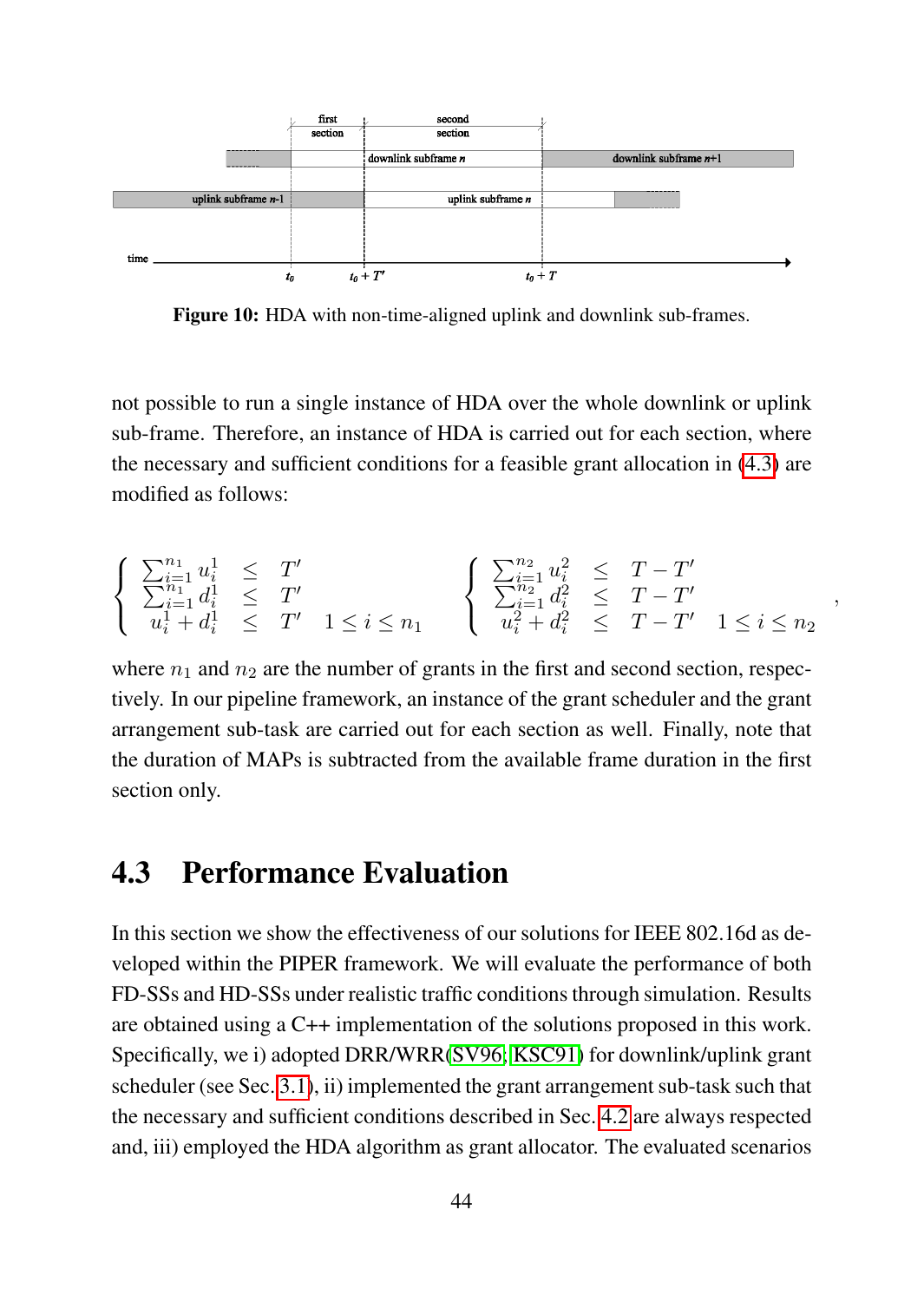

<span id="page-57-1"></span>Figure 10: HDA with non-time-aligned uplink and downlink sub-frames.

not possible to run a single instance of HDA over the whole downlink or uplink sub-frame. Therefore, an instance of HDA is carried out for each section, where the necessary and sufficient conditions for a feasible grant allocation in [\(4.3\)](#page-50-3) are modified as follows:

$$
\left\{\begin{array}{ccc}\sum_{i=1}^{n_1}u^1_i&\leq&T'\\ \sum_{i=1}^{n_1}d^1_i&\leq&T'\\ u^1_i+d^1_i&\leq&T'\\ \end{array}\right. \quad 1\leq i\leq n_1 \quad \quad \left\{\begin{array}{ccc}\sum_{i=1}^{n_2}u^2_i&\leq&T-T'\\ \sum_{i=1}^{n_2}d^2_i&\leq&T-T'\\ u^2_i+d^2_i&\leq&T-T'\\ \end{array}\right. \quad 1\leq i\leq n_2
$$

,

where  $n_1$  and  $n_2$  are the number of grants in the first and second section, respectively. In our pipeline framework, an instance of the grant scheduler and the grant arrangement sub-task are carried out for each section as well. Finally, note that the duration of MAPs is subtracted from the available frame duration in the first section only.

## <span id="page-57-0"></span>4.3 Performance Evaluation

In this section we show the effectiveness of our solutions for IEEE 802.16d as developed within the PIPER framework. We will evaluate the performance of both FD-SSs and HD-SSs under realistic traffic conditions through simulation. Results are obtained using a C++ implementation of the solutions proposed in this work. Specifically, we i) adopted DRR/WRR[\(SV96;](#page-103-3) [KSC91\)](#page-102-1) for downlink/uplink grant scheduler (see Sec. [3.1\)](#page-39-0), ii) implemented the grant arrangement sub-task such that the necessary and sufficient conditions described in Sec. [4.2](#page-46-0) are always respected and, iii) employed the HDA algorithm as grant allocator. The evaluated scenarios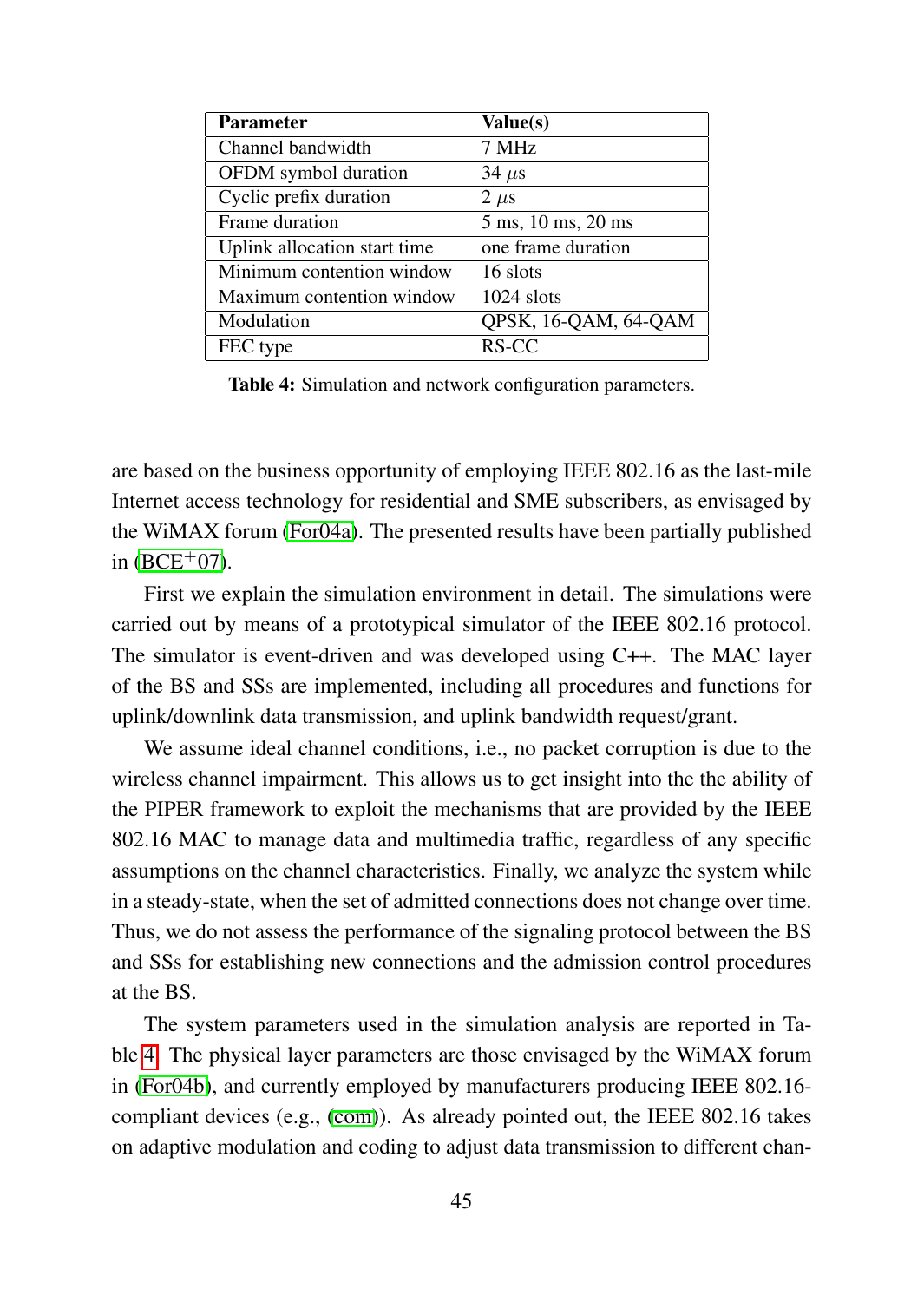| <b>Parameter</b>             | Value(s)             |
|------------------------------|----------------------|
| Channel bandwidth            | 7 MHz                |
| OFDM symbol duration         | $34 \mu s$           |
| Cyclic prefix duration       | $2 \mu s$            |
| Frame duration               | 5 ms, 10 ms, 20 ms   |
| Uplink allocation start time | one frame duration   |
| Minimum contention window    | 16 slots             |
| Maximum contention window    | $1024$ slots         |
| Modulation                   | OPSK, 16-OAM, 64-OAM |
| FEC type                     | RS-CC                |

<span id="page-58-0"></span>Table 4: Simulation and network configuration parameters.

are based on the business opportunity of employing IEEE 802.16 as the last-mile Internet access technology for residential and SME subscribers, as envisaged by the WiMAX forum [\(For04a\)](#page-101-3). The presented results have been partially published in  $(BCE+07)$  $(BCE+07)$ .

First we explain the simulation environment in detail. The simulations were carried out by means of a prototypical simulator of the IEEE 802.16 protocol. The simulator is event-driven and was developed using C++. The MAC layer of the BS and SSs are implemented, including all procedures and functions for uplink/downlink data transmission, and uplink bandwidth request/grant.

We assume ideal channel conditions, i.e., no packet corruption is due to the wireless channel impairment. This allows us to get insight into the the ability of the PIPER framework to exploit the mechanisms that are provided by the IEEE 802.16 MAC to manage data and multimedia traffic, regardless of any specific assumptions on the channel characteristics. Finally, we analyze the system while in a steady-state, when the set of admitted connections does not change over time. Thus, we do not assess the performance of the signaling protocol between the BS and SSs for establishing new connections and the admission control procedures at the BS.

The system parameters used in the simulation analysis are reported in Table [4.](#page-58-0) The physical layer parameters are those envisaged by the WiMAX forum in [\(For04b\)](#page-101-4), and currently employed by manufacturers producing IEEE 802.16 compliant devices (e.g., [\(com\)](#page-101-5)). As already pointed out, the IEEE 802.16 takes on adaptive modulation and coding to adjust data transmission to different chan-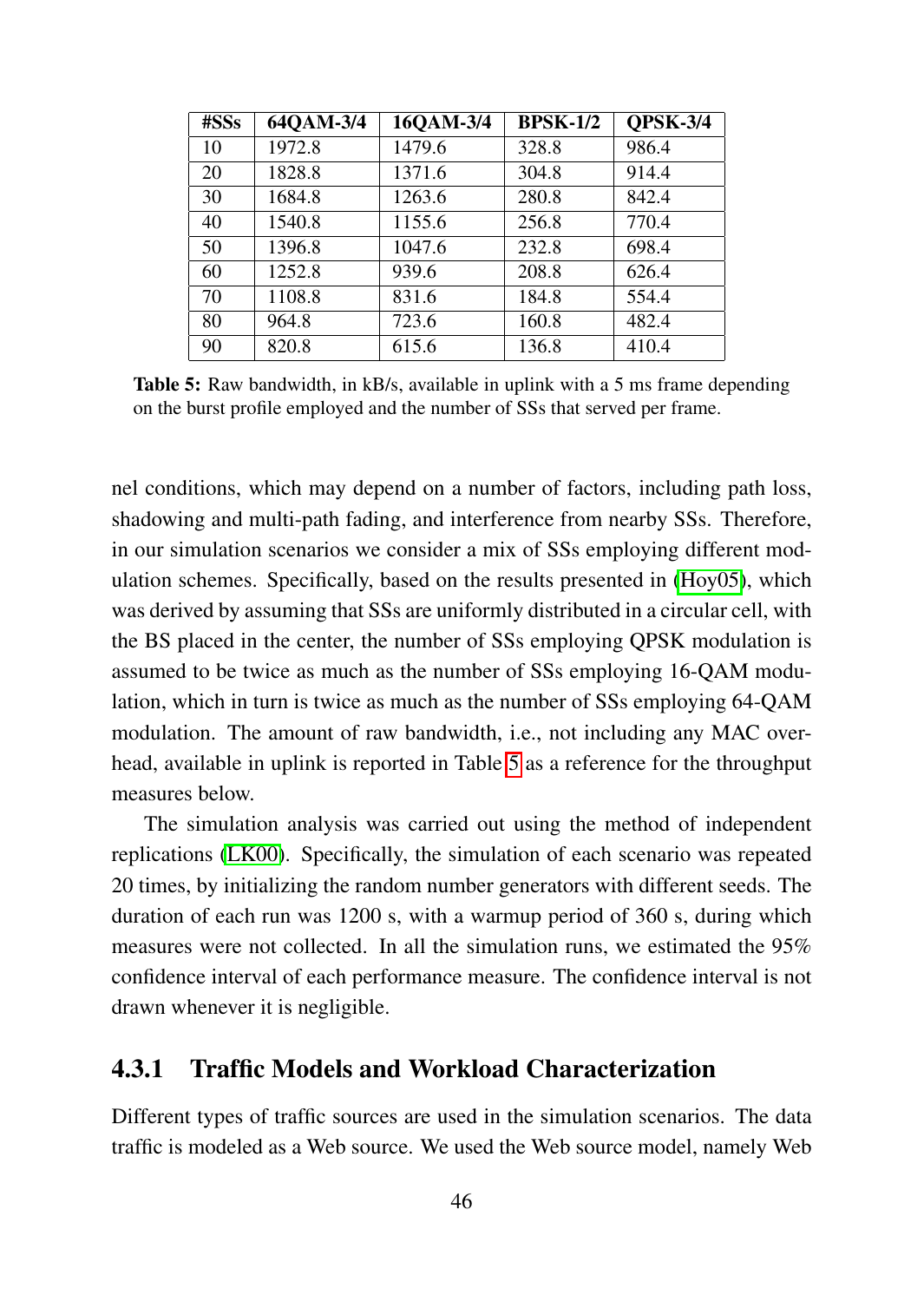| #SSs | 64OAM-3/4 | 16QAM-3/4 | <b>BPSK-1/2</b> | <b>QPSK-3/4</b> |
|------|-----------|-----------|-----------------|-----------------|
| 10   | 1972.8    | 1479.6    | 328.8           | 986.4           |
| 20   | 1828.8    | 1371.6    | 304.8           | 914.4           |
| 30   | 1684.8    | 1263.6    | 280.8           | 842.4           |
| 40   | 1540.8    | 1155.6    | 256.8           | 770.4           |
| 50   | 1396.8    | 1047.6    | 232.8           | 698.4           |
| 60   | 1252.8    | 939.6     | 208.8           | 626.4           |
| 70   | 1108.8    | 831.6     | 184.8           | 554.4           |
| 80   | 964.8     | 723.6     | 160.8           | 482.4           |
| 90   | 820.8     | 615.6     | 136.8           | 410.4           |

<span id="page-59-0"></span>Table 5: Raw bandwidth, in kB/s, available in uplink with a 5 ms frame depending on the burst profile employed and the number of SSs that served per frame.

nel conditions, which may depend on a number of factors, including path loss, shadowing and multi-path fading, and interference from nearby SSs. Therefore, in our simulation scenarios we consider a mix of SSs employing different modulation schemes. Specifically, based on the results presented in [\(Hoy05\)](#page-102-3), which was derived by assuming that SSs are uniformly distributed in a circular cell, with the BS placed in the center, the number of SSs employing QPSK modulation is assumed to be twice as much as the number of SSs employing 16-QAM modulation, which in turn is twice as much as the number of SSs employing 64-QAM modulation. The amount of raw bandwidth, i.e., not including any MAC overhead, available in uplink is reported in Table [5](#page-59-0) as a reference for the throughput measures below.

The simulation analysis was carried out using the method of independent replications [\(LK00\)](#page-102-4). Specifically, the simulation of each scenario was repeated 20 times, by initializing the random number generators with different seeds. The duration of each run was 1200 s, with a warmup period of 360 s, during which measures were not collected. In all the simulation runs, we estimated the 95% confidence interval of each performance measure. The confidence interval is not drawn whenever it is negligible.

#### 4.3.1 Traffic Models and Workload Characterization

Different types of traffic sources are used in the simulation scenarios. The data traffic is modeled as a Web source. We used the Web source model, namely Web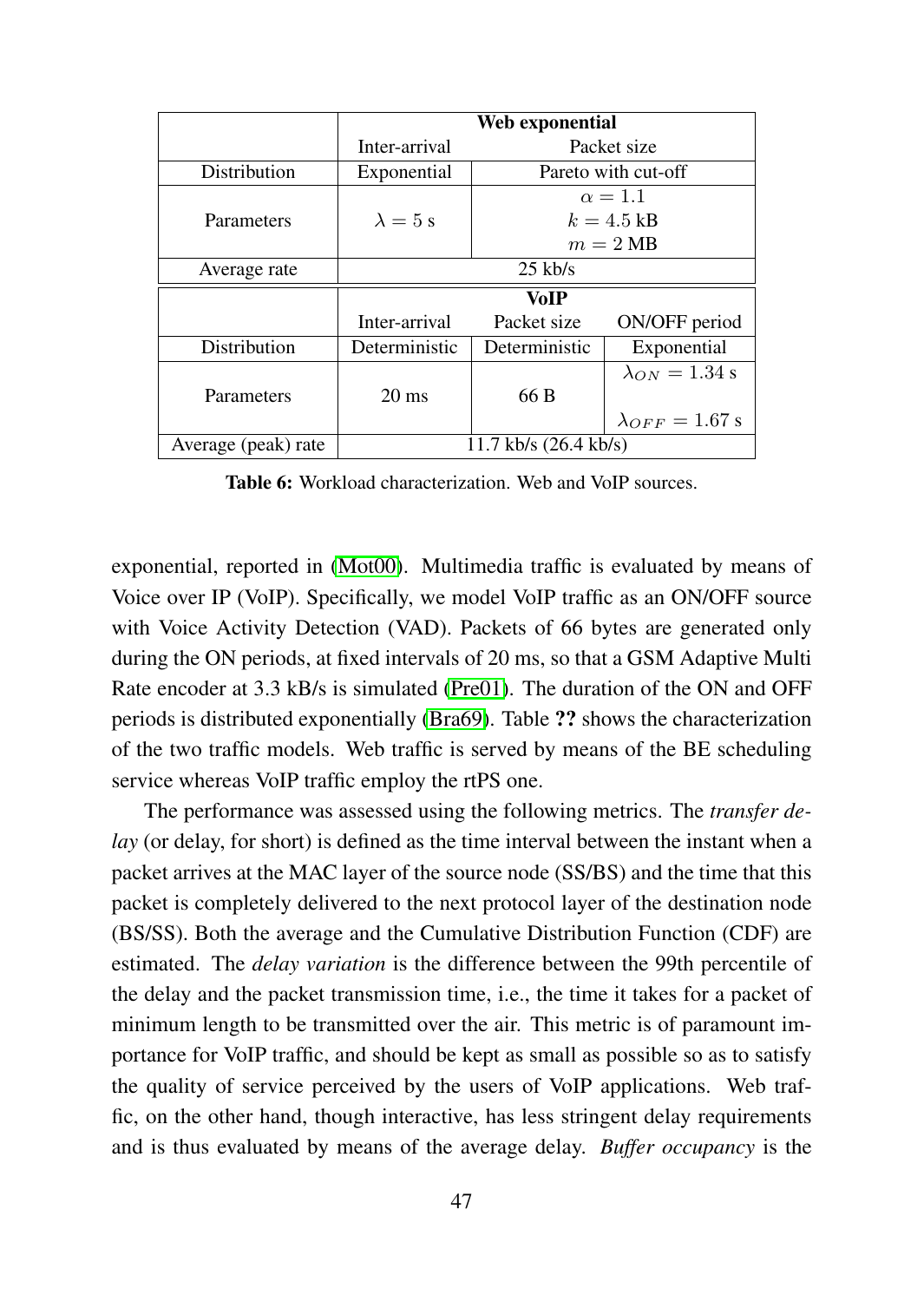|                     | Web exponential                 |                     |                          |
|---------------------|---------------------------------|---------------------|--------------------------|
|                     | Inter-arrival                   |                     | Packet size              |
| Distribution        | Exponential                     | Pareto with cut-off |                          |
|                     | $\alpha=1.1$                    |                     |                          |
| Parameters          | $\lambda = 5$ s                 | $k = 4.5$ kB        |                          |
|                     |                                 | $m=2$ MB            |                          |
| Average rate        | $25$ kb/s                       |                     |                          |
|                     | VoIP                            |                     |                          |
|                     | Inter-arrival                   | Packet size         | ON/OFF period            |
| Distribution        | Deterministic                   | Deterministic       | Exponential              |
|                     |                                 |                     | $\lambda_{ON} = 1.34$ s  |
| Parameters          | $20 \text{ ms}$                 | 66 B                |                          |
|                     |                                 |                     | $\lambda_{OFF} = 1.67$ s |
| Average (peak) rate | 11.7 kb/s $(26.4 \text{ kb/s})$ |                     |                          |

Table 6: Workload characterization. Web and VoIP sources.

exponential, reported in [\(Mot00\)](#page-102-5). Multimedia traffic is evaluated by means of Voice over IP (VoIP). Specifically, we model VoIP traffic as an ON/OFF source with Voice Activity Detection (VAD). Packets of 66 bytes are generated only during the ON periods, at fixed intervals of 20 ms, so that a GSM Adaptive Multi Rate encoder at 3.3 kB/s is simulated [\(Pre01\)](#page-103-5). The duration of the ON and OFF periods is distributed exponentially [\(Bra69\)](#page-100-2). Table ?? shows the characterization of the two traffic models. Web traffic is served by means of the BE scheduling service whereas VoIP traffic employ the rtPS one.

The performance was assessed using the following metrics. The *transfer delay* (or delay, for short) is defined as the time interval between the instant when a packet arrives at the MAC layer of the source node (SS/BS) and the time that this packet is completely delivered to the next protocol layer of the destination node (BS/SS). Both the average and the Cumulative Distribution Function (CDF) are estimated. The *delay variation* is the difference between the 99th percentile of the delay and the packet transmission time, i.e., the time it takes for a packet of minimum length to be transmitted over the air. This metric is of paramount importance for VoIP traffic, and should be kept as small as possible so as to satisfy the quality of service perceived by the users of VoIP applications. Web traffic, on the other hand, though interactive, has less stringent delay requirements and is thus evaluated by means of the average delay. *Buffer occupancy* is the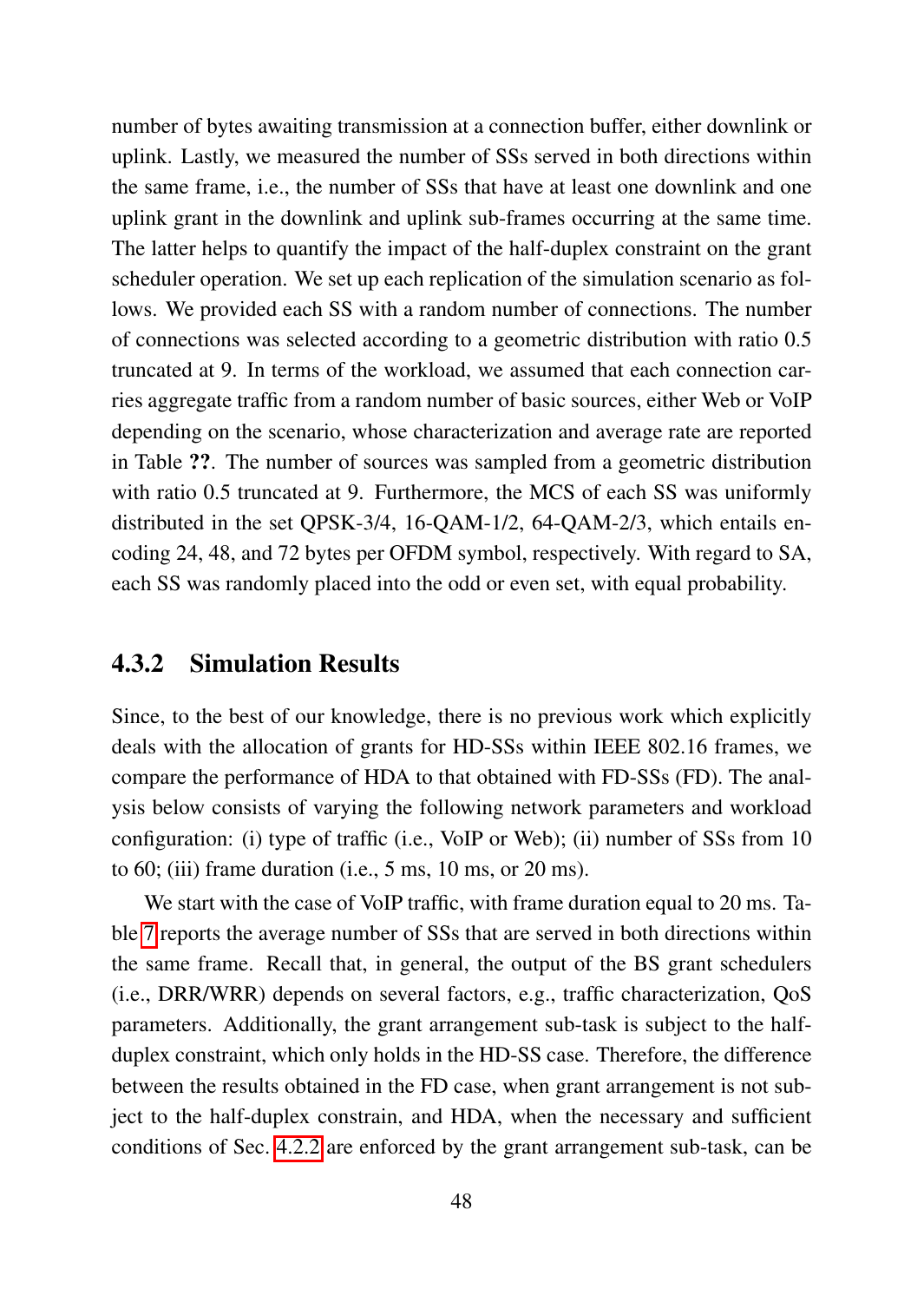number of bytes awaiting transmission at a connection buffer, either downlink or uplink. Lastly, we measured the number of SSs served in both directions within the same frame, i.e., the number of SSs that have at least one downlink and one uplink grant in the downlink and uplink sub-frames occurring at the same time. The latter helps to quantify the impact of the half-duplex constraint on the grant scheduler operation. We set up each replication of the simulation scenario as follows. We provided each SS with a random number of connections. The number of connections was selected according to a geometric distribution with ratio 0.5 truncated at 9. In terms of the workload, we assumed that each connection carries aggregate traffic from a random number of basic sources, either Web or VoIP depending on the scenario, whose characterization and average rate are reported in Table ??. The number of sources was sampled from a geometric distribution with ratio 0.5 truncated at 9. Furthermore, the MCS of each SS was uniformly distributed in the set QPSK-3/4, 16-QAM-1/2, 64-QAM-2/3, which entails encoding 24, 48, and 72 bytes per OFDM symbol, respectively. With regard to SA, each SS was randomly placed into the odd or even set, with equal probability.

#### 4.3.2 Simulation Results

Since, to the best of our knowledge, there is no previous work which explicitly deals with the allocation of grants for HD-SSs within IEEE 802.16 frames, we compare the performance of HDA to that obtained with FD-SSs (FD). The analysis below consists of varying the following network parameters and workload configuration: (i) type of traffic (i.e., VoIP or Web); (ii) number of SSs from 10 to  $60$ ; (iii) frame duration (i.e.,  $5 \text{ ms}$ ,  $10 \text{ ms}$ , or  $20 \text{ ms}$ ).

We start with the case of VoIP traffic, with frame duration equal to 20 ms. Table [7](#page-62-0) reports the average number of SSs that are served in both directions within the same frame. Recall that, in general, the output of the BS grant schedulers (i.e., DRR/WRR) depends on several factors, e.g., traffic characterization, QoS parameters. Additionally, the grant arrangement sub-task is subject to the halfduplex constraint, which only holds in the HD-SS case. Therefore, the difference between the results obtained in the FD case, when grant arrangement is not subject to the half-duplex constrain, and HDA, when the necessary and sufficient conditions of Sec. [4.2.2](#page-50-0) are enforced by the grant arrangement sub-task, can be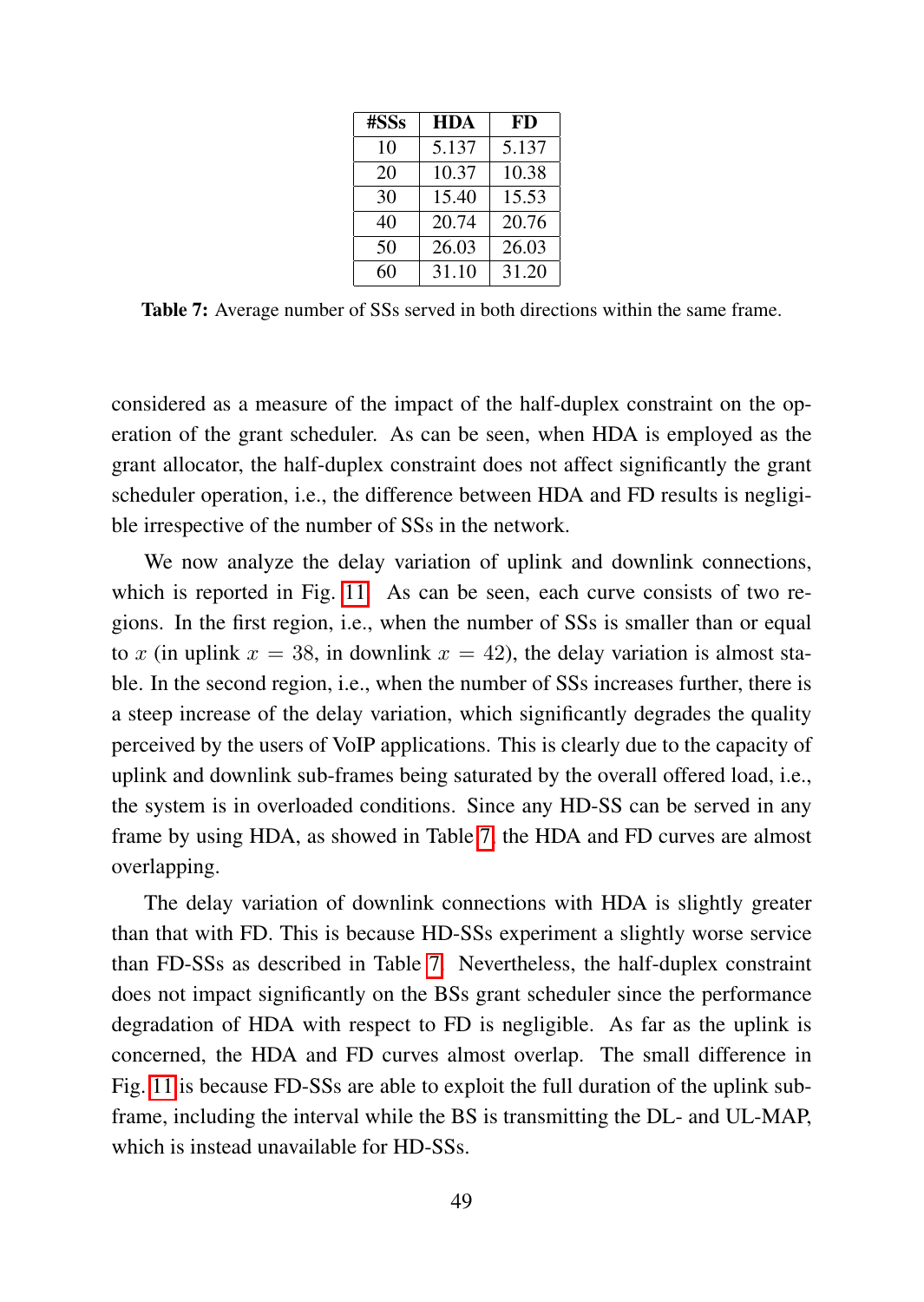| #SSs | <b>HDA</b> | FD    |
|------|------------|-------|
| 10   | 5.137      | 5.137 |
| 20   | 10.37      | 10.38 |
| 30   | 15.40      | 15.53 |
| 40   | 20.74      | 20.76 |
| 50   | 26.03      | 26.03 |
| 60   | 31.10      | 31.20 |

<span id="page-62-0"></span>Table 7: Average number of SSs served in both directions within the same frame.

considered as a measure of the impact of the half-duplex constraint on the operation of the grant scheduler. As can be seen, when HDA is employed as the grant allocator, the half-duplex constraint does not affect significantly the grant scheduler operation, i.e., the difference between HDA and FD results is negligible irrespective of the number of SSs in the network.

We now analyze the delay variation of uplink and downlink connections, which is reported in Fig. [11.](#page-63-0) As can be seen, each curve consists of two regions. In the first region, i.e., when the number of SSs is smaller than or equal to x (in uplink  $x = 38$ , in downlink  $x = 42$ ), the delay variation is almost stable. In the second region, i.e., when the number of SSs increases further, there is a steep increase of the delay variation, which significantly degrades the quality perceived by the users of VoIP applications. This is clearly due to the capacity of uplink and downlink sub-frames being saturated by the overall offered load, i.e., the system is in overloaded conditions. Since any HD-SS can be served in any frame by using HDA, as showed in Table [7,](#page-62-0) the HDA and FD curves are almost overlapping.

The delay variation of downlink connections with HDA is slightly greater than that with FD. This is because HD-SSs experiment a slightly worse service than FD-SSs as described in Table [7.](#page-62-0) Nevertheless, the half-duplex constraint does not impact significantly on the BSs grant scheduler since the performance degradation of HDA with respect to FD is negligible. As far as the uplink is concerned, the HDA and FD curves almost overlap. The small difference in Fig. [11](#page-63-0) is because FD-SSs are able to exploit the full duration of the uplink subframe, including the interval while the BS is transmitting the DL- and UL-MAP, which is instead unavailable for HD-SSs.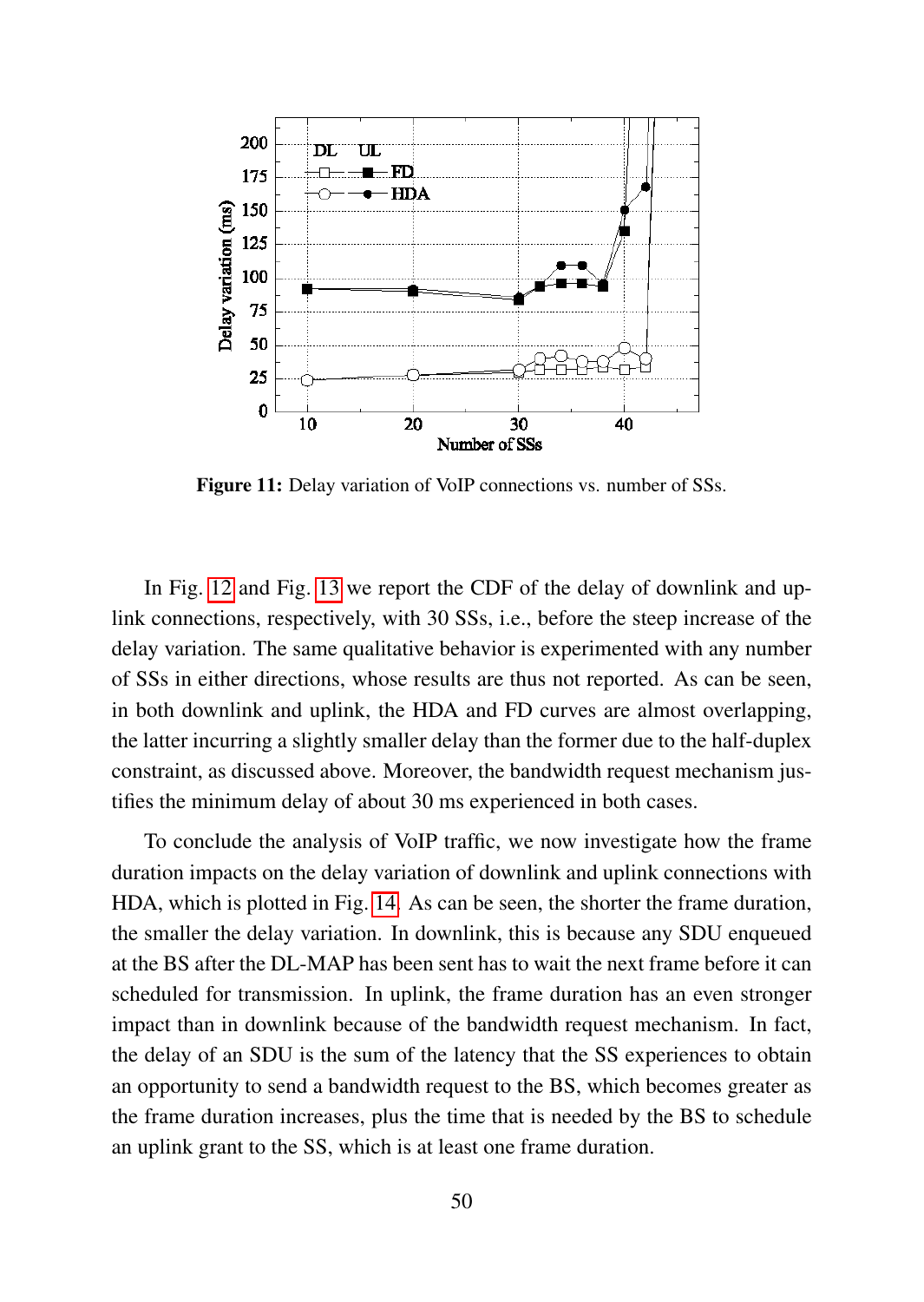

<span id="page-63-0"></span>Figure 11: Delay variation of VoIP connections vs. number of SSs.

In Fig. [12](#page-64-0) and Fig. [13](#page-64-1) we report the CDF of the delay of downlink and uplink connections, respectively, with 30 SSs, i.e., before the steep increase of the delay variation. The same qualitative behavior is experimented with any number of SSs in either directions, whose results are thus not reported. As can be seen, in both downlink and uplink, the HDA and FD curves are almost overlapping, the latter incurring a slightly smaller delay than the former due to the half-duplex constraint, as discussed above. Moreover, the bandwidth request mechanism justifies the minimum delay of about 30 ms experienced in both cases.

To conclude the analysis of VoIP traffic, we now investigate how the frame duration impacts on the delay variation of downlink and uplink connections with HDA, which is plotted in Fig. [14.](#page-65-0) As can be seen, the shorter the frame duration, the smaller the delay variation. In downlink, this is because any SDU enqueued at the BS after the DL-MAP has been sent has to wait the next frame before it can scheduled for transmission. In uplink, the frame duration has an even stronger impact than in downlink because of the bandwidth request mechanism. In fact, the delay of an SDU is the sum of the latency that the SS experiences to obtain an opportunity to send a bandwidth request to the BS, which becomes greater as the frame duration increases, plus the time that is needed by the BS to schedule an uplink grant to the SS, which is at least one frame duration.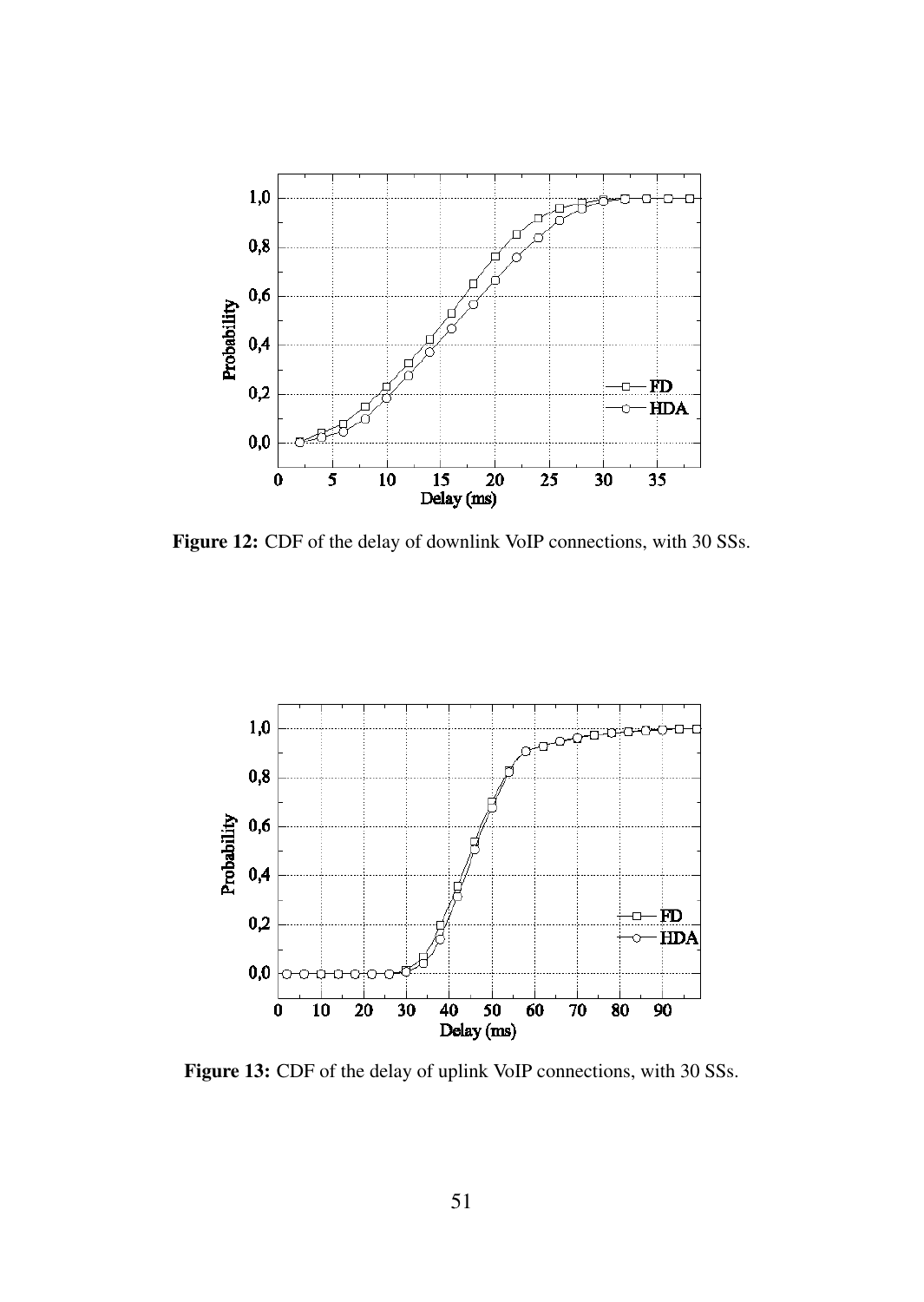

<span id="page-64-0"></span>Figure 12: CDF of the delay of downlink VoIP connections, with 30 SSs.



<span id="page-64-1"></span>Figure 13: CDF of the delay of uplink VoIP connections, with 30 SSs.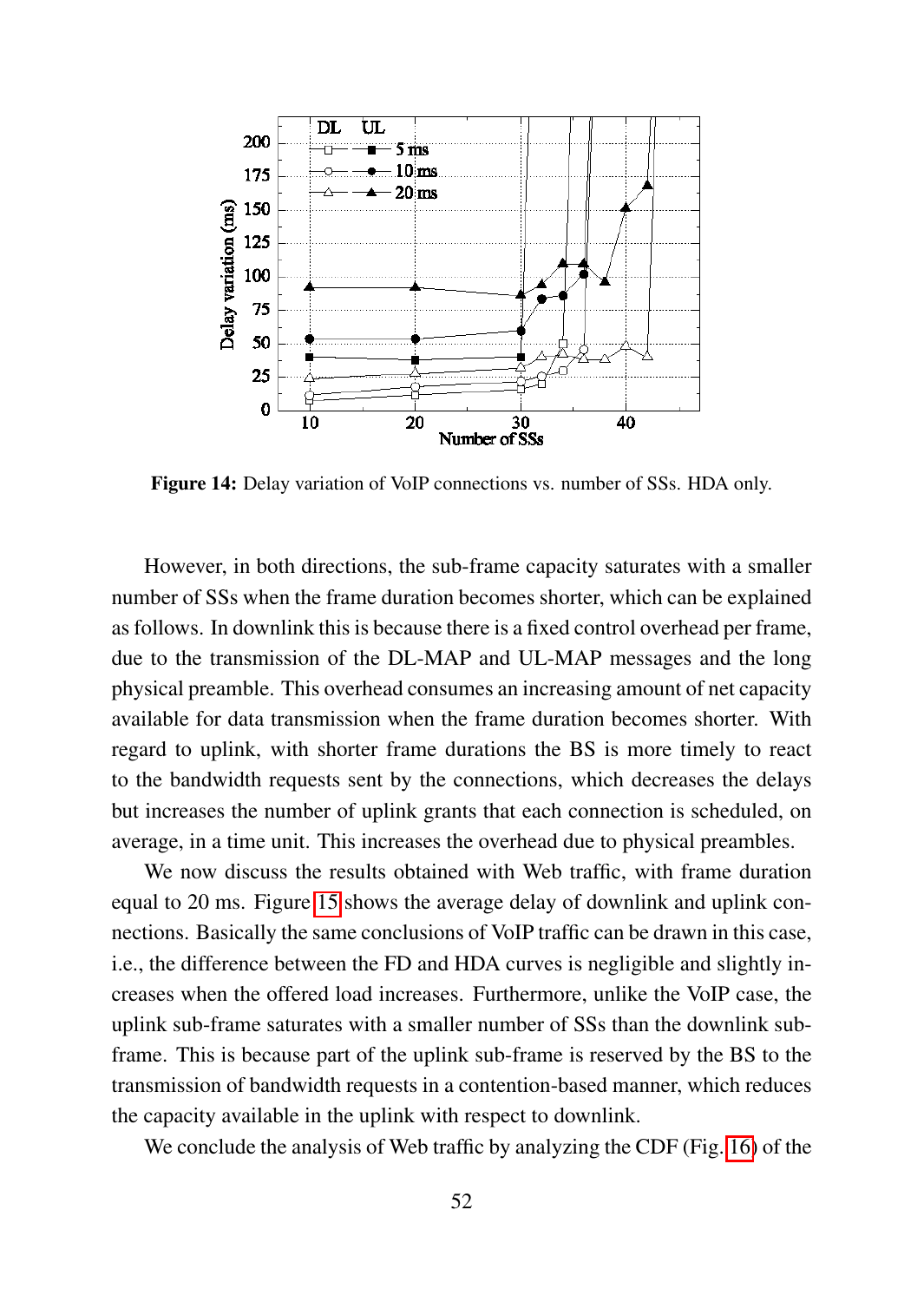

<span id="page-65-0"></span>Figure 14: Delay variation of VoIP connections vs. number of SSs. HDA only.

However, in both directions, the sub-frame capacity saturates with a smaller number of SSs when the frame duration becomes shorter, which can be explained as follows. In downlink this is because there is a fixed control overhead per frame, due to the transmission of the DL-MAP and UL-MAP messages and the long physical preamble. This overhead consumes an increasing amount of net capacity available for data transmission when the frame duration becomes shorter. With regard to uplink, with shorter frame durations the BS is more timely to react to the bandwidth requests sent by the connections, which decreases the delays but increases the number of uplink grants that each connection is scheduled, on average, in a time unit. This increases the overhead due to physical preambles.

We now discuss the results obtained with Web traffic, with frame duration equal to 20 ms. Figure [15](#page-66-0) shows the average delay of downlink and uplink connections. Basically the same conclusions of VoIP traffic can be drawn in this case, i.e., the difference between the FD and HDA curves is negligible and slightly increases when the offered load increases. Furthermore, unlike the VoIP case, the uplink sub-frame saturates with a smaller number of SSs than the downlink subframe. This is because part of the uplink sub-frame is reserved by the BS to the transmission of bandwidth requests in a contention-based manner, which reduces the capacity available in the uplink with respect to downlink.

We conclude the analysis of Web traffic by analyzing the CDF (Fig. [16\)](#page-67-0) of the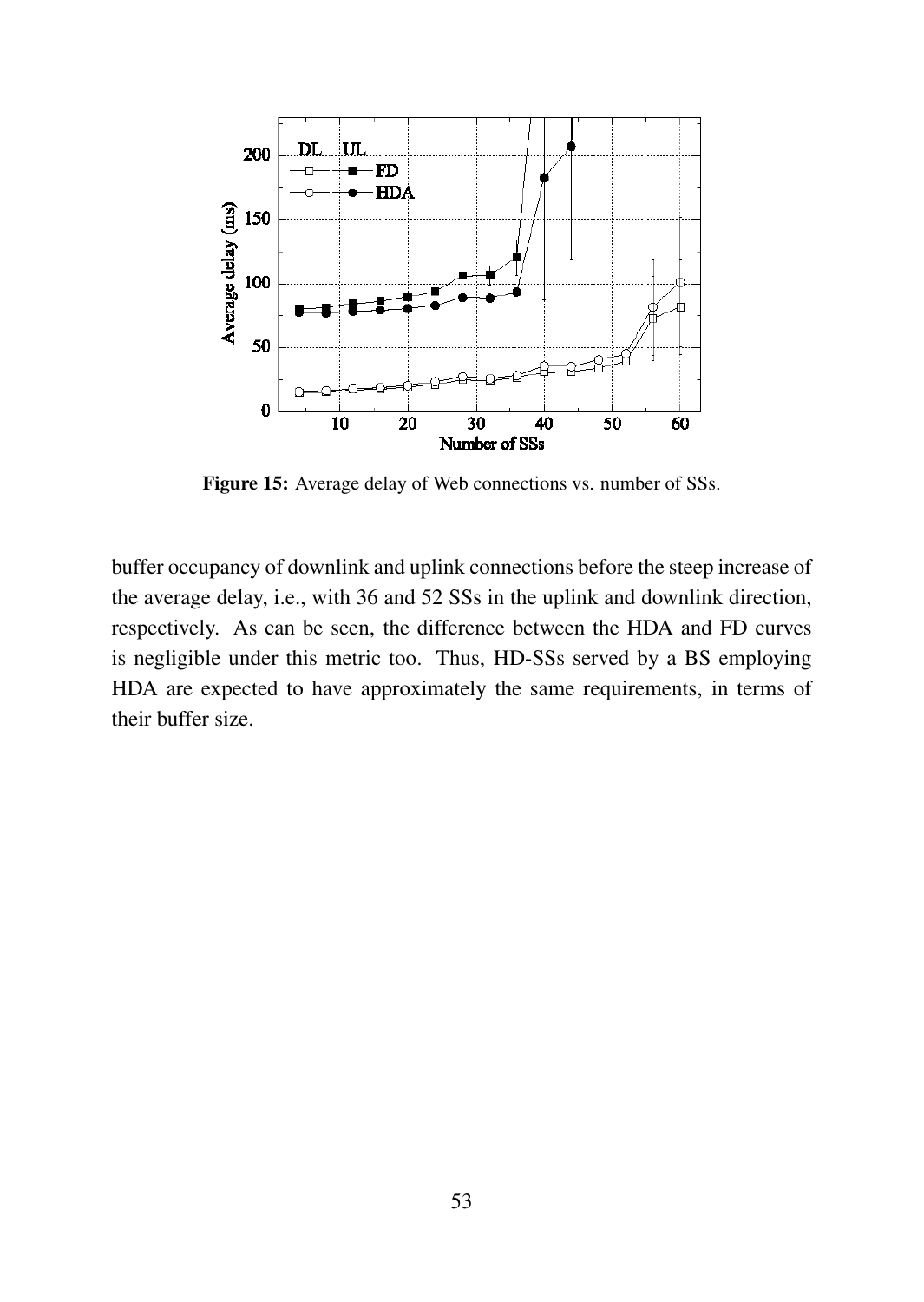

<span id="page-66-0"></span>Figure 15: Average delay of Web connections vs. number of SSs.

buffer occupancy of downlink and uplink connections before the steep increase of the average delay, i.e., with 36 and 52 SSs in the uplink and downlink direction, respectively. As can be seen, the difference between the HDA and FD curves is negligible under this metric too. Thus, HD-SSs served by a BS employing HDA are expected to have approximately the same requirements, in terms of their buffer size.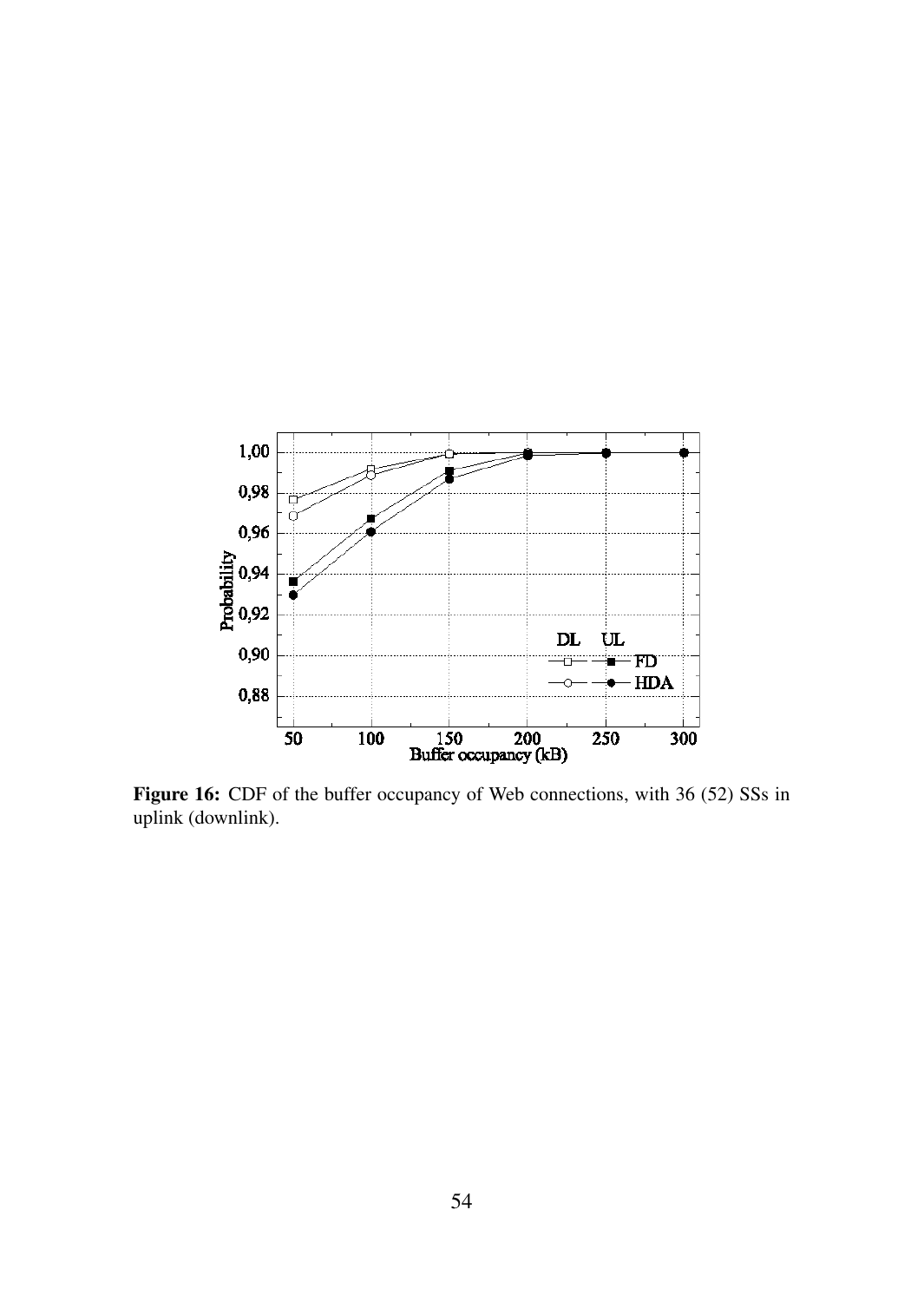

<span id="page-67-0"></span>Figure 16: CDF of the buffer occupancy of Web connections, with 36 (52) SSs in uplink (downlink).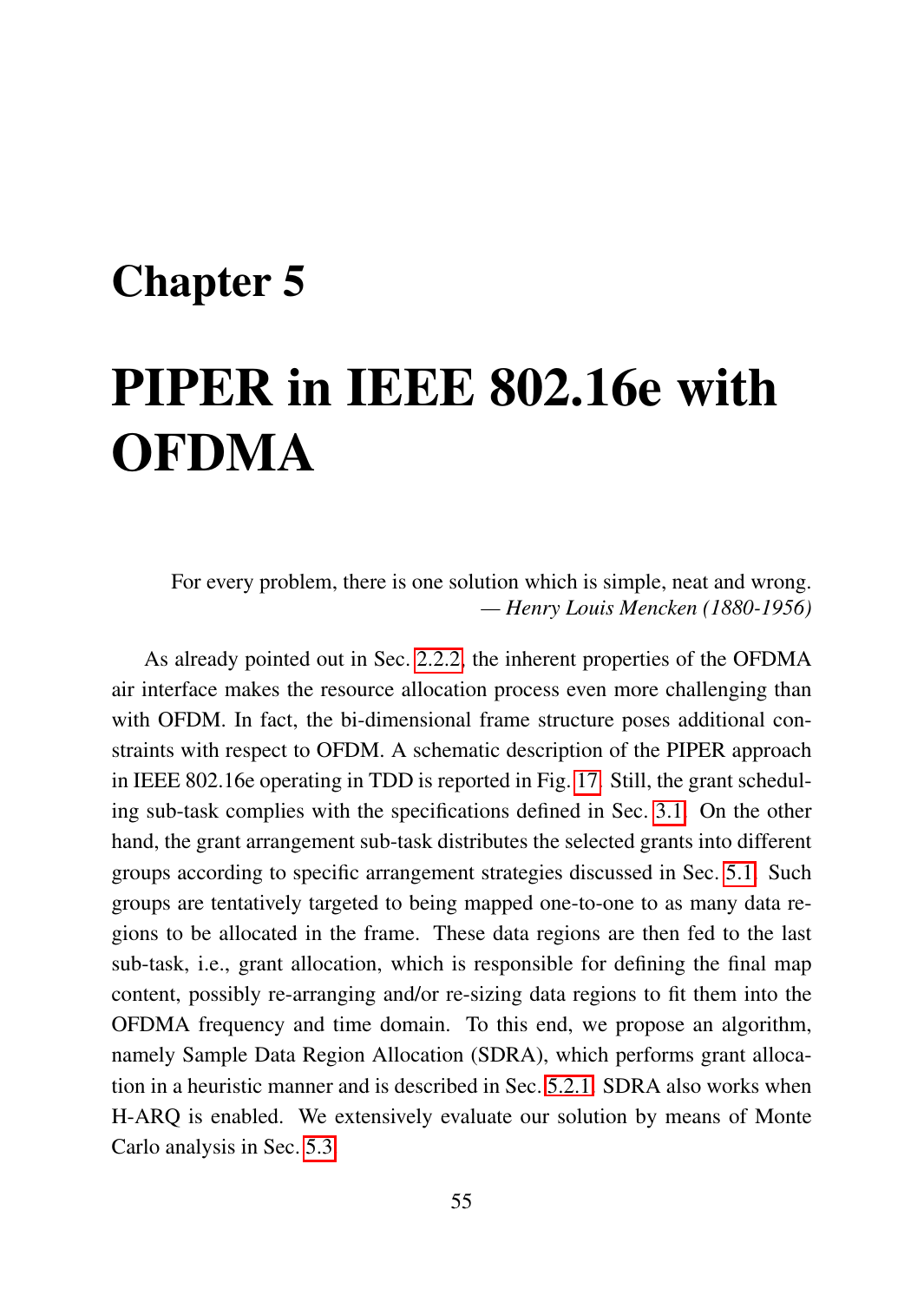# <span id="page-68-0"></span>Chapter 5 PIPER in IEEE 802.16e with **OFDMA**

For every problem, there is one solution which is simple, neat and wrong. *— Henry Louis Mencken (1880-1956)*

As already pointed out in Sec. [2.2.2,](#page-30-0) the inherent properties of the OFDMA air interface makes the resource allocation process even more challenging than with OFDM. In fact, the bi-dimensional frame structure poses additional constraints with respect to OFDM. A schematic description of the PIPER approach in IEEE 802.16e operating in TDD is reported in Fig. [17.](#page-69-1) Still, the grant scheduling sub-task complies with the specifications defined in Sec. [3.1.](#page-39-0) On the other hand, the grant arrangement sub-task distributes the selected grants into different groups according to specific arrangement strategies discussed in Sec. [5.1.](#page-69-0) Such groups are tentatively targeted to being mapped one-to-one to as many data regions to be allocated in the frame. These data regions are then fed to the last sub-task, i.e., grant allocation, which is responsible for defining the final map content, possibly re-arranging and/or re-sizing data regions to fit them into the OFDMA frequency and time domain. To this end, we propose an algorithm, namely Sample Data Region Allocation (SDRA), which performs grant allocation in a heuristic manner and is described in Sec. [5.2.1.](#page-73-0) SDRA also works when H-ARQ is enabled. We extensively evaluate our solution by means of Monte Carlo analysis in Sec. [5.3.](#page-77-0)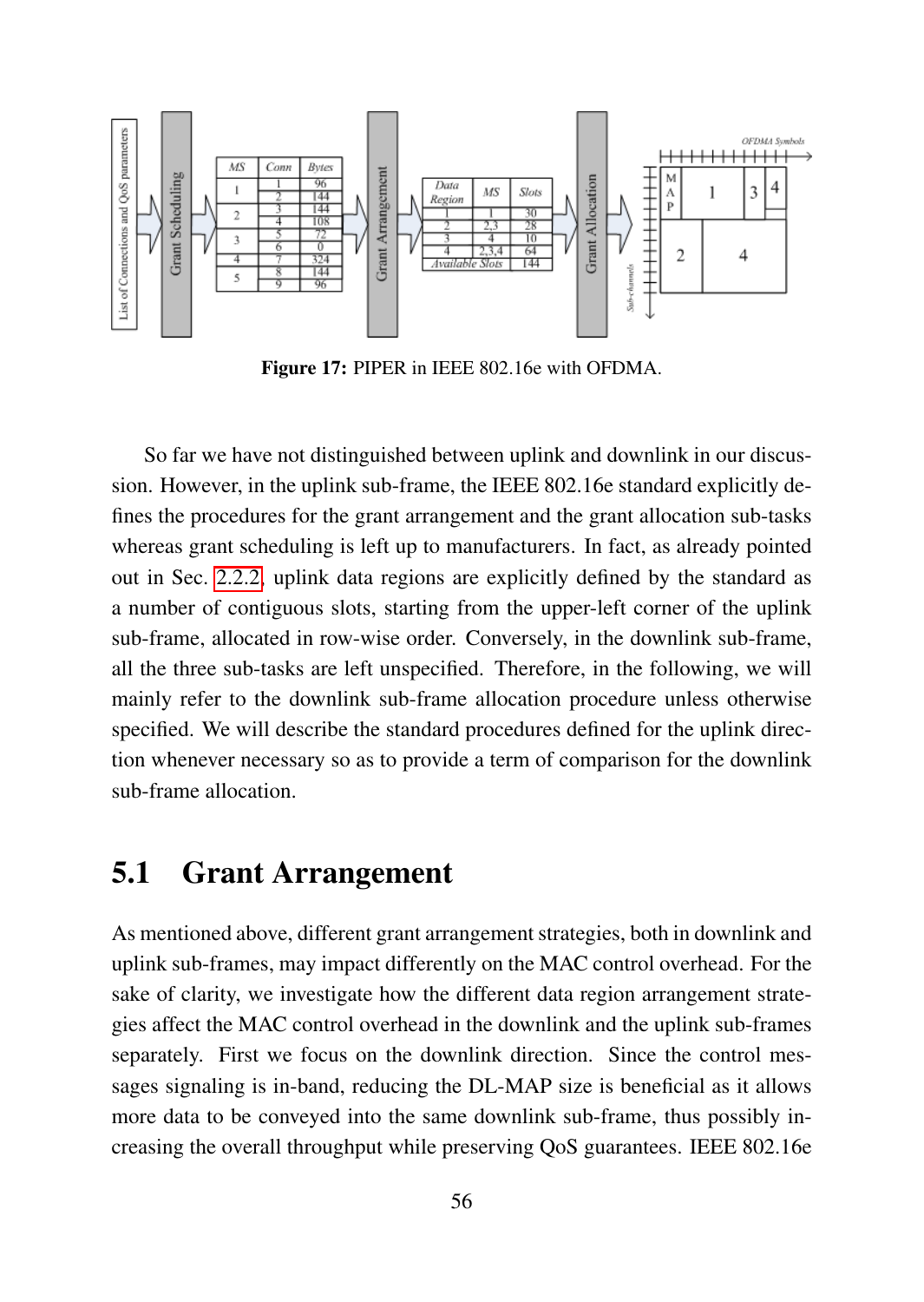

<span id="page-69-1"></span>Figure 17: PIPER in IEEE 802.16e with OFDMA.

So far we have not distinguished between uplink and downlink in our discussion. However, in the uplink sub-frame, the IEEE 802.16e standard explicitly defines the procedures for the grant arrangement and the grant allocation sub-tasks whereas grant scheduling is left up to manufacturers. In fact, as already pointed out in Sec. [2.2.2,](#page-30-0) uplink data regions are explicitly defined by the standard as a number of contiguous slots, starting from the upper-left corner of the uplink sub-frame, allocated in row-wise order. Conversely, in the downlink sub-frame, all the three sub-tasks are left unspecified. Therefore, in the following, we will mainly refer to the downlink sub-frame allocation procedure unless otherwise specified. We will describe the standard procedures defined for the uplink direction whenever necessary so as to provide a term of comparison for the downlink sub-frame allocation.

## <span id="page-69-0"></span>5.1 Grant Arrangement

As mentioned above, different grant arrangement strategies, both in downlink and uplink sub-frames, may impact differently on the MAC control overhead. For the sake of clarity, we investigate how the different data region arrangement strategies affect the MAC control overhead in the downlink and the uplink sub-frames separately. First we focus on the downlink direction. Since the control messages signaling is in-band, reducing the DL-MAP size is beneficial as it allows more data to be conveyed into the same downlink sub-frame, thus possibly increasing the overall throughput while preserving QoS guarantees. IEEE 802.16e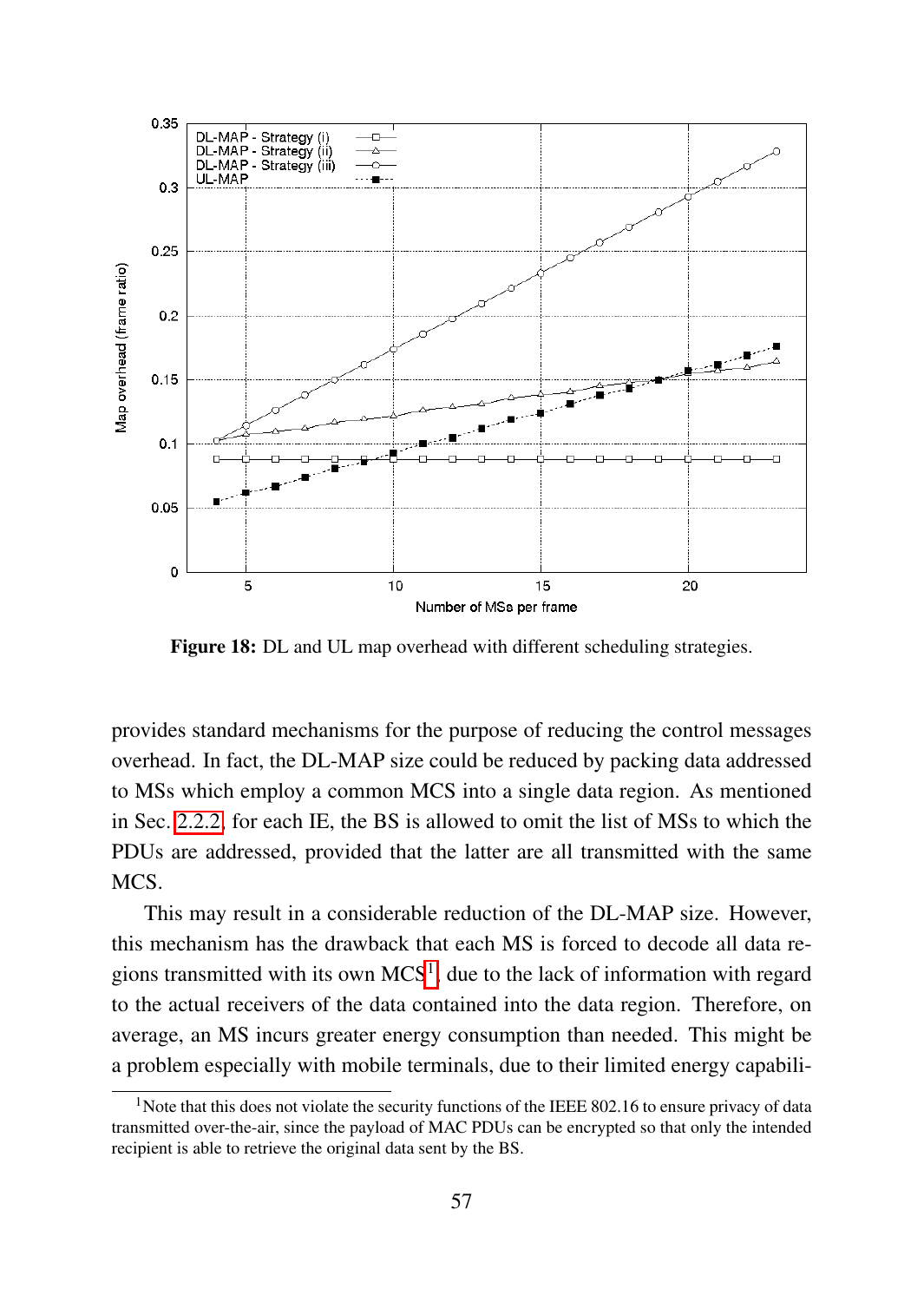

<span id="page-70-0"></span>Figure 18: DL and UL map overhead with different scheduling strategies.

provides standard mechanisms for the purpose of reducing the control messages overhead. In fact, the DL-MAP size could be reduced by packing data addressed to MSs which employ a common MCS into a single data region. As mentioned in Sec. [2.2.2,](#page-30-0) for each IE, the BS is allowed to omit the list of MSs to which the PDUs are addressed, provided that the latter are all transmitted with the same MCS.

This may result in a considerable reduction of the DL-MAP size. However, this mechanism has the drawback that each MS is forced to decode all data regions transmitted with its own  $MCS<sup>1</sup>$  $MCS<sup>1</sup>$  $MCS<sup>1</sup>$ , due to the lack of information with regard to the actual receivers of the data contained into the data region. Therefore, on average, an MS incurs greater energy consumption than needed. This might be a problem especially with mobile terminals, due to their limited energy capabili-

<sup>&</sup>lt;sup>1</sup>Note that this does not violate the security functions of the IEEE 802.16 to ensure privacy of data transmitted over-the-air, since the payload of MAC PDUs can be encrypted so that only the intended recipient is able to retrieve the original data sent by the BS.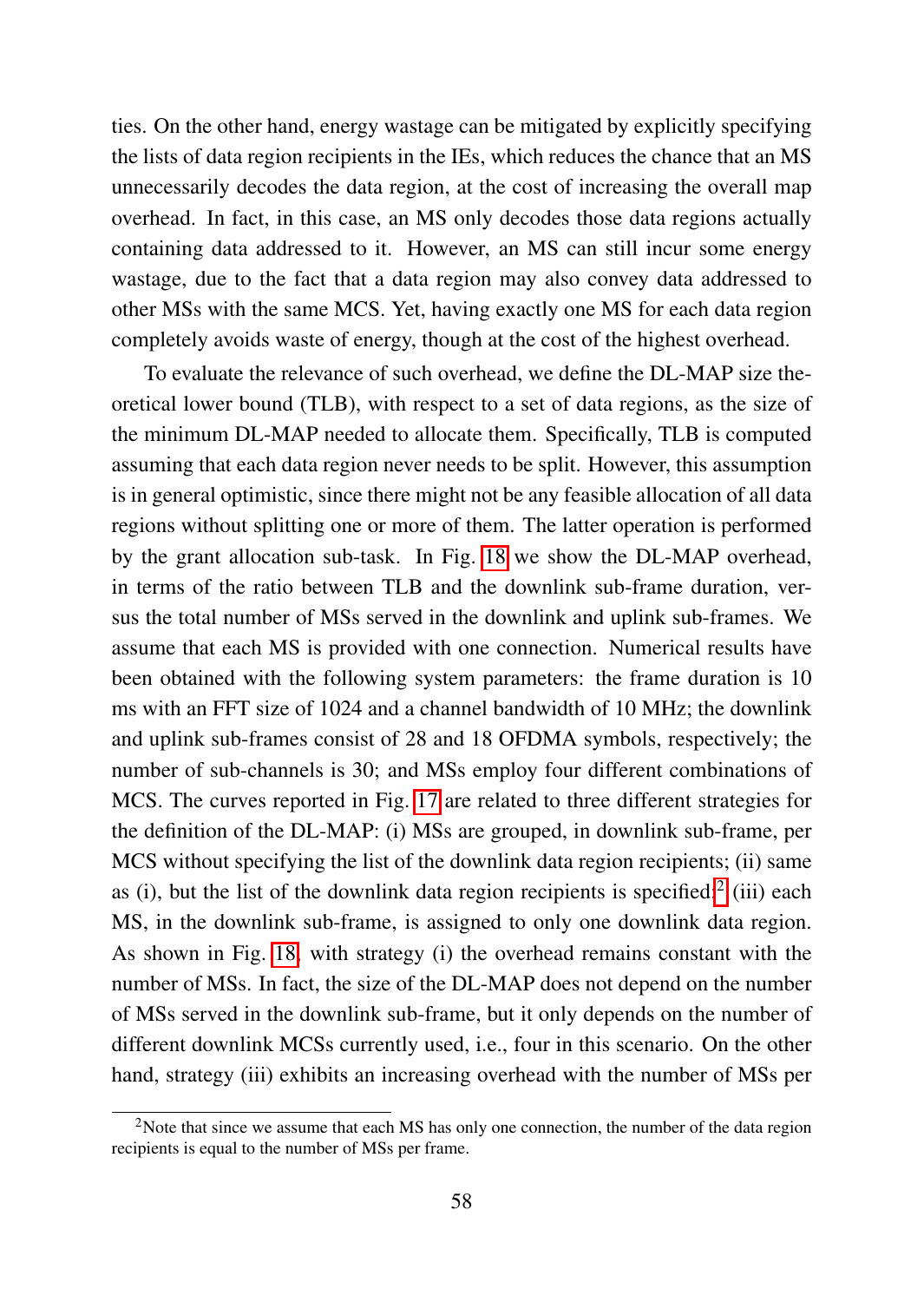ties. On the other hand, energy wastage can be mitigated by explicitly specifying the lists of data region recipients in the IEs, which reduces the chance that an MS unnecessarily decodes the data region, at the cost of increasing the overall map overhead. In fact, in this case, an MS only decodes those data regions actually containing data addressed to it. However, an MS can still incur some energy wastage, due to the fact that a data region may also convey data addressed to other MSs with the same MCS. Yet, having exactly one MS for each data region completely avoids waste of energy, though at the cost of the highest overhead.

To evaluate the relevance of such overhead, we define the DL-MAP size theoretical lower bound (TLB), with respect to a set of data regions, as the size of the minimum DL-MAP needed to allocate them. Specifically, TLB is computed assuming that each data region never needs to be split. However, this assumption is in general optimistic, since there might not be any feasible allocation of all data regions without splitting one or more of them. The latter operation is performed by the grant allocation sub-task. In Fig. [18](#page-70-0) we show the DL-MAP overhead, in terms of the ratio between TLB and the downlink sub-frame duration, versus the total number of MSs served in the downlink and uplink sub-frames. We assume that each MS is provided with one connection. Numerical results have been obtained with the following system parameters: the frame duration is 10 ms with an FFT size of 1024 and a channel bandwidth of 10 MHz; the downlink and uplink sub-frames consist of 28 and 18 OFDMA symbols, respectively; the number of sub-channels is 30; and MSs employ four different combinations of MCS. The curves reported in Fig. [17](#page-69-1) are related to three different strategies for the definition of the DL-MAP: (i) MSs are grouped, in downlink sub-frame, per MCS without specifying the list of the downlink data region recipients; (ii) same as  $(i)$ , but the list of the downlink data region recipients is specified;<sup>[2](#page-0-0)</sup> (iii) each MS, in the downlink sub-frame, is assigned to only one downlink data region. As shown in Fig. [18,](#page-70-0) with strategy (i) the overhead remains constant with the number of MSs. In fact, the size of the DL-MAP does not depend on the number of MSs served in the downlink sub-frame, but it only depends on the number of different downlink MCSs currently used, i.e., four in this scenario. On the other hand, strategy (iii) exhibits an increasing overhead with the number of MSs per

<sup>&</sup>lt;sup>2</sup>Note that since we assume that each MS has only one connection, the number of the data region recipients is equal to the number of MSs per frame.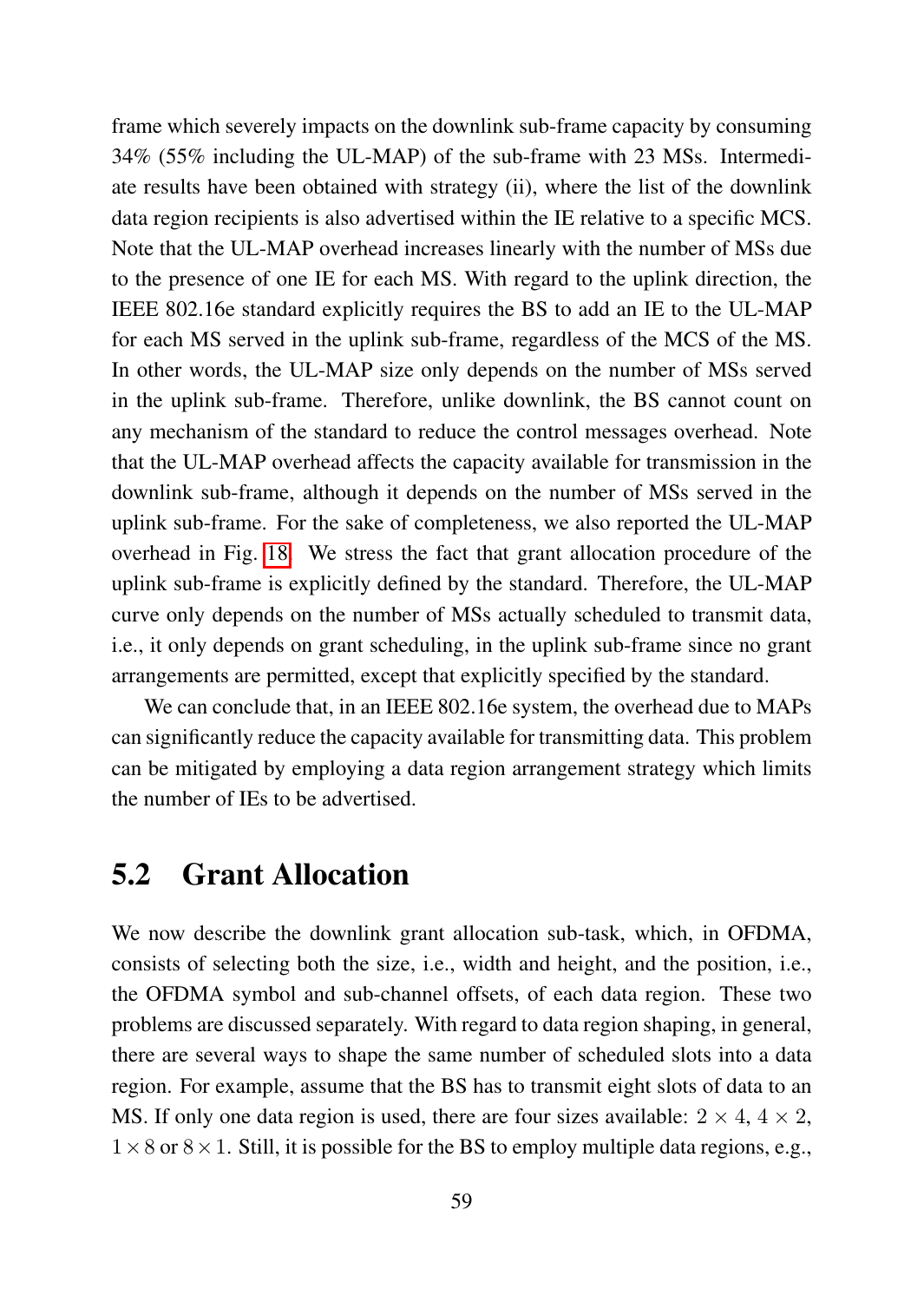<span id="page-72-0"></span>frame which severely impacts on the downlink sub-frame capacity by consuming 34% (55% including the UL-MAP) of the sub-frame with 23 MSs. Intermediate results have been obtained with strategy (ii), where the list of the downlink data region recipients is also advertised within the IE relative to a specific MCS. Note that the UL-MAP overhead increases linearly with the number of MSs due to the presence of one IE for each MS. With regard to the uplink direction, the IEEE 802.16e standard explicitly requires the BS to add an IE to the UL-MAP for each MS served in the uplink sub-frame, regardless of the MCS of the MS. In other words, the UL-MAP size only depends on the number of MSs served in the uplink sub-frame. Therefore, unlike downlink, the BS cannot count on any mechanism of the standard to reduce the control messages overhead. Note that the UL-MAP overhead affects the capacity available for transmission in the downlink sub-frame, although it depends on the number of MSs served in the uplink sub-frame. For the sake of completeness, we also reported the UL-MAP overhead in Fig. [18.](#page-70-0) We stress the fact that grant allocation procedure of the uplink sub-frame is explicitly defined by the standard. Therefore, the UL-MAP curve only depends on the number of MSs actually scheduled to transmit data, i.e., it only depends on grant scheduling, in the uplink sub-frame since no grant arrangements are permitted, except that explicitly specified by the standard.

We can conclude that, in an IEEE 802.16e system, the overhead due to MAPs can significantly reduce the capacity available for transmitting data. This problem can be mitigated by employing a data region arrangement strategy which limits the number of IEs to be advertised.

# 5.2 Grant Allocation

We now describe the downlink grant allocation sub-task, which, in OFDMA, consists of selecting both the size, i.e., width and height, and the position, i.e., the OFDMA symbol and sub-channel offsets, of each data region. These two problems are discussed separately. With regard to data region shaping, in general, there are several ways to shape the same number of scheduled slots into a data region. For example, assume that the BS has to transmit eight slots of data to an MS. If only one data region is used, there are four sizes available:  $2 \times 4$ ,  $4 \times 2$ ,  $1 \times 8$  or  $8 \times 1$ . Still, it is possible for the BS to employ multiple data regions, e.g.,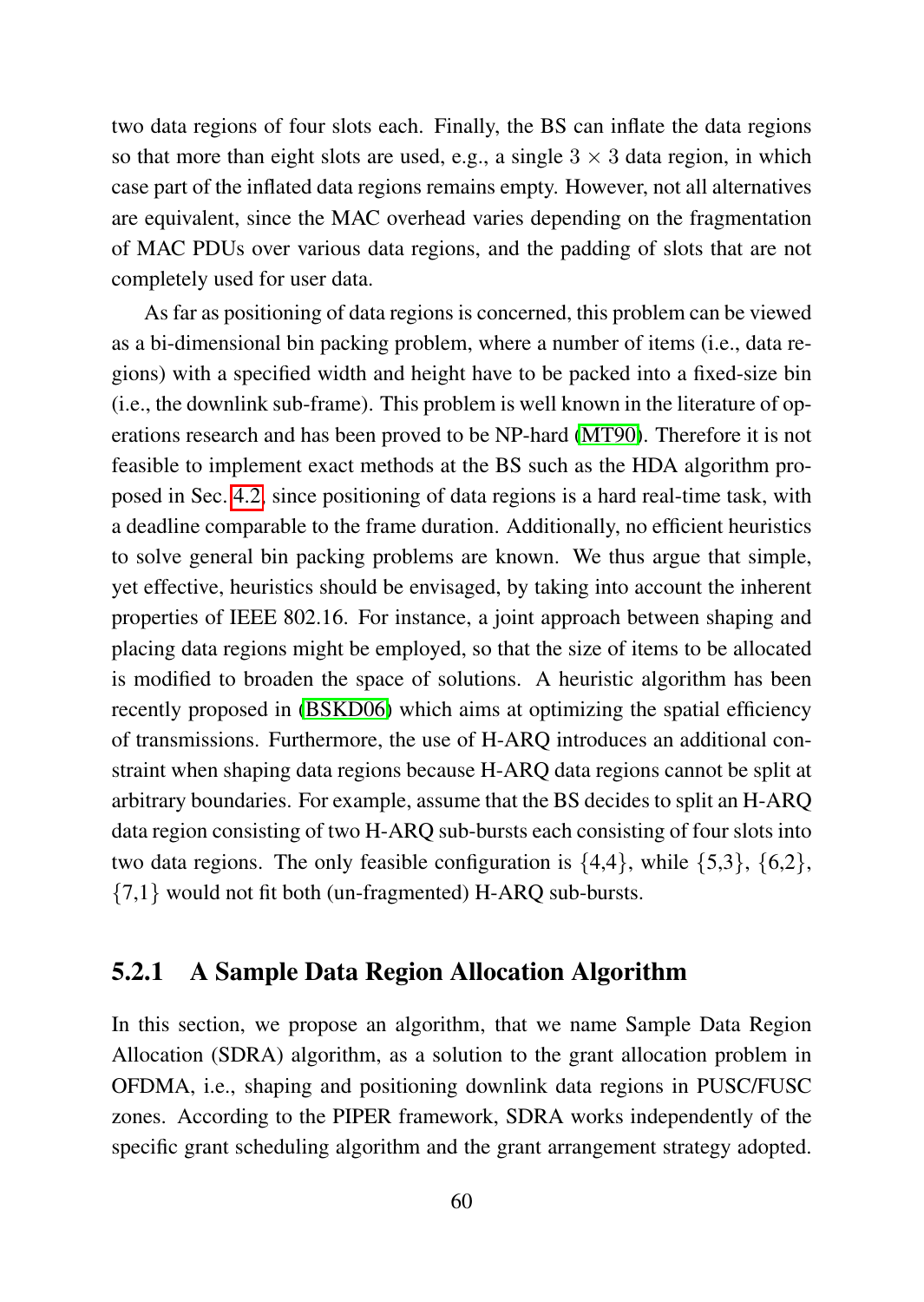<span id="page-73-1"></span>two data regions of four slots each. Finally, the BS can inflate the data regions so that more than eight slots are used, e.g., a single  $3 \times 3$  data region, in which case part of the inflated data regions remains empty. However, not all alternatives are equivalent, since the MAC overhead varies depending on the fragmentation of MAC PDUs over various data regions, and the padding of slots that are not completely used for user data.

As far as positioning of data regions is concerned, this problem can be viewed as a bi-dimensional bin packing problem, where a number of items (i.e., data regions) with a specified width and height have to be packed into a fixed-size bin (i.e., the downlink sub-frame). This problem is well known in the literature of operations research and has been proved to be NP-hard [\(MT90\)](#page-102-0). Therefore it is not feasible to implement exact methods at the BS such as the HDA algorithm proposed in Sec. [4.2,](#page-46-0) since positioning of data regions is a hard real-time task, with a deadline comparable to the frame duration. Additionally, no efficient heuristics to solve general bin packing problems are known. We thus argue that simple, yet effective, heuristics should be envisaged, by taking into account the inherent properties of IEEE 802.16. For instance, a joint approach between shaping and placing data regions might be employed, so that the size of items to be allocated is modified to broaden the space of solutions. A heuristic algorithm has been recently proposed in [\(BSKD06\)](#page-100-0) which aims at optimizing the spatial efficiency of transmissions. Furthermore, the use of H-ARQ introduces an additional constraint when shaping data regions because H-ARQ data regions cannot be split at arbitrary boundaries. For example, assume that the BS decides to split an H-ARQ data region consisting of two H-ARQ sub-bursts each consisting of four slots into two data regions. The only feasible configuration is  $\{4,4\}$ , while  $\{5,3\}$ ,  $\{6,2\}$ , {7,1} would not fit both (un-fragmented) H-ARQ sub-bursts.

## <span id="page-73-0"></span>5.2.1 A Sample Data Region Allocation Algorithm

In this section, we propose an algorithm, that we name Sample Data Region Allocation (SDRA) algorithm, as a solution to the grant allocation problem in OFDMA, i.e., shaping and positioning downlink data regions in PUSC/FUSC zones. According to the PIPER framework, SDRA works independently of the specific grant scheduling algorithm and the grant arrangement strategy adopted.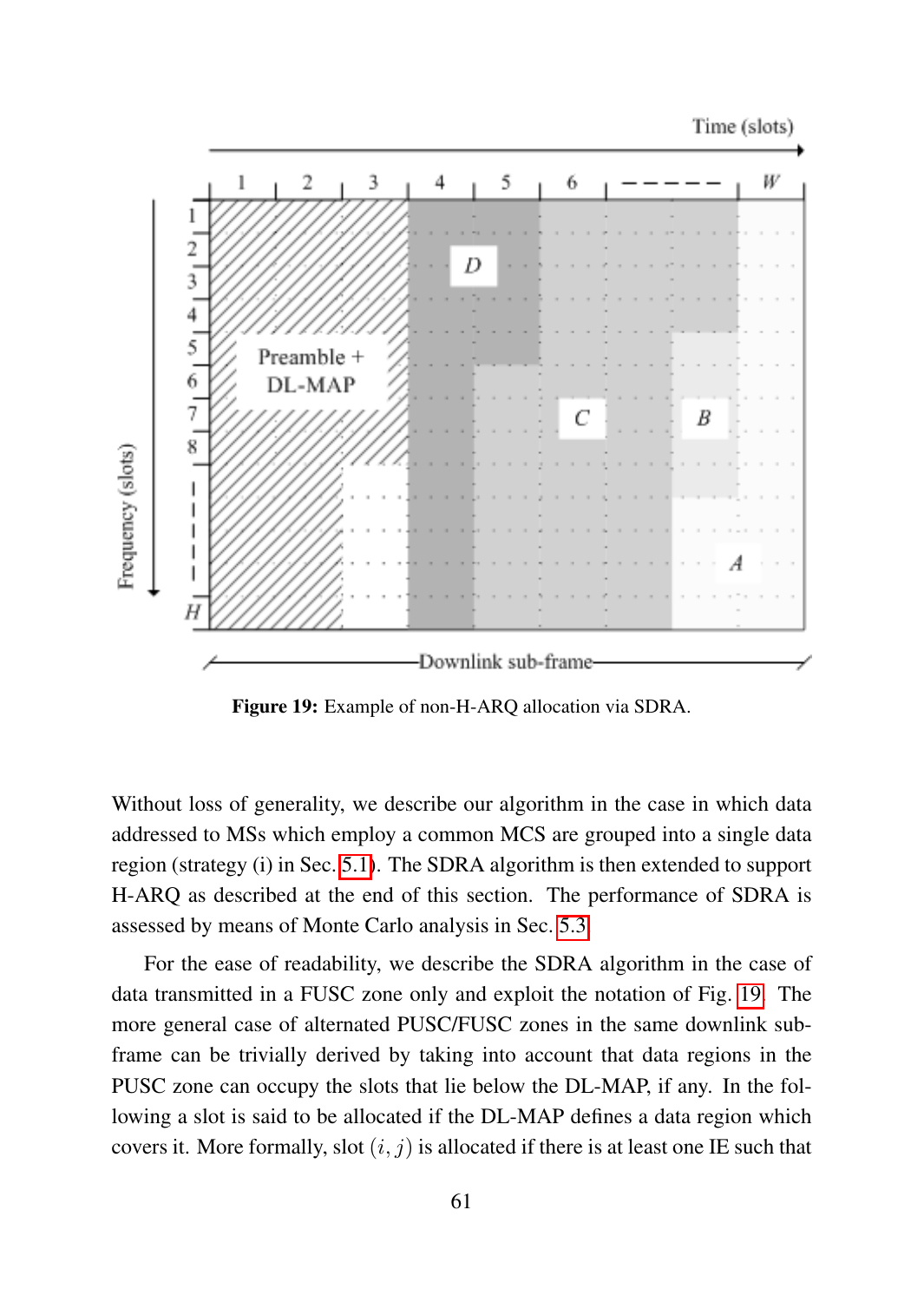Time (slots)



<span id="page-74-0"></span>Figure 19: Example of non-H-ARQ allocation via SDRA.

Without loss of generality, we describe our algorithm in the case in which data addressed to MSs which employ a common MCS are grouped into a single data region (strategy (i) in Sec. [5.1\)](#page-69-0). The SDRA algorithm is then extended to support H-ARQ as described at the end of this section. The performance of SDRA is assessed by means of Monte Carlo analysis in Sec. [5.3.](#page-77-0)

For the ease of readability, we describe the SDRA algorithm in the case of data transmitted in a FUSC zone only and exploit the notation of Fig. [19.](#page-74-0) The more general case of alternated PUSC/FUSC zones in the same downlink subframe can be trivially derived by taking into account that data regions in the PUSC zone can occupy the slots that lie below the DL-MAP, if any. In the following a slot is said to be allocated if the DL-MAP defines a data region which covers it. More formally, slot  $(i, j)$  is allocated if there is at least one IE such that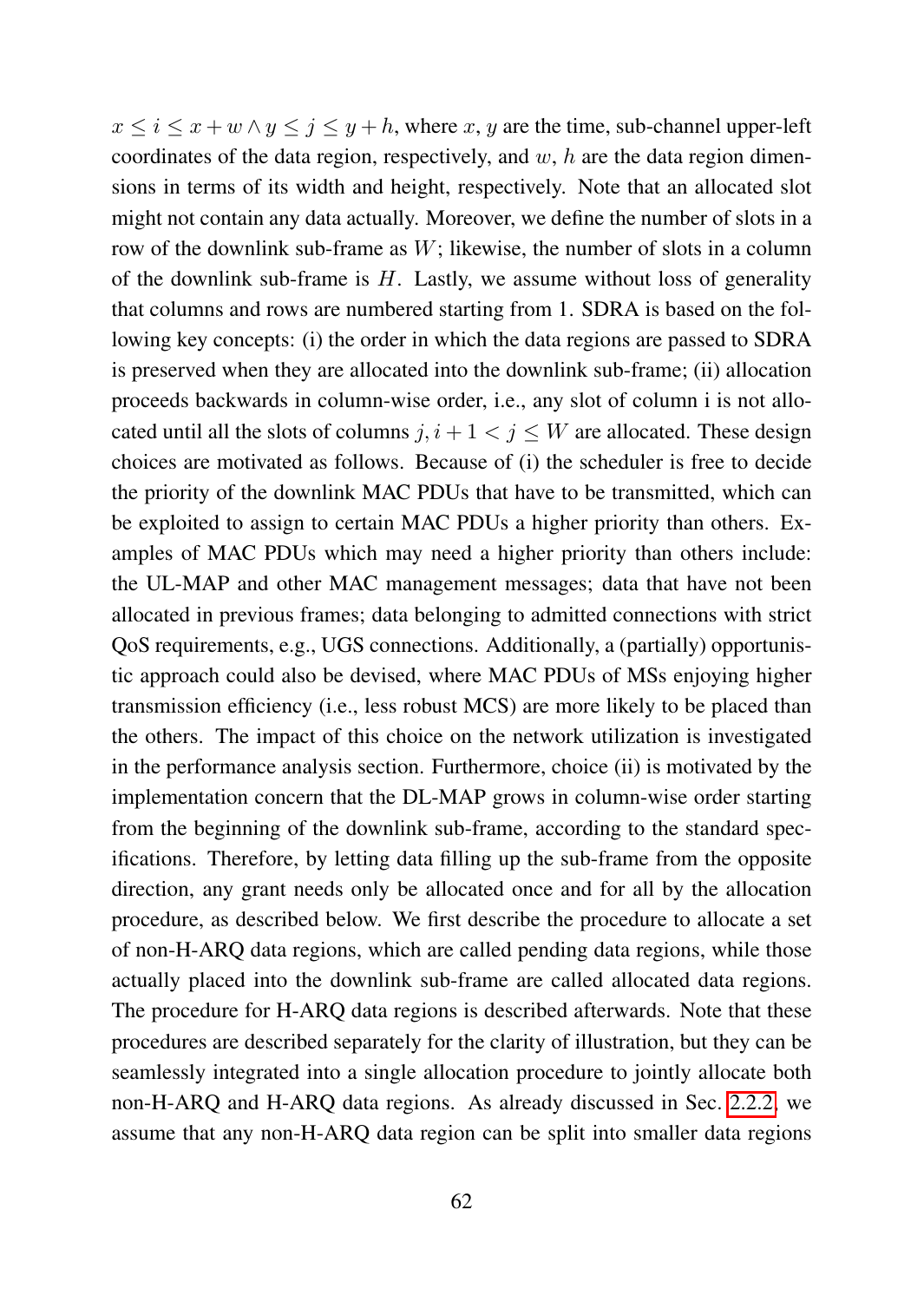$x \le i \le x + w \land y \le j \le y + h$ , where x, y are the time, sub-channel upper-left coordinates of the data region, respectively, and  $w$ , h are the data region dimensions in terms of its width and height, respectively. Note that an allocated slot might not contain any data actually. Moreover, we define the number of slots in a row of the downlink sub-frame as  $W$ ; likewise, the number of slots in a column of the downlink sub-frame is  $H$ . Lastly, we assume without loss of generality that columns and rows are numbered starting from 1. SDRA is based on the following key concepts: (i) the order in which the data regions are passed to SDRA is preserved when they are allocated into the downlink sub-frame; (ii) allocation proceeds backwards in column-wise order, i.e., any slot of column i is not allocated until all the slots of columns  $j, i + 1 < j \leq W$  are allocated. These design choices are motivated as follows. Because of (i) the scheduler is free to decide the priority of the downlink MAC PDUs that have to be transmitted, which can be exploited to assign to certain MAC PDUs a higher priority than others. Examples of MAC PDUs which may need a higher priority than others include: the UL-MAP and other MAC management messages; data that have not been allocated in previous frames; data belonging to admitted connections with strict QoS requirements, e.g., UGS connections. Additionally, a (partially) opportunistic approach could also be devised, where MAC PDUs of MSs enjoying higher transmission efficiency (i.e., less robust MCS) are more likely to be placed than the others. The impact of this choice on the network utilization is investigated in the performance analysis section. Furthermore, choice (ii) is motivated by the implementation concern that the DL-MAP grows in column-wise order starting from the beginning of the downlink sub-frame, according to the standard specifications. Therefore, by letting data filling up the sub-frame from the opposite direction, any grant needs only be allocated once and for all by the allocation procedure, as described below. We first describe the procedure to allocate a set of non-H-ARQ data regions, which are called pending data regions, while those actually placed into the downlink sub-frame are called allocated data regions. The procedure for H-ARQ data regions is described afterwards. Note that these procedures are described separately for the clarity of illustration, but they can be seamlessly integrated into a single allocation procedure to jointly allocate both non-H-ARQ and H-ARQ data regions. As already discussed in Sec. [2.2.2,](#page-30-0) we assume that any non-H-ARQ data region can be split into smaller data regions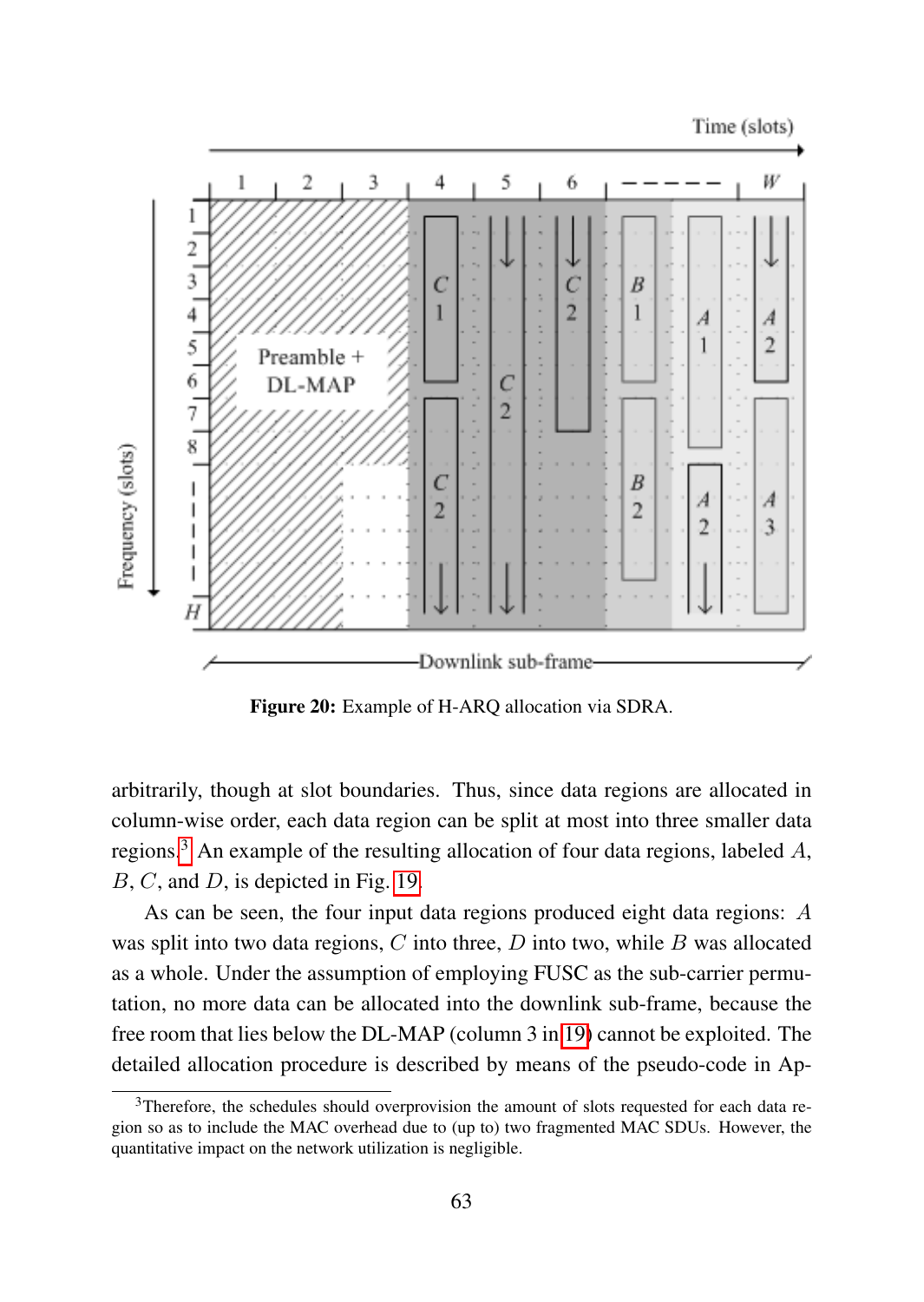

<span id="page-76-0"></span>Figure 20: Example of H-ARQ allocation via SDRA.

arbitrarily, though at slot boundaries. Thus, since data regions are allocated in column-wise order, each data region can be split at most into three smaller data regions.<sup>[3](#page-0-0)</sup> An example of the resulting allocation of four data regions, labeled A, B, C, and D, is depicted in Fig. [19.](#page-74-0)

As can be seen, the four input data regions produced eight data regions: A was split into two data regions,  $C$  into three,  $D$  into two, while  $B$  was allocated as a whole. Under the assumption of employing FUSC as the sub-carrier permutation, no more data can be allocated into the downlink sub-frame, because the free room that lies below the DL-MAP (column 3 in [19\)](#page-74-0) cannot be exploited. The detailed allocation procedure is described by means of the pseudo-code in Ap-

 $3$ Therefore, the schedules should overprovision the amount of slots requested for each data region so as to include the MAC overhead due to (up to) two fragmented MAC SDUs. However, the quantitative impact on the network utilization is negligible.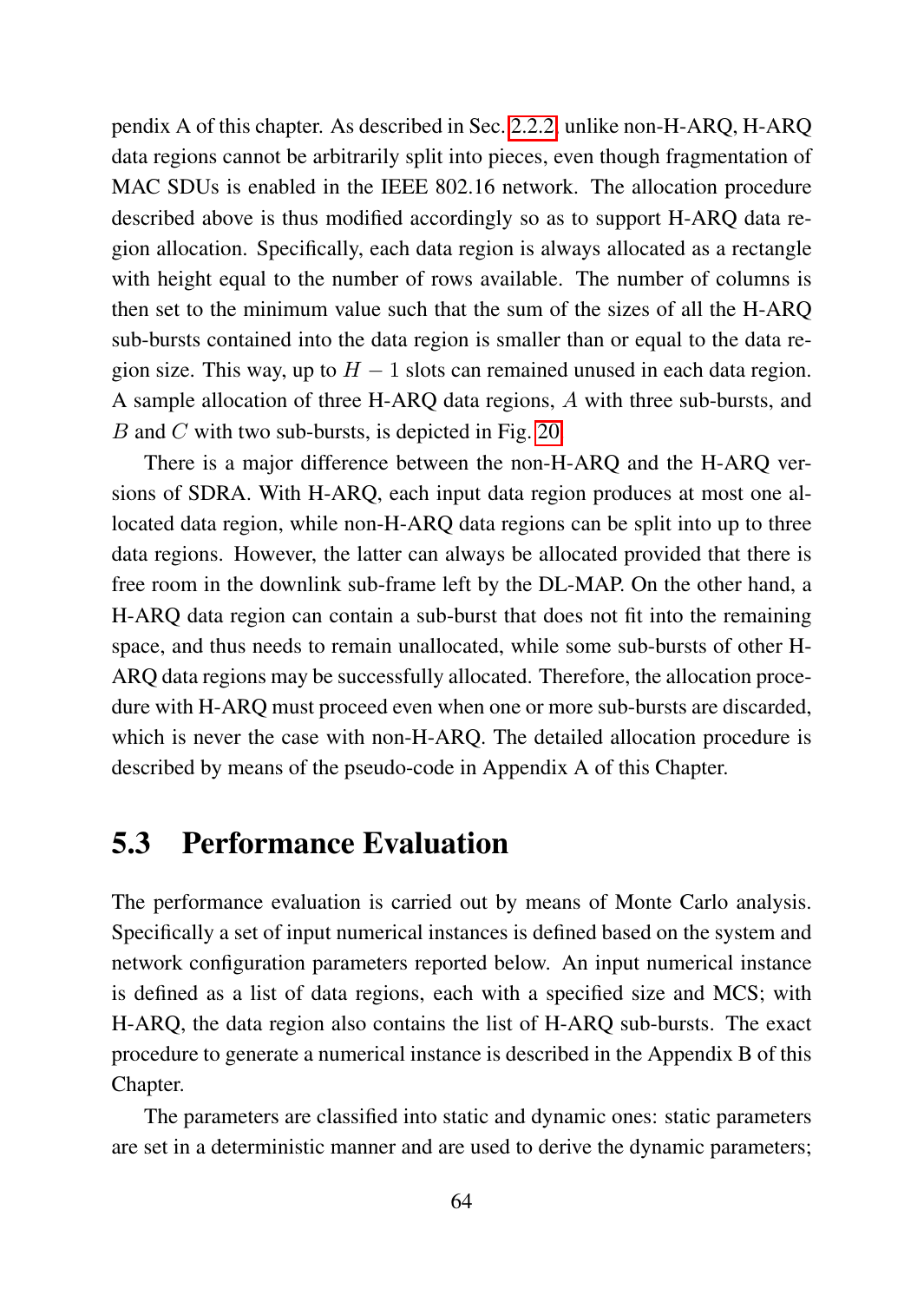<span id="page-77-1"></span>pendix A of this chapter. As described in Sec. [2.2.2,](#page-30-0) unlike non-H-ARQ, H-ARQ data regions cannot be arbitrarily split into pieces, even though fragmentation of MAC SDUs is enabled in the IEEE 802.16 network. The allocation procedure described above is thus modified accordingly so as to support H-ARQ data region allocation. Specifically, each data region is always allocated as a rectangle with height equal to the number of rows available. The number of columns is then set to the minimum value such that the sum of the sizes of all the H-ARQ sub-bursts contained into the data region is smaller than or equal to the data region size. This way, up to  $H - 1$  slots can remained unused in each data region. A sample allocation of three H-ARQ data regions, A with three sub-bursts, and  $B$  and  $C$  with two sub-bursts, is depicted in Fig. [20.](#page-76-0)

There is a major difference between the non-H-ARQ and the H-ARQ versions of SDRA. With H-ARQ, each input data region produces at most one allocated data region, while non-H-ARQ data regions can be split into up to three data regions. However, the latter can always be allocated provided that there is free room in the downlink sub-frame left by the DL-MAP. On the other hand, a H-ARQ data region can contain a sub-burst that does not fit into the remaining space, and thus needs to remain unallocated, while some sub-bursts of other H-ARQ data regions may be successfully allocated. Therefore, the allocation procedure with H-ARQ must proceed even when one or more sub-bursts are discarded, which is never the case with non-H-ARQ. The detailed allocation procedure is described by means of the pseudo-code in Appendix A of this Chapter.

# <span id="page-77-0"></span>5.3 Performance Evaluation

The performance evaluation is carried out by means of Monte Carlo analysis. Specifically a set of input numerical instances is defined based on the system and network configuration parameters reported below. An input numerical instance is defined as a list of data regions, each with a specified size and MCS; with H-ARQ, the data region also contains the list of H-ARQ sub-bursts. The exact procedure to generate a numerical instance is described in the Appendix B of this Chapter.

The parameters are classified into static and dynamic ones: static parameters are set in a deterministic manner and are used to derive the dynamic parameters;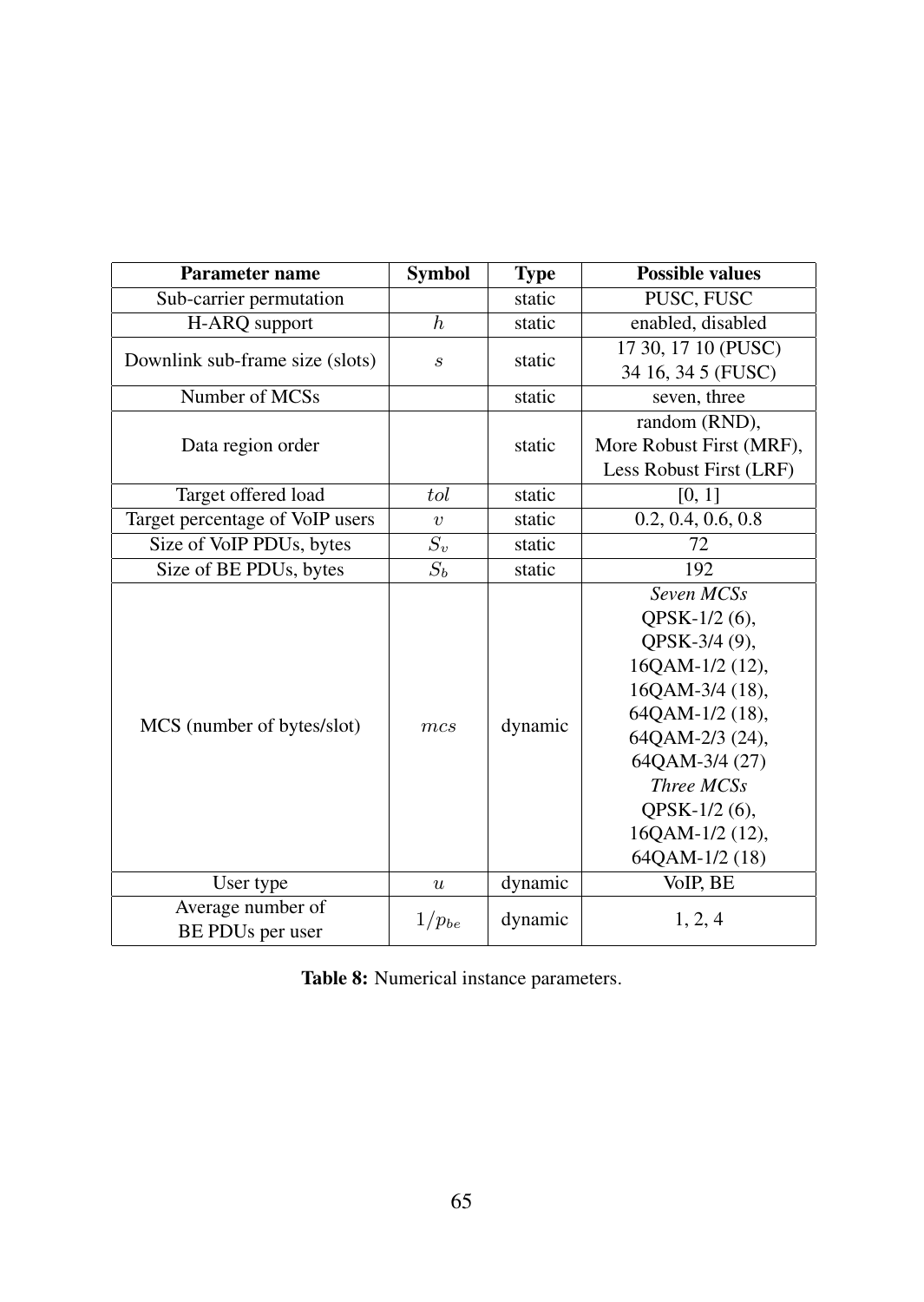| Parameter name                        | <b>Symbol</b>       | <b>Type</b> | <b>Possible values</b>   |
|---------------------------------------|---------------------|-------------|--------------------------|
| Sub-carrier permutation               |                     | static      | PUSC, FUSC               |
| H-ARQ support                         | h                   | static      | enabled, disabled        |
| Downlink sub-frame size (slots)       | $\boldsymbol{s}$    | static      | 17 30, 17 10 (PUSC)      |
|                                       |                     |             | 34 16, 34 5 (FUSC)       |
| Number of MCSs                        |                     | static      | seven, three             |
| Data region order                     |                     | static      | random (RND),            |
|                                       |                     |             | More Robust First (MRF), |
|                                       |                     |             | Less Robust First (LRF)  |
| Target offered load                   | tol                 | static      | [0, 1]                   |
| Target percentage of VoIP users       | $\boldsymbol{\eta}$ | static      | 0.2, 0.4, 0.6, 0.8       |
| Size of VoIP PDUs, bytes              | $S_v$               | static      | 72                       |
| Size of BE PDUs, bytes                | $S_b$               | static      | 192                      |
| MCS (number of bytes/slot)            | mcs                 | dynamic     | Seven MCSs               |
|                                       |                     |             | OPSK-1/2 (6),            |
|                                       |                     |             | QPSK-3/4 (9),            |
|                                       |                     |             | 16QAM-1/2 (12),          |
|                                       |                     |             | 16QAM-3/4 (18),          |
|                                       |                     |             | 64QAM-1/2 (18),          |
|                                       |                     |             | 64QAM-2/3 (24),          |
|                                       |                     |             | 64QAM-3/4 (27)           |
|                                       |                     |             | Three MCSs               |
|                                       |                     |             | QPSK-1/2 (6),            |
|                                       |                     |             | 16OAM-1/2 (12),          |
|                                       |                     |             | 64QAM-1/2 (18)           |
| User type                             | $\boldsymbol{u}$    | dynamic     | VoIP, BE                 |
| Average number of<br>BE PDUs per user | $1/p_{be}$          | dynamic     | 1, 2, 4                  |

<span id="page-78-0"></span>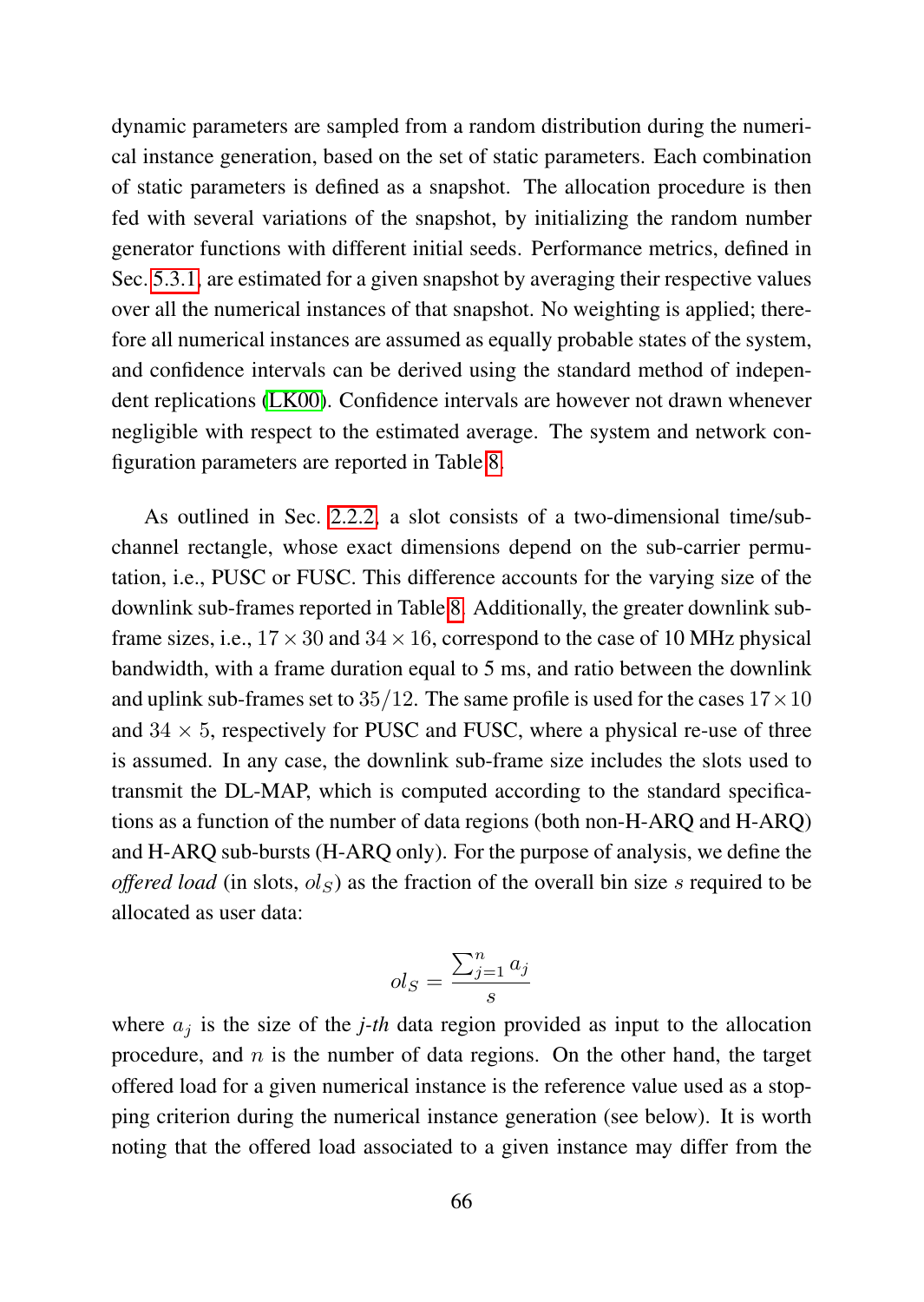<span id="page-79-0"></span>dynamic parameters are sampled from a random distribution during the numerical instance generation, based on the set of static parameters. Each combination of static parameters is defined as a snapshot. The allocation procedure is then fed with several variations of the snapshot, by initializing the random number generator functions with different initial seeds. Performance metrics, defined in Sec. [5.3.1,](#page-80-0) are estimated for a given snapshot by averaging their respective values over all the numerical instances of that snapshot. No weighting is applied; therefore all numerical instances are assumed as equally probable states of the system, and confidence intervals can be derived using the standard method of independent replications [\(LK00\)](#page-102-1). Confidence intervals are however not drawn whenever negligible with respect to the estimated average. The system and network configuration parameters are reported in Table [8.](#page-78-0)

As outlined in Sec. [2.2.2,](#page-30-0) a slot consists of a two-dimensional time/subchannel rectangle, whose exact dimensions depend on the sub-carrier permutation, i.e., PUSC or FUSC. This difference accounts for the varying size of the downlink sub-frames reported in Table [8.](#page-78-0) Additionally, the greater downlink subframe sizes, i.e.,  $17 \times 30$  and  $34 \times 16$ , correspond to the case of 10 MHz physical bandwidth, with a frame duration equal to 5 ms, and ratio between the downlink and uplink sub-frames set to  $35/12$ . The same profile is used for the cases  $17 \times 10$ and  $34 \times 5$ , respectively for PUSC and FUSC, where a physical re-use of three is assumed. In any case, the downlink sub-frame size includes the slots used to transmit the DL-MAP, which is computed according to the standard specifications as a function of the number of data regions (both non-H-ARQ and H-ARQ) and H-ARQ sub-bursts (H-ARQ only). For the purpose of analysis, we define the *offered load* (in slots,  $ol_s$ ) as the fraction of the overall bin size s required to be allocated as user data:

$$
ol_S = \frac{\sum_{j=1}^{n} a_j}{s}
$$

where  $a_i$  is the size of the *j-th* data region provided as input to the allocation procedure, and  $n$  is the number of data regions. On the other hand, the target offered load for a given numerical instance is the reference value used as a stopping criterion during the numerical instance generation (see below). It is worth noting that the offered load associated to a given instance may differ from the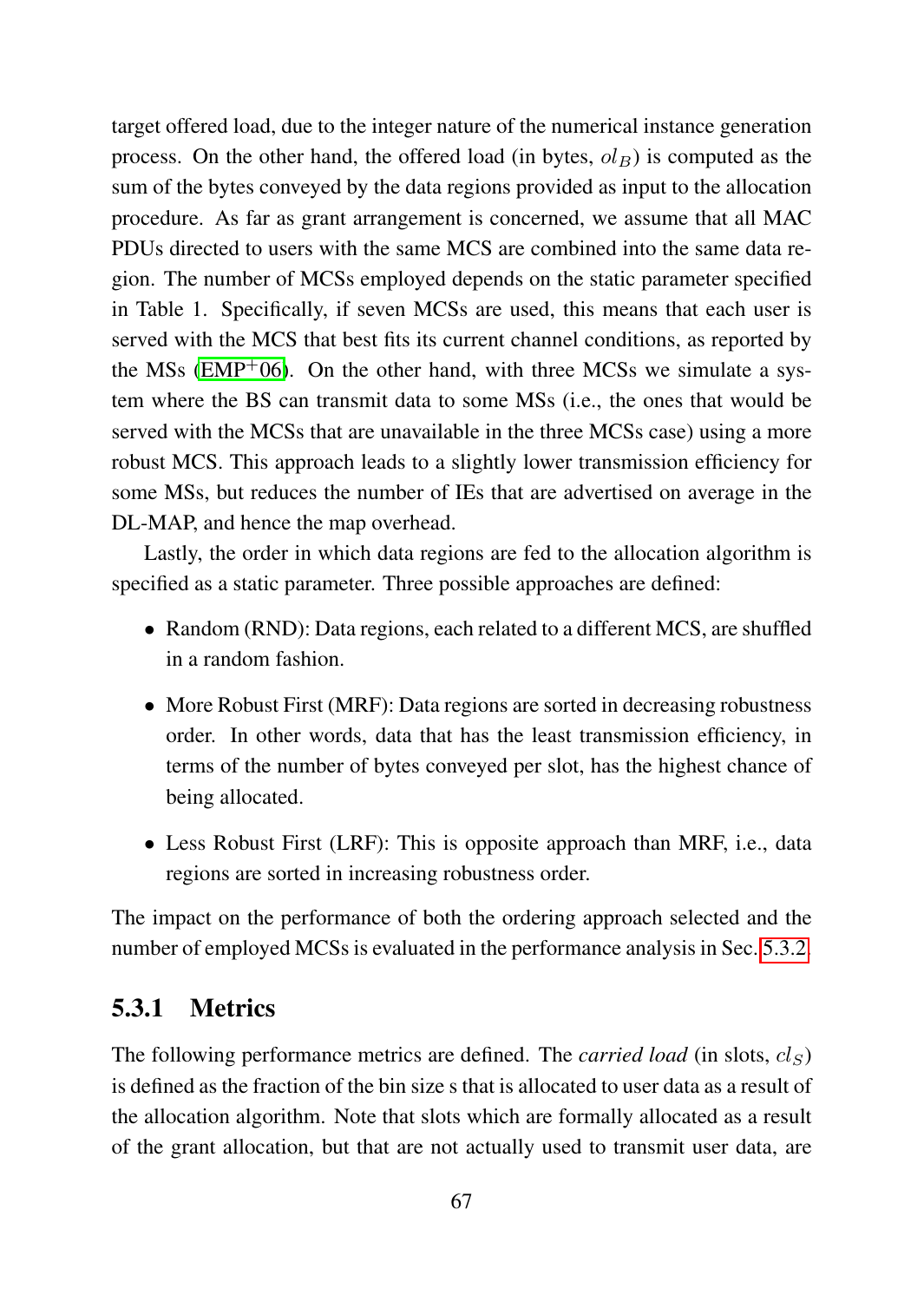<span id="page-80-1"></span>target offered load, due to the integer nature of the numerical instance generation process. On the other hand, the offered load (in bytes,  $ol_B$ ) is computed as the sum of the bytes conveyed by the data regions provided as input to the allocation procedure. As far as grant arrangement is concerned, we assume that all MAC PDUs directed to users with the same MCS are combined into the same data region. The number of MCSs employed depends on the static parameter specified in Table 1. Specifically, if seven MCSs are used, this means that each user is served with the MCS that best fits its current channel conditions, as reported by the MSs ( $EMP+06$ ). On the other hand, with three MCSs we simulate a system where the BS can transmit data to some MSs (i.e., the ones that would be served with the MCSs that are unavailable in the three MCSs case) using a more robust MCS. This approach leads to a slightly lower transmission efficiency for some MSs, but reduces the number of IEs that are advertised on average in the DL-MAP, and hence the map overhead.

Lastly, the order in which data regions are fed to the allocation algorithm is specified as a static parameter. Three possible approaches are defined:

- Random (RND): Data regions, each related to a different MCS, are shuffled in a random fashion.
- More Robust First (MRF): Data regions are sorted in decreasing robustness order. In other words, data that has the least transmission efficiency, in terms of the number of bytes conveyed per slot, has the highest chance of being allocated.
- Less Robust First (LRF): This is opposite approach than MRF, i.e., data regions are sorted in increasing robustness order.

The impact on the performance of both the ordering approach selected and the number of employed MCSs is evaluated in the performance analysis in Sec. [5.3.2.](#page-81-0)

## <span id="page-80-0"></span>5.3.1 Metrics

The following performance metrics are defined. The *carried load* (in slots,  $cl_S$ ) is defined as the fraction of the bin size s that is allocated to user data as a result of the allocation algorithm. Note that slots which are formally allocated as a result of the grant allocation, but that are not actually used to transmit user data, are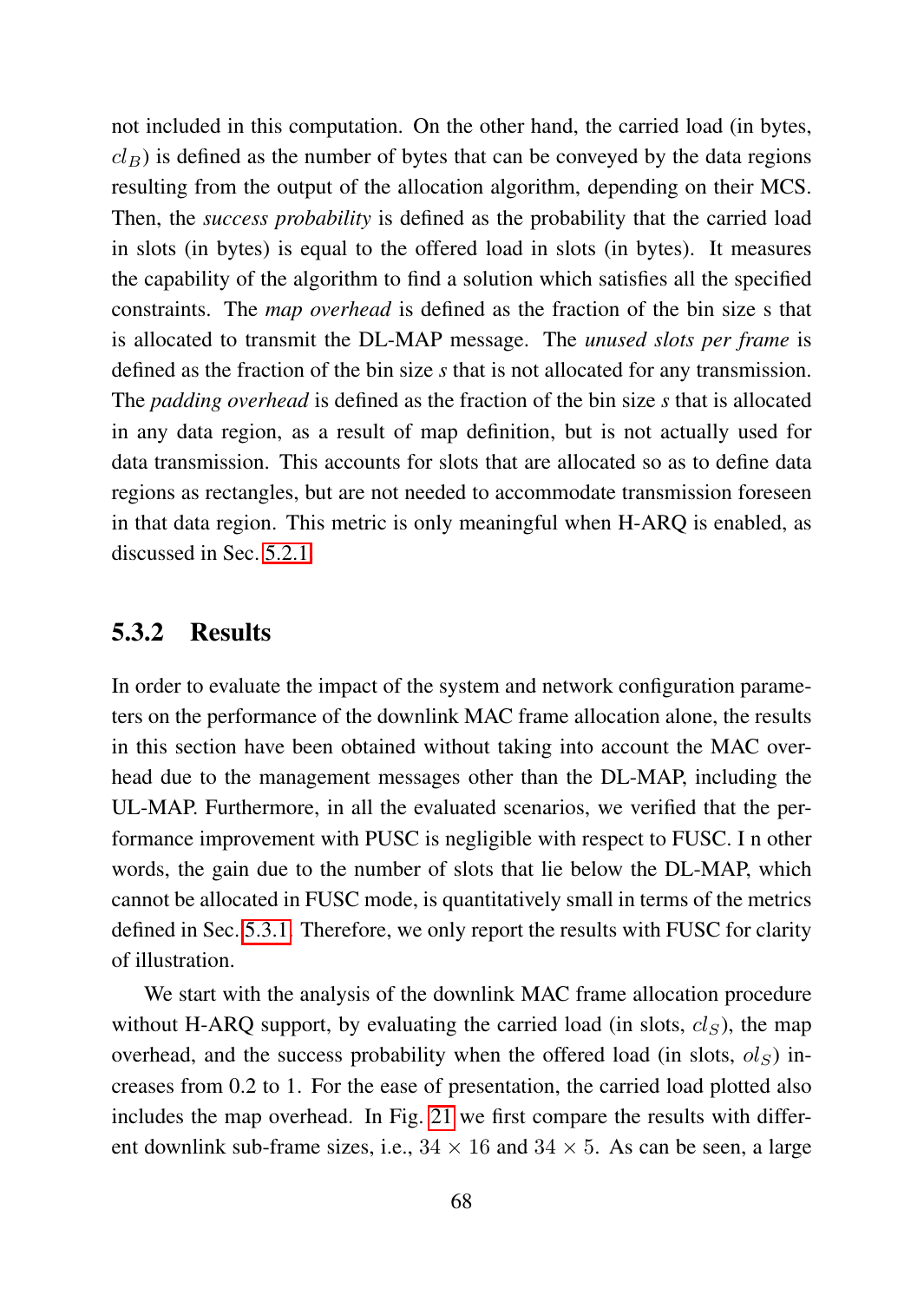<span id="page-81-1"></span>not included in this computation. On the other hand, the carried load (in bytes,  $cl_B$ ) is defined as the number of bytes that can be conveyed by the data regions resulting from the output of the allocation algorithm, depending on their MCS. Then, the *success probability* is defined as the probability that the carried load in slots (in bytes) is equal to the offered load in slots (in bytes). It measures the capability of the algorithm to find a solution which satisfies all the specified constraints. The *map overhead* is defined as the fraction of the bin size s that is allocated to transmit the DL-MAP message. The *unused slots per frame* is defined as the fraction of the bin size *s* that is not allocated for any transmission. The *padding overhead* is defined as the fraction of the bin size *s* that is allocated in any data region, as a result of map definition, but is not actually used for data transmission. This accounts for slots that are allocated so as to define data regions as rectangles, but are not needed to accommodate transmission foreseen in that data region. This metric is only meaningful when H-ARQ is enabled, as discussed in Sec. [5.2.1.](#page-73-0)

## <span id="page-81-0"></span>5.3.2 Results

In order to evaluate the impact of the system and network configuration parameters on the performance of the downlink MAC frame allocation alone, the results in this section have been obtained without taking into account the MAC overhead due to the management messages other than the DL-MAP, including the UL-MAP. Furthermore, in all the evaluated scenarios, we verified that the performance improvement with PUSC is negligible with respect to FUSC. I n other words, the gain due to the number of slots that lie below the DL-MAP, which cannot be allocated in FUSC mode, is quantitatively small in terms of the metrics defined in Sec. [5.3.1.](#page-80-0) Therefore, we only report the results with FUSC for clarity of illustration.

We start with the analysis of the downlink MAC frame allocation procedure without H-ARQ support, by evaluating the carried load (in slots,  $cl_S$ ), the map overhead, and the success probability when the offered load (in slots,  $ol_S$ ) increases from 0.2 to 1. For the ease of presentation, the carried load plotted also includes the map overhead. In Fig. [21](#page-82-0) we first compare the results with different downlink sub-frame sizes, i.e.,  $34 \times 16$  and  $34 \times 5$ . As can be seen, a large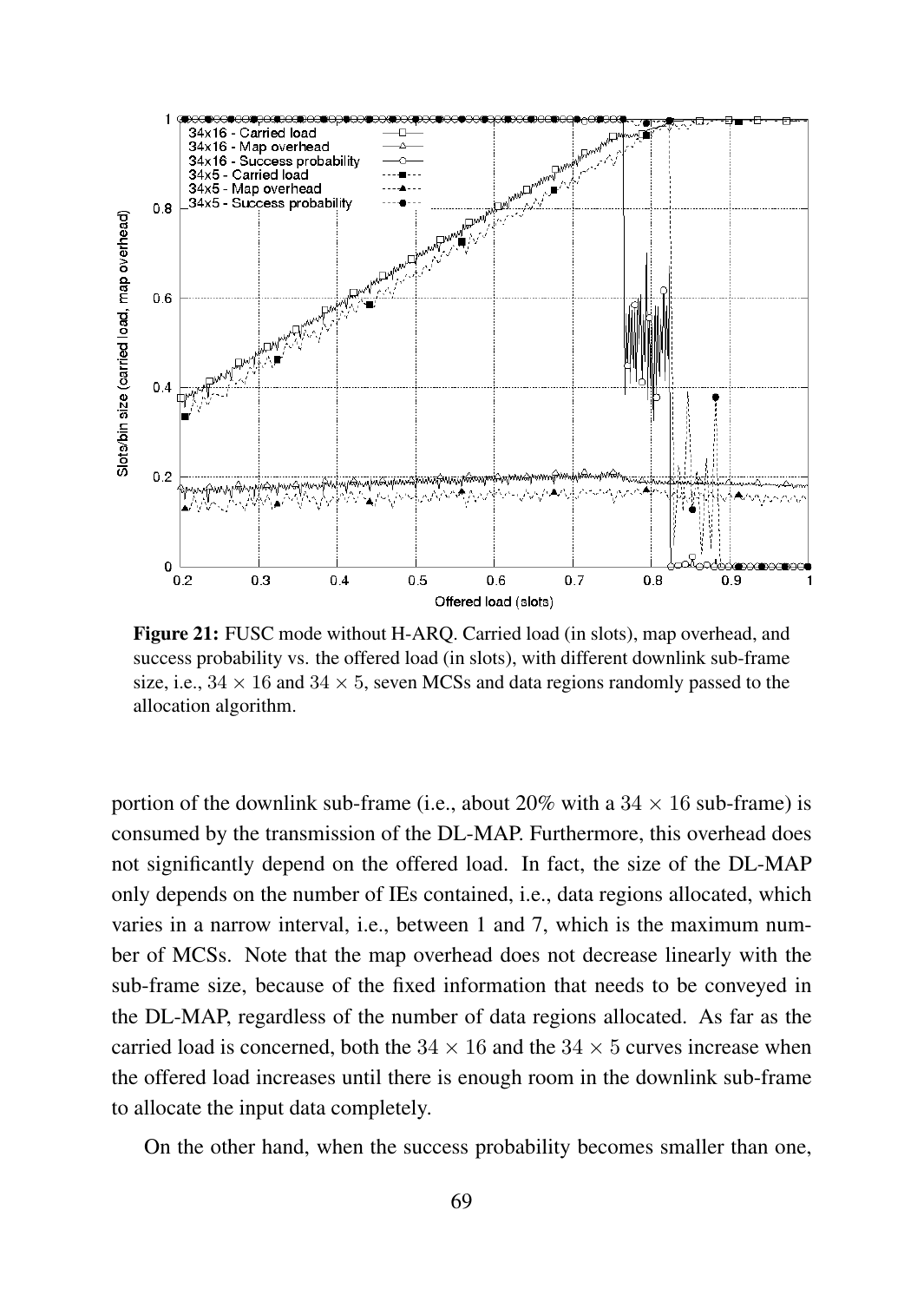

<span id="page-82-0"></span>Figure 21: FUSC mode without H-ARQ. Carried load (in slots), map overhead, and success probability vs. the offered load (in slots), with different downlink sub-frame size, i.e.,  $34 \times 16$  and  $34 \times 5$ , seven MCSs and data regions randomly passed to the allocation algorithm.

portion of the downlink sub-frame (i.e., about 20% with a  $34 \times 16$  sub-frame) is consumed by the transmission of the DL-MAP. Furthermore, this overhead does not significantly depend on the offered load. In fact, the size of the DL-MAP only depends on the number of IEs contained, i.e., data regions allocated, which varies in a narrow interval, i.e., between 1 and 7, which is the maximum number of MCSs. Note that the map overhead does not decrease linearly with the sub-frame size, because of the fixed information that needs to be conveyed in the DL-MAP, regardless of the number of data regions allocated. As far as the carried load is concerned, both the  $34 \times 16$  and the  $34 \times 5$  curves increase when the offered load increases until there is enough room in the downlink sub-frame to allocate the input data completely.

On the other hand, when the success probability becomes smaller than one,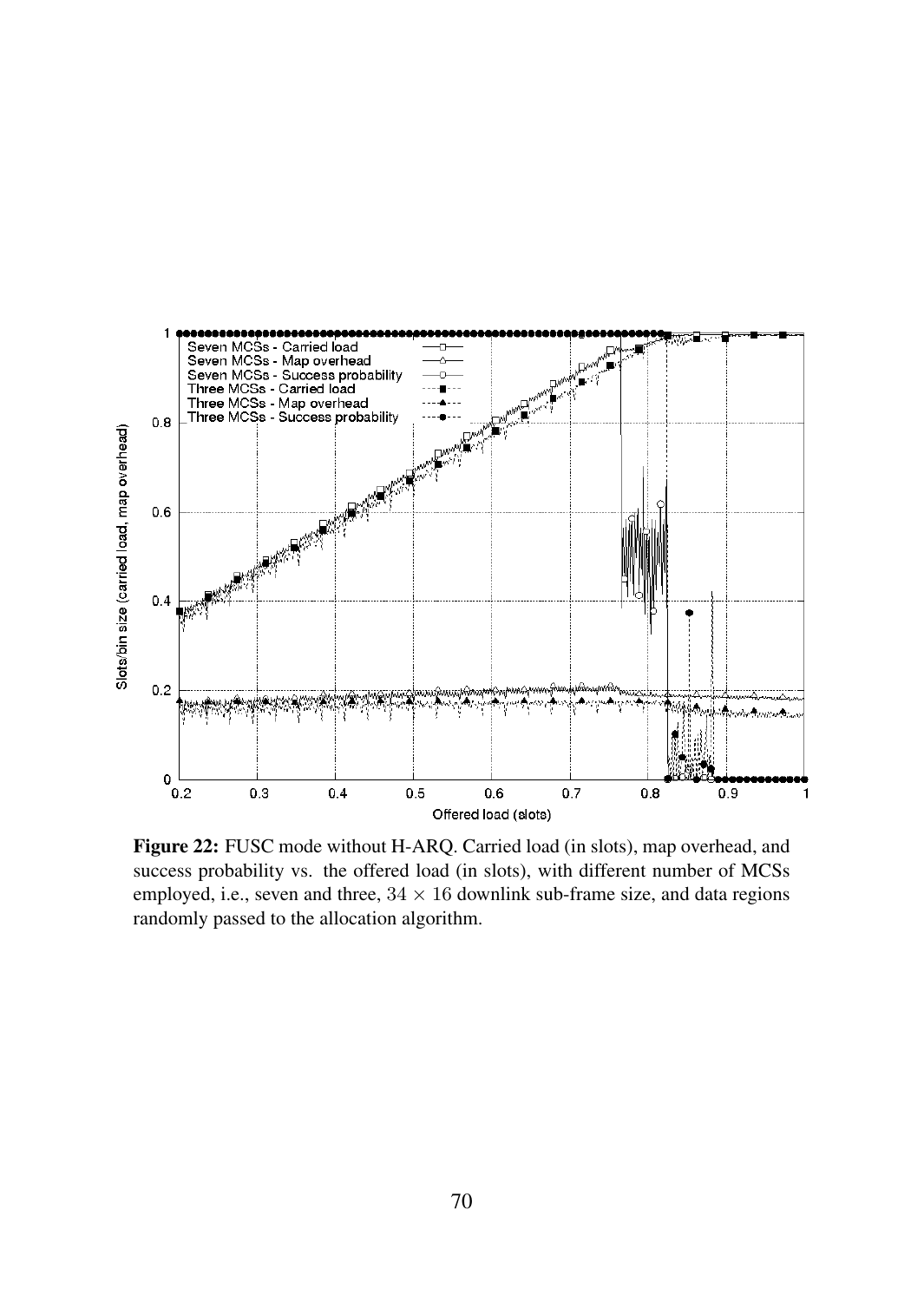

<span id="page-83-0"></span>Figure 22: FUSC mode without H-ARQ. Carried load (in slots), map overhead, and success probability vs. the offered load (in slots), with different number of MCSs employed, i.e., seven and three,  $34 \times 16$  downlink sub-frame size, and data regions randomly passed to the allocation algorithm.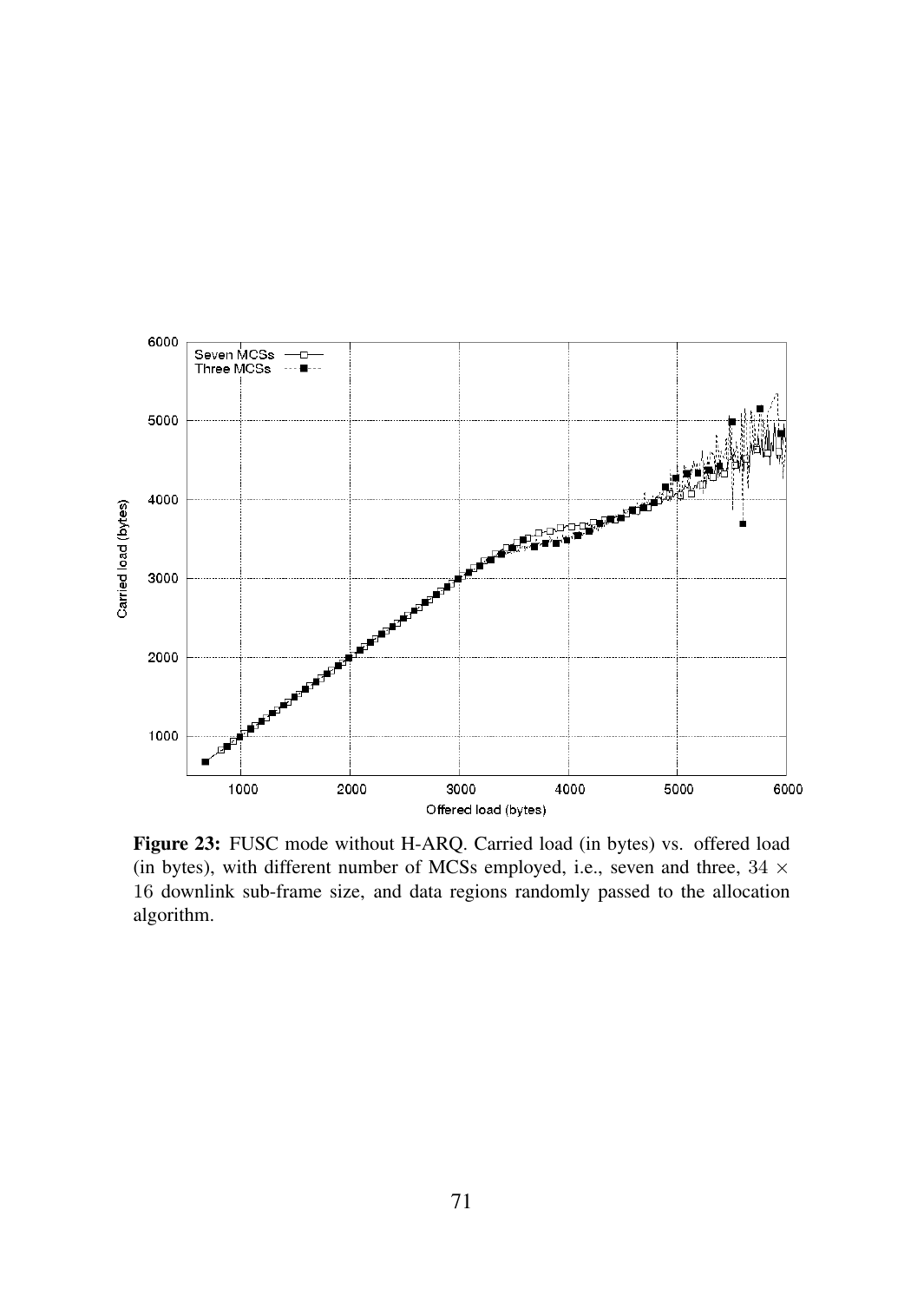

<span id="page-84-0"></span>Figure 23: FUSC mode without H-ARQ. Carried load (in bytes) vs. offered load (in bytes), with different number of MCSs employed, i.e., seven and three,  $34 \times$ 16 downlink sub-frame size, and data regions randomly passed to the allocation algorithm.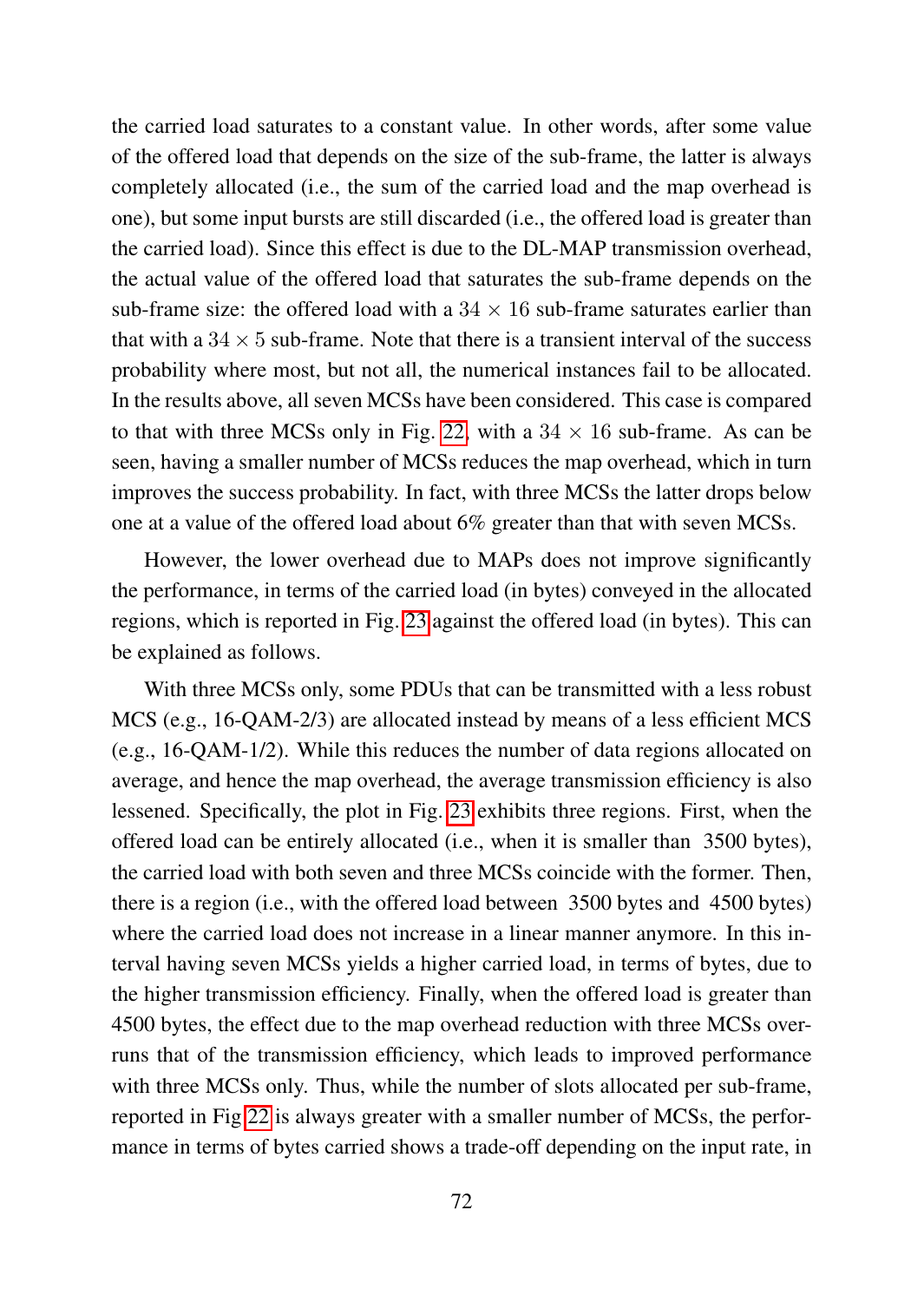the carried load saturates to a constant value. In other words, after some value of the offered load that depends on the size of the sub-frame, the latter is always completely allocated (i.e., the sum of the carried load and the map overhead is one), but some input bursts are still discarded (i.e., the offered load is greater than the carried load). Since this effect is due to the DL-MAP transmission overhead, the actual value of the offered load that saturates the sub-frame depends on the sub-frame size: the offered load with a  $34 \times 16$  sub-frame saturates earlier than that with a  $34 \times 5$  sub-frame. Note that there is a transient interval of the success probability where most, but not all, the numerical instances fail to be allocated. In the results above, all seven MCSs have been considered. This case is compared to that with three MCSs only in Fig. [22,](#page-83-0) with a  $34 \times 16$  sub-frame. As can be seen, having a smaller number of MCSs reduces the map overhead, which in turn improves the success probability. In fact, with three MCSs the latter drops below one at a value of the offered load about 6% greater than that with seven MCSs.

However, the lower overhead due to MAPs does not improve significantly the performance, in terms of the carried load (in bytes) conveyed in the allocated regions, which is reported in Fig. [23](#page-84-0) against the offered load (in bytes). This can be explained as follows.

With three MCSs only, some PDUs that can be transmitted with a less robust MCS (e.g., 16-QAM-2/3) are allocated instead by means of a less efficient MCS (e.g., 16-QAM-1/2). While this reduces the number of data regions allocated on average, and hence the map overhead, the average transmission efficiency is also lessened. Specifically, the plot in Fig. [23](#page-84-0) exhibits three regions. First, when the offered load can be entirely allocated (i.e., when it is smaller than 3500 bytes), the carried load with both seven and three MCSs coincide with the former. Then, there is a region (i.e., with the offered load between 3500 bytes and 4500 bytes) where the carried load does not increase in a linear manner anymore. In this interval having seven MCSs yields a higher carried load, in terms of bytes, due to the higher transmission efficiency. Finally, when the offered load is greater than 4500 bytes, the effect due to the map overhead reduction with three MCSs overruns that of the transmission efficiency, which leads to improved performance with three MCSs only. Thus, while the number of slots allocated per sub-frame, reported in Fig [22](#page-83-0) is always greater with a smaller number of MCSs, the performance in terms of bytes carried shows a trade-off depending on the input rate, in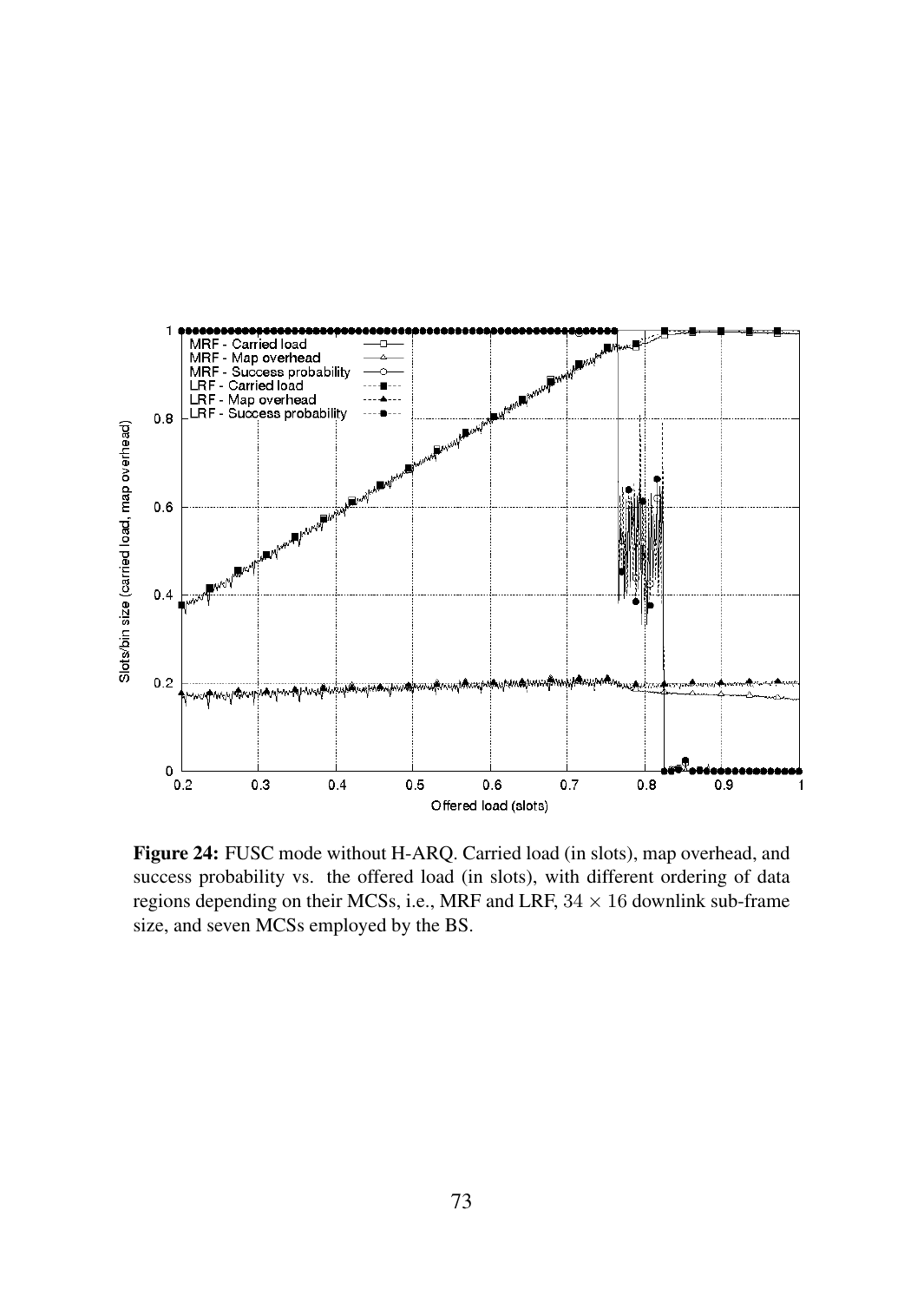

<span id="page-86-0"></span>Figure 24: FUSC mode without H-ARQ. Carried load (in slots), map overhead, and success probability vs. the offered load (in slots), with different ordering of data regions depending on their MCSs, i.e., MRF and LRF,  $34 \times 16$  downlink sub-frame size, and seven MCSs employed by the BS.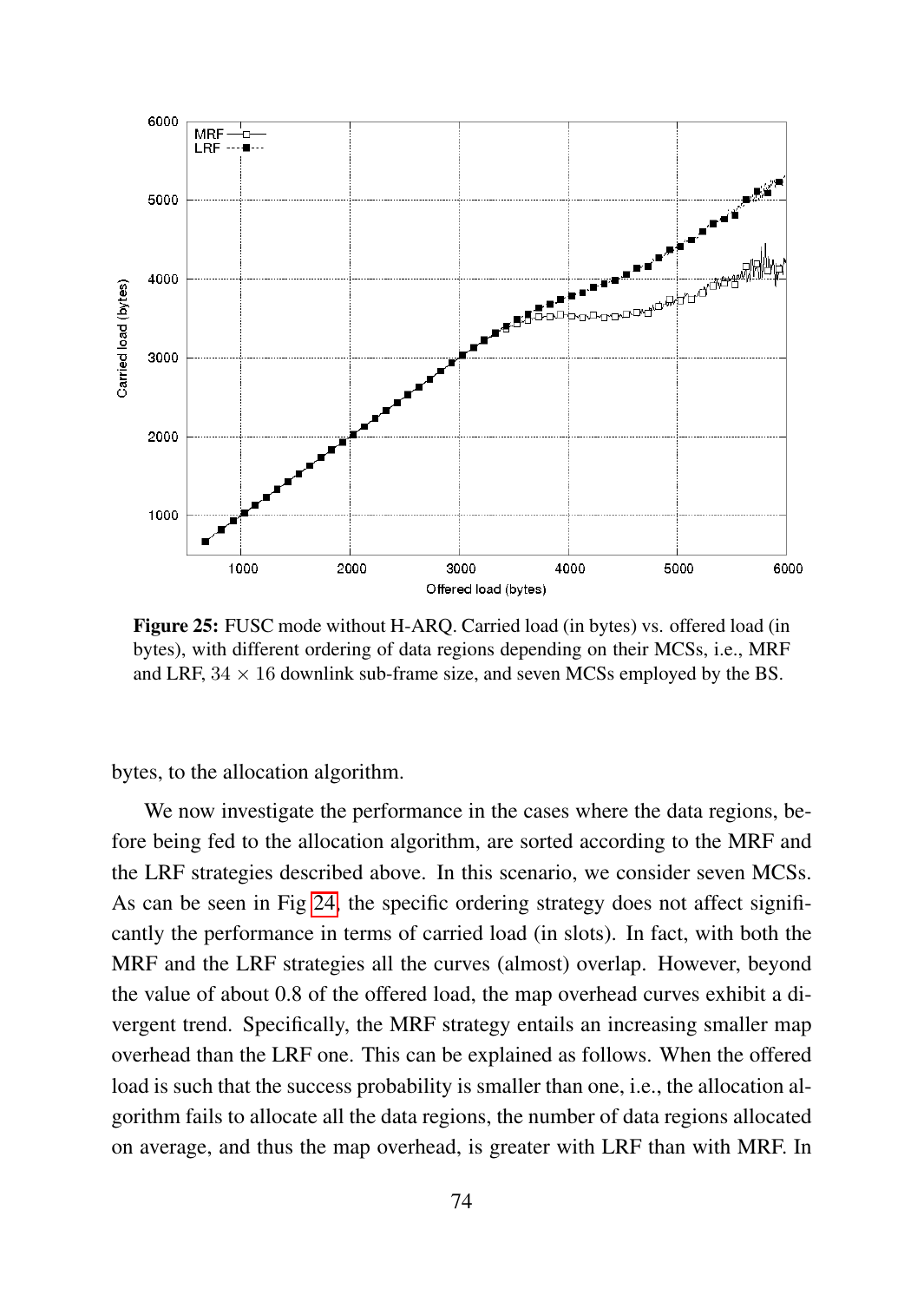

<span id="page-87-0"></span>Figure 25: FUSC mode without H-ARQ. Carried load (in bytes) vs. offered load (in bytes), with different ordering of data regions depending on their MCSs, i.e., MRF and LRF,  $34 \times 16$  downlink sub-frame size, and seven MCSs employed by the BS.

bytes, to the allocation algorithm.

We now investigate the performance in the cases where the data regions, before being fed to the allocation algorithm, are sorted according to the MRF and the LRF strategies described above. In this scenario, we consider seven MCSs. As can be seen in Fig [24,](#page-86-0) the specific ordering strategy does not affect significantly the performance in terms of carried load (in slots). In fact, with both the MRF and the LRF strategies all the curves (almost) overlap. However, beyond the value of about 0.8 of the offered load, the map overhead curves exhibit a divergent trend. Specifically, the MRF strategy entails an increasing smaller map overhead than the LRF one. This can be explained as follows. When the offered load is such that the success probability is smaller than one, i.e., the allocation algorithm fails to allocate all the data regions, the number of data regions allocated on average, and thus the map overhead, is greater with LRF than with MRF. In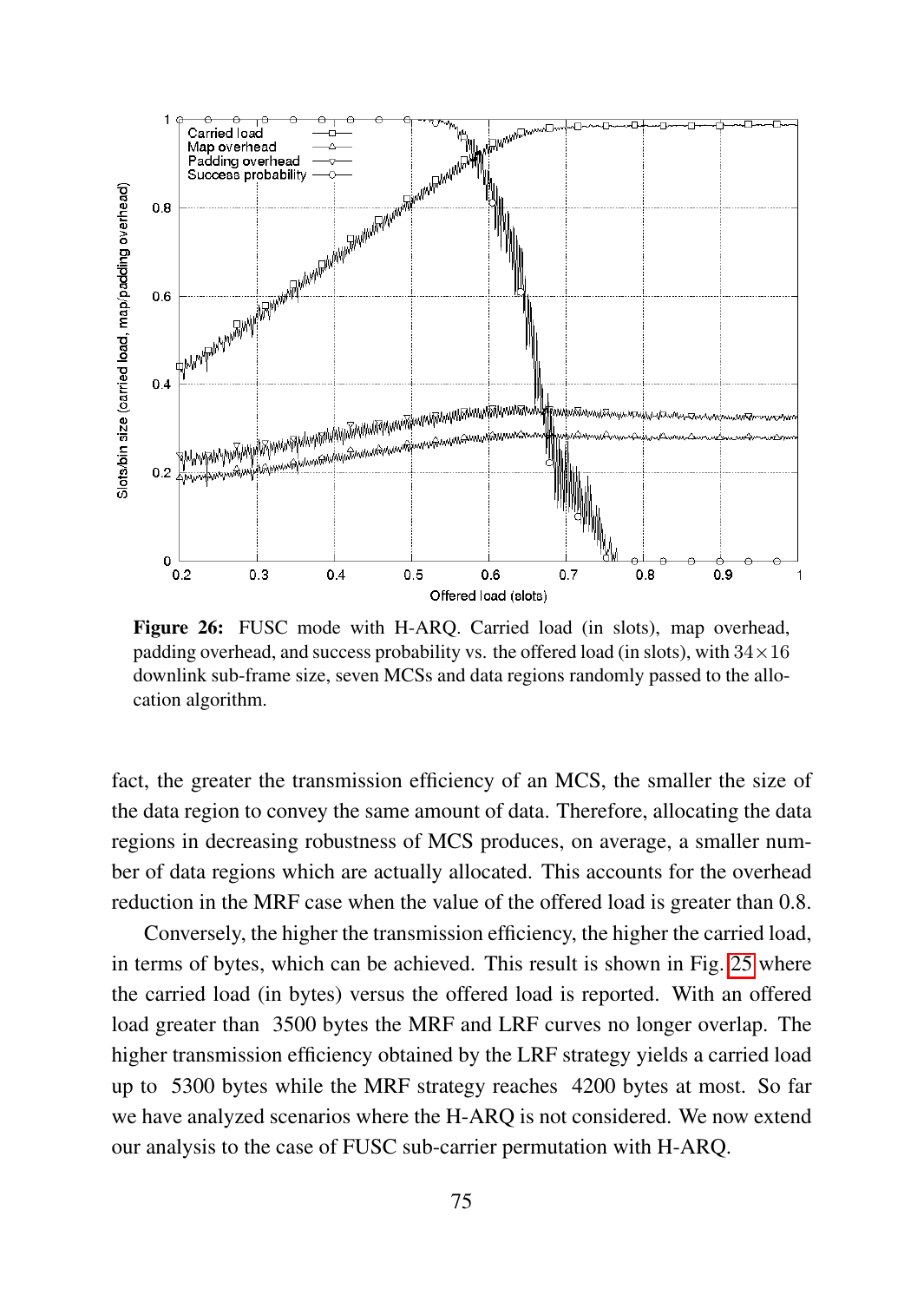

<span id="page-88-0"></span>Figure 26: FUSC mode with H-ARQ. Carried load (in slots), map overhead, padding overhead, and success probability vs. the offered load (in slots), with  $34 \times 16$ downlink sub-frame size, seven MCSs and data regions randomly passed to the allocation algorithm.

fact, the greater the transmission efficiency of an MCS, the smaller the size of the data region to convey the same amount of data. Therefore, allocating the data regions in decreasing robustness of MCS produces, on average, a smaller number of data regions which are actually allocated. This accounts for the overhead reduction in the MRF case when the value of the offered load is greater than 0.8.

Conversely, the higher the transmission efficiency, the higher the carried load, in terms of bytes, which can be achieved. This result is shown in Fig. [25](#page-87-0) where the carried load (in bytes) versus the offered load is reported. With an offered load greater than 3500 bytes the MRF and LRF curves no longer overlap. The higher transmission efficiency obtained by the LRF strategy yields a carried load up to 5300 bytes while the MRF strategy reaches 4200 bytes at most. So far we have analyzed scenarios where the H-ARQ is not considered. We now extend our analysis to the case of FUSC sub-carrier permutation with H-ARQ.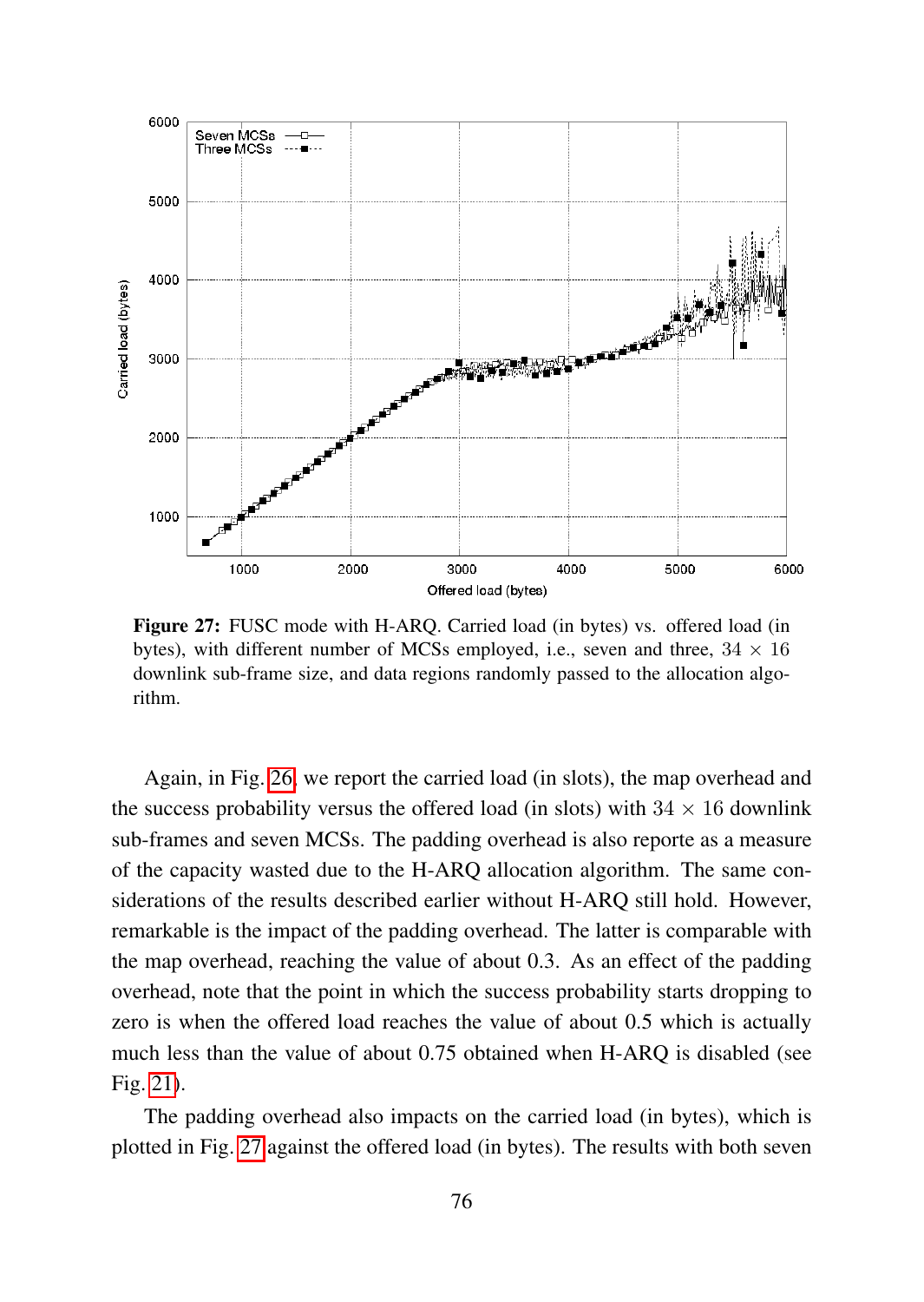

<span id="page-89-0"></span>Figure 27: FUSC mode with H-ARQ. Carried load (in bytes) vs. offered load (in bytes), with different number of MCSs employed, i.e., seven and three,  $34 \times 16$ downlink sub-frame size, and data regions randomly passed to the allocation algorithm.

Again, in Fig. [26,](#page-88-0) we report the carried load (in slots), the map overhead and the success probability versus the offered load (in slots) with  $34 \times 16$  downlink sub-frames and seven MCSs. The padding overhead is also reporte as a measure of the capacity wasted due to the H-ARQ allocation algorithm. The same considerations of the results described earlier without H-ARQ still hold. However, remarkable is the impact of the padding overhead. The latter is comparable with the map overhead, reaching the value of about 0.3. As an effect of the padding overhead, note that the point in which the success probability starts dropping to zero is when the offered load reaches the value of about 0.5 which is actually much less than the value of about 0.75 obtained when H-ARQ is disabled (see Fig. [21\)](#page-82-0).

The padding overhead also impacts on the carried load (in bytes), which is plotted in Fig. [27](#page-89-0) against the offered load (in bytes). The results with both seven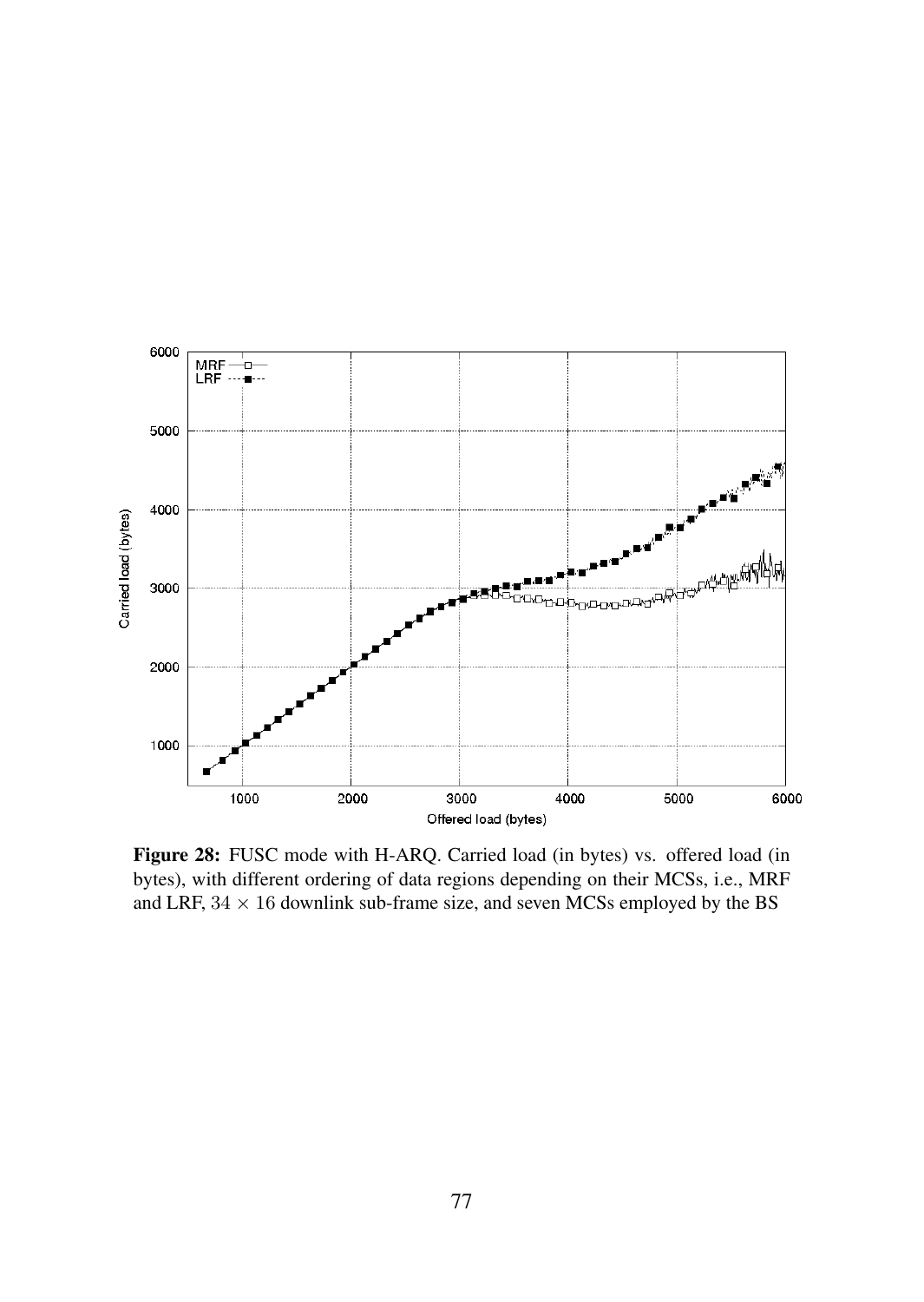

<span id="page-90-0"></span>Figure 28: FUSC mode with H-ARQ. Carried load (in bytes) vs. offered load (in bytes), with different ordering of data regions depending on their MCSs, i.e., MRF and LRF,  $34 \times 16$  downlink sub-frame size, and seven MCSs employed by the BS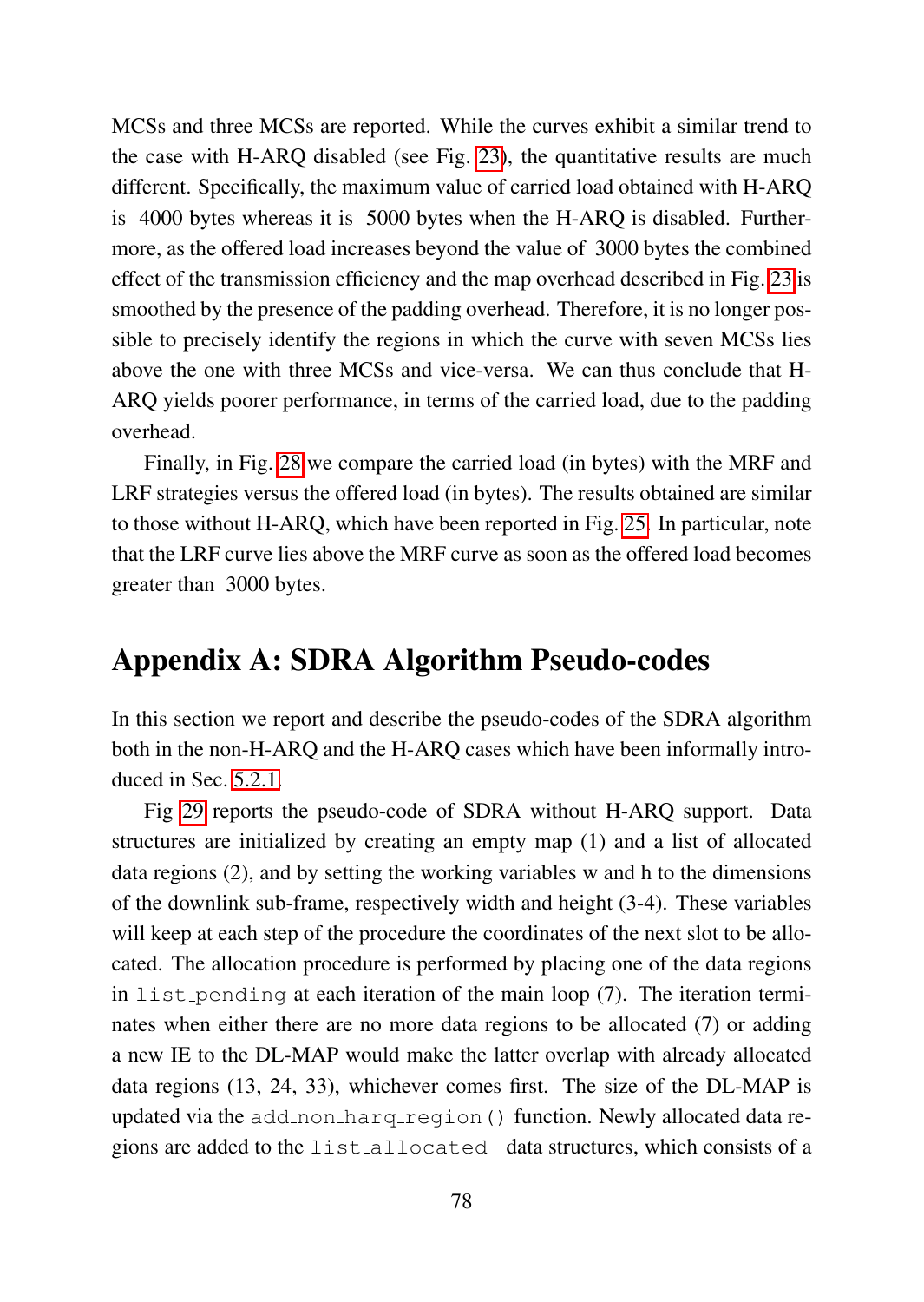<span id="page-91-0"></span>MCSs and three MCSs are reported. While the curves exhibit a similar trend to the case with H-ARQ disabled (see Fig. [23\)](#page-84-0), the quantitative results are much different. Specifically, the maximum value of carried load obtained with H-ARQ is 4000 bytes whereas it is 5000 bytes when the H-ARQ is disabled. Furthermore, as the offered load increases beyond the value of 3000 bytes the combined effect of the transmission efficiency and the map overhead described in Fig. [23](#page-84-0) is smoothed by the presence of the padding overhead. Therefore, it is no longer possible to precisely identify the regions in which the curve with seven MCSs lies above the one with three MCSs and vice-versa. We can thus conclude that H-ARQ yields poorer performance, in terms of the carried load, due to the padding overhead.

Finally, in Fig. [28](#page-90-0) we compare the carried load (in bytes) with the MRF and LRF strategies versus the offered load (in bytes). The results obtained are similar to those without H-ARQ, which have been reported in Fig. [25.](#page-87-0) In particular, note that the LRF curve lies above the MRF curve as soon as the offered load becomes greater than 3000 bytes.

# Appendix A: SDRA Algorithm Pseudo-codes

In this section we report and describe the pseudo-codes of the SDRA algorithm both in the non-H-ARQ and the H-ARQ cases which have been informally introduced in Sec. [5.2.1.](#page-73-0)

Fig [29](#page-93-0) reports the pseudo-code of SDRA without H-ARQ support. Data structures are initialized by creating an empty map (1) and a list of allocated data regions (2), and by setting the working variables w and h to the dimensions of the downlink sub-frame, respectively width and height (3-4). These variables will keep at each step of the procedure the coordinates of the next slot to be allocated. The allocation procedure is performed by placing one of the data regions in list pending at each iteration of the main loop (7). The iteration terminates when either there are no more data regions to be allocated (7) or adding a new IE to the DL-MAP would make the latter overlap with already allocated data regions (13, 24, 33), whichever comes first. The size of the DL-MAP is updated via the add\_non\_harq\_region() function. Newly allocated data regions are added to the list allocated data structures, which consists of a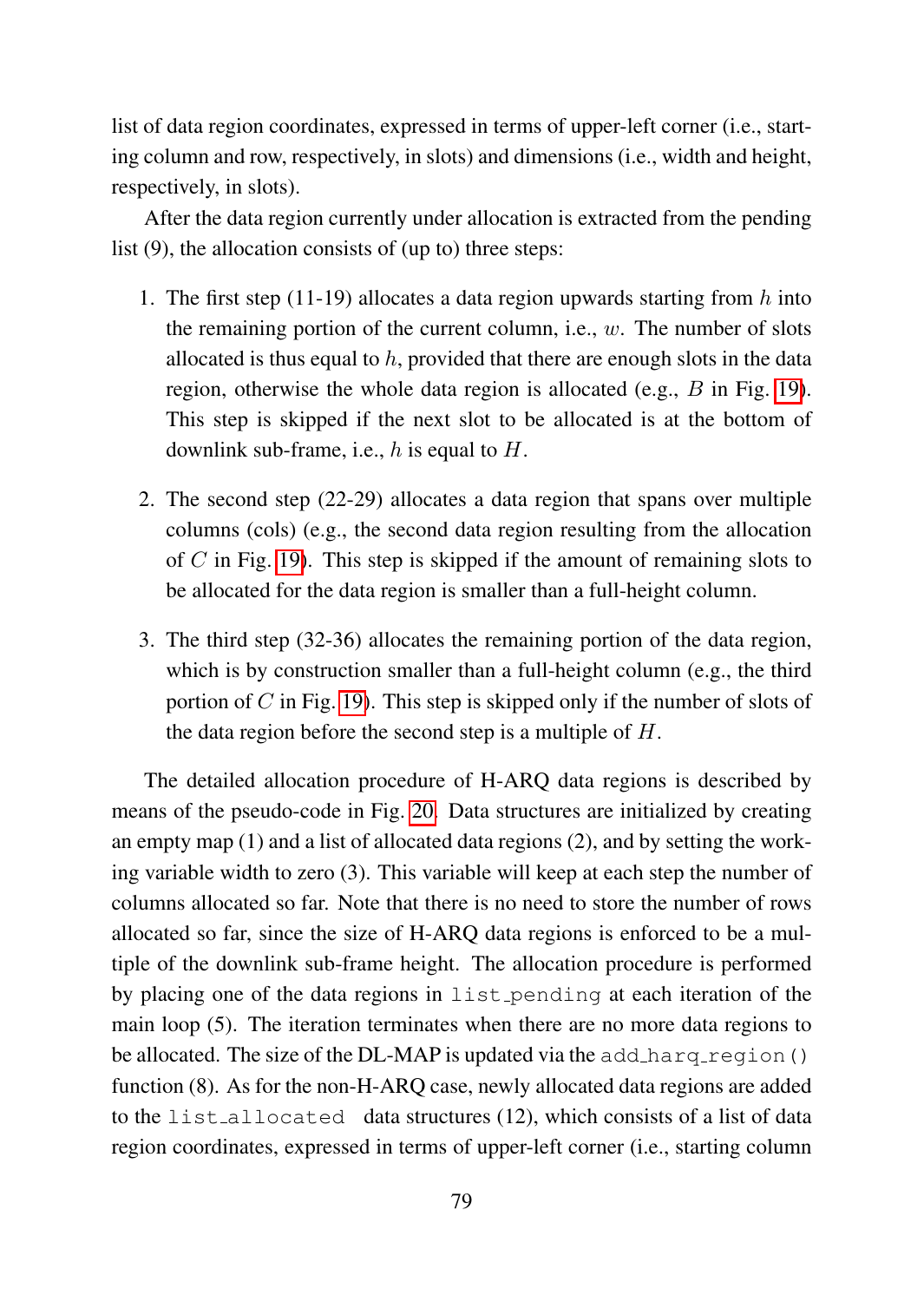list of data region coordinates, expressed in terms of upper-left corner (i.e., starting column and row, respectively, in slots) and dimensions (i.e., width and height, respectively, in slots).

After the data region currently under allocation is extracted from the pending list (9), the allocation consists of (up to) three steps:

- 1. The first step (11-19) allocates a data region upwards starting from h into the remaining portion of the current column, i.e.,  $w$ . The number of slots allocated is thus equal to  $h$ , provided that there are enough slots in the data region, otherwise the whole data region is allocated (e.g.,  $B$  in Fig. [19\)](#page-74-0). This step is skipped if the next slot to be allocated is at the bottom of downlink sub-frame, i.e.,  $h$  is equal to  $H$ .
- 2. The second step (22-29) allocates a data region that spans over multiple columns (cols) (e.g., the second data region resulting from the allocation of  $C$  in Fig. [19\)](#page-74-0). This step is skipped if the amount of remaining slots to be allocated for the data region is smaller than a full-height column.
- 3. The third step (32-36) allocates the remaining portion of the data region, which is by construction smaller than a full-height column (e.g., the third portion of  $C$  in Fig. [19\)](#page-74-0). This step is skipped only if the number of slots of the data region before the second step is a multiple of  $H$ .

The detailed allocation procedure of H-ARQ data regions is described by means of the pseudo-code in Fig. [20.](#page-76-0) Data structures are initialized by creating an empty map (1) and a list of allocated data regions (2), and by setting the working variable width to zero (3). This variable will keep at each step the number of columns allocated so far. Note that there is no need to store the number of rows allocated so far, since the size of H-ARQ data regions is enforced to be a multiple of the downlink sub-frame height. The allocation procedure is performed by placing one of the data regions in list pending at each iteration of the main loop (5). The iteration terminates when there are no more data regions to be allocated. The size of the DL-MAP is updated via the  $add\_harg\_region()$ function (8). As for the non-H-ARQ case, newly allocated data regions are added to the list allocated data structures (12), which consists of a list of data region coordinates, expressed in terms of upper-left corner (i.e., starting column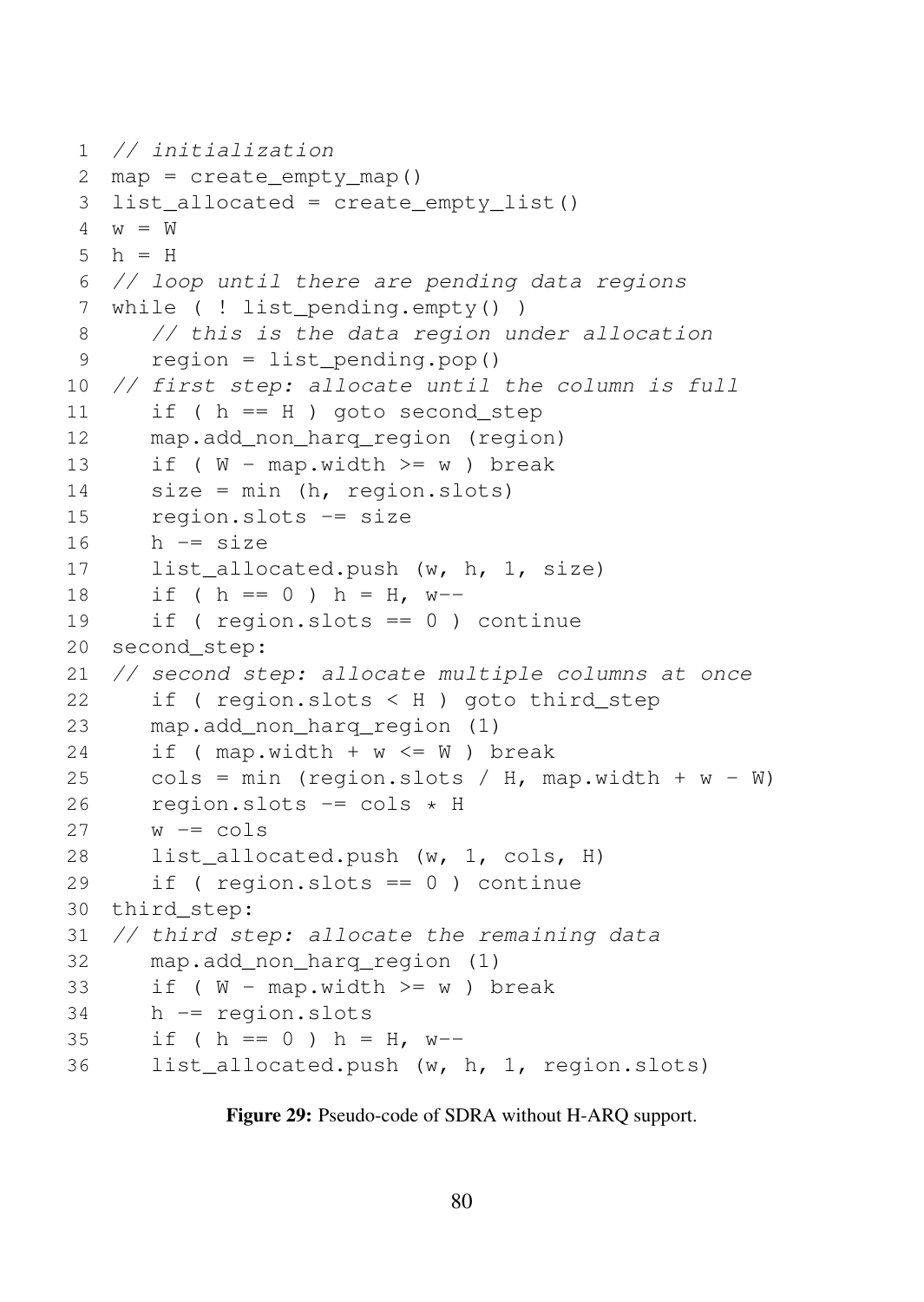```
1 // initialization
2 map = create_empty_map()
3 list allocated = create empty list()4 M = W5 h = H6 // loop until there are pending data regions
7 while ( ! list_pending.empty() )
8 // this is the data region under allocation
9 region = list pending.pop()
10 // first step: allocate until the column is full
11 if (h == H) goto second step
12 map.add non harg region (region)
13 if (W - map, width >= w) break
14 size = min (h, region.slots)
15 region.slots -= size
16 h = size
17 list allocated.push (w, h, 1, size)
18 if ( h == 0 ) h = H, w--19 if ( region.slots == 0 ) continue
20 second_step:
21 // second step: allocate multiple columns at once
22 if ( region.slots \leq H ) goto third step
23 map.add non harg region (1)
24 if ( map width + w \leq W ) break
25 cols = min (region.slots / H, map.width + w - W)
26 region.slots == cols * H
27 w == \text{cols}28 list_allocated.push (w, 1, cols, H)
29 if ( region.slots == 0 ) continue
30 third_step:
31 // third step: allocate the remaining data
32 map.add_non_harq_region (1)
33 if (W - map.width >= w) break
34 h -= region.slots
35 if ( h == 0 ) h = H, w--36 list_allocated.push (w, h, 1, region.slots)
```
#### <span id="page-93-0"></span>Figure 29: Pseudo-code of SDRA without H-ARQ support.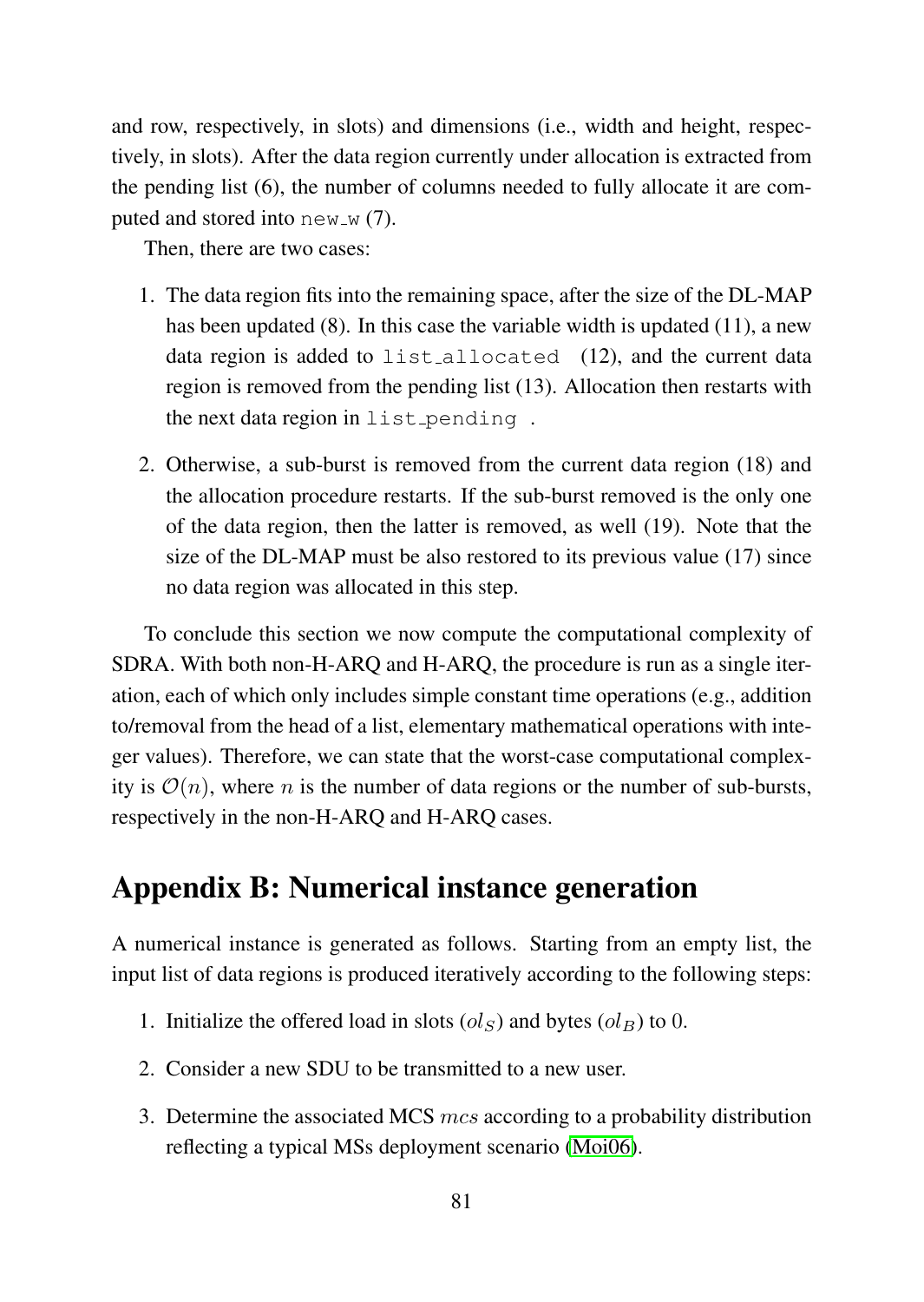<span id="page-94-0"></span>and row, respectively, in slots) and dimensions (i.e., width and height, respectively, in slots). After the data region currently under allocation is extracted from the pending list (6), the number of columns needed to fully allocate it are computed and stored into  $new_w(7)$ .

Then, there are two cases:

- 1. The data region fits into the remaining space, after the size of the DL-MAP has been updated (8). In this case the variable width is updated (11), a new data region is added to list allocated (12), and the current data region is removed from the pending list (13). Allocation then restarts with the next data region in list pending .
- 2. Otherwise, a sub-burst is removed from the current data region (18) and the allocation procedure restarts. If the sub-burst removed is the only one of the data region, then the latter is removed, as well (19). Note that the size of the DL-MAP must be also restored to its previous value (17) since no data region was allocated in this step.

To conclude this section we now compute the computational complexity of SDRA. With both non-H-ARQ and H-ARQ, the procedure is run as a single iteration, each of which only includes simple constant time operations (e.g., addition to/removal from the head of a list, elementary mathematical operations with integer values). Therefore, we can state that the worst-case computational complexity is  $\mathcal{O}(n)$ , where n is the number of data regions or the number of sub-bursts, respectively in the non-H-ARQ and H-ARQ cases.

# Appendix B: Numerical instance generation

A numerical instance is generated as follows. Starting from an empty list, the input list of data regions is produced iteratively according to the following steps:

- 1. Initialize the offered load in slots  $(\partial S)$  and bytes  $(\partial B)$  to 0.
- 2. Consider a new SDU to be transmitted to a new user.
- 3. Determine the associated MCS  $mcs$  according to a probability distribution reflecting a typical MSs deployment scenario [\(Moi06\)](#page-102-2).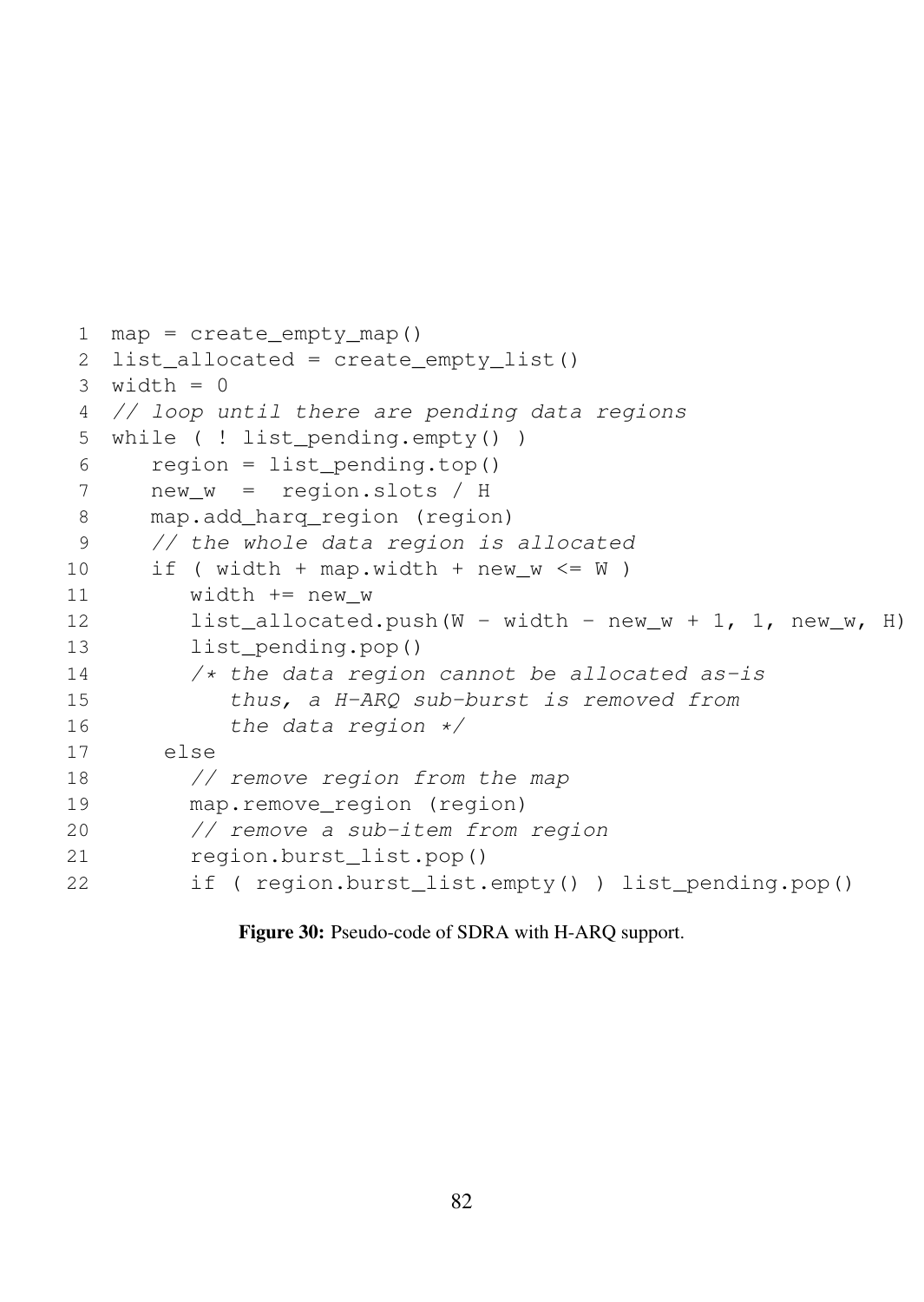```
1 map = create_empty_map()
2 list allocated = create empty list()
3 width = 04 // loop until there are pending data regions
5 while ( ! list_pending.empty() )
6 region = list_pending.top()
7 new_w = region.slots / H
8 map.add harg region (region)
9 // the whole data region is allocated
10 if ( width + map.width + new w \leq W )
11 width += new_w
12 list_allocated.push(W - width - new_w + 1, 1, new_w, H)
13 list pending.pop()
14 /* the data region cannot be allocated as-is
15 thus, a H-ARQ sub-burst is removed from
16 the data region */
17 else
18 // remove region from the map
19 map.remove_region (region)
20 // remove a sub-item from region
21 region.burst_list.pop()
22 if ( region.burst_list.empty() ) list_pending.pop()
```
#### Figure 30: Pseudo-code of SDRA with H-ARQ support.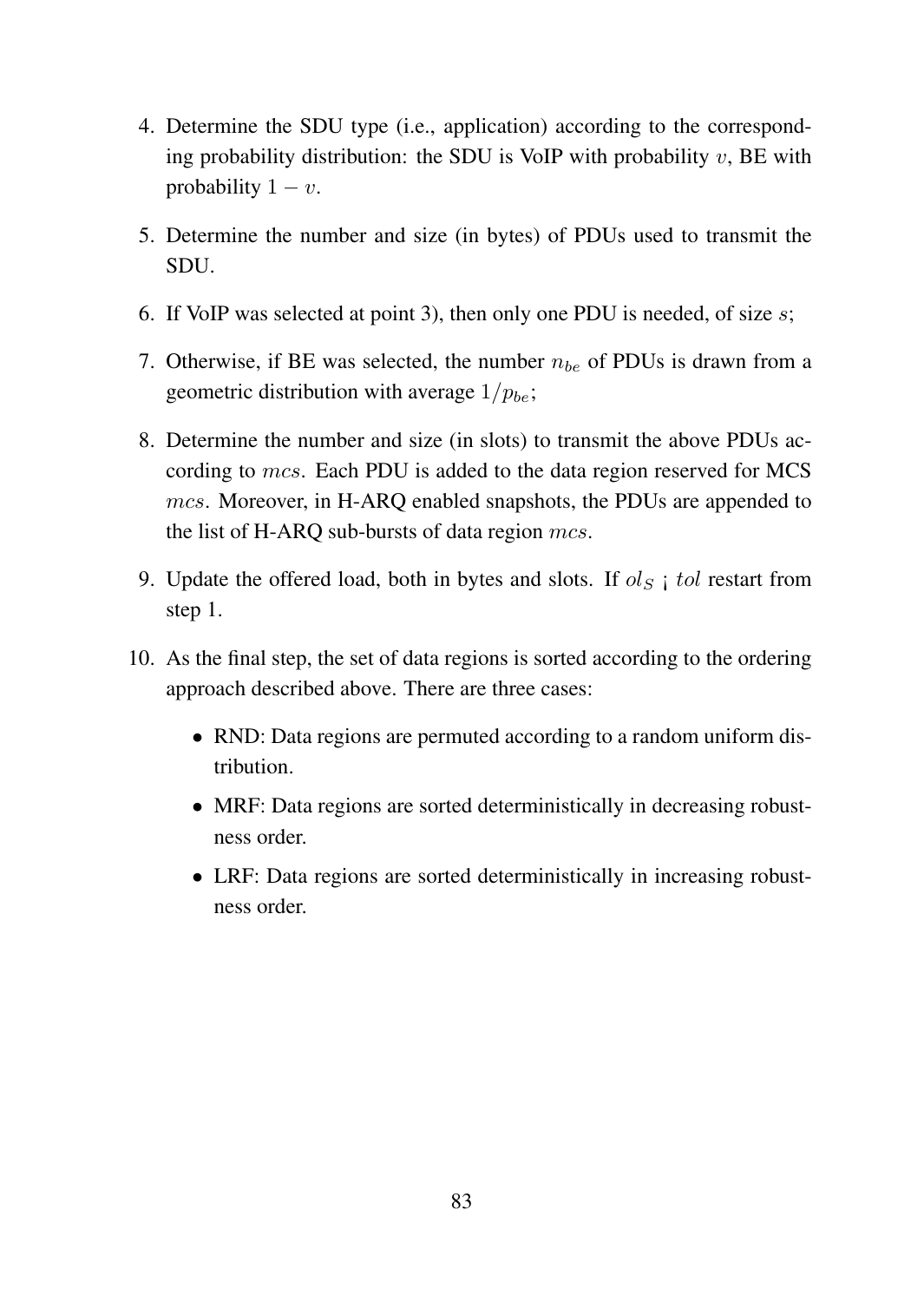- 4. Determine the SDU type (i.e., application) according to the corresponding probability distribution: the SDU is VoIP with probability  $v$ , BE with probability  $1 - v$ .
- 5. Determine the number and size (in bytes) of PDUs used to transmit the SDU.
- 6. If VoIP was selected at point 3), then only one PDU is needed, of size s;
- 7. Otherwise, if BE was selected, the number  $n_{be}$  of PDUs is drawn from a geometric distribution with average  $1/p_{be}$ ;
- 8. Determine the number and size (in slots) to transmit the above PDUs according to mcs. Each PDU is added to the data region reserved for MCS mcs. Moreover, in H-ARQ enabled snapshots, the PDUs are appended to the list of H-ARQ sub-bursts of data region  $mcs$ .
- 9. Update the offered load, both in bytes and slots. If  $ol_S$ ; tol restart from step 1.
- 10. As the final step, the set of data regions is sorted according to the ordering approach described above. There are three cases:
	- RND: Data regions are permuted according to a random uniform distribution.
	- MRF: Data regions are sorted deterministically in decreasing robustness order.
	- LRF: Data regions are sorted deterministically in increasing robustness order.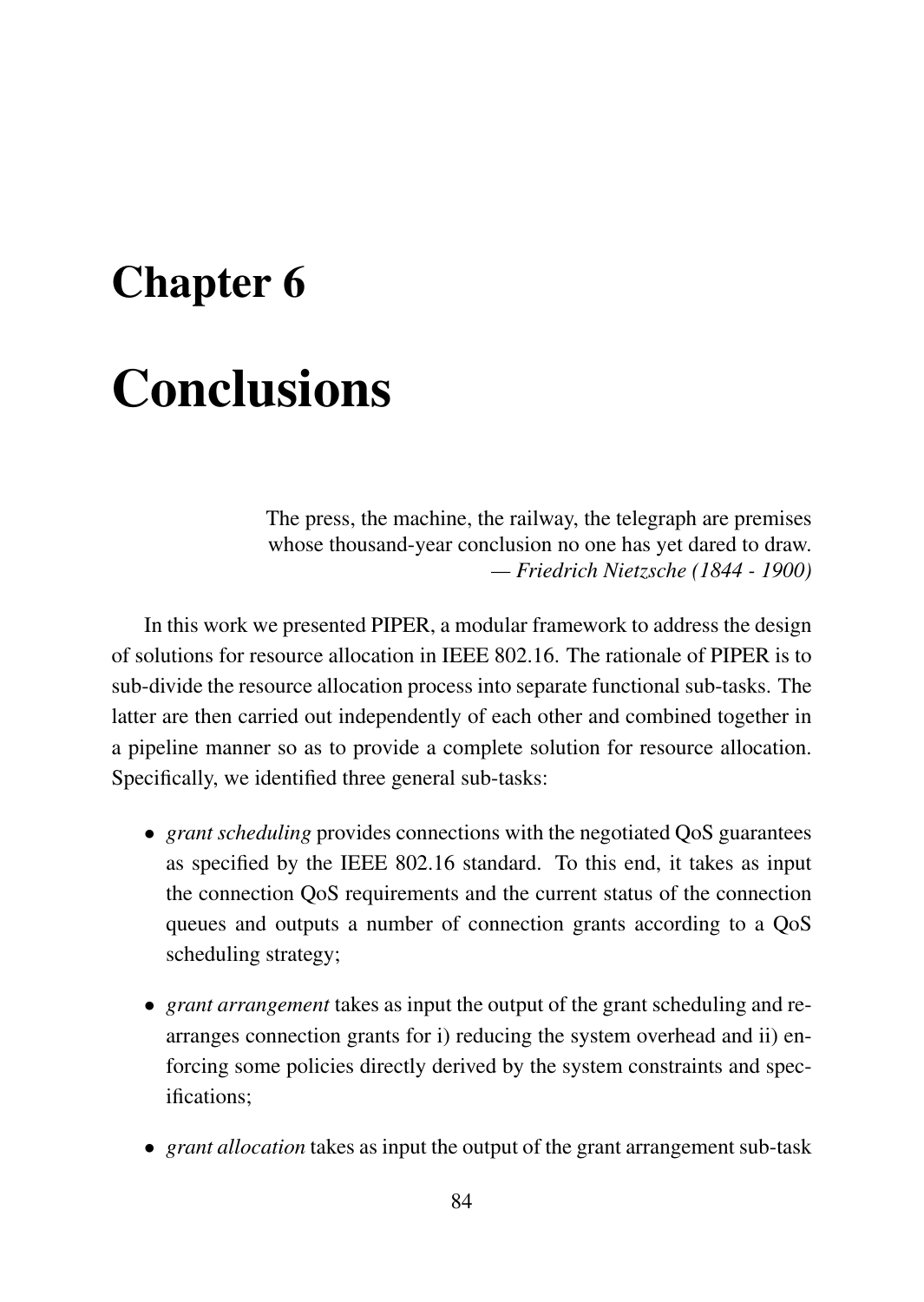# Chapter 6 **Conclusions**

The press, the machine, the railway, the telegraph are premises whose thousand-year conclusion no one has yet dared to draw. *— Friedrich Nietzsche (1844 - 1900)*

In this work we presented PIPER, a modular framework to address the design of solutions for resource allocation in IEEE 802.16. The rationale of PIPER is to sub-divide the resource allocation process into separate functional sub-tasks. The latter are then carried out independently of each other and combined together in a pipeline manner so as to provide a complete solution for resource allocation. Specifically, we identified three general sub-tasks:

- *grant scheduling* provides connections with the negotiated QoS guarantees as specified by the IEEE 802.16 standard. To this end, it takes as input the connection QoS requirements and the current status of the connection queues and outputs a number of connection grants according to a QoS scheduling strategy;
- *grant arrangement* takes as input the output of the grant scheduling and rearranges connection grants for i) reducing the system overhead and ii) enforcing some policies directly derived by the system constraints and specifications;
- *grant allocation* takes as input the output of the grant arrangement sub-task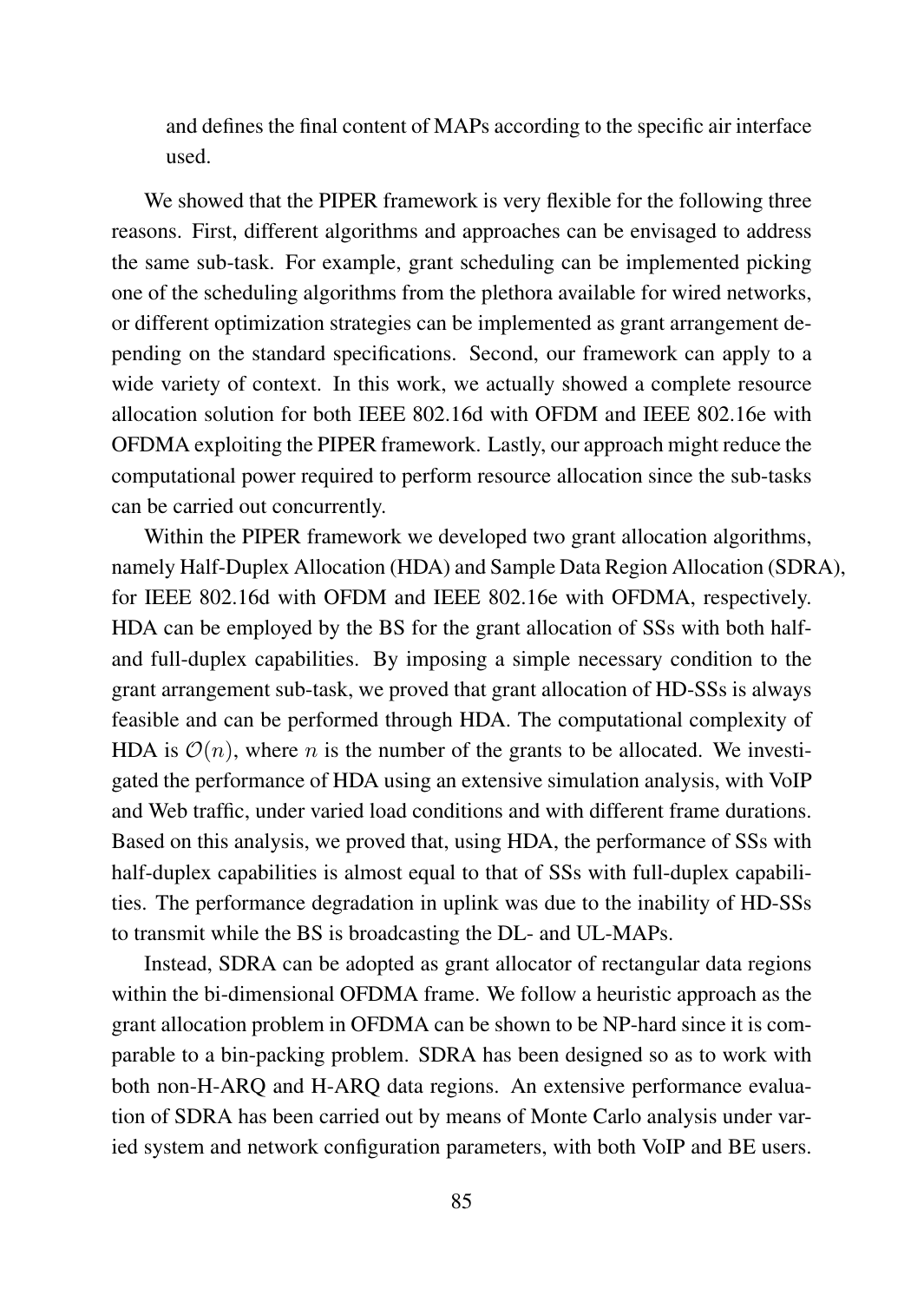and defines the final content of MAPs according to the specific air interface used.

We showed that the PIPER framework is very flexible for the following three reasons. First, different algorithms and approaches can be envisaged to address the same sub-task. For example, grant scheduling can be implemented picking one of the scheduling algorithms from the plethora available for wired networks, or different optimization strategies can be implemented as grant arrangement depending on the standard specifications. Second, our framework can apply to a wide variety of context. In this work, we actually showed a complete resource allocation solution for both IEEE 802.16d with OFDM and IEEE 802.16e with OFDMA exploiting the PIPER framework. Lastly, our approach might reduce the computational power required to perform resource allocation since the sub-tasks can be carried out concurrently.

Within the PIPER framework we developed two grant allocation algorithms, namely Half-Duplex Allocation (HDA) and Sample Data Region Allocation (SDRA), for IEEE 802.16d with OFDM and IEEE 802.16e with OFDMA, respectively. HDA can be employed by the BS for the grant allocation of SSs with both halfand full-duplex capabilities. By imposing a simple necessary condition to the grant arrangement sub-task, we proved that grant allocation of HD-SSs is always feasible and can be performed through HDA. The computational complexity of HDA is  $\mathcal{O}(n)$ , where n is the number of the grants to be allocated. We investigated the performance of HDA using an extensive simulation analysis, with VoIP and Web traffic, under varied load conditions and with different frame durations. Based on this analysis, we proved that, using HDA, the performance of SSs with half-duplex capabilities is almost equal to that of SSs with full-duplex capabilities. The performance degradation in uplink was due to the inability of HD-SSs to transmit while the BS is broadcasting the DL- and UL-MAPs.

Instead, SDRA can be adopted as grant allocator of rectangular data regions within the bi-dimensional OFDMA frame. We follow a heuristic approach as the grant allocation problem in OFDMA can be shown to be NP-hard since it is comparable to a bin-packing problem. SDRA has been designed so as to work with both non-H-ARQ and H-ARQ data regions. An extensive performance evaluation of SDRA has been carried out by means of Monte Carlo analysis under varied system and network configuration parameters, with both VoIP and BE users.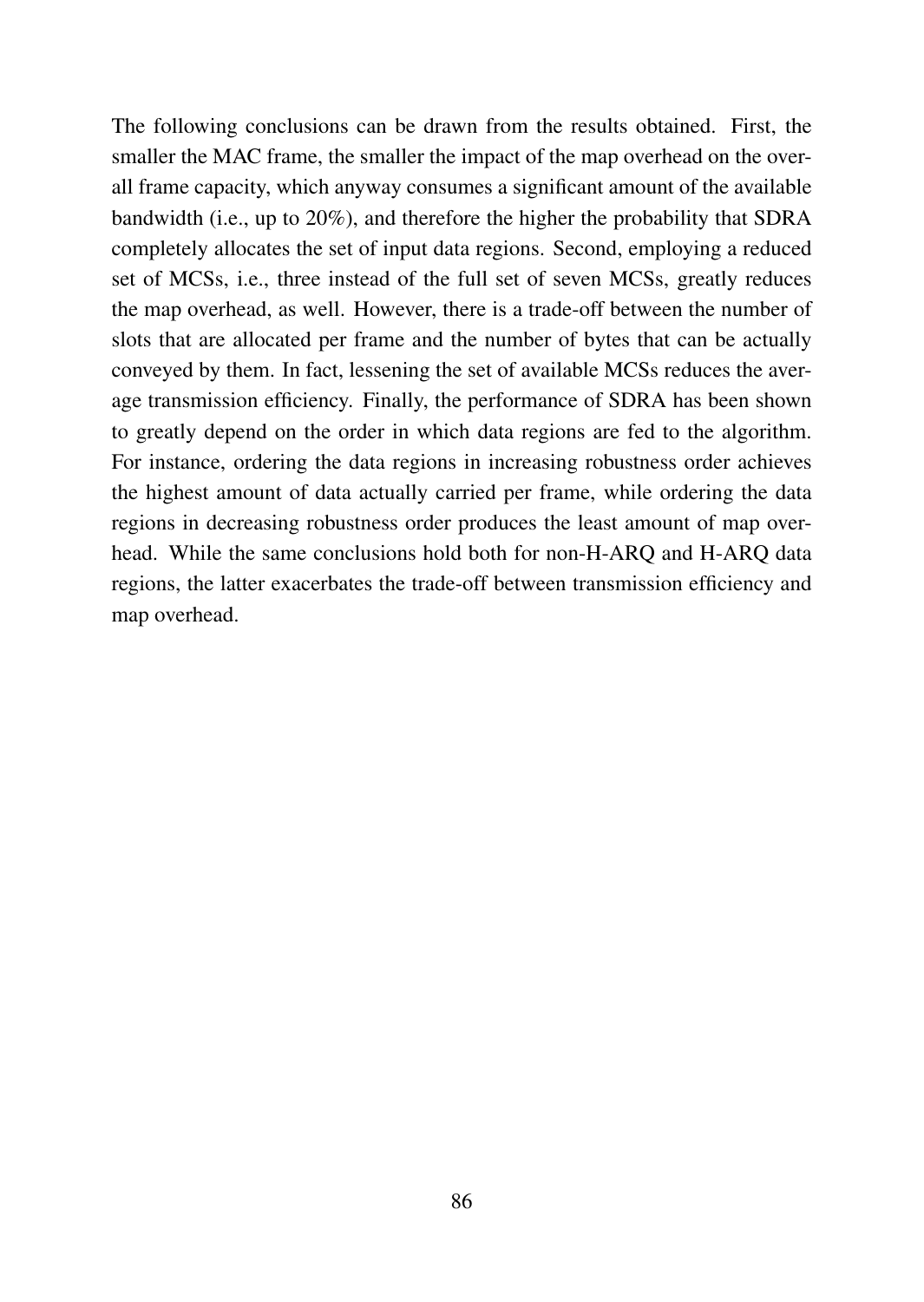The following conclusions can be drawn from the results obtained. First, the smaller the MAC frame, the smaller the impact of the map overhead on the overall frame capacity, which anyway consumes a significant amount of the available bandwidth (i.e., up to 20%), and therefore the higher the probability that SDRA completely allocates the set of input data regions. Second, employing a reduced set of MCSs, i.e., three instead of the full set of seven MCSs, greatly reduces the map overhead, as well. However, there is a trade-off between the number of slots that are allocated per frame and the number of bytes that can be actually conveyed by them. In fact, lessening the set of available MCSs reduces the average transmission efficiency. Finally, the performance of SDRA has been shown to greatly depend on the order in which data regions are fed to the algorithm. For instance, ordering the data regions in increasing robustness order achieves the highest amount of data actually carried per frame, while ordering the data regions in decreasing robustness order produces the least amount of map overhead. While the same conclusions hold both for non-H-ARQ and H-ARQ data regions, the latter exacerbates the trade-off between transmission efficiency and map overhead.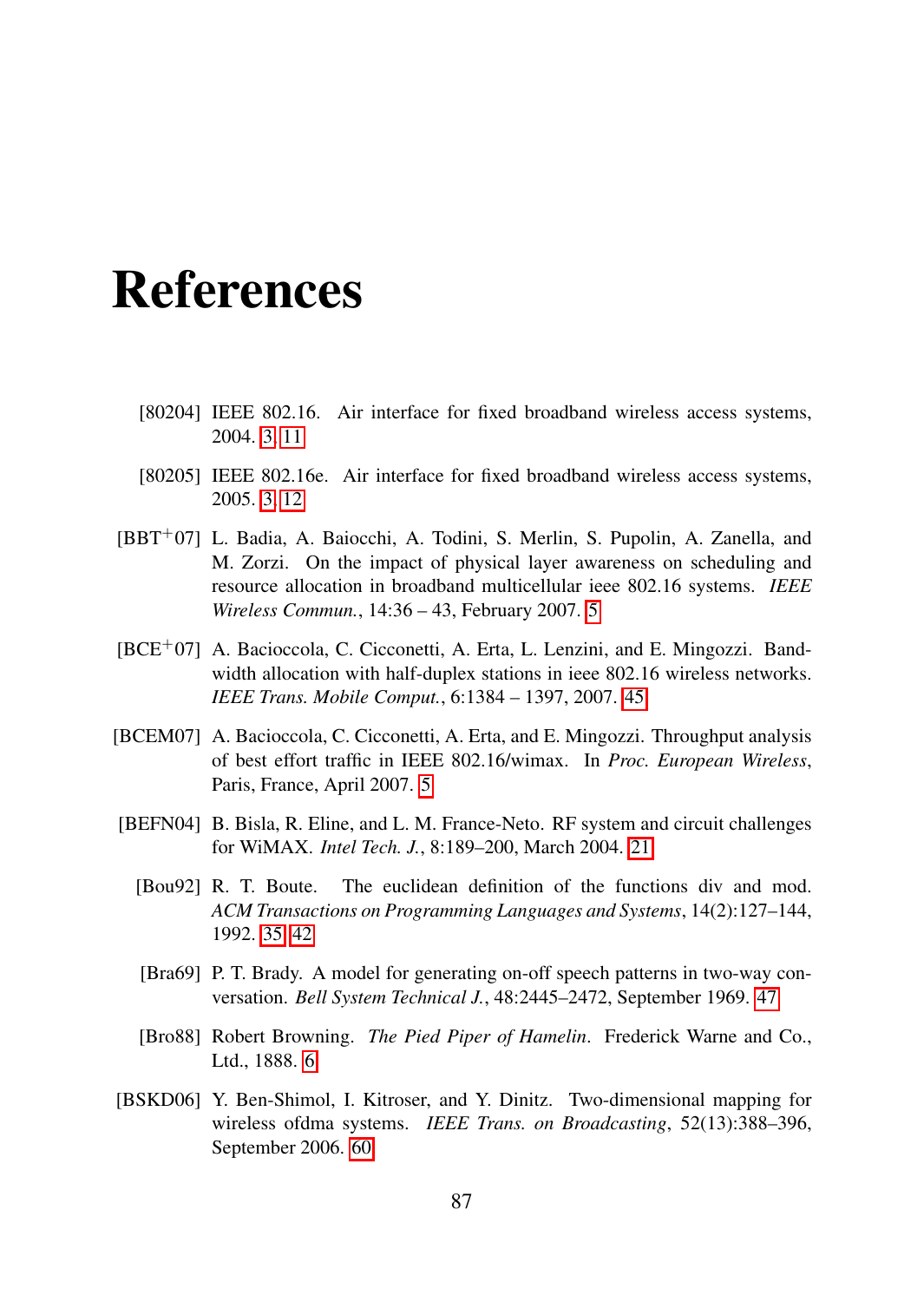# References

- [80204] IEEE 802.16. Air interface for fixed broadband wireless access systems, 2004. [3,](#page-16-0) [11](#page-24-0)
- [80205] IEEE 802.16e. Air interface for fixed broadband wireless access systems, 2005. [3,](#page-16-0) [12](#page-25-0)
- [BBT<sup>+</sup>07] L. Badia, A. Baiocchi, A. Todini, S. Merlin, S. Pupolin, A. Zanella, and M. Zorzi. On the impact of physical layer awareness on scheduling and resource allocation in broadband multicellular ieee 802.16 systems. *IEEE Wireless Commun.*, 14:36 – 43, February 2007. [5](#page-18-0)
- [BCE<sup>+</sup>07] A. Bacioccola, C. Cicconetti, A. Erta, L. Lenzini, and E. Mingozzi. Bandwidth allocation with half-duplex stations in ieee 802.16 wireless networks. *IEEE Trans. Mobile Comput.*, 6:1384 – 1397, 2007. [45](#page-58-0)
- [BCEM07] A. Bacioccola, C. Cicconetti, A. Erta, and E. Mingozzi. Throughput analysis of best effort traffic in IEEE 802.16/wimax. In *Proc. European Wireless*, Paris, France, April 2007. [5](#page-18-0)
- [BEFN04] B. Bisla, R. Eline, and L. M. France-Neto. RF system and circuit challenges for WiMAX. *Intel Tech. J.*, 8:189–200, March 2004. [21](#page-34-0)
	- [Bou92] R. T. Boute. The euclidean definition of the functions div and mod. *ACM Transactions on Programming Languages and Systems*, 14(2):127–144, 1992. [35,](#page-48-0) [42](#page-55-0)
	- [Bra69] P. T. Brady. A model for generating on-off speech patterns in two-way conversation. *Bell System Technical J.*, 48:2445–2472, September 1969. [47](#page-60-0)
	- [Bro88] Robert Browning. *The Pied Piper of Hamelin*. Frederick Warne and Co., Ltd., 1888. [6](#page-19-0)
- <span id="page-100-0"></span>[BSKD06] Y. Ben-Shimol, I. Kitroser, and Y. Dinitz. Two-dimensional mapping for wireless ofdma systems. *IEEE Trans. on Broadcasting*, 52(13):388–396, September 2006. [60](#page-73-1)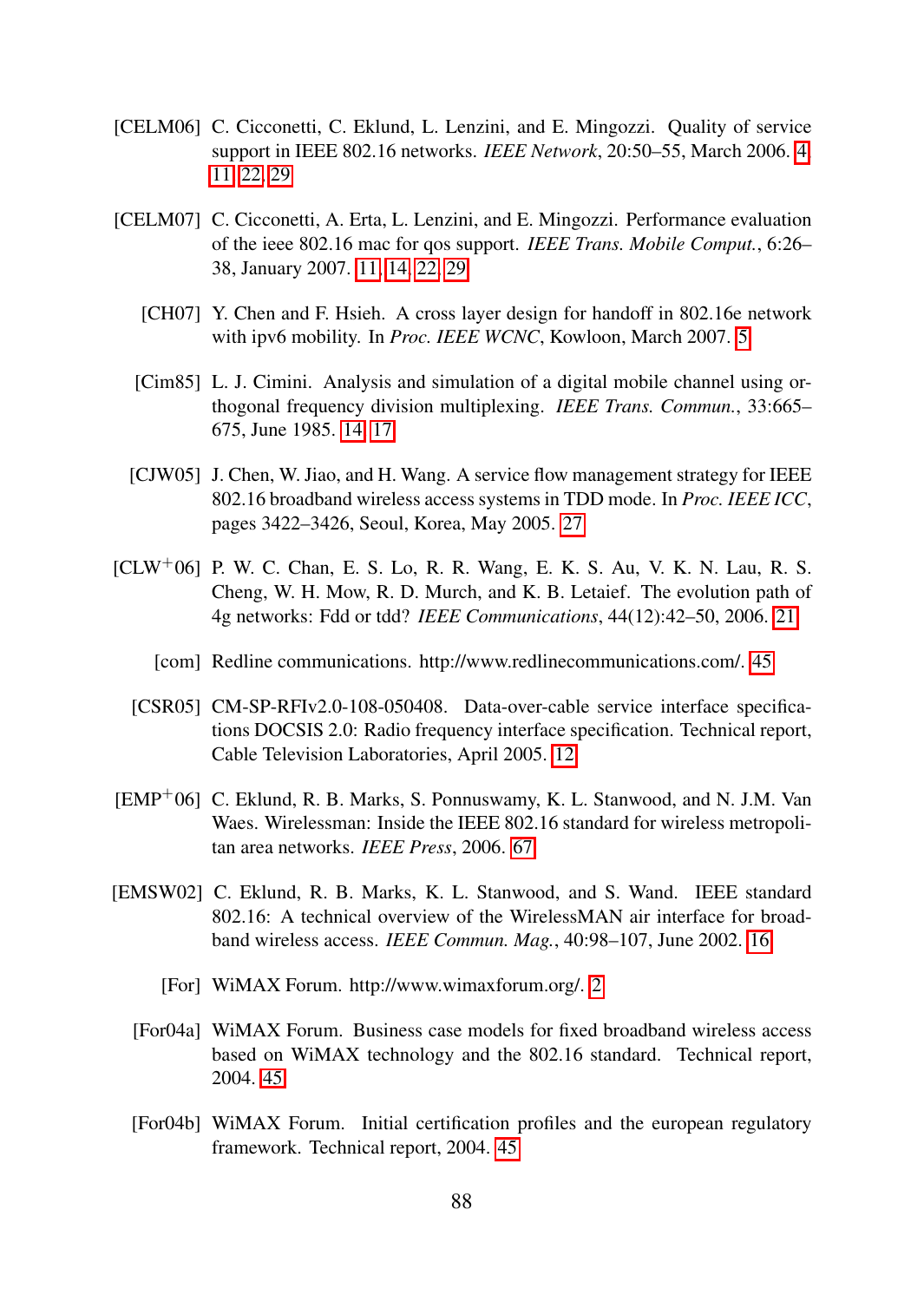- [CELM06] C. Cicconetti, C. Eklund, L. Lenzini, and E. Mingozzi. Quality of service support in IEEE 802.16 networks. *IEEE Network*, 20:50–55, March 2006. [4,](#page-17-0) [11,](#page-24-0) [22,](#page-35-0) [29](#page-42-0)
- [CELM07] C. Cicconetti, A. Erta, L. Lenzini, and E. Mingozzi. Performance evaluation of the ieee 802.16 mac for qos support. *IEEE Trans. Mobile Comput.*, 6:26– 38, January 2007. [11,](#page-24-0) [14,](#page-27-0) [22,](#page-35-0) [29](#page-42-0)
	- [CH07] Y. Chen and F. Hsieh. A cross layer design for handoff in 802.16e network with ipv6 mobility. In *Proc. IEEE WCNC*, Kowloon, March 2007. [5](#page-18-0)
	- [Cim85] L. J. Cimini. Analysis and simulation of a digital mobile channel using orthogonal frequency division multiplexing. *IEEE Trans. Commun.*, 33:665– 675, June 1985. [14,](#page-27-0) [17](#page-30-1)
	- [CJW05] J. Chen, W. Jiao, and H. Wang. A service flow management strategy for IEEE 802.16 broadband wireless access systems in TDD mode. In *Proc. IEEE ICC*, pages 3422–3426, Seoul, Korea, May 2005. [27](#page-40-0)
- $[CLW<sup>+</sup>06]$  P. W. C. Chan, E. S. Lo, R. R. Wang, E. K. S. Au, V. K. N. Lau, R. S. Cheng, W. H. Mow, R. D. Murch, and K. B. Letaief. The evolution path of 4g networks: Fdd or tdd? *IEEE Communications*, 44(12):42–50, 2006. [21](#page-34-0)
	- [com] Redline communications. http://www.redlinecommunications.com/. [45](#page-58-0)
	- [CSR05] CM-SP-RFIv2.0-108-050408. Data-over-cable service interface specifications DOCSIS 2.0: Radio frequency interface specification. Technical report, Cable Television Laboratories, April 2005. [12](#page-25-0)
- <span id="page-101-0"></span>[EMP<sup>+</sup>06] C. Eklund, R. B. Marks, S. Ponnuswamy, K. L. Stanwood, and N. J.M. Van Waes. Wirelessman: Inside the IEEE 802.16 standard for wireless metropolitan area networks. *IEEE Press*, 2006. [67](#page-80-1)
- [EMSW02] C. Eklund, R. B. Marks, K. L. Stanwood, and S. Wand. IEEE standard 802.16: A technical overview of the WirelessMAN air interface for broadband wireless access. *IEEE Commun. Mag.*, 40:98–107, June 2002. [16](#page-29-0)
	- [For] WiMAX Forum. http://www.wimaxforum.org/. [2](#page-15-0)
	- [For04a] WiMAX Forum. Business case models for fixed broadband wireless access based on WiMAX technology and the 802.16 standard. Technical report, 2004. [45](#page-58-0)
	- [For04b] WiMAX Forum. Initial certification profiles and the european regulatory framework. Technical report, 2004. [45](#page-58-0)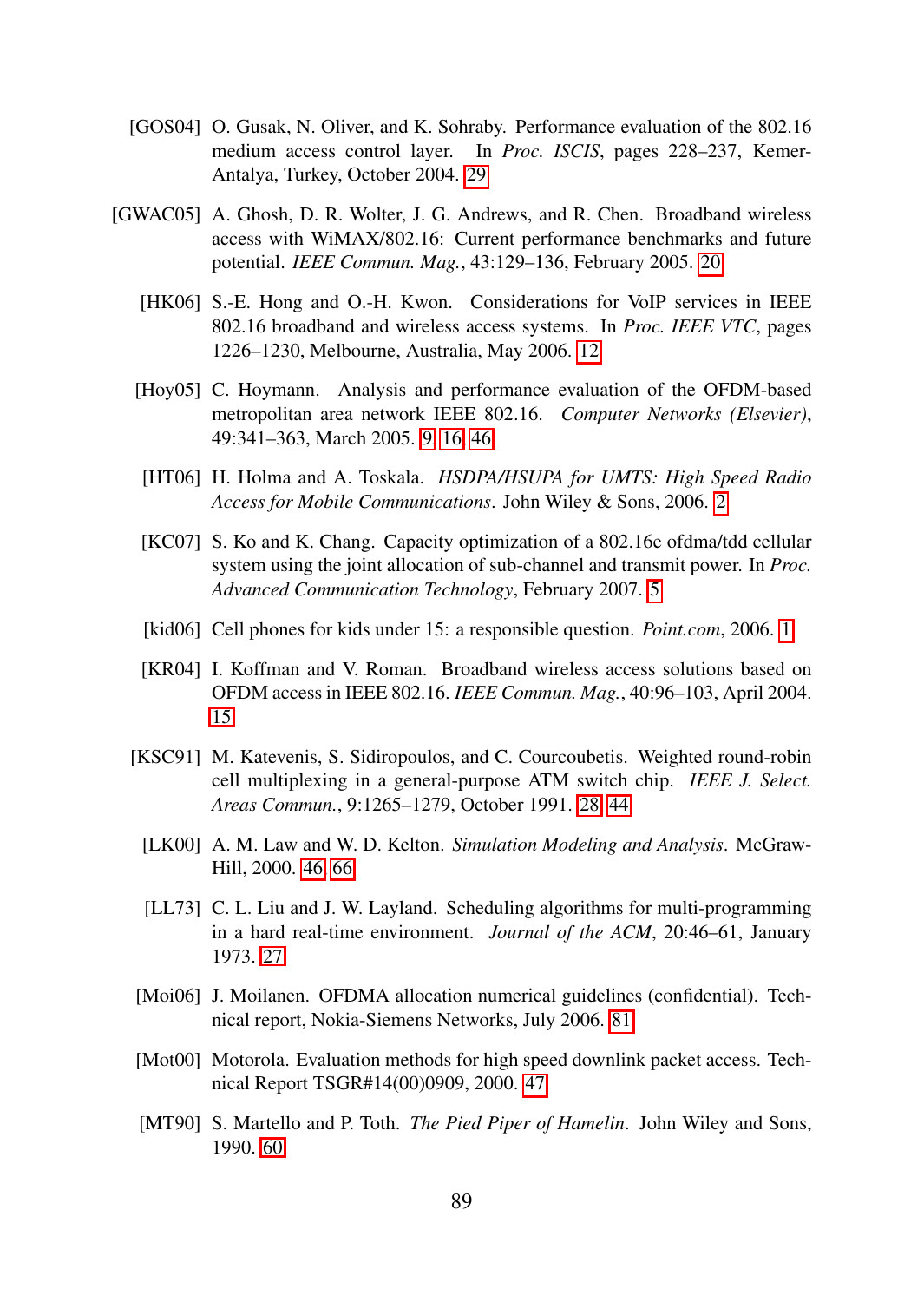- [GOS04] O. Gusak, N. Oliver, and K. Sohraby. Performance evaluation of the 802.16 medium access control layer. In *Proc. ISCIS*, pages 228–237, Kemer-Antalya, Turkey, October 2004. [29](#page-42-0)
- <span id="page-102-2"></span><span id="page-102-1"></span><span id="page-102-0"></span>[GWAC05] A. Ghosh, D. R. Wolter, J. G. Andrews, and R. Chen. Broadband wireless access with WiMAX/802.16: Current performance benchmarks and future potential. *IEEE Commun. Mag.*, 43:129–136, February 2005. [20](#page-33-0)
	- [HK06] S.-E. Hong and O.-H. Kwon. Considerations for VoIP services in IEEE 802.16 broadband and wireless access systems. In *Proc. IEEE VTC*, pages 1226–1230, Melbourne, Australia, May 2006. [12](#page-25-0)
	- [Hoy05] C. Hoymann. Analysis and performance evaluation of the OFDM-based metropolitan area network IEEE 802.16. *Computer Networks (Elsevier)*, 49:341–363, March 2005. [9,](#page-22-0) [16,](#page-29-0) [46](#page-59-0)
	- [HT06] H. Holma and A. Toskala. *HSDPA/HSUPA for UMTS: High Speed Radio Access for Mobile Communications*. John Wiley & Sons, 2006. [2](#page-15-0)
	- [KC07] S. Ko and K. Chang. Capacity optimization of a 802.16e ofdma/tdd cellular system using the joint allocation of sub-channel and transmit power. In *Proc. Advanced Communication Technology*, February 2007. [5](#page-18-0)
	- [kid06] Cell phones for kids under 15: a responsible question. *Point.com*, 2006. [1](#page-14-0)
	- [KR04] I. Koffman and V. Roman. Broadband wireless access solutions based on OFDM access in IEEE 802.16. *IEEE Commun. Mag.*, 40:96–103, April 2004. [15](#page-28-0)
	- [KSC91] M. Katevenis, S. Sidiropoulos, and C. Courcoubetis. Weighted round-robin cell multiplexing in a general-purpose ATM switch chip. *IEEE J. Select. Areas Commun.*, 9:1265–1279, October 1991. [28,](#page-41-0) [44](#page-57-0)
		- [LK00] A. M. Law and W. D. Kelton. *Simulation Modeling and Analysis*. McGraw-Hill, 2000. [46,](#page-59-0) [66](#page-79-0)
		- [LL73] C. L. Liu and J. W. Layland. Scheduling algorithms for multi-programming in a hard real-time environment. *Journal of the ACM*, 20:46–61, January 1973. [27](#page-40-0)
	- [Moi06] J. Moilanen. OFDMA allocation numerical guidelines (confidential). Technical report, Nokia-Siemens Networks, July 2006. [81](#page-94-0)
	- [Mot00] Motorola. Evaluation methods for high speed downlink packet access. Technical Report TSGR#14(00)0909, 2000. [47](#page-60-0)
	- [MT90] S. Martello and P. Toth. *The Pied Piper of Hamelin*. John Wiley and Sons, 1990. [60](#page-73-1)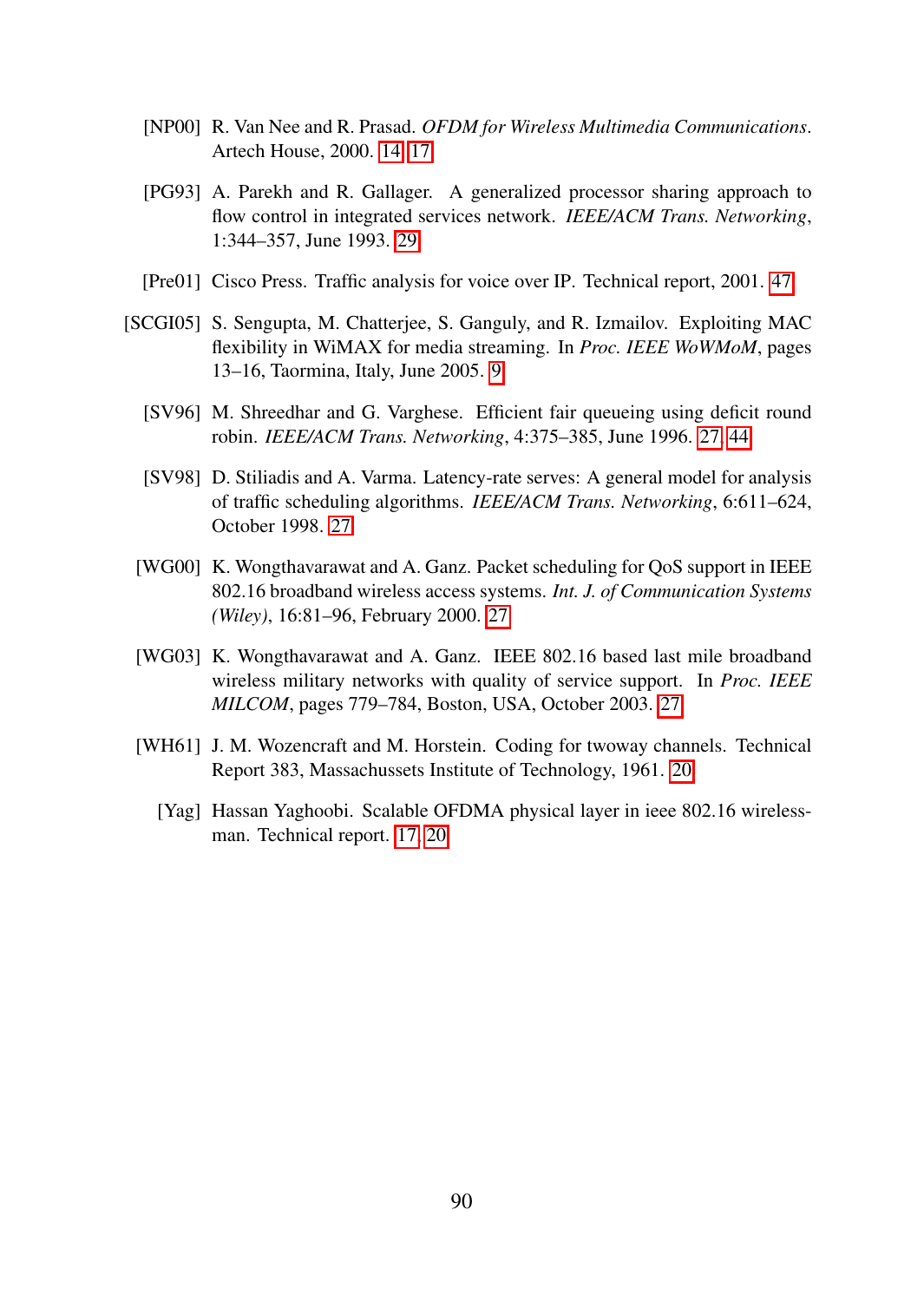- [NP00] R. Van Nee and R. Prasad. *OFDM for Wireless Multimedia Communications*. Artech House, 2000. [14,](#page-27-0) [17](#page-30-1)
- [PG93] A. Parekh and R. Gallager. A generalized processor sharing approach to flow control in integrated services network. *IEEE/ACM Trans. Networking*, 1:344–357, June 1993. [29](#page-42-0)
- [Pre01] Cisco Press. Traffic analysis for voice over IP. Technical report, 2001. [47](#page-60-0)
- [SCGI05] S. Sengupta, M. Chatterjee, S. Ganguly, and R. Izmailov. Exploiting MAC flexibility in WiMAX for media streaming. In *Proc. IEEE WoWMoM*, pages 13–16, Taormina, Italy, June 2005. [9](#page-22-0)
	- [SV96] M. Shreedhar and G. Varghese. Efficient fair queueing using deficit round robin. *IEEE/ACM Trans. Networking*, 4:375–385, June 1996. [27,](#page-40-0) [44](#page-57-0)
	- [SV98] D. Stiliadis and A. Varma. Latency-rate serves: A general model for analysis of traffic scheduling algorithms. *IEEE/ACM Trans. Networking*, 6:611–624, October 1998. [27](#page-40-0)
	- [WG00] K. Wongthavarawat and A. Ganz. Packet scheduling for QoS support in IEEE 802.16 broadband wireless access systems. *Int. J. of Communication Systems (Wiley)*, 16:81–96, February 2000. [27](#page-40-0)
	- [WG03] K. Wongthavarawat and A. Ganz. IEEE 802.16 based last mile broadband wireless military networks with quality of service support. In *Proc. IEEE MILCOM*, pages 779–784, Boston, USA, October 2003. [27](#page-40-0)
	- [WH61] J. M. Wozencraft and M. Horstein. Coding for twoway channels. Technical Report 383, Massachussets Institute of Technology, 1961. [20](#page-33-0)
		- [Yag] Hassan Yaghoobi. Scalable OFDMA physical layer in ieee 802.16 wirelessman. Technical report. [17,](#page-30-1) [20](#page-33-0)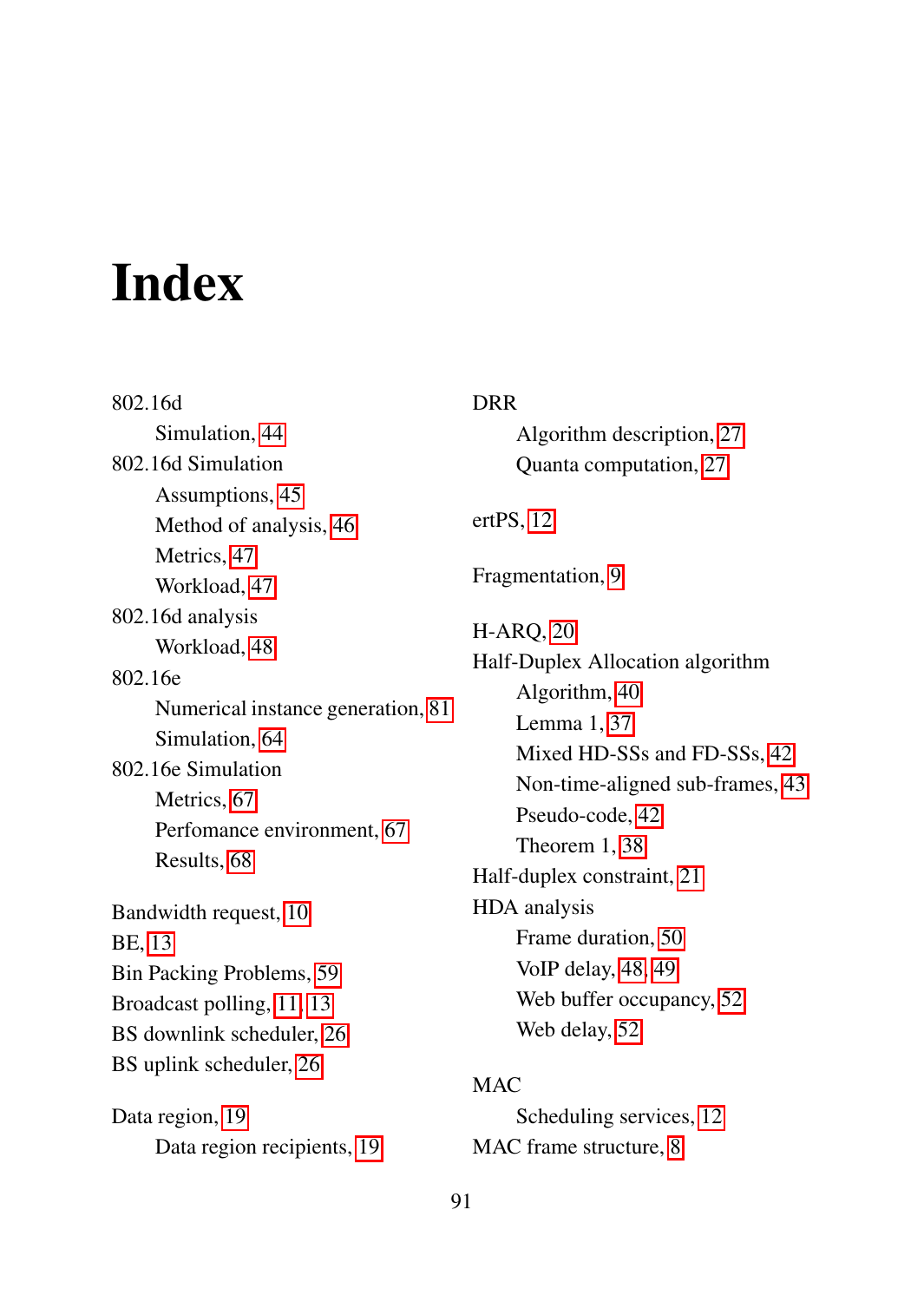# Index

802.16d Simulation, [44](#page-57-0) 802.16d Simulation Assumptions, [45](#page-58-0) Method of analysis, [46](#page-59-0) Metrics, [47](#page-60-0) Workload, [47](#page-60-0) 802.16d analysis Workload, [48](#page-61-0) 802.16e Numerical instance generation, [81](#page-94-0) Simulation, [64](#page-77-1) 802.16e Simulation Metrics, [67](#page-80-1) Perfomance environment, [67](#page-80-1) Results, [68](#page-81-1) Bandwidth request, [10](#page-23-0) BE, [13](#page-26-0) Bin Packing Problems, [59](#page-72-0) Broadcast polling, [11,](#page-24-0) [13](#page-26-0) BS downlink scheduler, [26](#page-39-0) BS uplink scheduler, [26](#page-39-0) Data region, [19](#page-32-0) Data region recipients, [19](#page-32-0)

DRR Algorithm description, [27](#page-40-0) Quanta computation, [27](#page-40-0) ertPS, [12](#page-25-0) Fragmentation, [9](#page-22-0) H-ARQ, [20](#page-33-0) Half-Duplex Allocation algorithm Algorithm, [40](#page-53-0) Lemma 1, [37](#page-50-0) Mixed HD-SSs and FD-SSs, [42](#page-55-0) Non-time-aligned sub-frames, [43](#page-56-0) Pseudo-code, [42](#page-55-0) Theorem 1, [38](#page-51-0) Half-duplex constraint, [21](#page-34-0) HDA analysis Frame duration, [50](#page-63-0) VoIP delay, [48,](#page-61-0) [49](#page-62-0) Web buffer occupancy, [52](#page-65-0) Web delay, [52](#page-65-0)

Scheduling services, [12](#page-25-0) MAC frame structure, [8](#page-21-0)

**MAC**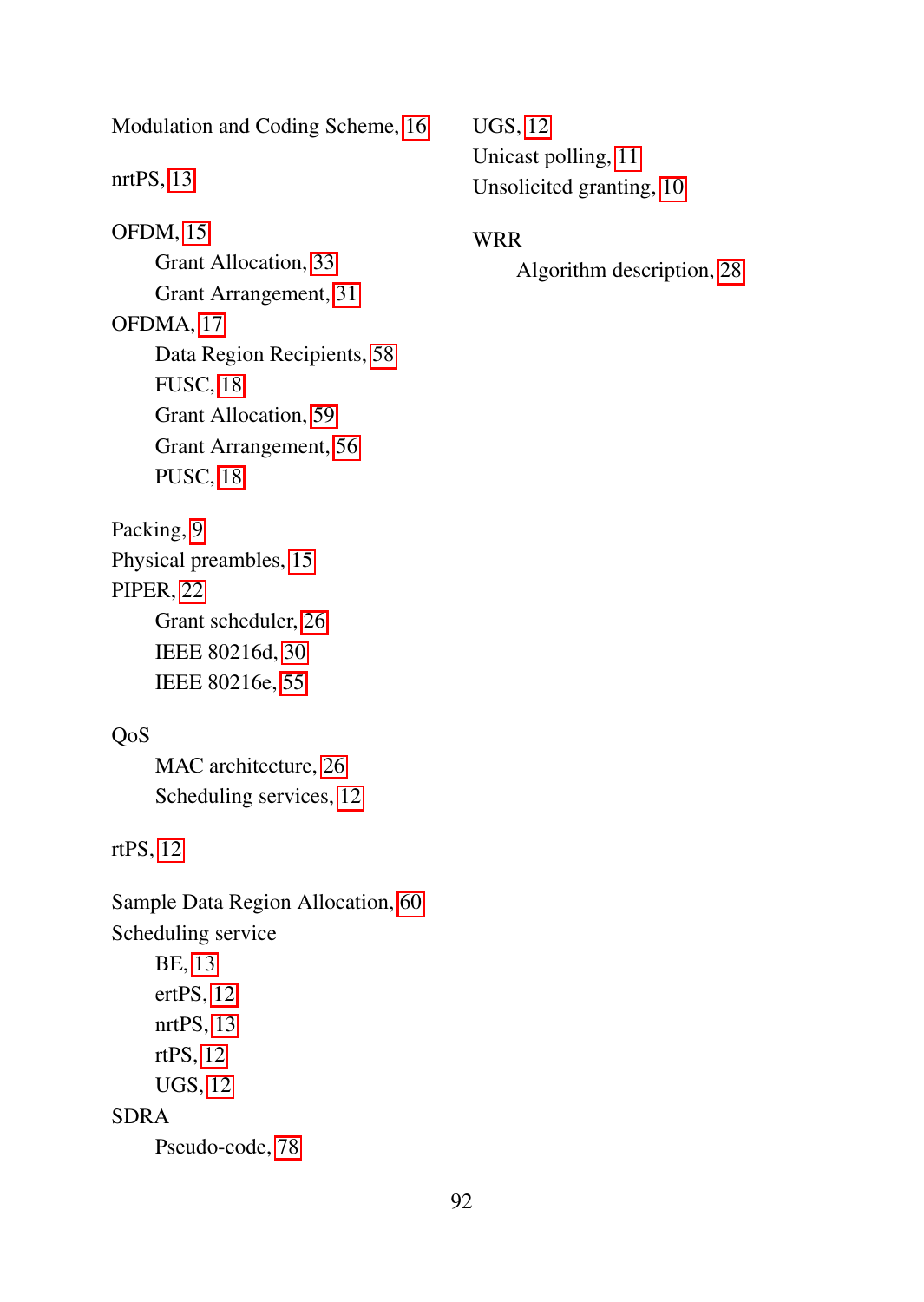Modulation and Coding Scheme, [16](#page-29-0)

nrtPS, [13](#page-26-0)

OFDM, [15](#page-28-0)

Grant Allocation, [33](#page-46-1) Grant Arrangement, [31](#page-44-0) OFDMA, [17](#page-30-1) Data Region Recipients, [58](#page-71-0) FUSC, [18](#page-31-0) Grant Allocation, [59](#page-72-0) Grant Arrangement, [56](#page-69-1) PUSC, [18](#page-31-0)

Packing, [9](#page-22-0) Physical preambles, [15](#page-28-0) PIPER, [22](#page-35-0) Grant scheduler, [26](#page-39-0)

IEEE 80216d, [30](#page-43-0) IEEE 80216e, [55](#page-68-0)

QoS

MAC architecture, [26](#page-39-0) Scheduling services, [12](#page-25-0)

#### rtPS, [12](#page-25-0)

Sample Data Region Allocation, [60](#page-73-1) Scheduling service BE, [13](#page-26-0) ertPS, [12](#page-25-0) nrtPS, [13](#page-26-0) rtPS, [12](#page-25-0) UGS, [12](#page-25-0) SDRA

Pseudo-code, [78](#page-91-0)

UGS, [12](#page-25-0) Unicast polling, [11](#page-24-0) Unsolicited granting, [10](#page-23-0)

#### WRR

Algorithm description, [28](#page-41-0)